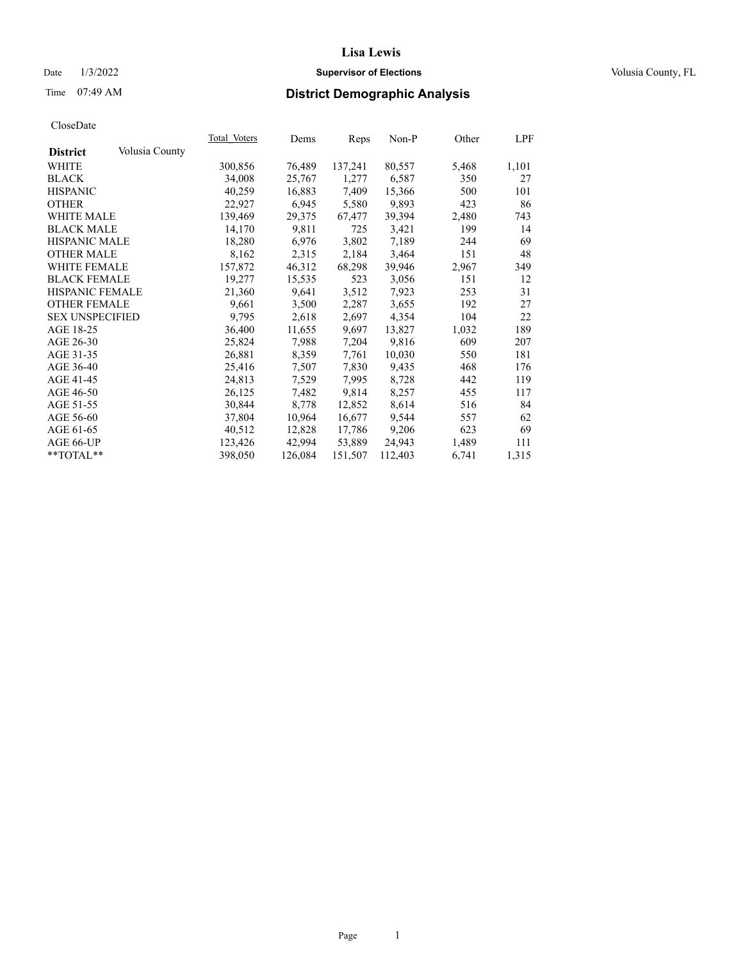Time 07:49 AM

#### **Supervisor of Elections** Date 1/3/2022 Volusia County, FL

# **District Demographic Analysis**

|                        |                | Total Voters | Dems    | Reps    | Non-P   | Other | <u>LPF</u> |
|------------------------|----------------|--------------|---------|---------|---------|-------|------------|
| <b>District</b>        | Volusia County |              |         |         |         |       |            |
| WHITE                  |                | 300,856      | 76,489  | 137,241 | 80,557  | 5,468 | 1,101      |
| <b>BLACK</b>           |                | 34,008       | 25,767  | 1,277   | 6,587   | 350   | 27         |
| <b>HISPANIC</b>        |                | 40,259       | 16,883  | 7,409   | 15,366  | 500   | 101        |
| <b>OTHER</b>           |                | 22,927       | 6,945   | 5,580   | 9,893   | 423   | 86         |
| <b>WHITE MALE</b>      |                | 139,469      | 29,375  | 67,477  | 39,394  | 2,480 | 743        |
| <b>BLACK MALE</b>      |                | 14,170       | 9,811   | 725     | 3,421   | 199   | 14         |
| <b>HISPANIC MALE</b>   |                | 18,280       | 6,976   | 3,802   | 7,189   | 244   | 69         |
| <b>OTHER MALE</b>      |                | 8,162        | 2,315   | 2,184   | 3,464   | 151   | 48         |
| <b>WHITE FEMALE</b>    |                | 157,872      | 46,312  | 68,298  | 39,946  | 2,967 | 349        |
| <b>BLACK FEMALE</b>    |                | 19,277       | 15,535  | 523     | 3,056   | 151   | 12         |
| HISPANIC FEMALE        |                | 21,360       | 9,641   | 3,512   | 7,923   | 253   | 31         |
| <b>OTHER FEMALE</b>    |                | 9,661        | 3,500   | 2,287   | 3,655   | 192   | 27         |
| <b>SEX UNSPECIFIED</b> |                | 9,795        | 2,618   | 2,697   | 4,354   | 104   | 22         |
| AGE 18-25              |                | 36,400       | 11,655  | 9,697   | 13,827  | 1,032 | 189        |
| AGE 26-30              |                | 25,824       | 7,988   | 7,204   | 9,816   | 609   | 207        |
| AGE 31-35              |                | 26,881       | 8,359   | 7,761   | 10,030  | 550   | 181        |
| AGE 36-40              |                | 25,416       | 7,507   | 7,830   | 9,435   | 468   | 176        |
| AGE 41-45              |                | 24,813       | 7,529   | 7,995   | 8,728   | 442   | 119        |
| AGE 46-50              |                | 26,125       | 7,482   | 9,814   | 8,257   | 455   | 117        |
| AGE 51-55              |                | 30,844       | 8,778   | 12,852  | 8,614   | 516   | 84         |
| AGE 56-60              |                | 37,804       | 10,964  | 16,677  | 9,544   | 557   | 62         |
| AGE 61-65              |                | 40,512       | 12,828  | 17,786  | 9,206   | 623   | 69         |
| AGE 66-UP              |                | 123,426      | 42,994  | 53,889  | 24,943  | 1,489 | 111        |
| $*$ TOTAL $*$          |                | 398,050      | 126,084 | 151,507 | 112,403 | 6,741 | 1,315      |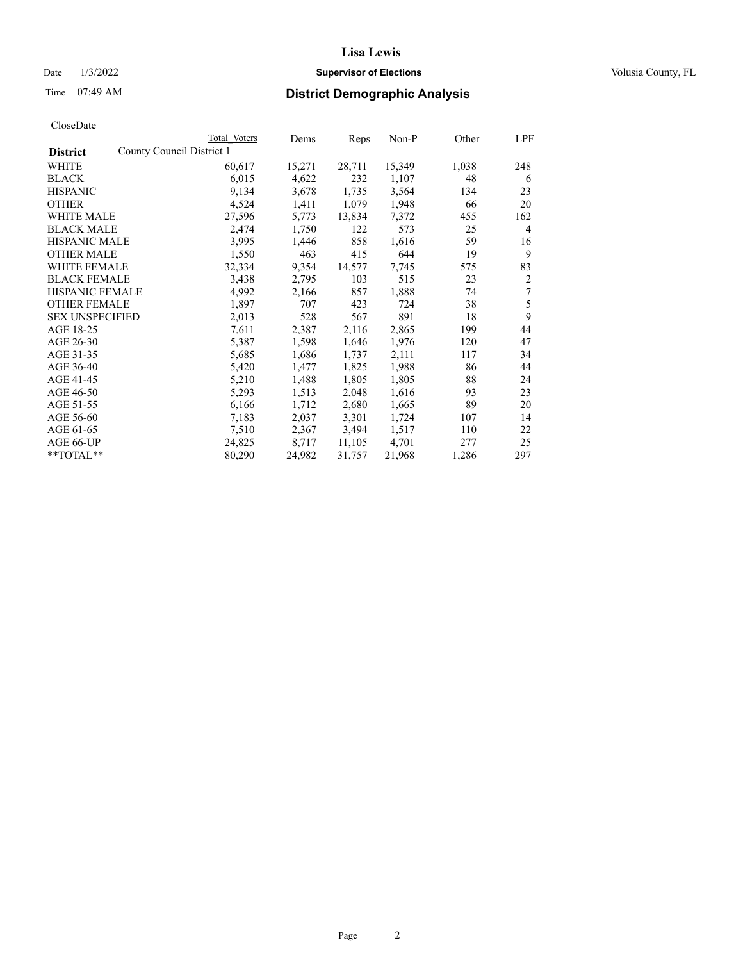# Date  $1/3/2022$  **Supervisor of Elections Supervisor of Elections** Volusia County, FL

| CloseDate |
|-----------|
|-----------|

|                                              | Total Voters | Dems   | Reps   | Non-P  | Other | LPF            |
|----------------------------------------------|--------------|--------|--------|--------|-------|----------------|
| County Council District 1<br><b>District</b> |              |        |        |        |       |                |
| WHITE                                        | 60,617       | 15,271 | 28,711 | 15,349 | 1,038 | 248            |
| <b>BLACK</b>                                 | 6,015        | 4,622  | 232    | 1,107  | 48    | 6              |
| <b>HISPANIC</b>                              | 9,134        | 3,678  | 1,735  | 3,564  | 134   | 23             |
| <b>OTHER</b>                                 | 4,524        | 1,411  | 1,079  | 1,948  | 66    | 20             |
| <b>WHITE MALE</b>                            | 27,596       | 5,773  | 13,834 | 7,372  | 455   | 162            |
| <b>BLACK MALE</b>                            | 2,474        | 1,750  | 122    | 573    | 25    | $\overline{4}$ |
| <b>HISPANIC MALE</b>                         | 3,995        | 1,446  | 858    | 1,616  | 59    | 16             |
| <b>OTHER MALE</b>                            | 1,550        | 463    | 415    | 644    | 19    | 9              |
| <b>WHITE FEMALE</b>                          | 32,334       | 9,354  | 14,577 | 7,745  | 575   | 83             |
| <b>BLACK FEMALE</b>                          | 3,438        | 2,795  | 103    | 515    | 23    | 2              |
| <b>HISPANIC FEMALE</b>                       | 4,992        | 2,166  | 857    | 1,888  | 74    | 7              |
| <b>OTHER FEMALE</b>                          | 1,897        | 707    | 423    | 724    | 38    | 5              |
| <b>SEX UNSPECIFIED</b>                       | 2,013        | 528    | 567    | 891    | 18    | 9              |
| AGE 18-25                                    | 7,611        | 2,387  | 2,116  | 2,865  | 199   | 44             |
| AGE 26-30                                    | 5,387        | 1,598  | 1,646  | 1,976  | 120   | 47             |
| AGE 31-35                                    | 5,685        | 1,686  | 1,737  | 2,111  | 117   | 34             |
| AGE 36-40                                    | 5,420        | 1,477  | 1,825  | 1,988  | 86    | 44             |
| AGE 41-45                                    | 5,210        | 1,488  | 1,805  | 1,805  | 88    | 24             |
| AGE 46-50                                    | 5,293        | 1,513  | 2,048  | 1,616  | 93    | 23             |
| AGE 51-55                                    | 6,166        | 1,712  | 2,680  | 1,665  | 89    | 20             |
| AGE 56-60                                    | 7,183        | 2,037  | 3,301  | 1,724  | 107   | 14             |
| AGE 61-65                                    | 7,510        | 2,367  | 3,494  | 1,517  | 110   | 22             |
| AGE 66-UP                                    | 24,825       | 8,717  | 11,105 | 4,701  | 277   | 25             |
| **TOTAL**                                    | 80,290       | 24,982 | 31,757 | 21,968 | 1,286 | 297            |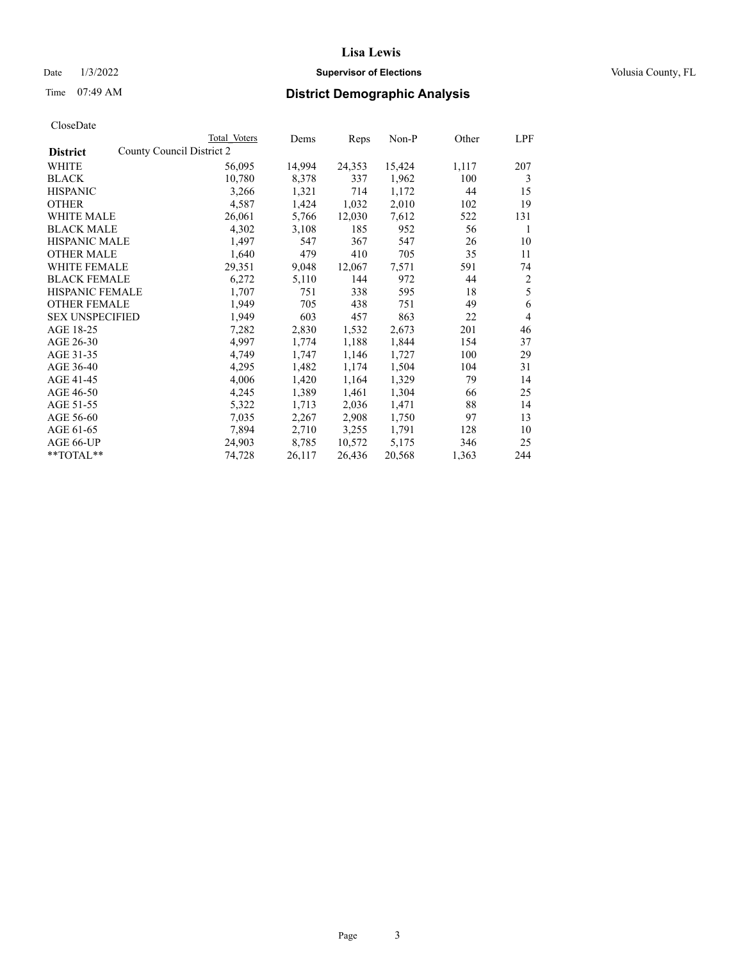# Date  $1/3/2022$  **Supervisor of Elections Supervisor of Elections** Volusia County, FL

|                        | Total Voters              | Dems   | Reps   | Non-P  | Other | LPF            |
|------------------------|---------------------------|--------|--------|--------|-------|----------------|
| <b>District</b>        | County Council District 2 |        |        |        |       |                |
| WHITE                  | 56,095                    | 14,994 | 24,353 | 15,424 | 1,117 | 207            |
| <b>BLACK</b>           | 10,780                    | 8,378  | 337    | 1,962  | 100   | 3              |
| <b>HISPANIC</b>        | 3,266                     | 1,321  | 714    | 1,172  | 44    | 15             |
| <b>OTHER</b>           | 4,587                     | 1,424  | 1,032  | 2,010  | 102   | 19             |
| WHITE MALE             | 26,061                    | 5,766  | 12,030 | 7,612  | 522   | 131            |
| <b>BLACK MALE</b>      | 4,302                     | 3,108  | 185    | 952    | 56    | 1              |
| <b>HISPANIC MALE</b>   | 1,497                     | 547    | 367    | 547    | 26    | 10             |
| <b>OTHER MALE</b>      | 1,640                     | 479    | 410    | 705    | 35    | 11             |
| <b>WHITE FEMALE</b>    | 29,351                    | 9,048  | 12,067 | 7,571  | 591   | 74             |
| <b>BLACK FEMALE</b>    | 6,272                     | 5,110  | 144    | 972    | 44    | $\overline{2}$ |
| <b>HISPANIC FEMALE</b> | 1,707                     | 751    | 338    | 595    | 18    | 5              |
| <b>OTHER FEMALE</b>    | 1,949                     | 705    | 438    | 751    | 49    | 6              |
| <b>SEX UNSPECIFIED</b> | 1,949                     | 603    | 457    | 863    | 22    | 4              |
| AGE 18-25              | 7,282                     | 2,830  | 1,532  | 2,673  | 201   | 46             |
| AGE 26-30              | 4,997                     | 1,774  | 1,188  | 1,844  | 154   | 37             |
| AGE 31-35              | 4,749                     | 1,747  | 1,146  | 1,727  | 100   | 29             |
| AGE 36-40              | 4,295                     | 1,482  | 1,174  | 1,504  | 104   | 31             |
| AGE 41-45              | 4,006                     | 1,420  | 1,164  | 1,329  | 79    | 14             |
| AGE 46-50              | 4,245                     | 1,389  | 1,461  | 1,304  | 66    | 25             |
| AGE 51-55              | 5,322                     | 1,713  | 2,036  | 1,471  | 88    | 14             |
| AGE 56-60              | 7,035                     | 2,267  | 2,908  | 1,750  | 97    | 13             |
| AGE 61-65              | 7,894                     | 2,710  | 3,255  | 1,791  | 128   | 10             |
| AGE 66-UP              | 24,903                    | 8,785  | 10,572 | 5,175  | 346   | 25             |
| **TOTAL**              | 74,728                    | 26,117 | 26,436 | 20,568 | 1,363 | 244            |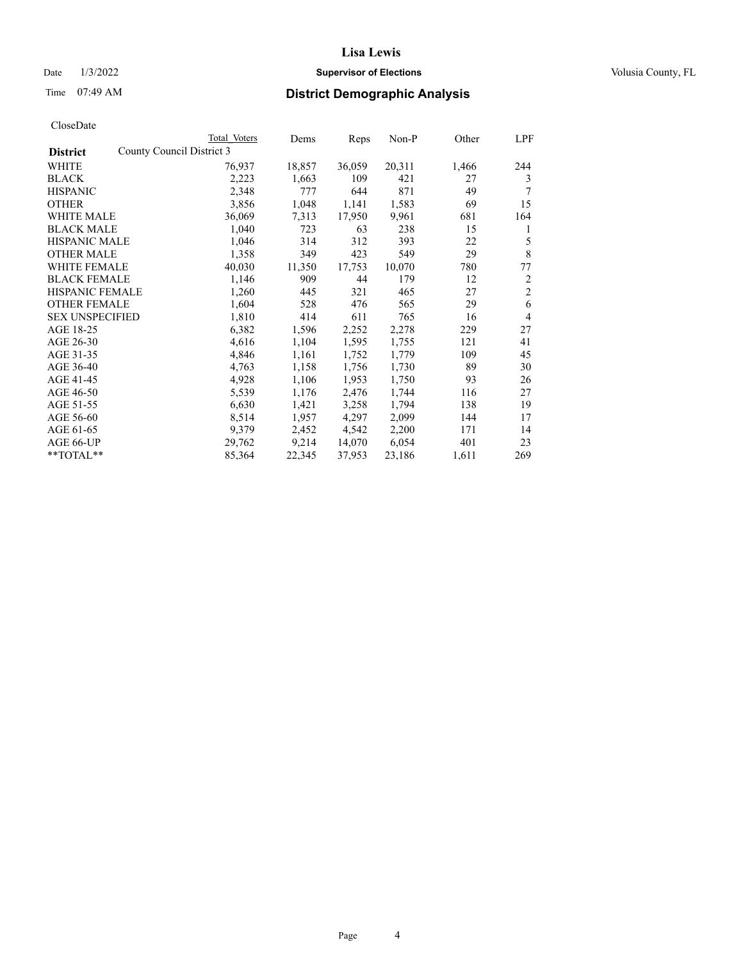# Date  $1/3/2022$  **Supervisor of Elections Supervisor of Elections** Volusia County, FL

| CloseDate |
|-----------|
|-----------|

| Total Voters | Dems                      | Reps   | $Non-P$ | Other | LPF            |
|--------------|---------------------------|--------|---------|-------|----------------|
|              |                           |        |         |       |                |
| 76,937       | 18,857                    | 36,059 | 20,311  | 1,466 | 244            |
| 2,223        | 1,663                     | 109    | 421     | 27    | 3              |
| 2,348        | 777                       | 644    | 871     | 49    | 7              |
| 3,856        | 1,048                     | 1,141  | 1,583   | 69    | 15             |
| 36,069       | 7,313                     | 17,950 | 9,961   | 681   | 164            |
| 1,040        | 723                       | 63     | 238     | 15    | 1              |
| 1,046        | 314                       | 312    | 393     | 22    | 5              |
| 1,358        | 349                       | 423    | 549     | 29    | $\,$ 8 $\,$    |
| 40,030       | 11,350                    | 17,753 | 10,070  | 780   | 77             |
| 1,146        | 909                       | 44     | 179     | 12    | $\overline{c}$ |
| 1,260        | 445                       | 321    | 465     | 27    | $\overline{c}$ |
| 1,604        | 528                       | 476    | 565     | 29    | 6              |
| 1,810        | 414                       | 611    | 765     | 16    | $\overline{4}$ |
| 6,382        | 1,596                     | 2,252  | 2,278   | 229   | 27             |
| 4,616        | 1,104                     | 1,595  | 1,755   | 121   | 41             |
| 4,846        | 1,161                     | 1,752  | 1,779   | 109   | 45             |
| 4,763        | 1,158                     | 1,756  | 1,730   | 89    | 30             |
| 4,928        | 1,106                     | 1,953  | 1,750   | 93    | 26             |
| 5,539        | 1,176                     | 2,476  | 1,744   | 116   | 27             |
| 6,630        | 1,421                     | 3,258  | 1,794   | 138   | 19             |
| 8,514        | 1,957                     | 4,297  | 2,099   | 144   | 17             |
| 9,379        | 2,452                     | 4,542  | 2,200   | 171   | 14             |
| 29,762       | 9,214                     | 14,070 | 6,054   | 401   | 23             |
| 85,364       | 22,345                    | 37,953 | 23,186  | 1,611 | 269            |
|              | County Council District 3 |        |         |       |                |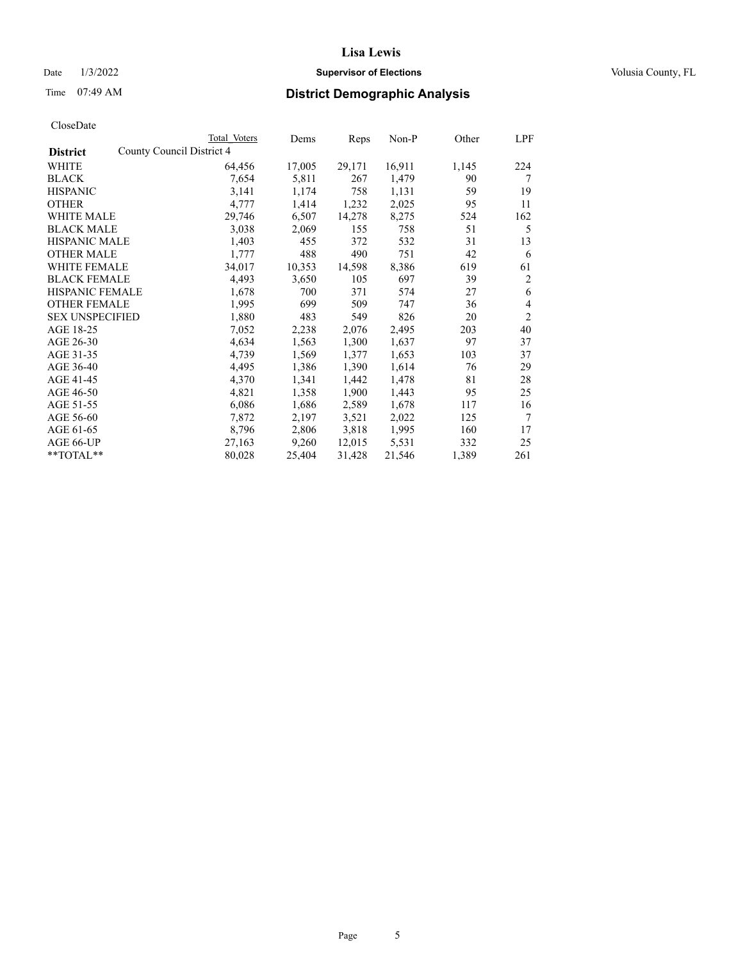# Date  $1/3/2022$  **Supervisor of Elections Supervisor of Elections** Volusia County, FL

# Time 07:49 AM **District Demographic Analysis**

|                        | Total Voters              | Dems   | Reps   | Non-P  | Other | LPF            |
|------------------------|---------------------------|--------|--------|--------|-------|----------------|
| <b>District</b>        | County Council District 4 |        |        |        |       |                |
| WHITE                  | 64,456                    | 17,005 | 29,171 | 16,911 | 1,145 | 224            |
| <b>BLACK</b>           | 7,654                     | 5,811  | 267    | 1,479  | 90    | 7              |
| <b>HISPANIC</b>        | 3,141                     | 1,174  | 758    | 1,131  | 59    | 19             |
| <b>OTHER</b>           | 4,777                     | 1,414  | 1,232  | 2,025  | 95    | 11             |
| WHITE MALE             | 29,746                    | 6,507  | 14,278 | 8,275  | 524   | 162            |
| <b>BLACK MALE</b>      | 3,038                     | 2,069  | 155    | 758    | 51    | 5              |
| <b>HISPANIC MALE</b>   | 1,403                     | 455    | 372    | 532    | 31    | 13             |
| <b>OTHER MALE</b>      | 1,777                     | 488    | 490    | 751    | 42    | 6              |
| <b>WHITE FEMALE</b>    | 34,017                    | 10,353 | 14,598 | 8,386  | 619   | 61             |
| <b>BLACK FEMALE</b>    | 4,493                     | 3,650  | 105    | 697    | 39    | 2              |
| <b>HISPANIC FEMALE</b> | 1,678                     | 700    | 371    | 574    | 27    | 6              |
| <b>OTHER FEMALE</b>    | 1,995                     | 699    | 509    | 747    | 36    | 4              |
| <b>SEX UNSPECIFIED</b> | 1,880                     | 483    | 549    | 826    | 20    | $\overline{2}$ |
| AGE 18-25              | 7,052                     | 2,238  | 2,076  | 2,495  | 203   | 40             |
| AGE 26-30              | 4,634                     | 1,563  | 1,300  | 1,637  | 97    | 37             |
| AGE 31-35              | 4,739                     | 1,569  | 1,377  | 1,653  | 103   | 37             |
| AGE 36-40              | 4,495                     | 1,386  | 1,390  | 1,614  | 76    | 29             |
| AGE 41-45              | 4,370                     | 1,341  | 1,442  | 1,478  | 81    | 28             |
| AGE 46-50              | 4,821                     | 1,358  | 1,900  | 1,443  | 95    | 25             |
| AGE 51-55              | 6,086                     | 1,686  | 2,589  | 1,678  | 117   | 16             |
| AGE 56-60              | 7,872                     | 2,197  | 3,521  | 2,022  | 125   | 7              |
| AGE 61-65              | 8,796                     | 2,806  | 3,818  | 1,995  | 160   | 17             |
| AGE 66-UP              | 27,163                    | 9,260  | 12,015 | 5,531  | 332   | 25             |
| **TOTAL**              | 80,028                    | 25,404 | 31,428 | 21,546 | 1,389 | 261            |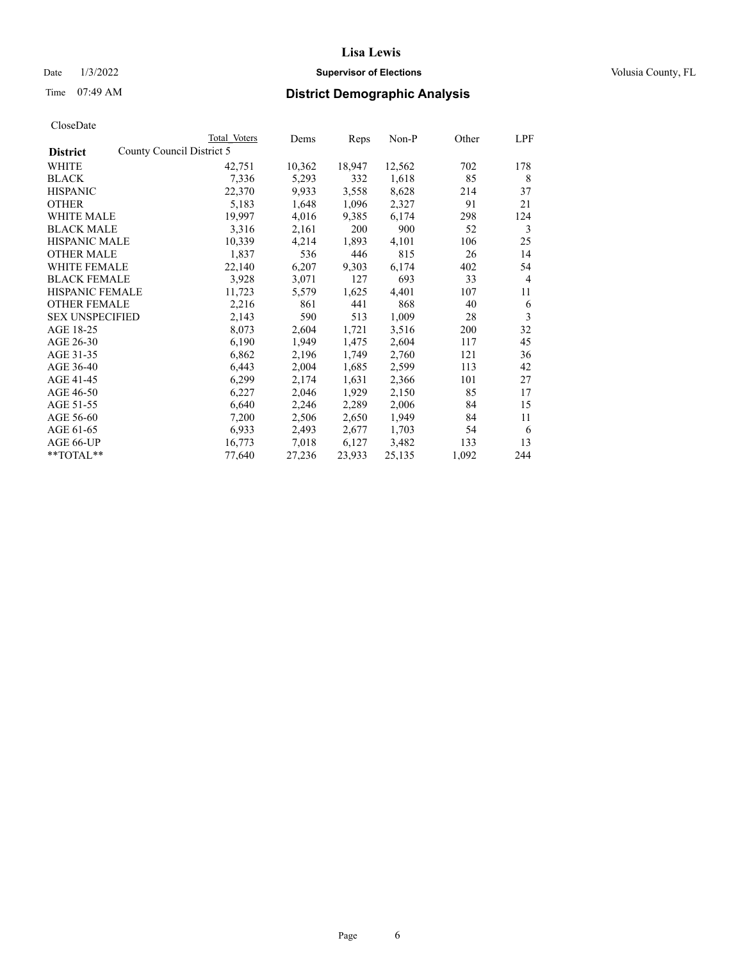# Date  $1/3/2022$  **Supervisor of Elections Supervisor of Elections** Volusia County, FL

| CloseDate |
|-----------|
|-----------|

|                                              | Total Voters | Dems   | Reps   | Non-P  | Other | LPF |
|----------------------------------------------|--------------|--------|--------|--------|-------|-----|
| County Council District 5<br><b>District</b> |              |        |        |        |       |     |
| WHITE                                        | 42,751       | 10,362 | 18,947 | 12,562 | 702   | 178 |
| <b>BLACK</b>                                 | 7,336        | 5,293  | 332    | 1,618  | 85    | 8   |
| <b>HISPANIC</b>                              | 22,370       | 9,933  | 3,558  | 8,628  | 214   | 37  |
| <b>OTHER</b>                                 | 5,183        | 1,648  | 1,096  | 2,327  | 91    | 21  |
| <b>WHITE MALE</b>                            | 19,997       | 4,016  | 9,385  | 6,174  | 298   | 124 |
| <b>BLACK MALE</b>                            | 3,316        | 2,161  | 200    | 900    | 52    | 3   |
| <b>HISPANIC MALE</b>                         | 10,339       | 4,214  | 1,893  | 4,101  | 106   | 25  |
| <b>OTHER MALE</b>                            | 1,837        | 536    | 446    | 815    | 26    | 14  |
| <b>WHITE FEMALE</b>                          | 22,140       | 6,207  | 9,303  | 6,174  | 402   | 54  |
| <b>BLACK FEMALE</b>                          | 3,928        | 3,071  | 127    | 693    | 33    | 4   |
| HISPANIC FEMALE                              | 11,723       | 5,579  | 1,625  | 4,401  | 107   | 11  |
| <b>OTHER FEMALE</b>                          | 2,216        | 861    | 441    | 868    | 40    | 6   |
| <b>SEX UNSPECIFIED</b>                       | 2,143        | 590    | 513    | 1,009  | 28    | 3   |
| AGE 18-25                                    | 8,073        | 2,604  | 1,721  | 3,516  | 200   | 32  |
| AGE 26-30                                    | 6,190        | 1,949  | 1,475  | 2,604  | 117   | 45  |
| AGE 31-35                                    | 6,862        | 2,196  | 1,749  | 2,760  | 121   | 36  |
| AGE 36-40                                    | 6,443        | 2,004  | 1,685  | 2,599  | 113   | 42  |
| AGE 41-45                                    | 6,299        | 2,174  | 1,631  | 2,366  | 101   | 27  |
| AGE 46-50                                    | 6,227        | 2,046  | 1,929  | 2,150  | 85    | 17  |
| AGE 51-55                                    | 6,640        | 2,246  | 2,289  | 2,006  | 84    | 15  |
| AGE 56-60                                    | 7,200        | 2,506  | 2,650  | 1,949  | 84    | 11  |
| AGE 61-65                                    | 6,933        | 2,493  | 2,677  | 1,703  | 54    | 6   |
| AGE 66-UP                                    | 16,773       | 7,018  | 6,127  | 3,482  | 133   | 13  |
| **TOTAL**                                    | 77,640       | 27,236 | 23,933 | 25,135 | 1,092 | 244 |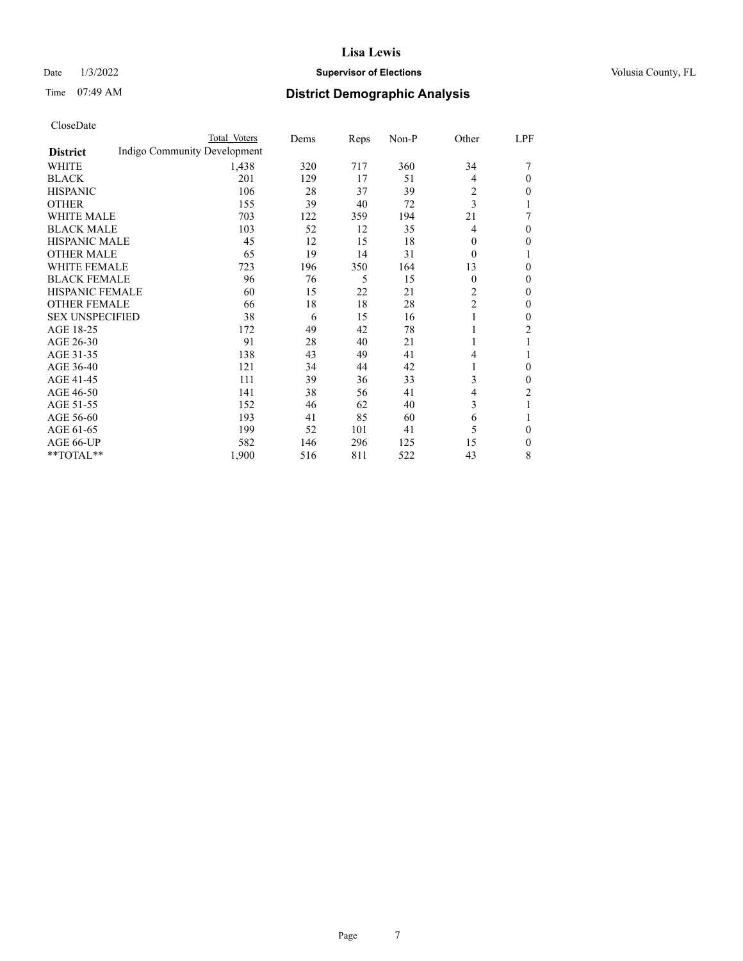### Date  $1/3/2022$  **Supervisor of Elections** Volusia County, FL

# Time 07:49 AM **District Demographic Analysis**

|                        | Total Voters                 | Dems | Reps | Non-P | Other          | LPF            |
|------------------------|------------------------------|------|------|-------|----------------|----------------|
| <b>District</b>        | Indigo Community Development |      |      |       |                |                |
| WHITE                  | 1,438                        | 320  | 717  | 360   | 34             |                |
| <b>BLACK</b>           | 201                          | 129  | 17   | 51    | 4              | $\Omega$       |
| <b>HISPANIC</b>        | 106                          | 28   | 37   | 39    | $\overline{2}$ | $\mathbf{0}$   |
| <b>OTHER</b>           | 155                          | 39   | 40   | 72    | 3              |                |
| <b>WHITE MALE</b>      | 703                          | 122  | 359  | 194   | 21             |                |
| <b>BLACK MALE</b>      | 103                          | 52   | 12   | 35    | 4              | $\theta$       |
| <b>HISPANIC MALE</b>   | 45                           | 12   | 15   | 18    | $\Omega$       | $\Omega$       |
| <b>OTHER MALE</b>      | 65                           | 19   | 14   | 31    | $\theta$       |                |
| <b>WHITE FEMALE</b>    | 723                          | 196  | 350  | 164   | 13             | $\theta$       |
| <b>BLACK FEMALE</b>    | 96                           | 76   | 5    | 15    | $\theta$       | $\theta$       |
| <b>HISPANIC FEMALE</b> | 60                           | 15   | 22   | 21    | $\overline{c}$ | $\Omega$       |
| <b>OTHER FEMALE</b>    | 66                           | 18   | 18   | 28    | $\overline{2}$ | $\Omega$       |
| <b>SEX UNSPECIFIED</b> | 38                           | 6    | 15   | 16    |                | $\theta$       |
| AGE 18-25              | 172                          | 49   | 42   | 78    |                | 2              |
| AGE 26-30              | 91                           | 28   | 40   | 21    |                |                |
| AGE 31-35              | 138                          | 43   | 49   | 41    | 4              |                |
| AGE 36-40              | 121                          | 34   | 44   | 42    |                | $\theta$       |
| AGE 41-45              | 111                          | 39   | 36   | 33    | 3              | $\theta$       |
| AGE 46-50              | 141                          | 38   | 56   | 41    | 4              | $\overline{c}$ |
| AGE 51-55              | 152                          | 46   | 62   | 40    | 3              | 1              |
| AGE 56-60              | 193                          | 41   | 85   | 60    | 6              |                |
| AGE 61-65              | 199                          | 52   | 101  | 41    | 5              | $\theta$       |
| AGE 66-UP              | 582                          | 146  | 296  | 125   | 15             | $\mathbf{0}$   |
| **TOTAL**              | 1,900                        | 516  | 811  | 522   | 43             | 8              |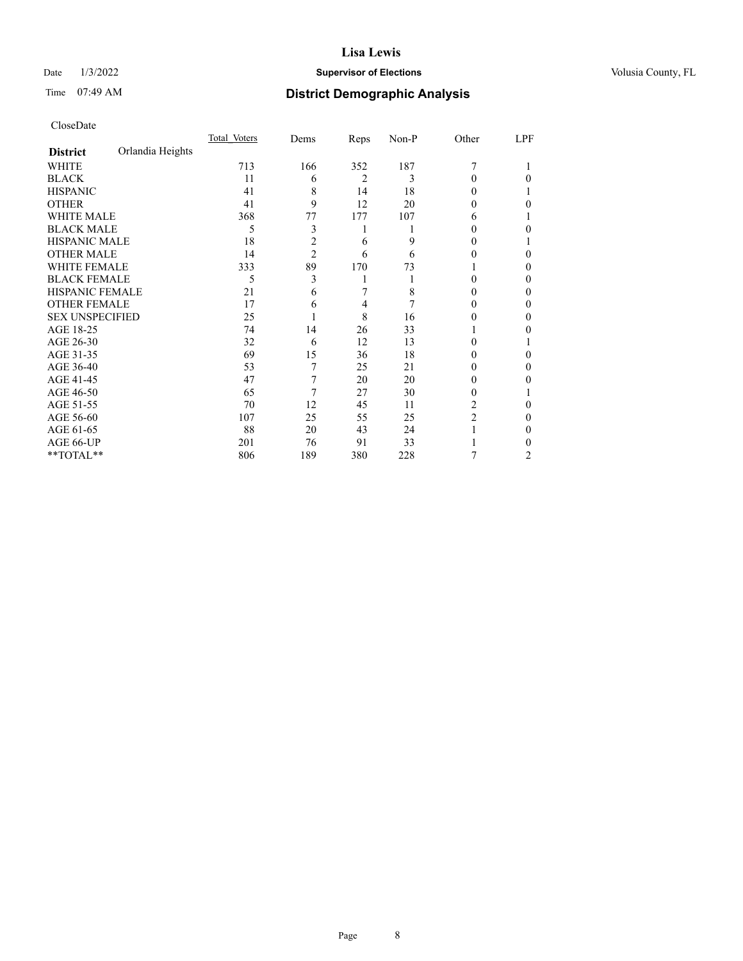# Date  $1/3/2022$  **Supervisor of Elections Supervisor of Elections** Volusia County, FL

# Time 07:49 AM **District Demographic Analysis**

|                        |                  | Total Voters | Dems           | Reps           | Non-P | Other          | LPF |
|------------------------|------------------|--------------|----------------|----------------|-------|----------------|-----|
| <b>District</b>        | Orlandia Heights |              |                |                |       |                |     |
| WHITE                  |                  | 713          | 166            | 352            | 187   | 7              |     |
| <b>BLACK</b>           |                  | 11           | 6              | $\overline{2}$ | 3     | 0              | 0   |
| <b>HISPANIC</b>        |                  | 41           | 8              | 14             | 18    | 0              |     |
| <b>OTHER</b>           |                  | 41           | 9              | 12             | 20    | 0              | 0   |
| WHITE MALE             |                  | 368          | 77             | 177            | 107   | 6              |     |
| <b>BLACK MALE</b>      |                  | 5            | 3              |                |       | 0              | 0   |
| <b>HISPANIC MALE</b>   |                  | 18           | 2              | 6              | 9     | 0              |     |
| <b>OTHER MALE</b>      |                  | 14           | $\overline{2}$ | 6              | 6     | 0              | 0   |
| WHITE FEMALE           |                  | 333          | 89             | 170            | 73    |                | 0   |
| <b>BLACK FEMALE</b>    |                  | 5            | 3              |                |       | 0              | 0   |
| <b>HISPANIC FEMALE</b> |                  | 21           | 6              |                | 8     | 0              | 0   |
| <b>OTHER FEMALE</b>    |                  | 17           | 6              | 4              | 7     | 0              | 0   |
| <b>SEX UNSPECIFIED</b> |                  | 25           |                | 8              | 16    | 0              | 0   |
| AGE 18-25              |                  | 74           | 14             | 26             | 33    |                | 0   |
| AGE 26-30              |                  | 32           | 6              | 12             | 13    | 0              |     |
| AGE 31-35              |                  | 69           | 15             | 36             | 18    | 0              | 0   |
| AGE 36-40              |                  | 53           | 7              | 25             | 21    | 0              | 0   |
| AGE 41-45              |                  | 47           | 7              | 20             | 20    | 0              | 0   |
| AGE 46-50              |                  | 65           | 7              | 27             | 30    | 0              |     |
| AGE 51-55              |                  | 70           | 12             | 45             | 11    | 2              | 0   |
| AGE 56-60              |                  | 107          | 25             | 55             | 25    | $\overline{2}$ | 0   |
| AGE 61-65              |                  | 88           | 20             | 43             | 24    |                | 0   |
| AGE 66-UP              |                  | 201          | 76             | 91             | 33    |                | 0   |
| **TOTAL**              |                  | 806          | 189            | 380            | 228   | 7              | 2   |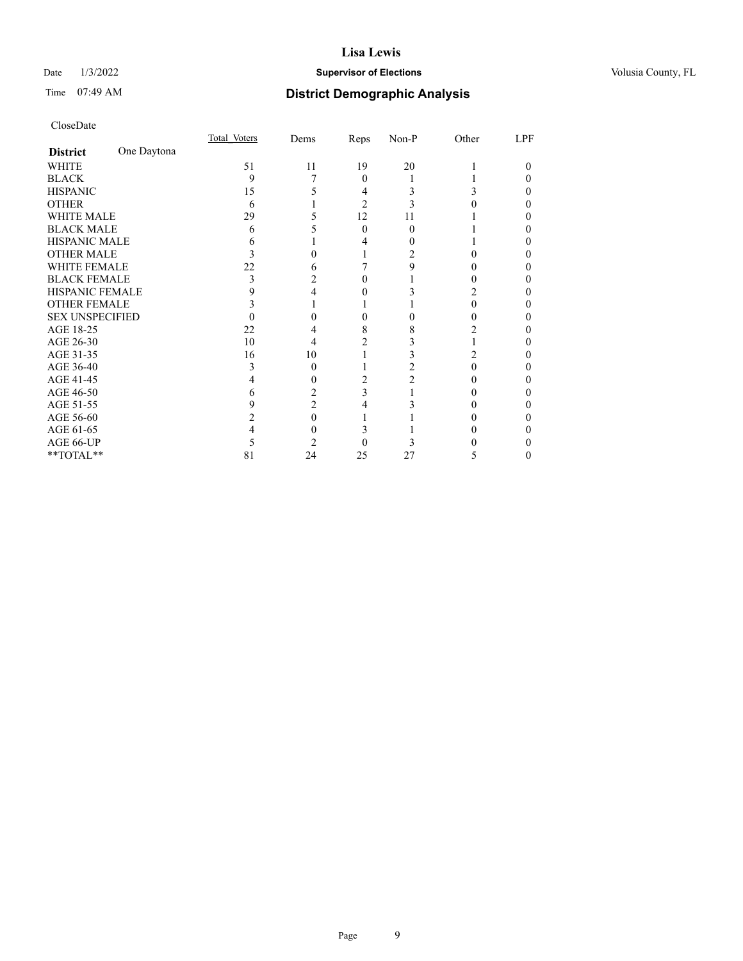# Date  $1/3/2022$  **Supervisor of Elections Supervisor of Elections** Volusia County, FL

# Time 07:49 AM **District Demographic Analysis**

|                        |             | Total Voters | Dems | Reps     | Non-P | Other | LPF |
|------------------------|-------------|--------------|------|----------|-------|-------|-----|
| <b>District</b>        | One Daytona |              |      |          |       |       |     |
| WHITE                  |             | 51           | 11   | 19       | 20    |       | 0   |
| <b>BLACK</b>           |             | 9            |      | $\theta$ |       |       |     |
| <b>HISPANIC</b>        |             | 15           |      | 4        | 3     | 3     | 0   |
| <b>OTHER</b>           |             | 6            |      | 2        |       |       |     |
| WHITE MALE             |             | 29           |      | 12       | 11    |       |     |
| <b>BLACK MALE</b>      |             | 6            |      | $\Omega$ | 0     |       |     |
| <b>HISPANIC MALE</b>   |             |              |      |          |       |       |     |
| <b>OTHER MALE</b>      |             |              |      |          |       |       | 0   |
| WHITE FEMALE           |             | 22           | h    |          | 9     |       |     |
| <b>BLACK FEMALE</b>    |             | 3            |      | $\theta$ |       | 0     | 0   |
| <b>HISPANIC FEMALE</b> |             |              |      |          |       |       |     |
| <b>OTHER FEMALE</b>    |             |              |      |          |       | 0     |     |
| <b>SEX UNSPECIFIED</b> |             |              |      |          |       |       |     |
| AGE 18-25              |             | 22           |      | 8        | 8     |       |     |
| AGE 26-30              |             | 10           | 4    | 2        |       |       | 0   |
| AGE 31-35              |             | 16           | 10   |          |       |       |     |
| AGE 36-40              |             | 3            | 0    |          |       | 0     | 0   |
| AGE 41-45              |             |              |      |          |       |       |     |
| AGE 46-50              |             | 6            |      | 3        |       |       |     |
| AGE 51-55              |             | 9            | 2    |          |       |       |     |
| AGE 56-60              |             |              | 0    |          |       |       |     |
| AGE 61-65              |             |              |      |          |       |       | 0   |
| AGE 66-UP              |             |              |      |          |       |       |     |
| **TOTAL**              |             | 81           | 24   | 25       | 27    | 5     | 0   |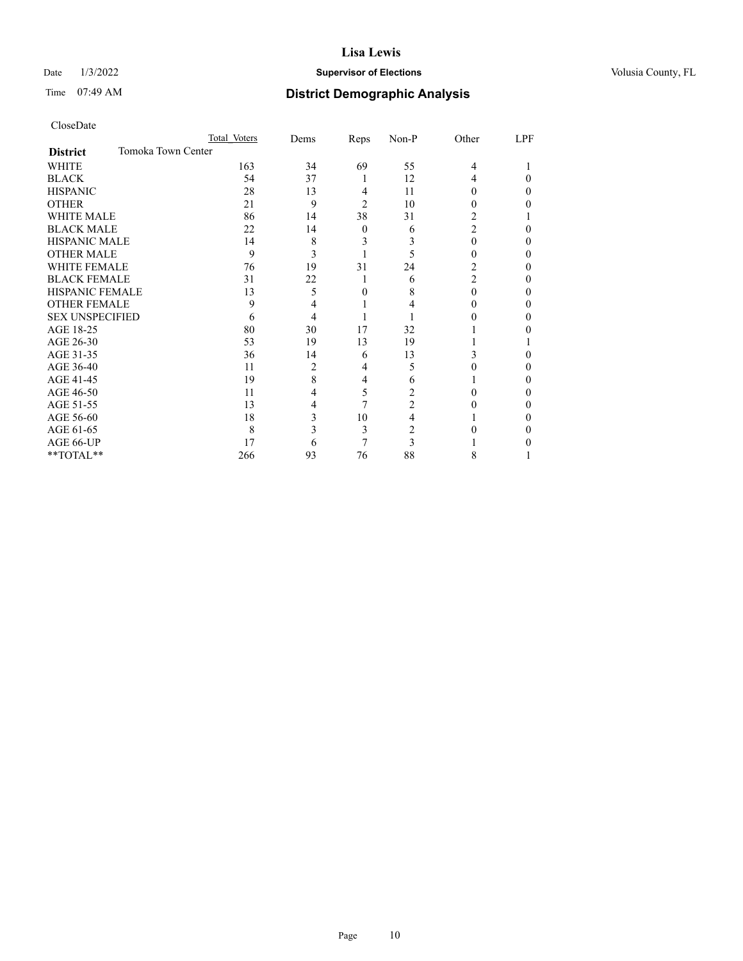# Date  $1/3/2022$  **Supervisor of Elections Supervisor of Elections** Volusia County, FL

# Time 07:49 AM **District Demographic Analysis**

|                                       | Total Voters | Dems | Reps           | Non-P          | Other          | LPF |
|---------------------------------------|--------------|------|----------------|----------------|----------------|-----|
| Tomoka Town Center<br><b>District</b> |              |      |                |                |                |     |
| <b>WHITE</b>                          | 163          | 34   | 69             | 55             | $\overline{4}$ |     |
| <b>BLACK</b>                          | 54           | 37   | 1              | 12             | 4              | 0   |
| <b>HISPANIC</b>                       | 28           | 13   | 4              | 11             | $\theta$       | 0   |
| <b>OTHER</b>                          | 21           | 9    | $\overline{2}$ | 10             | $_{0}$         | 0   |
| <b>WHITE MALE</b>                     | 86           | 14   | 38             | 31             | 2              |     |
| <b>BLACK MALE</b>                     | 22           | 14   | $\theta$       | 6              | $\overline{c}$ | 0   |
| <b>HISPANIC MALE</b>                  | 14           | 8    | 3              | 3              | 0              | 0   |
| <b>OTHER MALE</b>                     | 9            | 3    |                | 5              | 0              | 0   |
| <b>WHITE FEMALE</b>                   | 76           | 19   | 31             | 24             | 2              | 0   |
| <b>BLACK FEMALE</b>                   | 31           | 22   | 1              | 6              | 2              | 0   |
| <b>HISPANIC FEMALE</b>                | 13           | 5    | 0              | 8              | 0              | 0   |
| <b>OTHER FEMALE</b>                   | 9            | 4    |                |                | $\theta$       | 0   |
| <b>SEX UNSPECIFIED</b>                | 6            | 4    |                |                |                | 0   |
| AGE 18-25                             | 80           | 30   | 17             | 32             |                | 0   |
| AGE 26-30                             | 53           | 19   | 13             | 19             |                |     |
| AGE 31-35                             | 36           | 14   | 6              | 13             | 3              | 0   |
| AGE 36-40                             | 11           | 2    | 4              | 5              | $\theta$       | 0   |
| AGE 41-45                             | 19           | 8    | 4              | 6              |                | 0   |
| AGE 46-50                             | 11           | 4    | 5              | $\overline{2}$ | 0              | 0   |
| AGE 51-55                             | 13           | 4    | 7              | $\overline{2}$ |                | 0   |
| AGE 56-60                             | 18           | 3    | 10             | 4              |                | 0   |
| AGE 61-65                             | 8            | 3    | 3              | 2              |                | 0   |
| AGE 66-UP                             | 17           | 6    | 7              | 3              |                | 0   |
| **TOTAL**                             | 266          | 93   | 76             | 88             | 8              |     |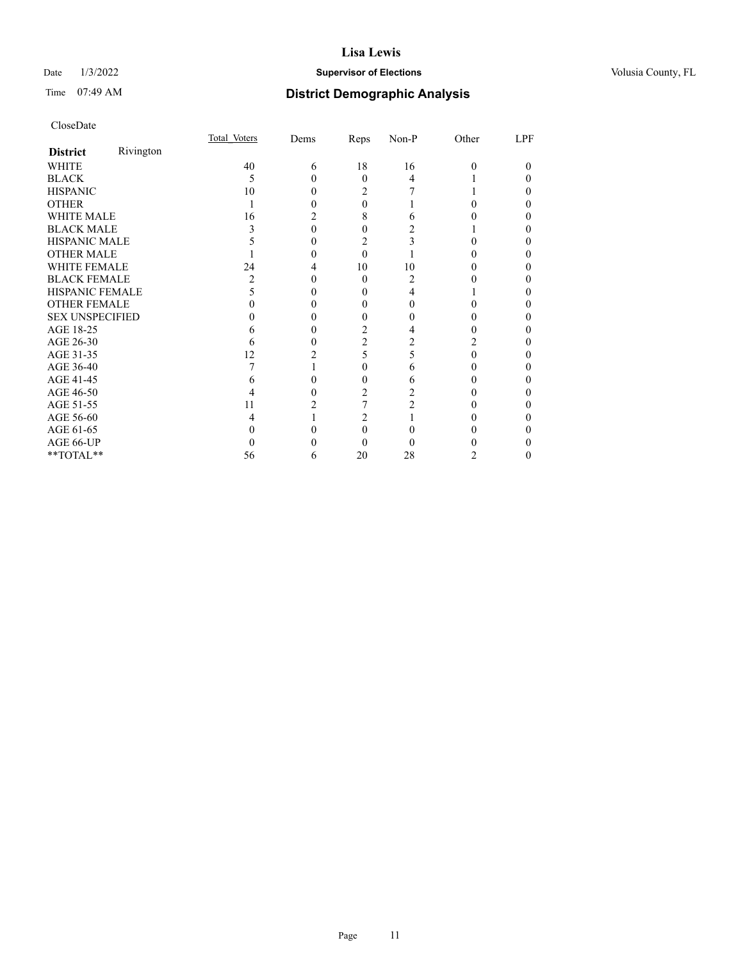# Date  $1/3/2022$  **Supervisor of Elections Supervisor of Elections** Volusia County, FL

# Time 07:49 AM **District Demographic Analysis**

|                        |           | Total Voters | Dems | Reps     | Non-P | Other    | LPF |
|------------------------|-----------|--------------|------|----------|-------|----------|-----|
| <b>District</b>        | Rivington |              |      |          |       |          |     |
| <b>WHITE</b>           |           | 40           | 6    | 18       | 16    | $\Omega$ | 0   |
| <b>BLACK</b>           |           | 5            |      | $\Omega$ | 4     |          |     |
| <b>HISPANIC</b>        |           | 10           |      | 2        |       |          |     |
| <b>OTHER</b>           |           |              |      | 0        |       |          |     |
| <b>WHITE MALE</b>      |           | 16           |      | 8        | h     |          |     |
| <b>BLACK MALE</b>      |           |              |      | 0        |       |          |     |
| <b>HISPANIC MALE</b>   |           |              |      | 2        |       |          |     |
| <b>OTHER MALE</b>      |           |              |      | $\Omega$ |       |          |     |
| <b>WHITE FEMALE</b>    |           | 24           |      | 10       | 10    |          |     |
| <b>BLACK FEMALE</b>    |           |              |      | $\Omega$ | 2     |          | 0   |
| <b>HISPANIC FEMALE</b> |           |              |      |          | 4     |          |     |
| <b>OTHER FEMALE</b>    |           |              |      | 0        | 0     |          |     |
| <b>SEX UNSPECIFIED</b> |           |              |      | 0        |       |          |     |
| AGE 18-25              |           |              |      | 2        |       |          |     |
| AGE 26-30              |           | h            |      | 2        |       | 2        |     |
| AGE 31-35              |           | 12           |      | 5        | 5     |          |     |
| AGE 36-40              |           |              |      | 0        | 6     |          | 0   |
| AGE 41-45              |           |              |      | 0        | 6     |          |     |
| AGE 46-50              |           |              |      | 2        |       |          |     |
| AGE 51-55              |           | 11           |      |          |       |          |     |
| AGE 56-60              |           |              |      | 2        |       |          |     |
| AGE 61-65              |           |              |      | 0        |       |          |     |
| AGE 66-UP              |           |              |      | 0        |       |          |     |
| **TOTAL**              |           | 56           | 6    | 20       | 28    | 2        | 0   |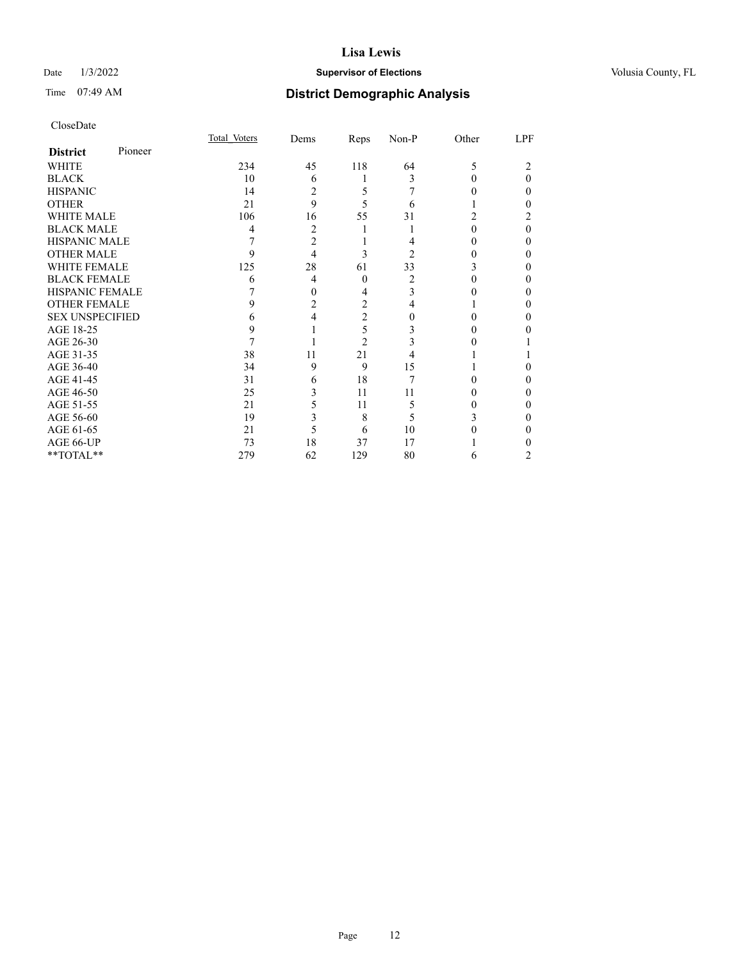# Date  $1/3/2022$  **Supervisor of Elections Supervisor of Elections** Volusia County, FL

| CloseDate |
|-----------|
|-----------|

|                        |         | Total Voters | Dems           | Reps           | Non-P | Other | LPF |
|------------------------|---------|--------------|----------------|----------------|-------|-------|-----|
| <b>District</b>        | Pioneer |              |                |                |       |       |     |
| WHITE                  |         | 234          | 45             | 118            | 64    | 5     |     |
| <b>BLACK</b>           |         | 10           | 6              |                | 3     | 0     | 0   |
| <b>HISPANIC</b>        |         | 14           | $\overline{2}$ | 5              |       |       | 0   |
| <b>OTHER</b>           |         | 21           | 9              | 5              | 6     |       |     |
| <b>WHITE MALE</b>      |         | 106          | 16             | 55             | 31    |       |     |
| <b>BLACK MALE</b>      |         | 4            | 2              |                |       | 0     | 0   |
| <b>HISPANIC MALE</b>   |         | 7            | $\overline{2}$ |                |       |       | 0   |
| <b>OTHER MALE</b>      |         | 9            | 4              | 3              | 2     | 0     | 0   |
| <b>WHITE FEMALE</b>    |         | 125          | 28             | 61             | 33    |       | 0   |
| <b>BLACK FEMALE</b>    |         | 6            | 4              | $\theta$       | 2     | 0     | 0   |
| <b>HISPANIC FEMALE</b> |         |              | 0              | 4              | 3     |       |     |
| <b>OTHER FEMALE</b>    |         | 9            | 2              | $\overline{2}$ | 4     |       | 0   |
| <b>SEX UNSPECIFIED</b> |         | 6            | 4              | $\overline{2}$ |       |       |     |
| AGE 18-25              |         | 9            |                | 5              |       |       |     |
| AGE 26-30              |         | 7            |                | $\overline{2}$ |       |       |     |
| AGE 31-35              |         | 38           | 11             | 21             |       |       |     |
| AGE 36-40              |         | 34           | 9              | 9              | 15    |       | 0   |
| AGE 41-45              |         | 31           | 6              | 18             | 7     |       |     |
| AGE 46-50              |         | 25           | 3              | 11             | 11    | 0     | 0   |
| AGE 51-55              |         | 21           | 5              | 11             | 5     |       |     |
| AGE 56-60              |         | 19           | 3              | 8              | 5     |       |     |
| AGE 61-65              |         | 21           | 5              | 6              | 10    |       |     |
| AGE 66-UP              |         | 73           | 18             | 37             | 17    |       |     |
| **TOTAL**              |         | 279          | 62             | 129            | 80    | 6     | 2   |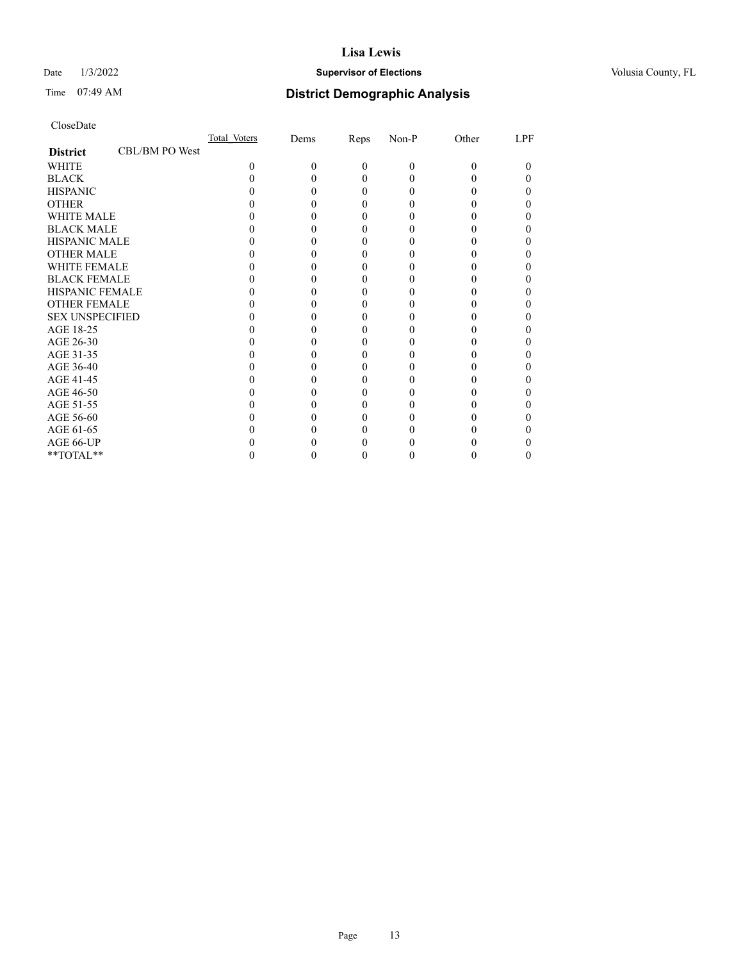# Date  $1/3/2022$  **Supervisor of Elections Supervisor of Elections** Volusia County, FL

# Time 07:49 AM **District Demographic Analysis**

|                        |                | Total Voters | Dems | Reps     | Non-P | Other | LPF |
|------------------------|----------------|--------------|------|----------|-------|-------|-----|
| <b>District</b>        | CBL/BM PO West |              |      |          |       |       |     |
| <b>WHITE</b>           |                | $\Omega$     | 0    | $\theta$ | 0     | 0     |     |
| <b>BLACK</b>           |                |              |      | 0        |       |       |     |
| <b>HISPANIC</b>        |                |              |      | $_{0}$   |       |       |     |
| <b>OTHER</b>           |                |              |      |          |       |       |     |
| <b>WHITE MALE</b>      |                |              |      |          |       |       |     |
| <b>BLACK MALE</b>      |                |              |      |          |       |       |     |
| <b>HISPANIC MALE</b>   |                |              |      |          |       |       |     |
| <b>OTHER MALE</b>      |                |              |      |          |       |       |     |
| <b>WHITE FEMALE</b>    |                |              |      |          |       |       |     |
| <b>BLACK FEMALE</b>    |                |              |      | 0        |       |       |     |
| <b>HISPANIC FEMALE</b> |                |              |      |          |       |       |     |
| <b>OTHER FEMALE</b>    |                |              |      |          |       |       |     |
| <b>SEX UNSPECIFIED</b> |                |              |      |          |       |       |     |
| AGE 18-25              |                |              |      |          |       |       |     |
| AGE 26-30              |                |              |      |          |       |       |     |
| AGE 31-35              |                |              |      |          |       |       |     |
| AGE 36-40              |                |              |      | 0        |       |       |     |
| AGE 41-45              |                |              |      |          |       |       |     |
| AGE 46-50              |                |              |      |          |       |       |     |
| AGE 51-55              |                |              |      |          |       |       |     |
| AGE 56-60              |                |              |      |          |       |       |     |
| AGE 61-65              |                |              |      |          |       |       |     |
| AGE 66-UP              |                |              |      |          |       |       |     |
| **TOTAL**              |                |              |      | 0        |       |       |     |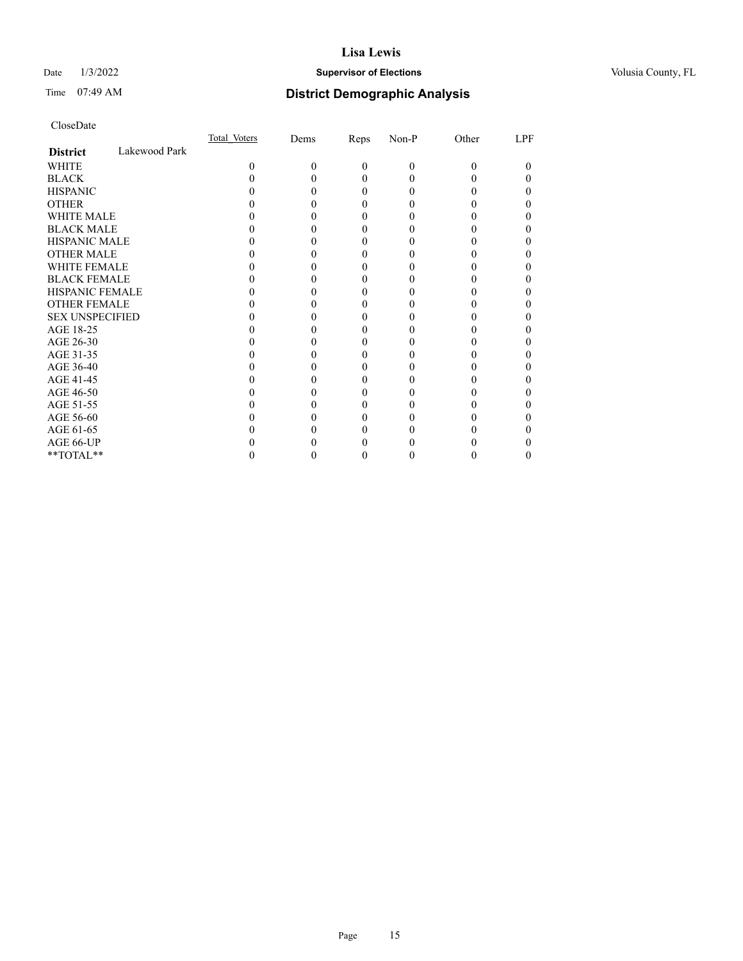# Date  $1/3/2022$  **Supervisor of Elections Supervisor of Elections** Volusia County, FL

# Time 07:49 AM **District Demographic Analysis**

|                        |               | Total Voters | Dems | Reps     | Non-P    | Other | LPF |
|------------------------|---------------|--------------|------|----------|----------|-------|-----|
| <b>District</b>        | Lakewood Park |              |      |          |          |       |     |
| WHITE                  |               | 0            | 0    | $\Omega$ | $\Omega$ | 0     | 0   |
| <b>BLACK</b>           |               |              |      | 0        |          |       |     |
| <b>HISPANIC</b>        |               |              |      | 0        |          |       |     |
| <b>OTHER</b>           |               |              |      |          |          |       |     |
| WHITE MALE             |               |              |      |          |          |       |     |
| <b>BLACK MALE</b>      |               |              |      |          |          |       |     |
| <b>HISPANIC MALE</b>   |               |              |      |          |          |       |     |
| <b>OTHER MALE</b>      |               |              |      |          |          |       |     |
| <b>WHITE FEMALE</b>    |               |              |      |          |          |       |     |
| <b>BLACK FEMALE</b>    |               |              |      |          |          |       |     |
| <b>HISPANIC FEMALE</b> |               |              |      |          |          |       |     |
| <b>OTHER FEMALE</b>    |               |              |      |          |          |       |     |
| <b>SEX UNSPECIFIED</b> |               |              |      |          |          |       |     |
| AGE 18-25              |               |              |      |          |          |       |     |
| AGE 26-30              |               |              |      |          |          |       |     |
| AGE 31-35              |               |              |      |          |          |       |     |
| AGE 36-40              |               |              |      | 0        |          |       |     |
| AGE 41-45              |               |              |      |          |          |       |     |
| AGE 46-50              |               |              |      |          |          |       |     |
| AGE 51-55              |               |              |      |          |          |       |     |
| AGE 56-60              |               |              |      |          |          |       |     |
| AGE 61-65              |               |              |      |          |          |       |     |
| AGE 66-UP              |               |              |      |          |          |       |     |
| **TOTAL**              |               |              |      | 0        |          |       |     |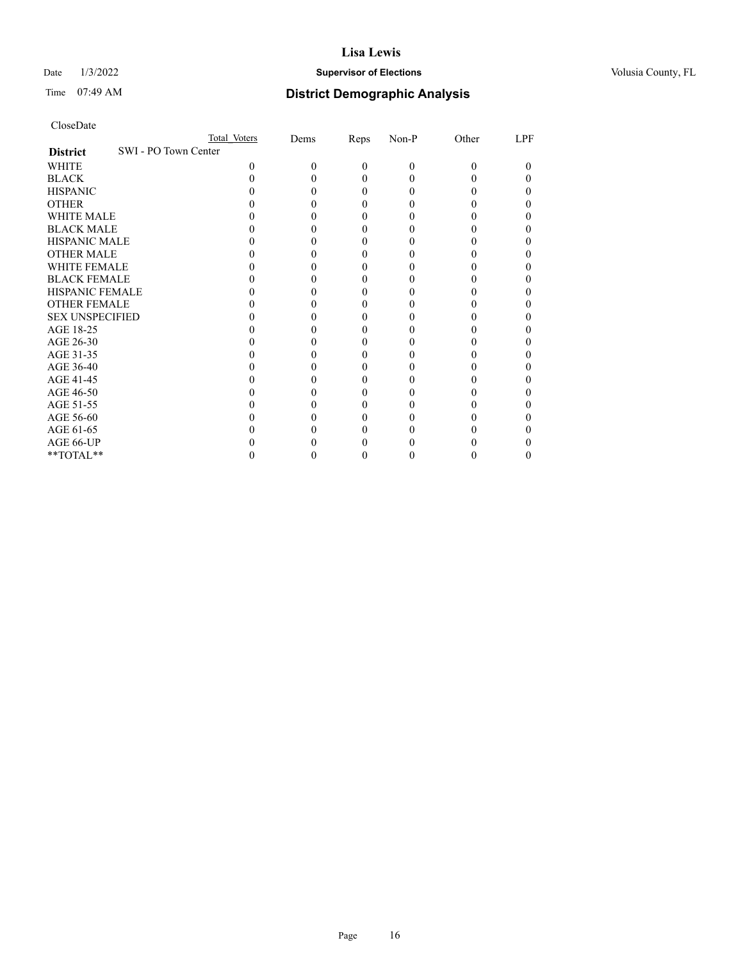# Date  $1/3/2022$  **Supervisor of Elections Supervisor of Elections** Volusia County, FL

|                                         | Total Voters | Dems | Reps     | Non-P    | Other | LPF |
|-----------------------------------------|--------------|------|----------|----------|-------|-----|
| SWI - PO Town Center<br><b>District</b> |              |      |          |          |       |     |
| WHITE                                   | 0            | 0    | $\Omega$ | $\theta$ | 0     | 0   |
| <b>BLACK</b>                            |              |      | 0        | 0        |       |     |
| <b>HISPANIC</b>                         |              |      | 0        | 0        |       |     |
| <b>OTHER</b>                            |              |      |          |          |       |     |
| WHITE MALE                              |              |      |          |          |       |     |
| <b>BLACK MALE</b>                       |              |      |          |          |       |     |
| <b>HISPANIC MALE</b>                    |              |      |          |          |       |     |
| <b>OTHER MALE</b>                       |              |      |          |          |       |     |
| <b>WHITE FEMALE</b>                     |              |      |          |          |       |     |
| <b>BLACK FEMALE</b>                     |              |      |          |          |       |     |
| <b>HISPANIC FEMALE</b>                  |              |      |          |          |       |     |
| <b>OTHER FEMALE</b>                     |              |      |          |          |       |     |
| <b>SEX UNSPECIFIED</b>                  |              |      |          |          |       |     |
| AGE 18-25                               |              |      |          |          |       |     |
| AGE 26-30                               |              |      |          |          |       |     |
| AGE 31-35                               |              |      |          |          |       |     |
| AGE 36-40                               |              |      |          |          |       |     |
| AGE 41-45                               |              |      |          |          |       |     |
| AGE 46-50                               |              |      |          |          |       |     |
| AGE 51-55                               |              |      |          |          |       |     |
| AGE 56-60                               |              |      |          |          |       |     |
| AGE 61-65                               |              |      |          |          |       |     |
| AGE 66-UP                               |              |      |          |          |       |     |
| **TOTAL**                               |              |      |          |          |       |     |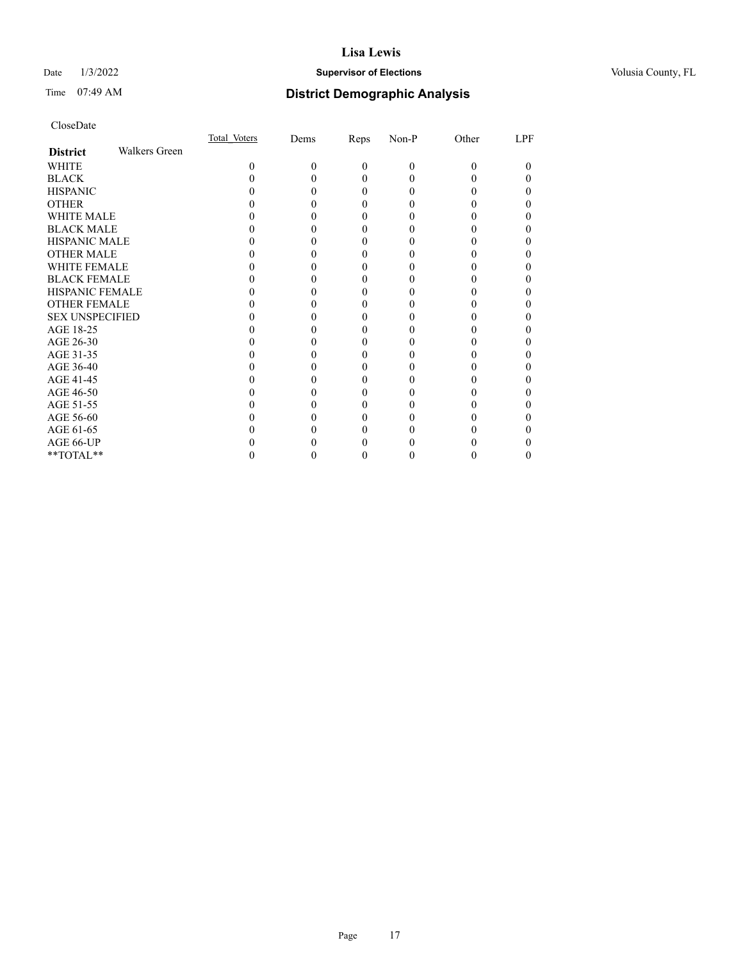# Date  $1/3/2022$  **Supervisor of Elections Supervisor of Elections** Volusia County, FL

# Time 07:49 AM **District Demographic Analysis**

|                        |                      | Total Voters | Dems | Reps     | Non-P    | Other | LPF |
|------------------------|----------------------|--------------|------|----------|----------|-------|-----|
| <b>District</b>        | <b>Walkers Green</b> |              |      |          |          |       |     |
| WHITE                  |                      | 0            | 0    | $\theta$ | $\theta$ | 0     | 0   |
| <b>BLACK</b>           |                      |              |      | 0        |          |       |     |
| <b>HISPANIC</b>        |                      |              |      | $_{0}$   |          |       |     |
| <b>OTHER</b>           |                      |              |      |          |          |       |     |
| WHITE MALE             |                      |              |      | 0        |          |       |     |
| <b>BLACK MALE</b>      |                      |              |      |          |          |       |     |
| <b>HISPANIC MALE</b>   |                      |              |      |          |          |       |     |
| <b>OTHER MALE</b>      |                      |              |      |          |          |       | 0   |
| WHITE FEMALE           |                      |              |      |          |          |       |     |
| <b>BLACK FEMALE</b>    |                      |              |      | 0        |          |       |     |
| <b>HISPANIC FEMALE</b> |                      |              |      |          |          |       |     |
| <b>OTHER FEMALE</b>    |                      |              |      | 0        |          |       | 0   |
| <b>SEX UNSPECIFIED</b> |                      |              |      |          |          |       |     |
| AGE 18-25              |                      |              |      |          |          |       |     |
| AGE 26-30              |                      |              |      |          |          |       | 0   |
| AGE 31-35              |                      |              |      |          |          |       |     |
| AGE 36-40              |                      |              |      | 0        |          |       | 0   |
| AGE 41-45              |                      |              |      |          |          |       |     |
| AGE 46-50              |                      |              |      | 0        |          |       |     |
| AGE 51-55              |                      |              |      |          |          |       |     |
| AGE 56-60              |                      |              |      |          |          |       |     |
| AGE 61-65              |                      |              |      |          |          |       |     |
| AGE 66-UP              |                      |              |      |          |          |       |     |
| **TOTAL**              |                      |              |      | 0        |          |       | 0   |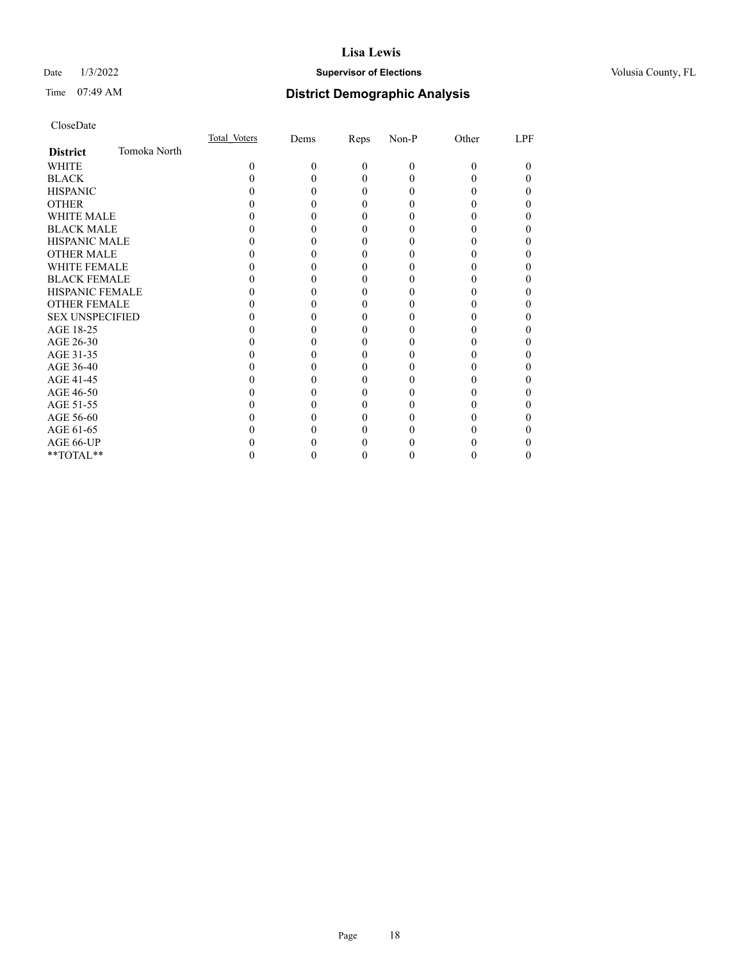# Date  $1/3/2022$  **Supervisor of Elections Supervisor of Elections** Volusia County, FL

# Time 07:49 AM **District Demographic Analysis**

|                        |              | Total Voters | Dems | Reps     | Non-P    | Other | LPF |
|------------------------|--------------|--------------|------|----------|----------|-------|-----|
| <b>District</b>        | Tomoka North |              |      |          |          |       |     |
| WHITE                  |              | 0            | 0    | $\theta$ | $\Omega$ | 0     | 0   |
| <b>BLACK</b>           |              |              |      | 0        |          |       |     |
| <b>HISPANIC</b>        |              |              |      | $\theta$ |          |       |     |
| <b>OTHER</b>           |              |              |      |          |          |       |     |
| WHITE MALE             |              |              |      |          |          |       |     |
| <b>BLACK MALE</b>      |              |              |      |          |          |       |     |
| <b>HISPANIC MALE</b>   |              |              |      |          |          |       |     |
| <b>OTHER MALE</b>      |              |              |      |          |          |       |     |
| <b>WHITE FEMALE</b>    |              |              |      |          |          |       |     |
| <b>BLACK FEMALE</b>    |              |              |      | 0        |          |       |     |
| <b>HISPANIC FEMALE</b> |              |              |      |          |          |       |     |
| <b>OTHER FEMALE</b>    |              |              |      | 0        |          |       |     |
| <b>SEX UNSPECIFIED</b> |              |              |      |          |          |       |     |
| AGE 18-25              |              |              |      |          |          |       |     |
| AGE 26-30              |              |              |      |          |          |       |     |
| AGE 31-35              |              |              |      |          |          |       |     |
| AGE 36-40              |              |              |      |          |          |       |     |
| AGE 41-45              |              |              |      |          |          |       |     |
| AGE 46-50              |              |              |      | 0        |          |       |     |
| AGE 51-55              |              |              |      |          |          |       |     |
| AGE 56-60              |              |              |      |          |          |       |     |
| AGE 61-65              |              |              |      |          |          |       |     |
| AGE 66-UP              |              |              |      |          |          |       |     |
| **TOTAL**              |              |              |      |          |          |       |     |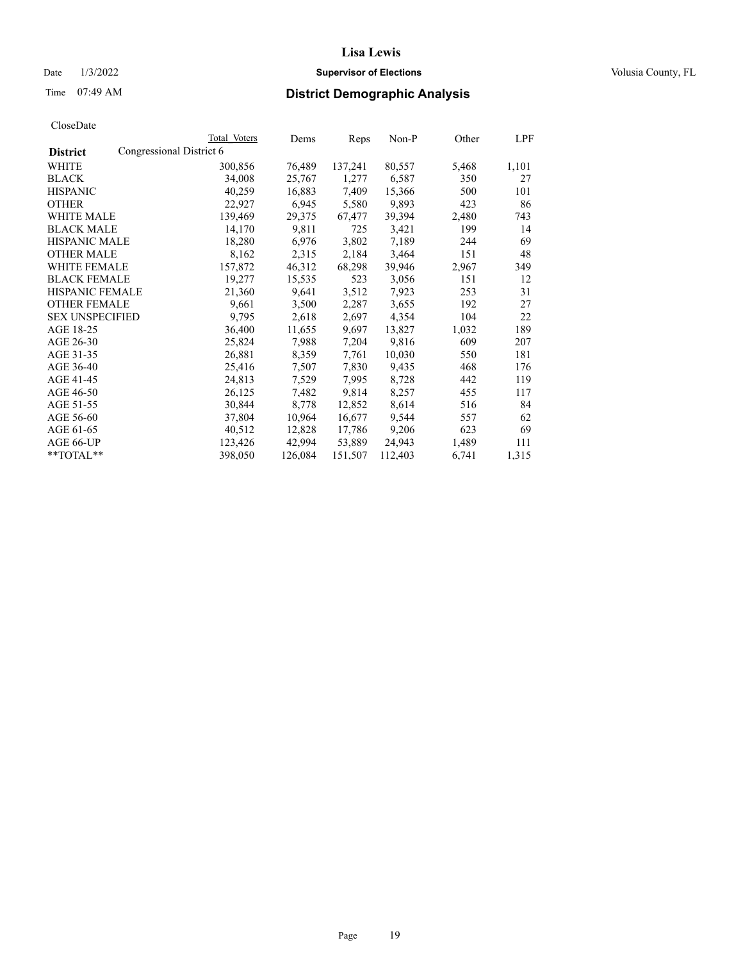# Date  $1/3/2022$  **Supervisor of Elections Supervisor of Elections** Volusia County, FL

| CloseDate |
|-----------|
|-----------|

|                                             | Total Voters | Dems    | Reps    | Non-P   | Other | LPF   |
|---------------------------------------------|--------------|---------|---------|---------|-------|-------|
| Congressional District 6<br><b>District</b> |              |         |         |         |       |       |
| WHITE                                       | 300,856      | 76,489  | 137,241 | 80,557  | 5,468 | 1,101 |
| <b>BLACK</b>                                | 34,008       | 25,767  | 1,277   | 6,587   | 350   | 27    |
| <b>HISPANIC</b>                             | 40,259       | 16,883  | 7,409   | 15,366  | 500   | 101   |
| <b>OTHER</b>                                | 22,927       | 6,945   | 5,580   | 9,893   | 423   | 86    |
| <b>WHITE MALE</b>                           | 139,469      | 29,375  | 67,477  | 39,394  | 2,480 | 743   |
| <b>BLACK MALE</b>                           | 14,170       | 9,811   | 725     | 3,421   | 199   | 14    |
| <b>HISPANIC MALE</b>                        | 18,280       | 6,976   | 3,802   | 7,189   | 244   | 69    |
| <b>OTHER MALE</b>                           | 8,162        | 2,315   | 2,184   | 3,464   | 151   | 48    |
| WHITE FEMALE                                | 157,872      | 46,312  | 68,298  | 39,946  | 2,967 | 349   |
| <b>BLACK FEMALE</b>                         | 19,277       | 15,535  | 523     | 3,056   | 151   | 12    |
| HISPANIC FEMALE                             | 21,360       | 9,641   | 3,512   | 7,923   | 253   | 31    |
| <b>OTHER FEMALE</b>                         | 9,661        | 3,500   | 2,287   | 3,655   | 192   | 27    |
| <b>SEX UNSPECIFIED</b>                      | 9,795        | 2,618   | 2,697   | 4,354   | 104   | 22    |
| AGE 18-25                                   | 36,400       | 11,655  | 9,697   | 13,827  | 1,032 | 189   |
| AGE 26-30                                   | 25,824       | 7,988   | 7,204   | 9,816   | 609   | 207   |
| AGE 31-35                                   | 26,881       | 8,359   | 7,761   | 10,030  | 550   | 181   |
| AGE 36-40                                   | 25,416       | 7,507   | 7,830   | 9,435   | 468   | 176   |
| AGE 41-45                                   | 24,813       | 7,529   | 7,995   | 8,728   | 442   | 119   |
| AGE 46-50                                   | 26,125       | 7,482   | 9,814   | 8,257   | 455   | 117   |
| AGE 51-55                                   | 30,844       | 8,778   | 12,852  | 8,614   | 516   | 84    |
| AGE 56-60                                   | 37,804       | 10,964  | 16,677  | 9,544   | 557   | 62    |
| AGE 61-65                                   | 40,512       | 12,828  | 17,786  | 9,206   | 623   | 69    |
| AGE 66-UP                                   | 123,426      | 42,994  | 53,889  | 24,943  | 1,489 | 111   |
| **TOTAL**                                   | 398,050      | 126,084 | 151,507 | 112,403 | 6,741 | 1,315 |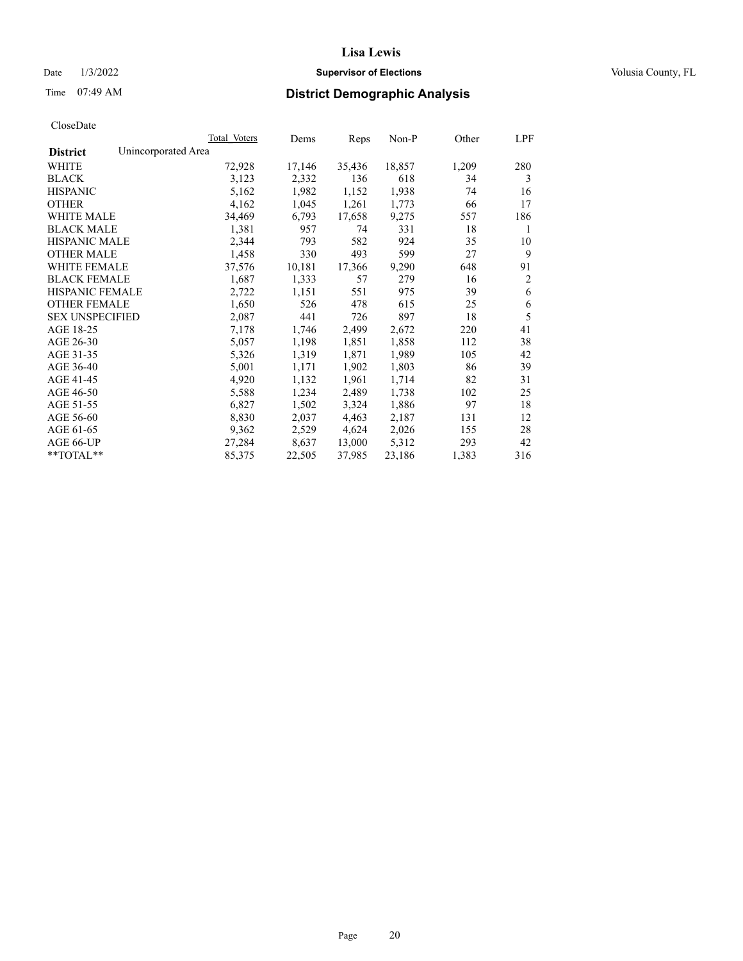# Date  $1/3/2022$  **Supervisor of Elections Supervisor of Elections** Volusia County, FL

# Time 07:49 AM **District Demographic Analysis**

|                        | Total Voters        | Dems   | Reps   | Non-P  | Other | LPF            |
|------------------------|---------------------|--------|--------|--------|-------|----------------|
| <b>District</b>        | Unincorporated Area |        |        |        |       |                |
| WHITE                  | 72,928              | 17,146 | 35,436 | 18,857 | 1,209 | 280            |
| <b>BLACK</b>           | 3,123               | 2,332  | 136    | 618    | 34    | 3              |
| <b>HISPANIC</b>        | 5,162               | 1,982  | 1,152  | 1,938  | 74    | 16             |
| <b>OTHER</b>           | 4,162               | 1,045  | 1,261  | 1,773  | 66    | 17             |
| WHITE MALE             | 34,469              | 6,793  | 17,658 | 9,275  | 557   | 186            |
| <b>BLACK MALE</b>      | 1,381               | 957    | 74     | 331    | 18    | 1              |
| <b>HISPANIC MALE</b>   | 2,344               | 793    | 582    | 924    | 35    | 10             |
| <b>OTHER MALE</b>      | 1,458               | 330    | 493    | 599    | 27    | 9              |
| <b>WHITE FEMALE</b>    | 37,576              | 10,181 | 17,366 | 9,290  | 648   | 91             |
| <b>BLACK FEMALE</b>    | 1,687               | 1,333  | 57     | 279    | 16    | $\overline{2}$ |
| <b>HISPANIC FEMALE</b> | 2,722               | 1,151  | 551    | 975    | 39    | 6              |
| <b>OTHER FEMALE</b>    | 1,650               | 526    | 478    | 615    | 25    | 6              |
| <b>SEX UNSPECIFIED</b> | 2,087               | 441    | 726    | 897    | 18    | 5              |
| AGE 18-25              | 7,178               | 1,746  | 2,499  | 2,672  | 220   | 41             |
| AGE 26-30              | 5,057               | 1,198  | 1,851  | 1,858  | 112   | 38             |
| AGE 31-35              | 5,326               | 1,319  | 1,871  | 1,989  | 105   | 42             |
| AGE 36-40              | 5,001               | 1,171  | 1,902  | 1,803  | 86    | 39             |
| AGE 41-45              | 4,920               | 1,132  | 1,961  | 1,714  | 82    | 31             |
| AGE 46-50              | 5,588               | 1,234  | 2,489  | 1,738  | 102   | 25             |
| AGE 51-55              | 6,827               | 1,502  | 3,324  | 1,886  | 97    | 18             |
| AGE 56-60              | 8,830               | 2,037  | 4,463  | 2,187  | 131   | 12             |
| AGE 61-65              | 9,362               | 2,529  | 4,624  | 2,026  | 155   | 28             |
| AGE 66-UP              | 27,284              | 8,637  | 13,000 | 5,312  | 293   | 42             |
| $*$ $TOTAL**$          | 85,375              | 22,505 | 37,985 | 23,186 | 1,383 | 316            |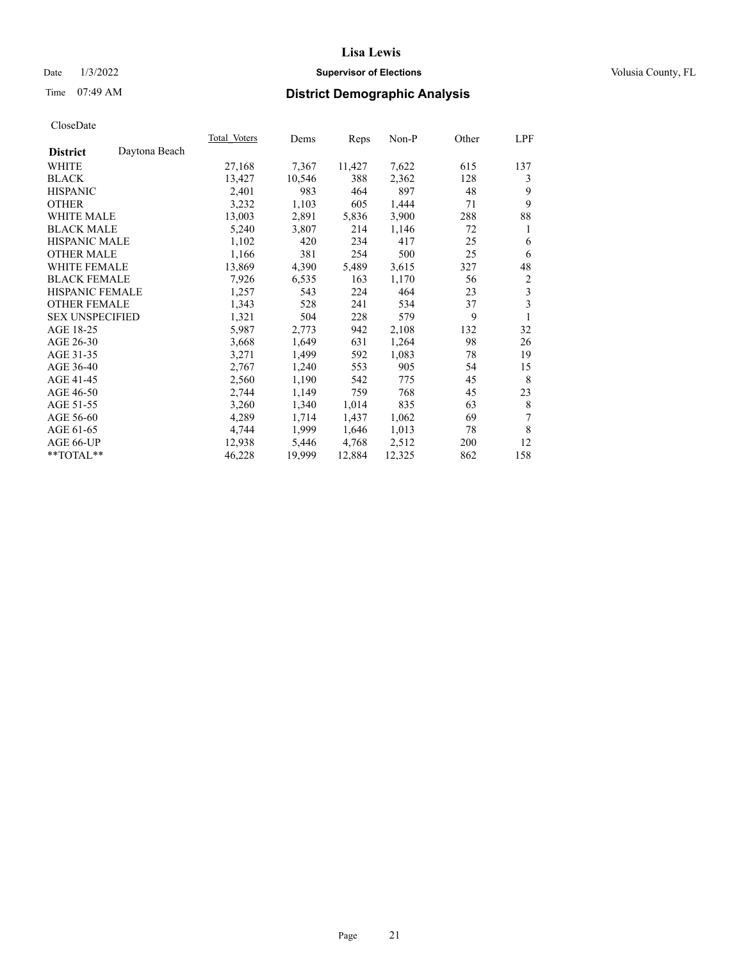# Date  $1/3/2022$  **Supervisor of Elections Supervisor of Elections** Volusia County, FL

# Time 07:49 AM **District Demographic Analysis**

|                                  | Total Voters | Dems   | Reps   | Non-P  | Other | LPF |
|----------------------------------|--------------|--------|--------|--------|-------|-----|
| Daytona Beach<br><b>District</b> |              |        |        |        |       |     |
| WHITE                            | 27,168       | 7,367  | 11,427 | 7,622  | 615   | 137 |
| <b>BLACK</b>                     | 13,427       | 10,546 | 388    | 2,362  | 128   | 3   |
| <b>HISPANIC</b>                  | 2,401        | 983    | 464    | 897    | 48    | 9   |
| <b>OTHER</b>                     | 3,232        | 1,103  | 605    | 1,444  | 71    | 9   |
| <b>WHITE MALE</b>                | 13,003       | 2,891  | 5,836  | 3,900  | 288   | 88  |
| <b>BLACK MALE</b>                | 5,240        | 3,807  | 214    | 1,146  | 72    | 1   |
| <b>HISPANIC MALE</b>             | 1,102        | 420    | 234    | 417    | 25    | 6   |
| <b>OTHER MALE</b>                | 1,166        | 381    | 254    | 500    | 25    | 6   |
| WHITE FEMALE                     | 13,869       | 4,390  | 5,489  | 3,615  | 327   | 48  |
| <b>BLACK FEMALE</b>              | 7,926        | 6,535  | 163    | 1,170  | 56    | 2   |
| HISPANIC FEMALE                  | 1,257        | 543    | 224    | 464    | 23    | 3   |
| <b>OTHER FEMALE</b>              | 1,343        | 528    | 241    | 534    | 37    | 3   |
| <b>SEX UNSPECIFIED</b>           | 1,321        | 504    | 228    | 579    | 9     | 1   |
| AGE 18-25                        | 5,987        | 2,773  | 942    | 2,108  | 132   | 32  |
| AGE 26-30                        | 3,668        | 1,649  | 631    | 1,264  | 98    | 26  |
| AGE 31-35                        | 3,271        | 1,499  | 592    | 1,083  | 78    | 19  |
| AGE 36-40                        | 2,767        | 1,240  | 553    | 905    | 54    | 15  |
| AGE 41-45                        | 2,560        | 1,190  | 542    | 775    | 45    | 8   |
| AGE 46-50                        | 2,744        | 1,149  | 759    | 768    | 45    | 23  |
| AGE 51-55                        | 3,260        | 1,340  | 1,014  | 835    | 63    | 8   |
| AGE 56-60                        | 4,289        | 1,714  | 1,437  | 1,062  | 69    | 7   |
| AGE 61-65                        | 4,744        | 1,999  | 1,646  | 1,013  | 78    | 8   |
| AGE 66-UP                        | 12,938       | 5,446  | 4,768  | 2,512  | 200   | 12  |
| **TOTAL**                        | 46,228       | 19,999 | 12,884 | 12,325 | 862   | 158 |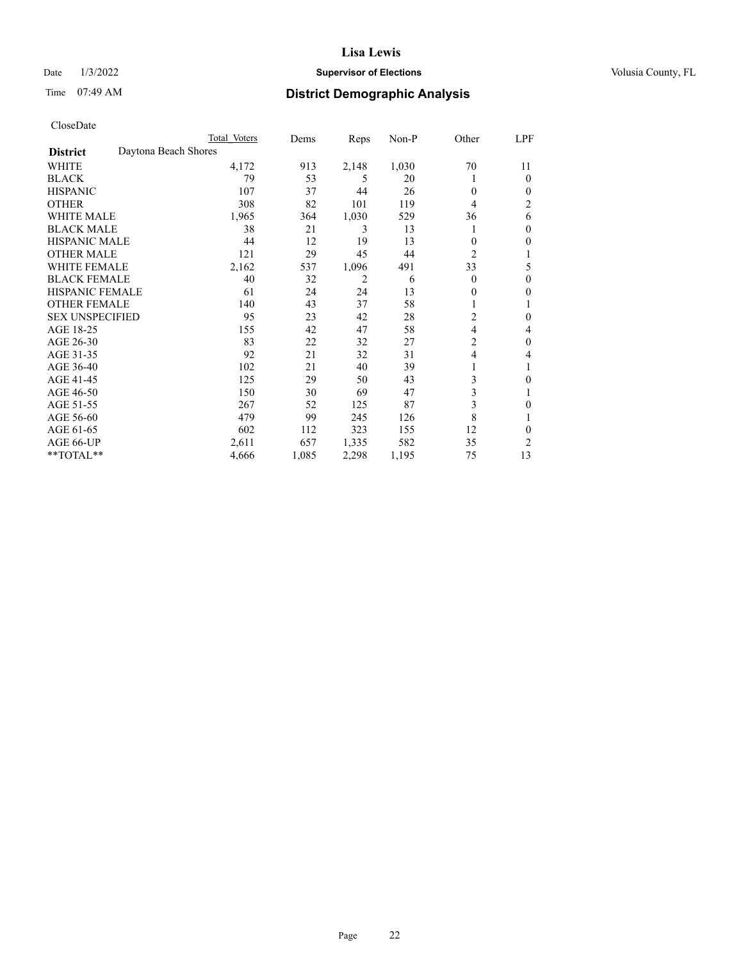# Date  $1/3/2022$  **Supervisor of Elections Supervisor of Elections** Volusia County, FL

# Time 07:49 AM **District Demographic Analysis**

|                        | Total Voters         |       | Dems  | Reps  | Non-P | Other          | LPF            |
|------------------------|----------------------|-------|-------|-------|-------|----------------|----------------|
| <b>District</b>        | Daytona Beach Shores |       |       |       |       |                |                |
| WHITE                  |                      | 4,172 | 913   | 2,148 | 1,030 | 70             | 11             |
| <b>BLACK</b>           |                      | 79    | 53    | 5     | 20    |                | $\Omega$       |
| <b>HISPANIC</b>        |                      | 107   | 37    | 44    | 26    | $\Omega$       | $\Omega$       |
| <b>OTHER</b>           |                      | 308   | 82    | 101   | 119   | 4              | $\overline{2}$ |
| WHITE MALE             |                      | 1,965 | 364   | 1,030 | 529   | 36             | 6              |
| <b>BLACK MALE</b>      |                      | 38    | 21    | 3     | 13    |                | $\mathbf{0}$   |
| <b>HISPANIC MALE</b>   |                      | 44    | 12    | 19    | 13    | 0              | 0              |
| <b>OTHER MALE</b>      |                      | 121   | 29    | 45    | 44    | $\overline{2}$ | 1              |
| WHITE FEMALE           |                      | 2,162 | 537   | 1,096 | 491   | 33             | 5              |
| <b>BLACK FEMALE</b>    |                      | 40    | 32    | 2     | 6     | $\Omega$       | $\mathbf{0}$   |
| <b>HISPANIC FEMALE</b> |                      | 61    | 24    | 24    | 13    | 0              | 0              |
| <b>OTHER FEMALE</b>    |                      | 140   | 43    | 37    | 58    |                |                |
| <b>SEX UNSPECIFIED</b> |                      | 95    | 23    | 42    | 28    | $\overline{c}$ | $\theta$       |
| AGE 18-25              |                      | 155   | 42    | 47    | 58    | 4              | 4              |
| AGE 26-30              |                      | 83    | 22    | 32    | 27    | $\overline{c}$ | $\theta$       |
| AGE 31-35              |                      | 92    | 21    | 32    | 31    | 4              | 4              |
| AGE 36-40              |                      | 102   | 21    | 40    | 39    | 1              |                |
| AGE 41-45              |                      | 125   | 29    | 50    | 43    | 3              | 0              |
| AGE 46-50              |                      | 150   | 30    | 69    | 47    | 3              |                |
| AGE 51-55              |                      | 267   | 52    | 125   | 87    | 3              | 0              |
| AGE 56-60              |                      | 479   | 99    | 245   | 126   | 8              |                |
| AGE 61-65              |                      | 602   | 112   | 323   | 155   | 12             | $\theta$       |
| AGE 66-UP              |                      | 2,611 | 657   | 1,335 | 582   | 35             | $\overline{c}$ |
| **TOTAL**              |                      | 4,666 | 1,085 | 2,298 | 1,195 | 75             | 13             |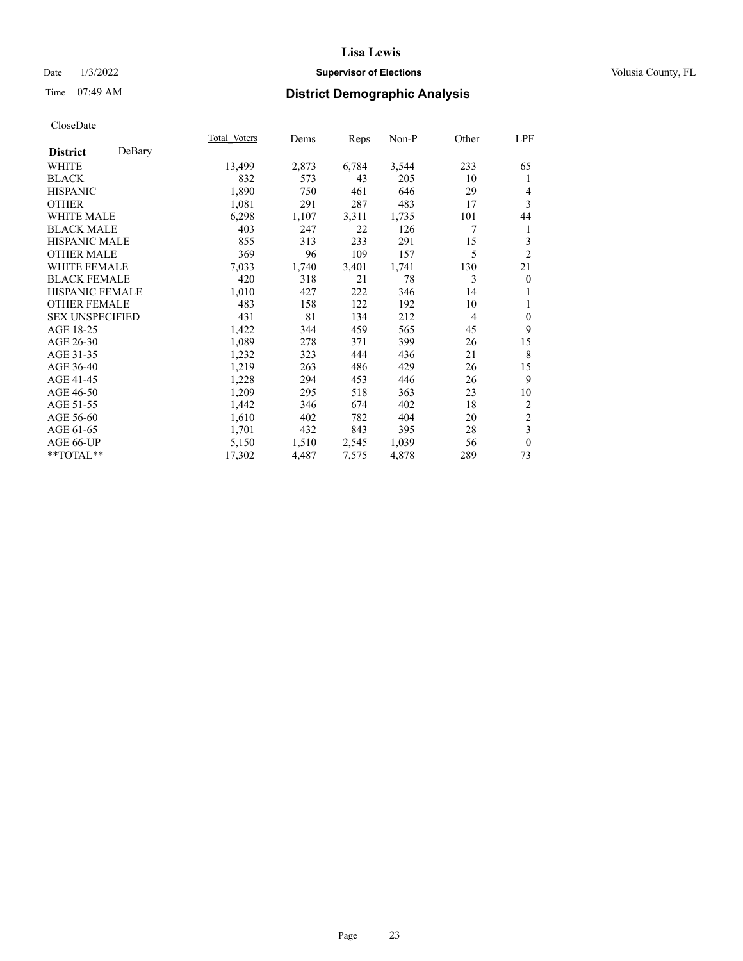# Date  $1/3/2022$  **Supervisor of Elections Supervisor of Elections** Volusia County, FL

# Time 07:49 AM **District Demographic Analysis**

|                        |        | Total Voters | Dems  | Reps  | Non-P | Other | LPF            |
|------------------------|--------|--------------|-------|-------|-------|-------|----------------|
| <b>District</b>        | DeBary |              |       |       |       |       |                |
| WHITE                  |        | 13,499       | 2,873 | 6,784 | 3,544 | 233   | 65             |
| <b>BLACK</b>           |        | 832          | 573   | 43    | 205   | 10    | 1              |
| <b>HISPANIC</b>        |        | 1,890        | 750   | 461   | 646   | 29    | 4              |
| <b>OTHER</b>           |        | 1,081        | 291   | 287   | 483   | 17    | 3              |
| <b>WHITE MALE</b>      |        | 6,298        | 1,107 | 3,311 | 1,735 | 101   | 44             |
| <b>BLACK MALE</b>      |        | 403          | 247   | 22    | 126   | 7     | 1              |
| <b>HISPANIC MALE</b>   |        | 855          | 313   | 233   | 291   | 15    | 3              |
| <b>OTHER MALE</b>      |        | 369          | 96    | 109   | 157   | 5     | $\overline{2}$ |
| <b>WHITE FEMALE</b>    |        | 7,033        | 1,740 | 3,401 | 1,741 | 130   | 21             |
| <b>BLACK FEMALE</b>    |        | 420          | 318   | 21    | 78    | 3     | $\mathbf{0}$   |
| <b>HISPANIC FEMALE</b> |        | 1,010        | 427   | 222   | 346   | 14    |                |
| <b>OTHER FEMALE</b>    |        | 483          | 158   | 122   | 192   | 10    | 1              |
| <b>SEX UNSPECIFIED</b> |        | 431          | 81    | 134   | 212   | 4     | $\mathbf{0}$   |
| AGE 18-25              |        | 1,422        | 344   | 459   | 565   | 45    | 9              |
| AGE 26-30              |        | 1,089        | 278   | 371   | 399   | 26    | 15             |
| AGE 31-35              |        | 1,232        | 323   | 444   | 436   | 21    | $\,$ 8 $\,$    |
| AGE 36-40              |        | 1,219        | 263   | 486   | 429   | 26    | 15             |
| AGE 41-45              |        | 1,228        | 294   | 453   | 446   | 26    | 9              |
| AGE 46-50              |        | 1,209        | 295   | 518   | 363   | 23    | 10             |
| AGE 51-55              |        | 1,442        | 346   | 674   | 402   | 18    | 2              |
| AGE 56-60              |        | 1,610        | 402   | 782   | 404   | 20    | $\sqrt{2}$     |
| AGE 61-65              |        | 1,701        | 432   | 843   | 395   | 28    | 3              |
| AGE 66-UP              |        | 5,150        | 1,510 | 2,545 | 1,039 | 56    | $\mathbf{0}$   |
| $**TOTAL**$            |        | 17,302       | 4,487 | 7,575 | 4,878 | 289   | 73             |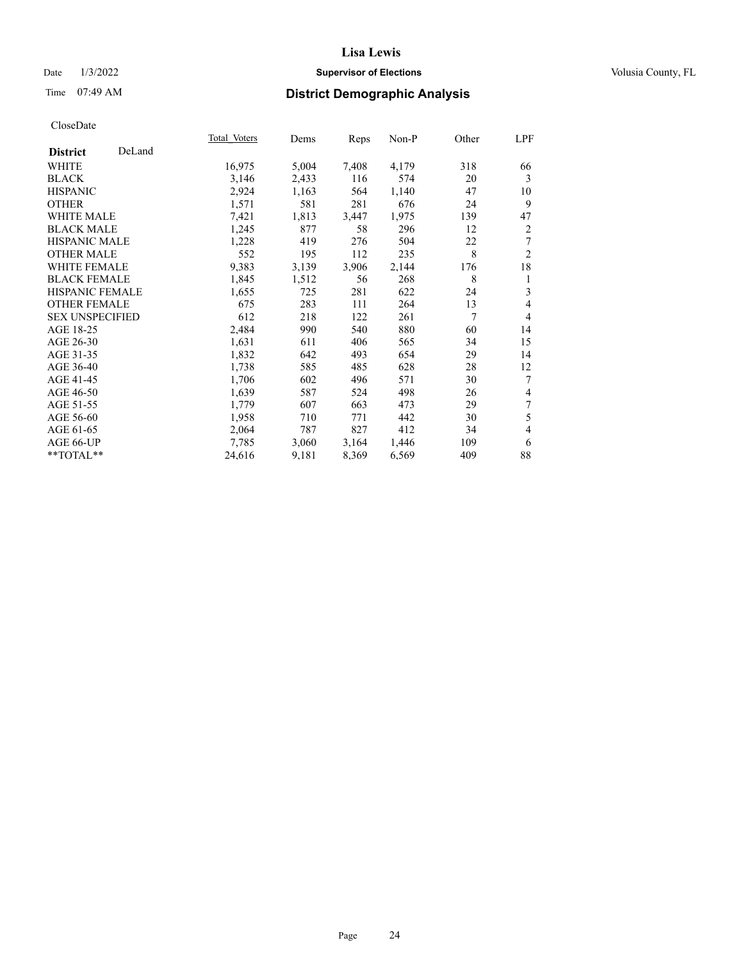# Date  $1/3/2022$  **Supervisor of Elections Supervisor of Elections** Volusia County, FL

# Time 07:49 AM **District Demographic Analysis**

|                        |        | Total Voters | Dems  | Reps  | $Non-P$ | Other | LPF                      |
|------------------------|--------|--------------|-------|-------|---------|-------|--------------------------|
| <b>District</b>        | DeLand |              |       |       |         |       |                          |
| WHITE                  |        | 16,975       | 5,004 | 7,408 | 4,179   | 318   | 66                       |
| <b>BLACK</b>           |        | 3,146        | 2,433 | 116   | 574     | 20    | 3                        |
| <b>HISPANIC</b>        |        | 2,924        | 1,163 | 564   | 1,140   | 47    | 10                       |
| <b>OTHER</b>           |        | 1,571        | 581   | 281   | 676     | 24    | 9                        |
| <b>WHITE MALE</b>      |        | 7,421        | 1,813 | 3,447 | 1,975   | 139   | 47                       |
| <b>BLACK MALE</b>      |        | 1,245        | 877   | 58    | 296     | 12    | $\overline{c}$           |
| <b>HISPANIC MALE</b>   |        | 1,228        | 419   | 276   | 504     | 22    | 7                        |
| <b>OTHER MALE</b>      |        | 552          | 195   | 112   | 235     | 8     | $\overline{2}$           |
| <b>WHITE FEMALE</b>    |        | 9,383        | 3,139 | 3,906 | 2,144   | 176   | 18                       |
| <b>BLACK FEMALE</b>    |        | 1,845        | 1,512 | 56    | 268     | 8     | 1                        |
| <b>HISPANIC FEMALE</b> |        | 1,655        | 725   | 281   | 622     | 24    | 3                        |
| <b>OTHER FEMALE</b>    |        | 675          | 283   | 111   | 264     | 13    | $\overline{4}$           |
| <b>SEX UNSPECIFIED</b> |        | 612          | 218   | 122   | 261     | 7     | $\overline{4}$           |
| AGE 18-25              |        | 2,484        | 990   | 540   | 880     | 60    | 14                       |
| AGE 26-30              |        | 1,631        | 611   | 406   | 565     | 34    | 15                       |
| AGE 31-35              |        | 1,832        | 642   | 493   | 654     | 29    | 14                       |
| AGE 36-40              |        | 1,738        | 585   | 485   | 628     | 28    | 12                       |
| AGE 41-45              |        | 1,706        | 602   | 496   | 571     | 30    | 7                        |
| AGE 46-50              |        | 1,639        | 587   | 524   | 498     | 26    | 4                        |
| AGE 51-55              |        | 1,779        | 607   | 663   | 473     | 29    | 7                        |
| AGE 56-60              |        | 1,958        | 710   | 771   | 442     | 30    | 5                        |
| AGE 61-65              |        | 2,064        | 787   | 827   | 412     | 34    | $\overline{\mathcal{L}}$ |
| AGE 66-UP              |        | 7,785        | 3,060 | 3,164 | 1,446   | 109   | 6                        |
| **TOTAL**              |        | 24,616       | 9,181 | 8,369 | 6,569   | 409   | 88                       |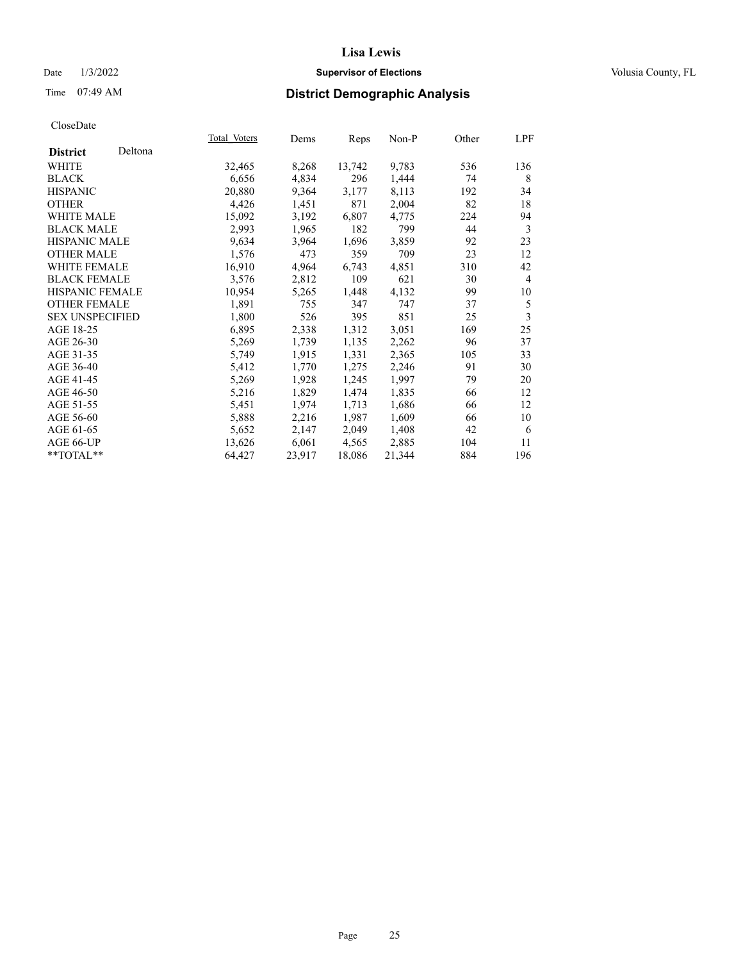# Date  $1/3/2022$  **Supervisor of Elections Supervisor of Elections** Volusia County, FL

# Time 07:49 AM **District Demographic Analysis**

|                        |         | Total Voters | Dems   | Reps   | Non-P  | Other | LPF            |
|------------------------|---------|--------------|--------|--------|--------|-------|----------------|
| <b>District</b>        | Deltona |              |        |        |        |       |                |
| WHITE                  |         | 32,465       | 8,268  | 13,742 | 9,783  | 536   | 136            |
| <b>BLACK</b>           |         | 6,656        | 4,834  | 296    | 1,444  | 74    | 8              |
| <b>HISPANIC</b>        |         | 20,880       | 9,364  | 3,177  | 8,113  | 192   | 34             |
| <b>OTHER</b>           |         | 4,426        | 1,451  | 871    | 2,004  | 82    | 18             |
| WHITE MALE             |         | 15,092       | 3,192  | 6,807  | 4,775  | 224   | 94             |
| <b>BLACK MALE</b>      |         | 2,993        | 1,965  | 182    | 799    | 44    | 3              |
| <b>HISPANIC MALE</b>   |         | 9,634        | 3,964  | 1,696  | 3,859  | 92    | 23             |
| <b>OTHER MALE</b>      |         | 1,576        | 473    | 359    | 709    | 23    | 12             |
| WHITE FEMALE           |         | 16,910       | 4,964  | 6,743  | 4,851  | 310   | 42             |
| <b>BLACK FEMALE</b>    |         | 3,576        | 2,812  | 109    | 621    | 30    | $\overline{4}$ |
| <b>HISPANIC FEMALE</b> |         | 10,954       | 5,265  | 1,448  | 4,132  | 99    | 10             |
| <b>OTHER FEMALE</b>    |         | 1,891        | 755    | 347    | 747    | 37    | 5              |
| <b>SEX UNSPECIFIED</b> |         | 1,800        | 526    | 395    | 851    | 25    | 3              |
| AGE 18-25              |         | 6,895        | 2,338  | 1,312  | 3,051  | 169   | 25             |
| AGE 26-30              |         | 5,269        | 1,739  | 1,135  | 2,262  | 96    | 37             |
| AGE 31-35              |         | 5,749        | 1,915  | 1,331  | 2,365  | 105   | 33             |
| AGE 36-40              |         | 5,412        | 1,770  | 1,275  | 2,246  | 91    | 30             |
| AGE 41-45              |         | 5,269        | 1,928  | 1,245  | 1,997  | 79    | 20             |
| AGE 46-50              |         | 5,216        | 1,829  | 1,474  | 1,835  | 66    | 12             |
| AGE 51-55              |         | 5,451        | 1,974  | 1,713  | 1,686  | 66    | 12             |
| AGE 56-60              |         | 5,888        | 2,216  | 1,987  | 1,609  | 66    | 10             |
| AGE 61-65              |         | 5,652        | 2,147  | 2,049  | 1,408  | 42    | 6              |
| AGE 66-UP              |         | 13,626       | 6,061  | 4,565  | 2,885  | 104   | 11             |
| $*$ $TOTAL**$          |         | 64,427       | 23,917 | 18,086 | 21,344 | 884   | 196            |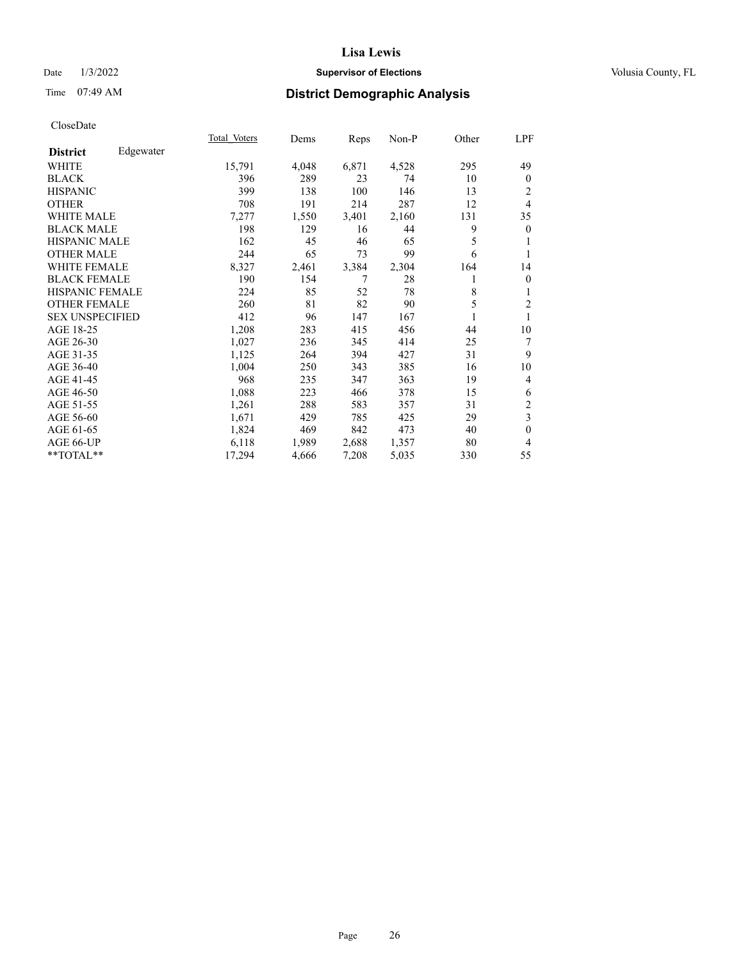# Date  $1/3/2022$  **Supervisor of Elections Supervisor of Elections** Volusia County, FL

# Time 07:49 AM **District Demographic Analysis**

|                        |           | Total Voters | Dems  | Reps  | Non-P | Other | LPF                     |
|------------------------|-----------|--------------|-------|-------|-------|-------|-------------------------|
| <b>District</b>        | Edgewater |              |       |       |       |       |                         |
| WHITE                  |           | 15,791       | 4,048 | 6,871 | 4,528 | 295   | 49                      |
| <b>BLACK</b>           |           | 396          | 289   | 23    | 74    | 10    | $\overline{0}$          |
| <b>HISPANIC</b>        |           | 399          | 138   | 100   | 146   | 13    | 2                       |
| <b>OTHER</b>           |           | 708          | 191   | 214   | 287   | 12    | 4                       |
| <b>WHITE MALE</b>      |           | 7,277        | 1,550 | 3,401 | 2,160 | 131   | 35                      |
| <b>BLACK MALE</b>      |           | 198          | 129   | 16    | 44    | 9     | $\mathbf{0}$            |
| <b>HISPANIC MALE</b>   |           | 162          | 45    | 46    | 65    | 5     | 1                       |
| <b>OTHER MALE</b>      |           | 244          | 65    | 73    | 99    | 6     |                         |
| <b>WHITE FEMALE</b>    |           | 8,327        | 2,461 | 3,384 | 2,304 | 164   | 14                      |
| <b>BLACK FEMALE</b>    |           | 190          | 154   | 7     | 28    | 1     | $\mathbf{0}$            |
| <b>HISPANIC FEMALE</b> |           | 224          | 85    | 52    | 78    | 8     | 1                       |
| <b>OTHER FEMALE</b>    |           | 260          | 81    | 82    | 90    | 5     | $\overline{2}$          |
| <b>SEX UNSPECIFIED</b> |           | 412          | 96    | 147   | 167   | 1     | 1                       |
| AGE 18-25              |           | 1,208        | 283   | 415   | 456   | 44    | 10                      |
| AGE 26-30              |           | 1,027        | 236   | 345   | 414   | 25    | 7                       |
| AGE 31-35              |           | 1,125        | 264   | 394   | 427   | 31    | 9                       |
| AGE 36-40              |           | 1,004        | 250   | 343   | 385   | 16    | 10                      |
| AGE 41-45              |           | 968          | 235   | 347   | 363   | 19    | 4                       |
| AGE 46-50              |           | 1,088        | 223   | 466   | 378   | 15    | 6                       |
| AGE 51-55              |           | 1,261        | 288   | 583   | 357   | 31    | $\overline{c}$          |
| AGE 56-60              |           | 1,671        | 429   | 785   | 425   | 29    | $\overline{\mathbf{3}}$ |
| AGE 61-65              |           | 1,824        | 469   | 842   | 473   | 40    | $\mathbf{0}$            |
| AGE 66-UP              |           | 6,118        | 1,989 | 2,688 | 1,357 | 80    | 4                       |
| $*$ $TOTAL**$          |           | 17,294       | 4,666 | 7,208 | 5,035 | 330   | 55                      |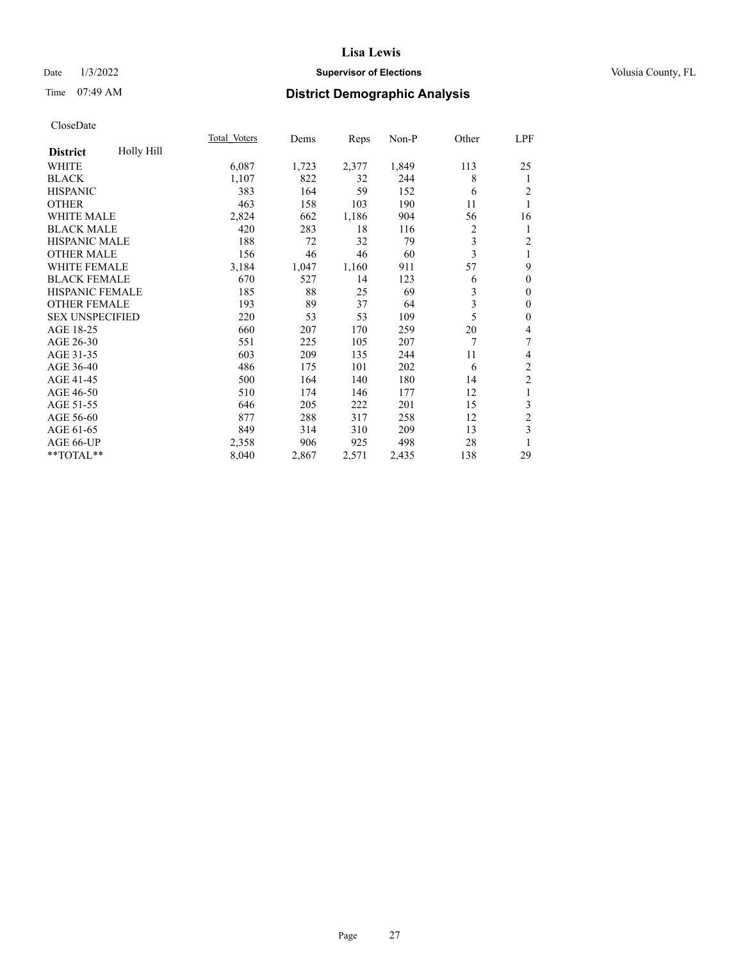# Date  $1/3/2022$  **Supervisor of Elections Supervisor of Elections** Volusia County, FL

# Time 07:49 AM **District Demographic Analysis**

|                        |            | Total Voters | Dems  | Reps  | Non-P | Other          | LPF                     |
|------------------------|------------|--------------|-------|-------|-------|----------------|-------------------------|
| <b>District</b>        | Holly Hill |              |       |       |       |                |                         |
| WHITE                  |            | 6,087        | 1,723 | 2,377 | 1,849 | 113            | 25                      |
| <b>BLACK</b>           |            | 1,107        | 822   | 32    | 244   | 8              | 1                       |
| <b>HISPANIC</b>        |            | 383          | 164   | 59    | 152   | 6              | 2                       |
| <b>OTHER</b>           |            | 463          | 158   | 103   | 190   | 11             | 1                       |
| WHITE MALE             |            | 2,824        | 662   | 1,186 | 904   | 56             | 16                      |
| <b>BLACK MALE</b>      |            | 420          | 283   | 18    | 116   | $\overline{c}$ | 1                       |
| <b>HISPANIC MALE</b>   |            | 188          | 72    | 32    | 79    | 3              | $\overline{c}$          |
| <b>OTHER MALE</b>      |            | 156          | 46    | 46    | 60    | 3              | 1                       |
| <b>WHITE FEMALE</b>    |            | 3,184        | 1,047 | 1,160 | 911   | 57             | 9                       |
| <b>BLACK FEMALE</b>    |            | 670          | 527   | 14    | 123   | 6              | $\mathbf{0}$            |
| <b>HISPANIC FEMALE</b> |            | 185          | 88    | 25    | 69    | 3              | $\mathbf{0}$            |
| <b>OTHER FEMALE</b>    |            | 193          | 89    | 37    | 64    | 3              | $\mathbf{0}$            |
| <b>SEX UNSPECIFIED</b> |            | 220          | 53    | 53    | 109   | 5              | $\mathbf{0}$            |
| AGE 18-25              |            | 660          | 207   | 170   | 259   | 20             | 4                       |
| AGE 26-30              |            | 551          | 225   | 105   | 207   | 7              | 7                       |
| AGE 31-35              |            | 603          | 209   | 135   | 244   | 11             | 4                       |
| AGE 36-40              |            | 486          | 175   | 101   | 202   | 6              | $\overline{c}$          |
| AGE 41-45              |            | 500          | 164   | 140   | 180   | 14             | $\overline{\mathbf{c}}$ |
| AGE 46-50              |            | 510          | 174   | 146   | 177   | 12             | 1                       |
| AGE 51-55              |            | 646          | 205   | 222   | 201   | 15             | 3                       |
| AGE 56-60              |            | 877          | 288   | 317   | 258   | 12             | $\overline{c}$          |
| AGE 61-65              |            | 849          | 314   | 310   | 209   | 13             | 3                       |
| AGE 66-UP              |            | 2,358        | 906   | 925   | 498   | 28             | 1                       |
| **TOTAL**              |            | 8,040        | 2,867 | 2,571 | 2,435 | 138            | 29                      |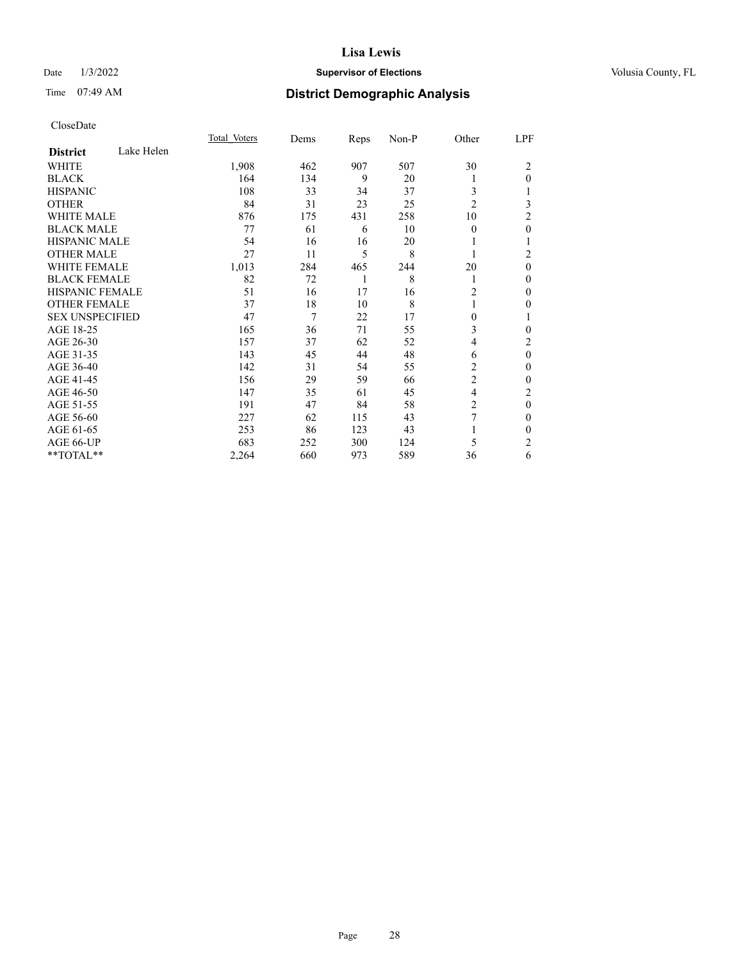# Date  $1/3/2022$  **Supervisor of Elections Supervisor of Elections** Volusia County, FL

# Time 07:49 AM **District Demographic Analysis**

|                               | Total Voters | Dems | Reps | Non-P | Other          | LPF            |
|-------------------------------|--------------|------|------|-------|----------------|----------------|
| Lake Helen<br><b>District</b> |              |      |      |       |                |                |
| WHITE                         | 1,908        | 462  | 907  | 507   | 30             | 2              |
| <b>BLACK</b>                  | 164          | 134  | 9    | 20    | 1              | $\theta$       |
| <b>HISPANIC</b>               | 108          | 33   | 34   | 37    | 3              | 1              |
| <b>OTHER</b>                  | 84           | 31   | 23   | 25    | $\overline{2}$ | 3              |
| <b>WHITE MALE</b>             | 876          | 175  | 431  | 258   | 10             | $\overline{2}$ |
| <b>BLACK MALE</b>             | 77           | 61   | 6    | 10    | $\Omega$       | $\mathbf{0}$   |
| <b>HISPANIC MALE</b>          | 54           | 16   | 16   | 20    |                | 1              |
| <b>OTHER MALE</b>             | 27           | 11   | 5    | 8     | 1              | 2              |
| <b>WHITE FEMALE</b>           | 1,013        | 284  | 465  | 244   | 20             | $\mathbf{0}$   |
| <b>BLACK FEMALE</b>           | 82           | 72   | 1    | 8     | 1              | $\mathbf{0}$   |
| <b>HISPANIC FEMALE</b>        | 51           | 16   | 17   | 16    | $\overline{2}$ | $\theta$       |
| <b>OTHER FEMALE</b>           | 37           | 18   | 10   | 8     |                | $\theta$       |
| <b>SEX UNSPECIFIED</b>        | 47           | 7    | 22   | 17    | $\Omega$       | 1              |
| AGE 18-25                     | 165          | 36   | 71   | 55    | 3              | $\theta$       |
| AGE 26-30                     | 157          | 37   | 62   | 52    | $\overline{4}$ | 2              |
| AGE 31-35                     | 143          | 45   | 44   | 48    | 6              | $\mathbf{0}$   |
| AGE 36-40                     | 142          | 31   | 54   | 55    | 2              | $\theta$       |
| AGE 41-45                     | 156          | 29   | 59   | 66    | $\overline{c}$ | $\theta$       |
| AGE 46-50                     | 147          | 35   | 61   | 45    | $\overline{4}$ | 2              |
| AGE 51-55                     | 191          | 47   | 84   | 58    | $\overline{2}$ | $\theta$       |
| AGE 56-60                     | 227          | 62   | 115  | 43    | 7              | $\theta$       |
| AGE 61-65                     | 253          | 86   | 123  | 43    |                | $\theta$       |
| AGE 66-UP                     | 683          | 252  | 300  | 124   | 5              | 2              |
| **TOTAL**                     | 2,264        | 660  | 973  | 589   | 36             | 6              |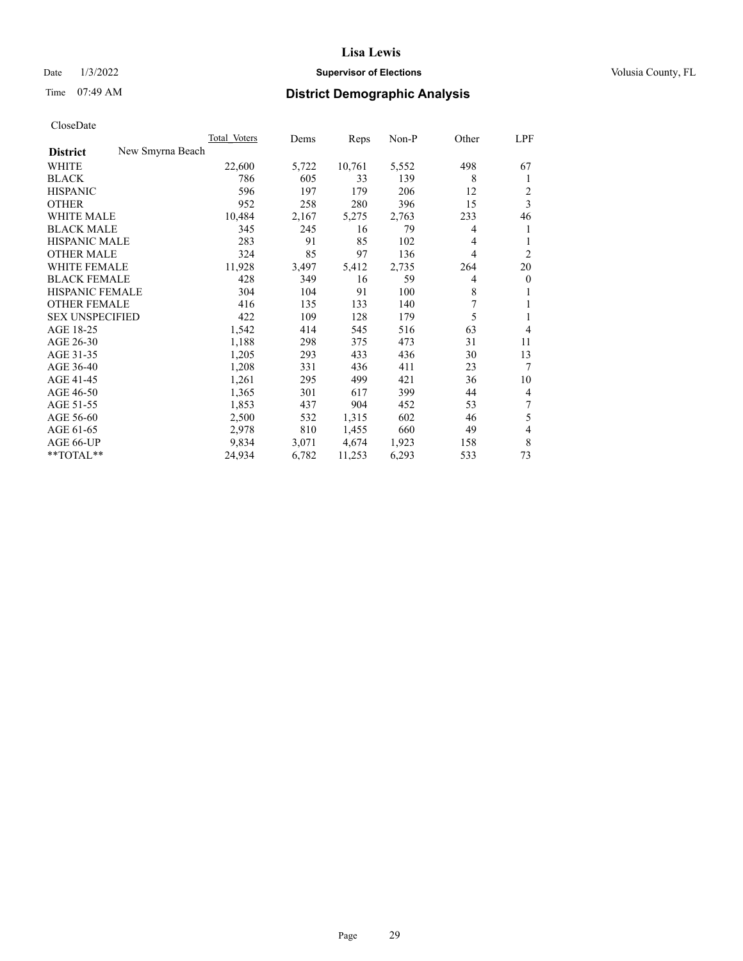# Date  $1/3/2022$  **Supervisor of Elections Supervisor of Elections** Volusia County, FL

# Time 07:49 AM **District Demographic Analysis**

| Total Voters     | Dems  |        |       | Other | LPF             |
|------------------|-------|--------|-------|-------|-----------------|
| New Smyrna Beach |       |        |       |       |                 |
| 22,600           | 5,722 | 10,761 | 5,552 | 498   | 67              |
| 786              | 605   | 33     | 139   | 8     | 1               |
| 596              | 197   | 179    | 206   | 12    | $\overline{c}$  |
| 952              | 258   | 280    | 396   | 15    | $\mathfrak{Z}$  |
| 10,484           | 2,167 | 5,275  | 2,763 | 233   | 46              |
| 345              | 245   | 16     | 79    | 4     |                 |
| 283              | 91    | 85     | 102   | 4     | 1               |
| 324              | 85    | 97     | 136   | 4     | 2               |
| 11,928           | 3,497 | 5,412  | 2,735 | 264   | 20              |
| 428              | 349   | 16     | 59    | 4     | $\mathbf{0}$    |
| 304              | 104   | 91     | 100   | 8     | 1               |
| 416              | 135   | 133    | 140   | 7     | 1               |
| 422              | 109   | 128    | 179   | 5     | 1               |
| 1,542            | 414   | 545    | 516   | 63    | $\overline{4}$  |
| 1,188            | 298   | 375    | 473   | 31    | 11              |
| 1,205            | 293   | 433    | 436   | 30    | 13              |
| 1,208            | 331   | 436    | 411   | 23    | $7\phantom{.0}$ |
| 1,261            | 295   | 499    | 421   | 36    | 10              |
| 1,365            | 301   | 617    | 399   | 44    | $\overline{4}$  |
| 1,853            | 437   | 904    | 452   | 53    | 7               |
| 2,500            | 532   | 1,315  | 602   | 46    | 5               |
| 2,978            | 810   | 1,455  | 660   | 49    | $\overline{4}$  |
| 9,834            | 3,071 | 4,674  | 1,923 | 158   | 8               |
| 24,934           | 6,782 | 11,253 | 6,293 | 533   | 73              |
|                  |       |        |       | Reps  | Non-P           |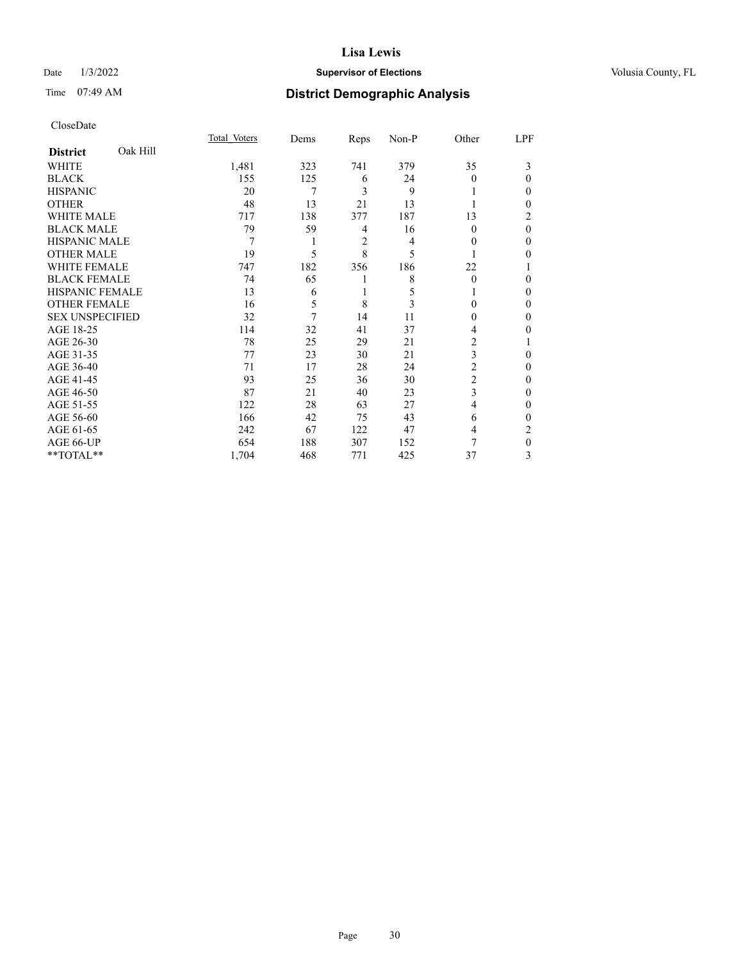# Date  $1/3/2022$  **Supervisor of Elections Supervisor of Elections** Volusia County, FL

| CloseDate |
|-----------|
|-----------|

|                        |          | Total Voters | Dems | Reps           | Non-P | Other          | LPF      |
|------------------------|----------|--------------|------|----------------|-------|----------------|----------|
| <b>District</b>        | Oak Hill |              |      |                |       |                |          |
| WHITE                  |          | 1,481        | 323  | 741            | 379   | 35             | 3        |
| <b>BLACK</b>           |          | 155          | 125  | 6              | 24    | $\theta$       | $\Omega$ |
| <b>HISPANIC</b>        |          | 20           | 7    | 3              | 9     |                | 0        |
| <b>OTHER</b>           |          | 48           | 13   | 21             | 13    |                | 0        |
| <b>WHITE MALE</b>      |          | 717          | 138  | 377            | 187   | 13             | 2        |
| <b>BLACK MALE</b>      |          | 79           | 59   | 4              | 16    | 0              | $\theta$ |
| HISPANIC MALE          |          | 7            | 1    | $\mathfrak{2}$ | 4     | 0              | 0        |
| <b>OTHER MALE</b>      |          | 19           | 5    | 8              | 5     |                | 0        |
| <b>WHITE FEMALE</b>    |          | 747          | 182  | 356            | 186   | 22             |          |
| <b>BLACK FEMALE</b>    |          | 74           | 65   |                | 8     | $\theta$       | 0        |
| <b>HISPANIC FEMALE</b> |          | 13           | 6    |                | 5     |                | 0        |
| <b>OTHER FEMALE</b>    |          | 16           | 5    | 8              | 3     | $\Omega$       | 0        |
| <b>SEX UNSPECIFIED</b> |          | 32           | 7    | 14             | 11    | $\theta$       | 0        |
| AGE 18-25              |          | 114          | 32   | 41             | 37    | 4              | 0        |
| AGE 26-30              |          | 78           | 25   | 29             | 21    | 2              |          |
| AGE 31-35              |          | 77           | 23   | 30             | 21    | 3              | 0        |
| AGE 36-40              |          | 71           | 17   | 28             | 24    | $\overline{c}$ | 0        |
| AGE 41-45              |          | 93           | 25   | 36             | 30    | 2              | 0        |
| AGE 46-50              |          | 87           | 21   | 40             | 23    | 3              | 0        |
| AGE 51-55              |          | 122          | 28   | 63             | 27    | $\overline{4}$ | 0        |
| AGE 56-60              |          | 166          | 42   | 75             | 43    | 6              | 0        |
| AGE 61-65              |          | 242          | 67   | 122            | 47    | 4              | 2        |
| AGE 66-UP              |          | 654          | 188  | 307            | 152   | 7              | 0        |
| **TOTAL**              |          | 1,704        | 468  | 771            | 425   | 37             | 3        |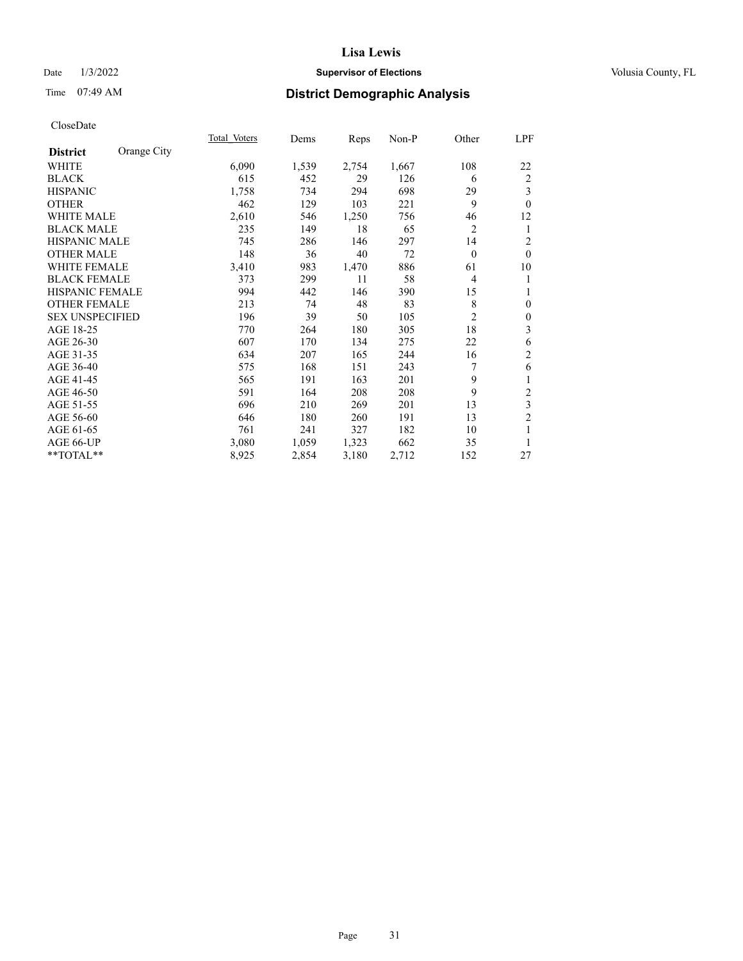# Date  $1/3/2022$  **Supervisor of Elections Supervisor of Elections** Volusia County, FL

# Time 07:49 AM **District Demographic Analysis**

|                        |             | Total Voters | Dems  | Reps  | Non-P | Other          | <u>LPF</u>       |
|------------------------|-------------|--------------|-------|-------|-------|----------------|------------------|
| <b>District</b>        | Orange City |              |       |       |       |                |                  |
| WHITE                  |             | 6,090        | 1,539 | 2,754 | 1,667 | 108            | 22               |
| <b>BLACK</b>           |             | 615          | 452   | 29    | 126   | 6              | $\overline{2}$   |
| <b>HISPANIC</b>        |             | 1,758        | 734   | 294   | 698   | 29             | 3                |
| <b>OTHER</b>           |             | 462          | 129   | 103   | 221   | 9              | $\theta$         |
| <b>WHITE MALE</b>      |             | 2,610        | 546   | 1,250 | 756   | 46             | 12               |
| <b>BLACK MALE</b>      |             | 235          | 149   | 18    | 65    | $\overline{2}$ | 1                |
| <b>HISPANIC MALE</b>   |             | 745          | 286   | 146   | 297   | 14             | $\overline{2}$   |
| <b>OTHER MALE</b>      |             | 148          | 36    | 40    | 72    | $\overline{0}$ | $\theta$         |
| <b>WHITE FEMALE</b>    |             | 3,410        | 983   | 1,470 | 886   | 61             | 10               |
| <b>BLACK FEMALE</b>    |             | 373          | 299   | 11    | 58    | $\overline{4}$ | 1                |
| <b>HISPANIC FEMALE</b> |             | 994          | 442   | 146   | 390   | 15             | 1                |
| <b>OTHER FEMALE</b>    |             | 213          | 74    | 48    | 83    | 8              | $\mathbf{0}$     |
| <b>SEX UNSPECIFIED</b> |             | 196          | 39    | 50    | 105   | $\overline{2}$ | $\boldsymbol{0}$ |
| AGE 18-25              |             | 770          | 264   | 180   | 305   | 18             | $\mathfrak{Z}$   |
| AGE 26-30              |             | 607          | 170   | 134   | 275   | 22             | 6                |
| AGE 31-35              |             | 634          | 207   | 165   | 244   | 16             | $\overline{2}$   |
| AGE 36-40              |             | 575          | 168   | 151   | 243   | 7              | 6                |
| AGE 41-45              |             | 565          | 191   | 163   | 201   | 9              | 1                |
| AGE 46-50              |             | 591          | 164   | 208   | 208   | 9              | $\overline{c}$   |
| AGE 51-55              |             | 696          | 210   | 269   | 201   | 13             | $\mathfrak{Z}$   |
| AGE 56-60              |             | 646          | 180   | 260   | 191   | 13             | $\overline{2}$   |
| AGE 61-65              |             | 761          | 241   | 327   | 182   | 10             | $\mathbf{1}$     |
| AGE 66-UP              |             | 3,080        | 1,059 | 1,323 | 662   | 35             | 1                |
| **TOTAL**              |             | 8,925        | 2,854 | 3,180 | 2,712 | 152            | 27               |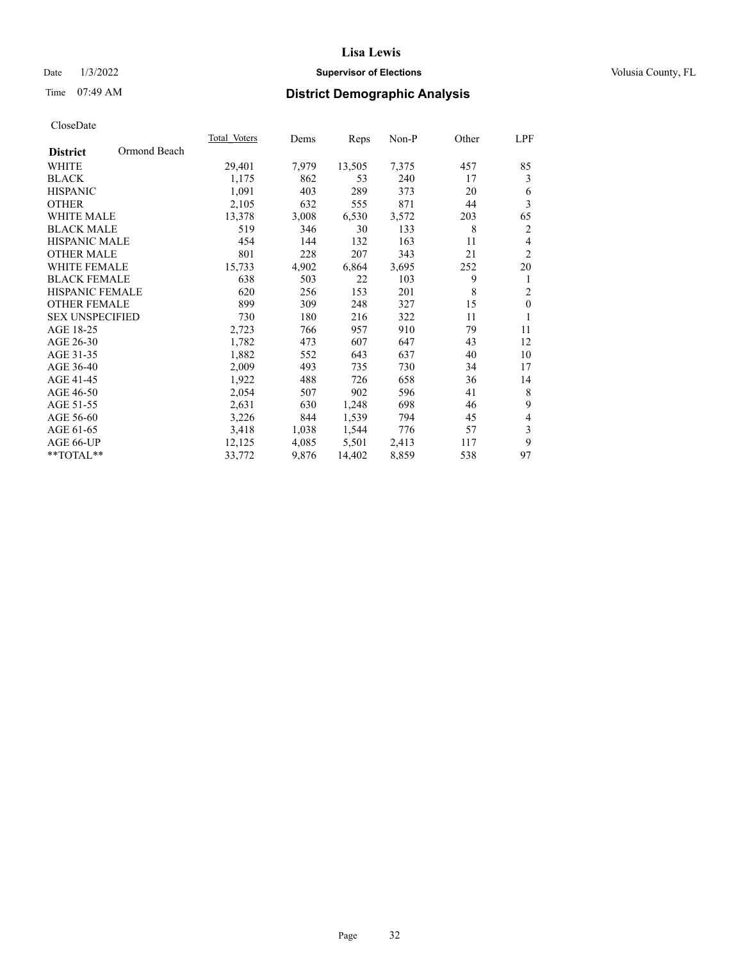# Date  $1/3/2022$  **Supervisor of Elections Supervisor of Elections** Volusia County, FL

# Time 07:49 AM **District Demographic Analysis**

|                        | Total Voters | Dems  | Reps   | Non-P | Other | LPF            |
|------------------------|--------------|-------|--------|-------|-------|----------------|
| <b>District</b>        | Ormond Beach |       |        |       |       |                |
| WHITE                  | 29,401       | 7,979 | 13,505 | 7,375 | 457   | 85             |
| <b>BLACK</b>           | 1,175        | 862   | 53     | 240   | 17    | 3              |
| <b>HISPANIC</b>        | 1,091        | 403   | 289    | 373   | 20    | 6              |
| <b>OTHER</b>           | 2,105        | 632   | 555    | 871   | 44    | 3              |
| <b>WHITE MALE</b>      | 13,378       | 3,008 | 6,530  | 3,572 | 203   | 65             |
| <b>BLACK MALE</b>      | 519          | 346   | 30     | 133   | 8     | $\overline{c}$ |
| <b>HISPANIC MALE</b>   | 454          | 144   | 132    | 163   | 11    | $\overline{4}$ |
| <b>OTHER MALE</b>      | 801          | 228   | 207    | 343   | 21    | $\overline{2}$ |
| <b>WHITE FEMALE</b>    | 15,733       | 4,902 | 6,864  | 3,695 | 252   | 20             |
| <b>BLACK FEMALE</b>    | 638          | 503   | 22     | 103   | 9     | 1              |
| HISPANIC FEMALE        | 620          | 256   | 153    | 201   | 8     | $\overline{2}$ |
| <b>OTHER FEMALE</b>    | 899          | 309   | 248    | 327   | 15    | $\mathbf{0}$   |
| <b>SEX UNSPECIFIED</b> | 730          | 180   | 216    | 322   | 11    | 1              |
| AGE 18-25              | 2,723        | 766   | 957    | 910   | 79    | 11             |
| AGE 26-30              | 1,782        | 473   | 607    | 647   | 43    | 12             |
| AGE 31-35              | 1,882        | 552   | 643    | 637   | 40    | 10             |
| AGE 36-40              | 2,009        | 493   | 735    | 730   | 34    | 17             |
| AGE 41-45              | 1,922        | 488   | 726    | 658   | 36    | 14             |
| AGE 46-50              | 2,054        | 507   | 902    | 596   | 41    | 8              |
| AGE 51-55              | 2,631        | 630   | 1,248  | 698   | 46    | 9              |
| AGE 56-60              | 3,226        | 844   | 1,539  | 794   | 45    | $\overline{4}$ |
| AGE 61-65              | 3,418        | 1,038 | 1,544  | 776   | 57    | $\mathfrak{Z}$ |
| AGE 66-UP              | 12,125       | 4,085 | 5,501  | 2,413 | 117   | 9              |
| **TOTAL**              | 33,772       | 9,876 | 14,402 | 8,859 | 538   | 97             |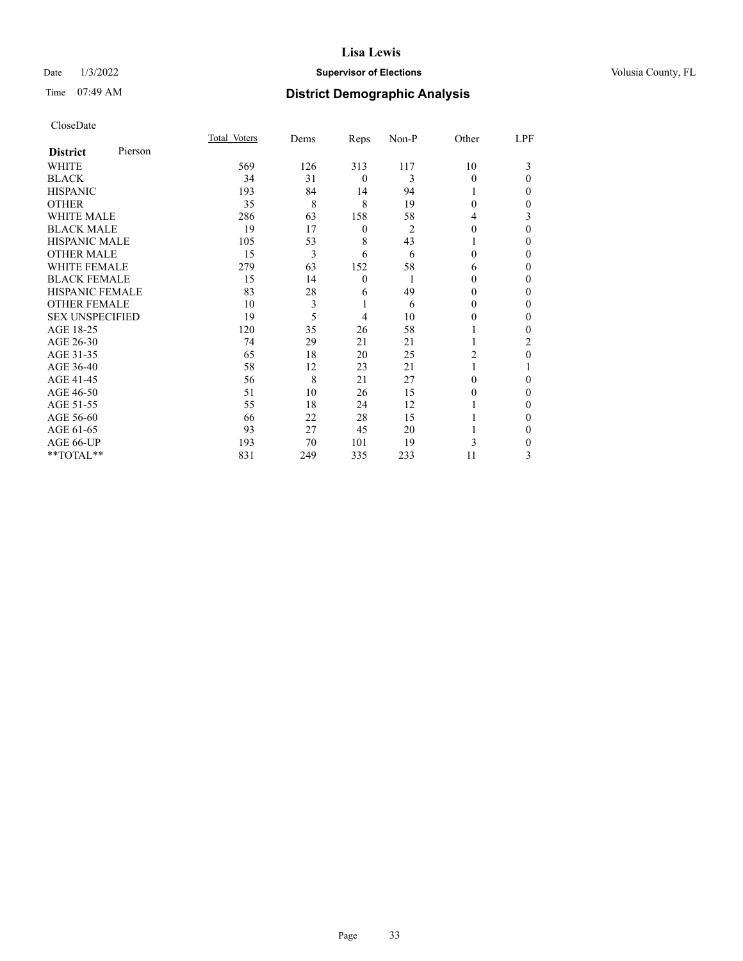# Date  $1/3/2022$  **Supervisor of Elections Supervisor of Elections** Volusia County, FL

| CloseDate |
|-----------|
|-----------|

|                        |         | Total Voters | Dems | Reps             | Non-P          | Other    | LPF      |
|------------------------|---------|--------------|------|------------------|----------------|----------|----------|
| <b>District</b>        | Pierson |              |      |                  |                |          |          |
| WHITE                  |         | 569          | 126  | 313              | 117            | 10       | 3        |
| <b>BLACK</b>           |         | 34           | 31   | $\mathbf{0}$     | 3              | $\Omega$ | $\Omega$ |
| <b>HISPANIC</b>        |         | 193          | 84   | 14               | 94             |          | 0        |
| <b>OTHER</b>           |         | 35           | 8    | 8                | 19             | $\Omega$ | 0        |
| <b>WHITE MALE</b>      |         | 286          | 63   | 158              | 58             | 4        | 3        |
| <b>BLACK MALE</b>      |         | 19           | 17   | $\boldsymbol{0}$ | $\overline{2}$ | $\theta$ | $\Omega$ |
| <b>HISPANIC MALE</b>   |         | 105          | 53   | 8                | 43             |          | 0        |
| <b>OTHER MALE</b>      |         | 15           | 3    | 6                | 6              | 0        | 0        |
| <b>WHITE FEMALE</b>    |         | 279          | 63   | 152              | 58             | 6        | 0        |
| <b>BLACK FEMALE</b>    |         | 15           | 14   | $\mathbf{0}$     |                | 0        | 0        |
| <b>HISPANIC FEMALE</b> |         | 83           | 28   | 6                | 49             | 0        | 0        |
| <b>OTHER FEMALE</b>    |         | 10           | 3    | 1                | 6              | 0        | 0        |
| <b>SEX UNSPECIFIED</b> |         | 19           | 5    | 4                | 10             | 0        | 0        |
| AGE 18-25              |         | 120          | 35   | 26               | 58             |          | 0        |
| AGE 26-30              |         | 74           | 29   | 21               | 21             |          | 2        |
| AGE 31-35              |         | 65           | 18   | 20               | 25             | 2        | 0        |
| AGE 36-40              |         | 58           | 12   | 23               | 21             |          |          |
| AGE 41-45              |         | 56           | 8    | 21               | 27             | 0        | 0        |
| AGE 46-50              |         | 51           | 10   | 26               | 15             | 0        | $\Omega$ |
| AGE 51-55              |         | 55           | 18   | 24               | 12             |          | 0        |
| AGE 56-60              |         | 66           | 22   | 28               | 15             |          | 0        |
| AGE 61-65              |         | 93           | 27   | 45               | 20             |          | 0        |
| AGE 66-UP              |         | 193          | 70   | 101              | 19             | 3        | 0        |
| **TOTAL**              |         | 831          | 249  | 335              | 233            | 11       | 3        |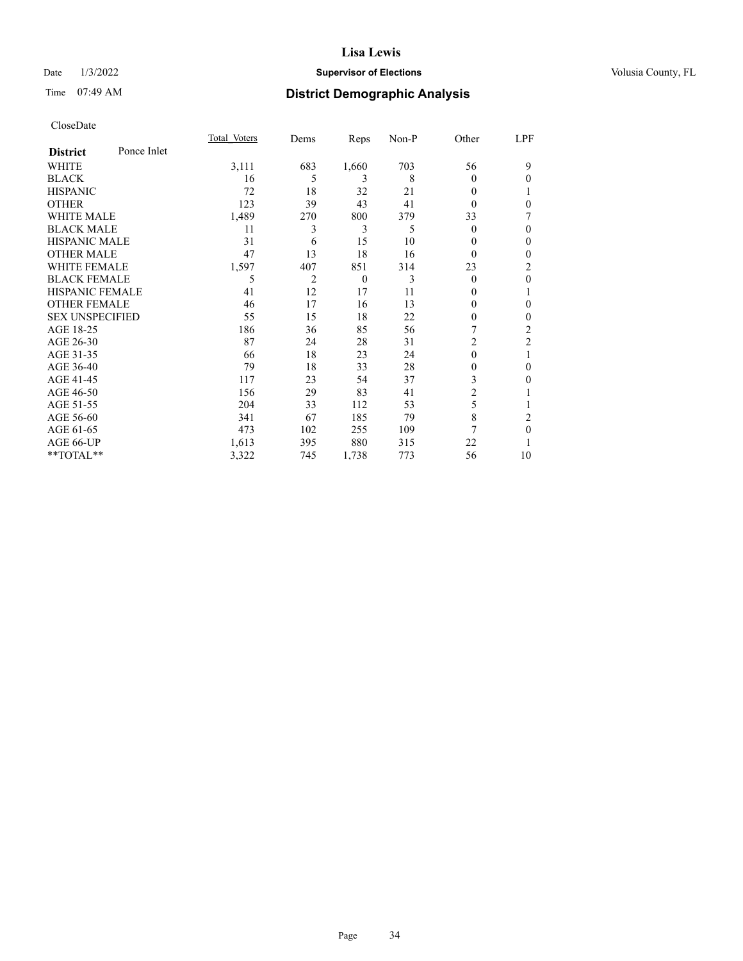# Date  $1/3/2022$  **Supervisor of Elections Supervisor of Elections** Volusia County, FL

# Time 07:49 AM **District Demographic Analysis**

|                        |             | Total Voters | Dems | Reps           | Non-P | Other          | LPF            |
|------------------------|-------------|--------------|------|----------------|-------|----------------|----------------|
| <b>District</b>        | Ponce Inlet |              |      |                |       |                |                |
| WHITE                  |             | 3,111        | 683  | 1,660          | 703   | 56             | 9              |
| <b>BLACK</b>           |             | 16           | 5    | 3              | 8     | 0              | 0              |
| <b>HISPANIC</b>        |             | 72           | 18   | 32             | 21    | 0              |                |
| <b>OTHER</b>           |             | 123          | 39   | 43             | 41    | 0              | $\theta$       |
| <b>WHITE MALE</b>      |             | 1,489        | 270  | 800            | 379   | 33             |                |
| <b>BLACK MALE</b>      |             | 11           | 3    | 3              | 5     | $\theta$       | $\mathbf{0}$   |
| <b>HISPANIC MALE</b>   |             | 31           | 6    | 15             | 10    | 0              | $\Omega$       |
| <b>OTHER MALE</b>      |             | 47           | 13   | 18             | 16    | $\theta$       | $\mathbf{0}$   |
| <b>WHITE FEMALE</b>    |             | 1,597        | 407  | 851            | 314   | 23             | 2              |
| <b>BLACK FEMALE</b>    |             | 5            | 2    | $\overline{0}$ | 3     | $\theta$       | $\mathbf{0}$   |
| <b>HISPANIC FEMALE</b> |             | 41           | 12   | 17             | 11    | 0              |                |
| <b>OTHER FEMALE</b>    |             | 46           | 17   | 16             | 13    | 0              | 0              |
| <b>SEX UNSPECIFIED</b> |             | 55           | 15   | 18             | 22    | 0              | 0              |
| AGE 18-25              |             | 186          | 36   | 85             | 56    |                | 2              |
| AGE 26-30              |             | 87           | 24   | 28             | 31    | $\overline{c}$ | $\overline{2}$ |
| AGE 31-35              |             | 66           | 18   | 23             | 24    | 0              | 1              |
| AGE 36-40              |             | 79           | 18   | 33             | 28    | 0              | 0              |
| AGE 41-45              |             | 117          | 23   | 54             | 37    | 3              | 0              |
| AGE 46-50              |             | 156          | 29   | 83             | 41    | 2              |                |
| AGE 51-55              |             | 204          | 33   | 112            | 53    | 5              |                |
| AGE 56-60              |             | 341          | 67   | 185            | 79    | 8              | 2              |
| AGE 61-65              |             | 473          | 102  | 255            | 109   | 7              | $\theta$       |
| AGE 66-UP              |             | 1,613        | 395  | 880            | 315   | 22             |                |
| **TOTAL**              |             | 3,322        | 745  | 1,738          | 773   | 56             | 10             |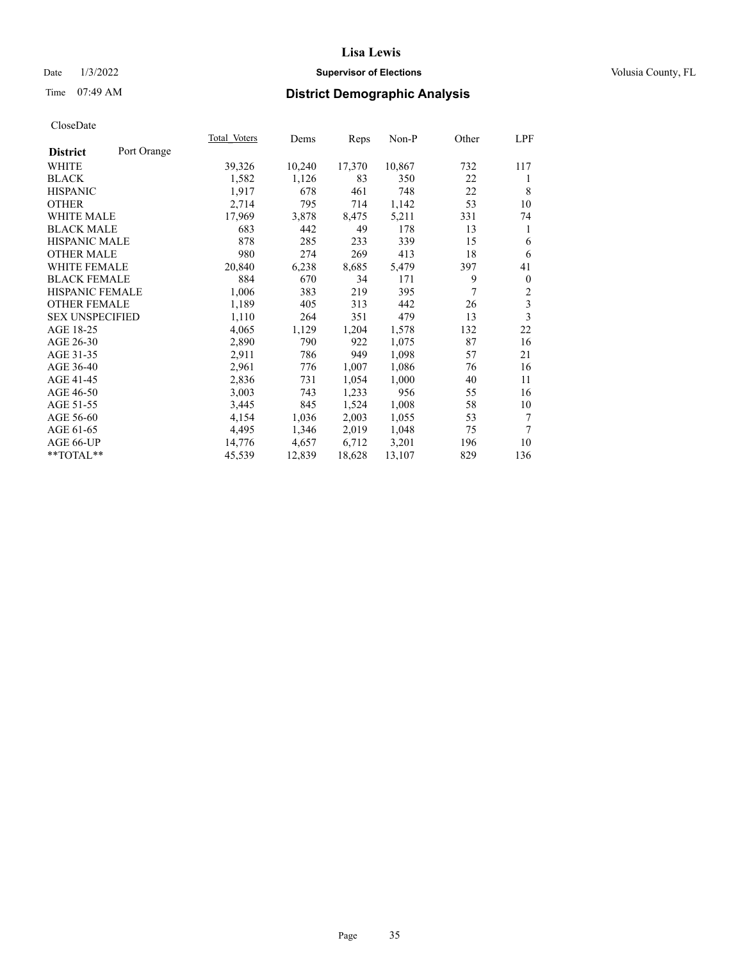# Date  $1/3/2022$  **Supervisor of Elections Supervisor of Elections** Volusia County, FL

# Time 07:49 AM **District Demographic Analysis**

|                                | Total Voters | Dems   | Reps   | Non-P  | Other | LPF                     |
|--------------------------------|--------------|--------|--------|--------|-------|-------------------------|
| Port Orange<br><b>District</b> |              |        |        |        |       |                         |
| WHITE                          | 39,326       | 10,240 | 17,370 | 10,867 | 732   | 117                     |
| <b>BLACK</b>                   | 1,582        | 1,126  | 83     | 350    | 22    | 1                       |
| <b>HISPANIC</b>                | 1,917        | 678    | 461    | 748    | 22    | 8                       |
| <b>OTHER</b>                   | 2,714        | 795    | 714    | 1,142  | 53    | 10                      |
| <b>WHITE MALE</b>              | 17,969       | 3,878  | 8,475  | 5,211  | 331   | 74                      |
| <b>BLACK MALE</b>              | 683          | 442    | 49     | 178    | 13    | 1                       |
| <b>HISPANIC MALE</b>           | 878          | 285    | 233    | 339    | 15    | 6                       |
| <b>OTHER MALE</b>              | 980          | 274    | 269    | 413    | 18    | 6                       |
| WHITE FEMALE                   | 20,840       | 6,238  | 8,685  | 5,479  | 397   | 41                      |
| <b>BLACK FEMALE</b>            | 884          | 670    | 34     | 171    | 9     | $\boldsymbol{0}$        |
| HISPANIC FEMALE                | 1,006        | 383    | 219    | 395    | 7     | $\overline{c}$          |
| <b>OTHER FEMALE</b>            | 1,189        | 405    | 313    | 442    | 26    | $\overline{\mathbf{3}}$ |
| <b>SEX UNSPECIFIED</b>         | 1,110        | 264    | 351    | 479    | 13    | 3                       |
| AGE 18-25                      | 4,065        | 1,129  | 1,204  | 1,578  | 132   | 22                      |
| AGE 26-30                      | 2,890        | 790    | 922    | 1,075  | 87    | 16                      |
| AGE 31-35                      | 2,911        | 786    | 949    | 1,098  | 57    | 21                      |
| AGE 36-40                      | 2,961        | 776    | 1,007  | 1,086  | 76    | 16                      |
| AGE 41-45                      | 2,836        | 731    | 1,054  | 1,000  | 40    | 11                      |
| AGE 46-50                      | 3,003        | 743    | 1,233  | 956    | 55    | 16                      |
| AGE 51-55                      | 3,445        | 845    | 1,524  | 1,008  | 58    | 10                      |
| AGE 56-60                      | 4,154        | 1,036  | 2,003  | 1,055  | 53    | 7                       |
| AGE 61-65                      | 4,495        | 1,346  | 2,019  | 1,048  | 75    | 7                       |
| AGE 66-UP                      | 14,776       | 4,657  | 6,712  | 3,201  | 196   | 10                      |
| **TOTAL**                      | 45,539       | 12,839 | 18,628 | 13,107 | 829   | 136                     |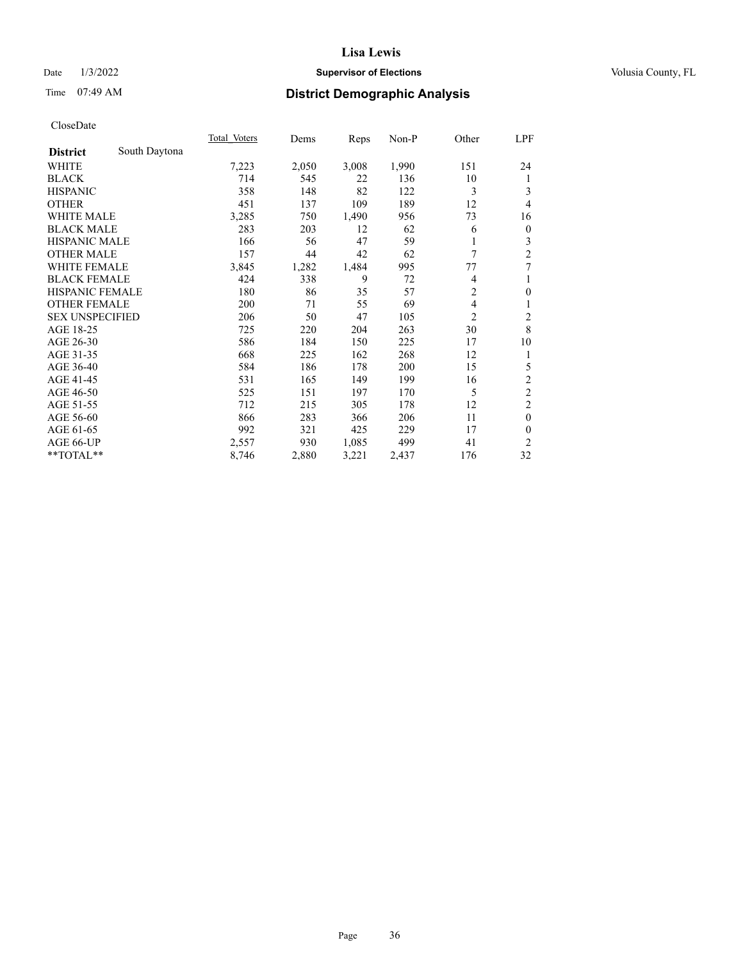# Date  $1/3/2022$  **Supervisor of Elections Supervisor of Elections** Volusia County, FL

# Time 07:49 AM **District Demographic Analysis**

|                                  | Total Voters | Dems  | Reps  | Non-P | Other          | LPF              |
|----------------------------------|--------------|-------|-------|-------|----------------|------------------|
| South Daytona<br><b>District</b> |              |       |       |       |                |                  |
| WHITE                            | 7,223        | 2,050 | 3,008 | 1,990 | 151            | 24               |
| <b>BLACK</b>                     | 714          | 545   | 22    | 136   | 10             | 1                |
| <b>HISPANIC</b>                  | 358          | 148   | 82    | 122   | 3              | 3                |
| <b>OTHER</b>                     | 451          | 137   | 109   | 189   | 12             | 4                |
| <b>WHITE MALE</b>                | 3,285        | 750   | 1,490 | 956   | 73             | 16               |
| <b>BLACK MALE</b>                | 283          | 203   | 12    | 62    | 6              | $\boldsymbol{0}$ |
| HISPANIC MALE                    | 166          | 56    | 47    | 59    |                | 3                |
| <b>OTHER MALE</b>                | 157          | 44    | 42    | 62    | 7              | $\overline{c}$   |
| WHITE FEMALE                     | 3,845        | 1,282 | 1,484 | 995   | 77             | 7                |
| <b>BLACK FEMALE</b>              | 424          | 338   | 9     | 72    | 4              | 1                |
| <b>HISPANIC FEMALE</b>           | 180          | 86    | 35    | 57    | $\overline{c}$ | $\boldsymbol{0}$ |
| <b>OTHER FEMALE</b>              | 200          | 71    | 55    | 69    | 4              | 1                |
| <b>SEX UNSPECIFIED</b>           | 206          | 50    | 47    | 105   | $\overline{2}$ | 2                |
| AGE 18-25                        | 725          | 220   | 204   | 263   | 30             | 8                |
| AGE 26-30                        | 586          | 184   | 150   | 225   | 17             | 10               |
| AGE 31-35                        | 668          | 225   | 162   | 268   | 12             | 1                |
| AGE 36-40                        | 584          | 186   | 178   | 200   | 15             | 5                |
| AGE 41-45                        | 531          | 165   | 149   | 199   | 16             | $\sqrt{2}$       |
| AGE 46-50                        | 525          | 151   | 197   | 170   | 5              | $\overline{c}$   |
| AGE 51-55                        | 712          | 215   | 305   | 178   | 12             | $\overline{c}$   |
| AGE 56-60                        | 866          | 283   | 366   | 206   | 11             | $\mathbf{0}$     |
| AGE 61-65                        | 992          | 321   | 425   | 229   | 17             | $\mathbf{0}$     |
| AGE 66-UP                        | 2,557        | 930   | 1,085 | 499   | 41             | $\overline{2}$   |
| **TOTAL**                        | 8,746        | 2,880 | 3,221 | 2,437 | 176            | 32               |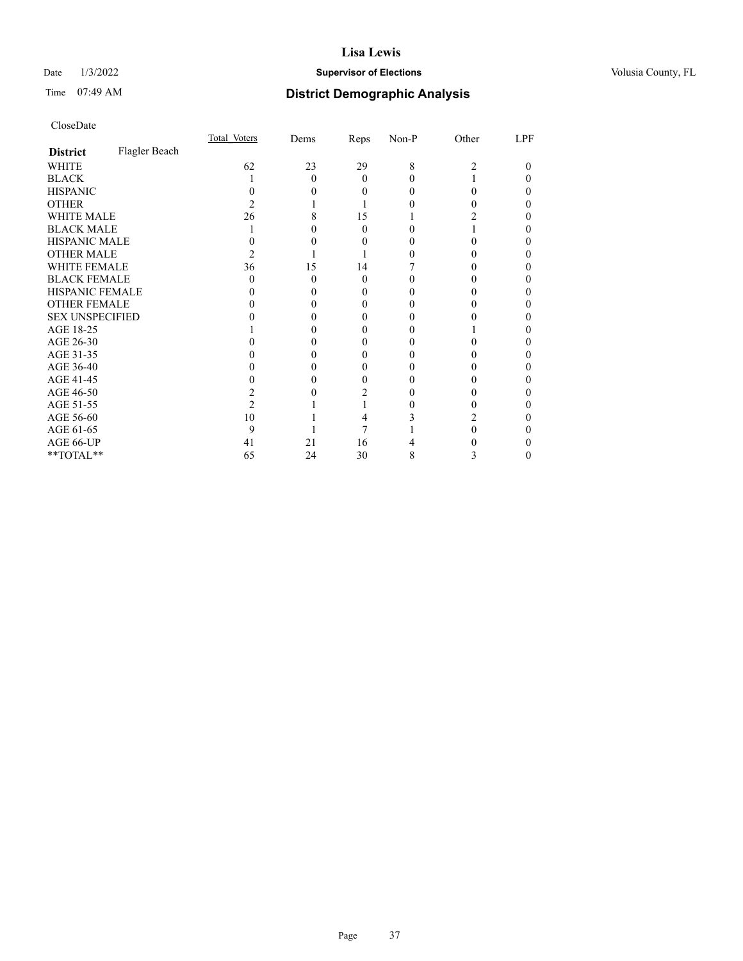## Date  $1/3/2022$  **Supervisor of Elections Supervisor of Elections** Volusia County, FL

# Time 07:49 AM **District Demographic Analysis**

|                        |               | Total Voters | Dems | Reps     | Non-P | Other | LPF |
|------------------------|---------------|--------------|------|----------|-------|-------|-----|
| <b>District</b>        | Flagler Beach |              |      |          |       |       |     |
| WHITE                  |               | 62           | 23   | 29       | 8     | 2     | 0   |
| <b>BLACK</b>           |               |              | 0    | 0        |       |       |     |
| <b>HISPANIC</b>        |               |              |      | 0        |       | 0     |     |
| <b>OTHER</b>           |               |              |      |          |       |       |     |
| WHITE MALE             |               | 26           |      | 15       |       |       |     |
| <b>BLACK MALE</b>      |               |              |      | 0        |       |       |     |
| <b>HISPANIC MALE</b>   |               |              |      |          |       |       |     |
| <b>OTHER MALE</b>      |               |              |      |          |       |       |     |
| WHITE FEMALE           |               | 36           | 15   | 14       |       |       |     |
| <b>BLACK FEMALE</b>    |               | 0            | 0    | $\theta$ |       |       |     |
| <b>HISPANIC FEMALE</b> |               |              |      |          |       |       |     |
| <b>OTHER FEMALE</b>    |               |              |      | 0        |       |       |     |
| <b>SEX UNSPECIFIED</b> |               |              |      |          |       |       |     |
| AGE 18-25              |               |              |      |          |       |       |     |
| AGE 26-30              |               |              |      |          |       |       |     |
| AGE 31-35              |               |              |      |          |       |       |     |
| AGE 36-40              |               |              |      |          |       |       |     |
| AGE 41-45              |               |              |      |          |       |       |     |
| AGE 46-50              |               |              |      |          |       |       |     |
| AGE 51-55              |               |              |      |          |       |       |     |
| AGE 56-60              |               | 10           |      |          |       |       |     |
| AGE 61-65              |               | 9            |      |          |       |       |     |
| AGE 66-UP              |               | 41           | 21   | 16       |       |       |     |
| **TOTAL**              |               | 65           | 24   | 30       | 8     | 3     | 0   |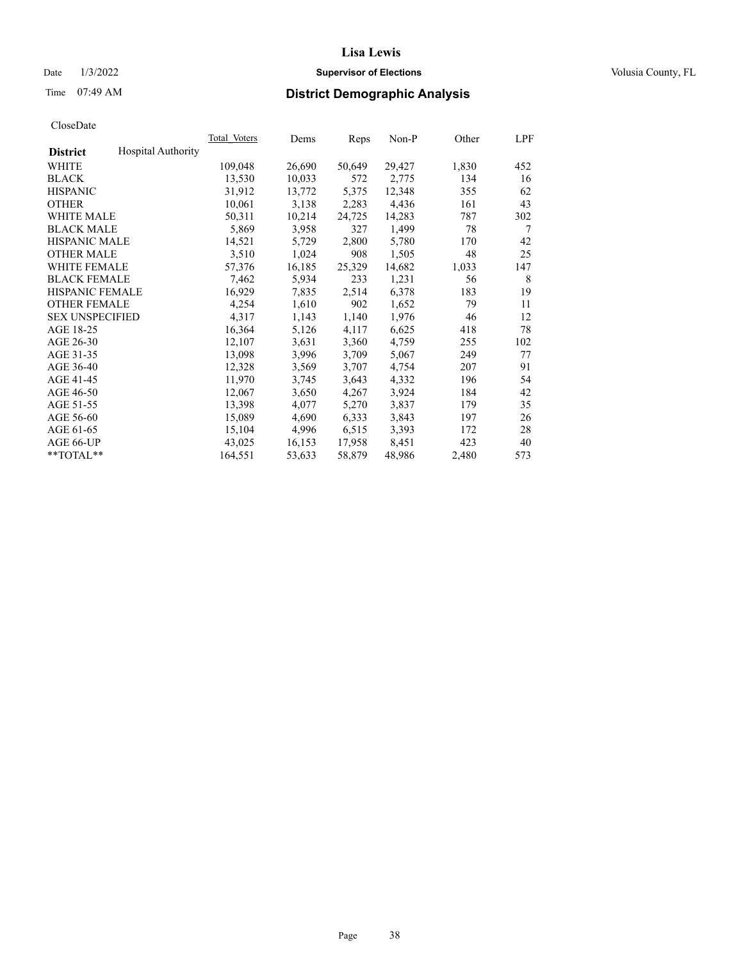## Date  $1/3/2022$  **Supervisor of Elections Supervisor of Elections** Volusia County, FL

# Time 07:49 AM **District Demographic Analysis**

|                        |                           | Total Voters | Dems   | Reps   | Non-P  | Other | LPF |
|------------------------|---------------------------|--------------|--------|--------|--------|-------|-----|
| <b>District</b>        | <b>Hospital Authority</b> |              |        |        |        |       |     |
| WHITE                  |                           | 109,048      | 26,690 | 50,649 | 29,427 | 1,830 | 452 |
| <b>BLACK</b>           |                           | 13,530       | 10,033 | 572    | 2,775  | 134   | 16  |
| <b>HISPANIC</b>        |                           | 31,912       | 13,772 | 5,375  | 12,348 | 355   | 62  |
| <b>OTHER</b>           |                           | 10,061       | 3,138  | 2,283  | 4,436  | 161   | 43  |
| WHITE MALE             |                           | 50,311       | 10,214 | 24,725 | 14,283 | 787   | 302 |
| <b>BLACK MALE</b>      |                           | 5,869        | 3,958  | 327    | 1,499  | 78    | 7   |
| <b>HISPANIC MALE</b>   |                           | 14,521       | 5,729  | 2,800  | 5,780  | 170   | 42  |
| <b>OTHER MALE</b>      |                           | 3,510        | 1,024  | 908    | 1,505  | 48    | 25  |
| <b>WHITE FEMALE</b>    |                           | 57,376       | 16,185 | 25,329 | 14,682 | 1,033 | 147 |
| <b>BLACK FEMALE</b>    |                           | 7,462        | 5,934  | 233    | 1,231  | 56    | 8   |
| <b>HISPANIC FEMALE</b> |                           | 16,929       | 7,835  | 2,514  | 6,378  | 183   | 19  |
| <b>OTHER FEMALE</b>    |                           | 4,254        | 1,610  | 902    | 1,652  | 79    | 11  |
| <b>SEX UNSPECIFIED</b> |                           | 4,317        | 1,143  | 1,140  | 1,976  | 46    | 12  |
| AGE 18-25              |                           | 16,364       | 5,126  | 4,117  | 6,625  | 418   | 78  |
| AGE 26-30              |                           | 12,107       | 3,631  | 3,360  | 4,759  | 255   | 102 |
| AGE 31-35              |                           | 13,098       | 3,996  | 3,709  | 5,067  | 249   | 77  |
| AGE 36-40              |                           | 12,328       | 3,569  | 3,707  | 4,754  | 207   | 91  |
| AGE 41-45              |                           | 11,970       | 3,745  | 3,643  | 4,332  | 196   | 54  |
| AGE 46-50              |                           | 12,067       | 3,650  | 4,267  | 3,924  | 184   | 42  |
| AGE 51-55              |                           | 13,398       | 4,077  | 5,270  | 3,837  | 179   | 35  |
| AGE 56-60              |                           | 15,089       | 4,690  | 6,333  | 3,843  | 197   | 26  |
| AGE 61-65              |                           | 15,104       | 4,996  | 6,515  | 3,393  | 172   | 28  |
| AGE 66-UP              |                           | 43,025       | 16,153 | 17,958 | 8,451  | 423   | 40  |
| $*$ TOTAL $*$          |                           | 164,551      | 53,633 | 58,879 | 48,986 | 2,480 | 573 |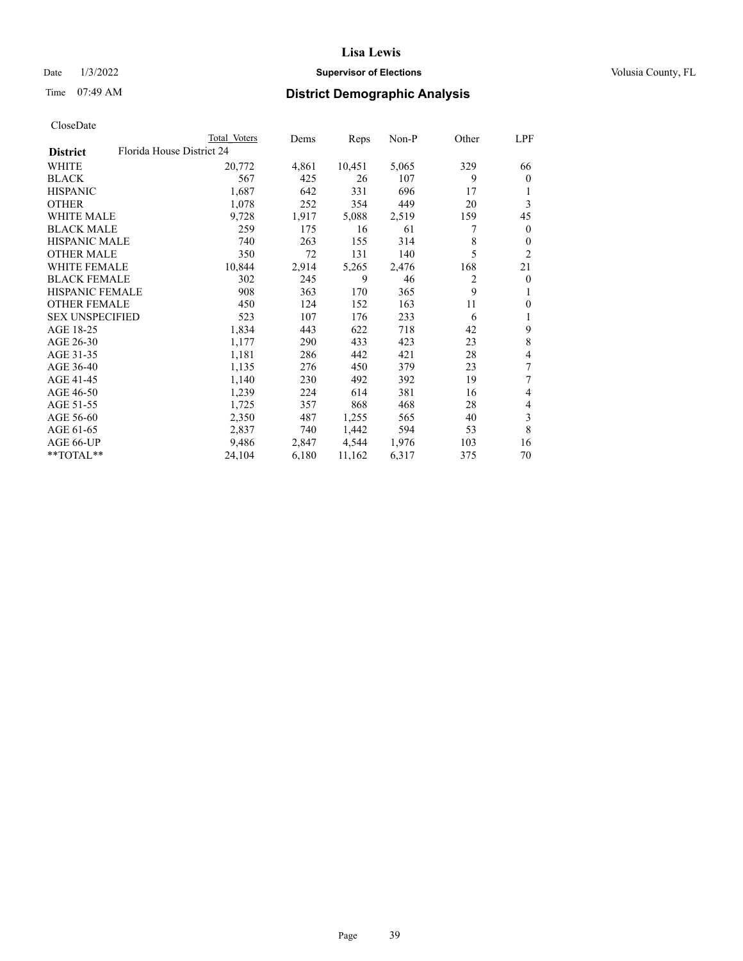## Date  $1/3/2022$  **Supervisor of Elections Supervisor of Elections** Volusia County, FL

| CloseDate |
|-----------|
|-----------|

|                                              | Total Voters | Dems  | Reps   | Non-P | Other | LPF            |
|----------------------------------------------|--------------|-------|--------|-------|-------|----------------|
| Florida House District 24<br><b>District</b> |              |       |        |       |       |                |
| WHITE                                        | 20,772       | 4,861 | 10,451 | 5,065 | 329   | 66             |
| <b>BLACK</b>                                 | 567          | 425   | 26     | 107   | 9     | $\mathbf{0}$   |
| <b>HISPANIC</b>                              | 1,687        | 642   | 331    | 696   | 17    | 1              |
| <b>OTHER</b>                                 | 1,078        | 252   | 354    | 449   | 20    | 3              |
| <b>WHITE MALE</b>                            | 9,728        | 1,917 | 5,088  | 2,519 | 159   | 45             |
| <b>BLACK MALE</b>                            | 259          | 175   | 16     | 61    | 7     | $\mathbf{0}$   |
| <b>HISPANIC MALE</b>                         | 740          | 263   | 155    | 314   | 8     | $\overline{0}$ |
| <b>OTHER MALE</b>                            | 350          | 72    | 131    | 140   | 5     | $\overline{2}$ |
| WHITE FEMALE                                 | 10,844       | 2,914 | 5,265  | 2,476 | 168   | 21             |
| <b>BLACK FEMALE</b>                          | 302          | 245   | 9      | 46    | 2     | $\mathbf{0}$   |
| <b>HISPANIC FEMALE</b>                       | 908          | 363   | 170    | 365   | 9     | 1              |
| <b>OTHER FEMALE</b>                          | 450          | 124   | 152    | 163   | 11    | $\theta$       |
| <b>SEX UNSPECIFIED</b>                       | 523          | 107   | 176    | 233   | 6     | 1              |
| AGE 18-25                                    | 1,834        | 443   | 622    | 718   | 42    | 9              |
| AGE 26-30                                    | 1,177        | 290   | 433    | 423   | 23    | 8              |
| AGE 31-35                                    | 1,181        | 286   | 442    | 421   | 28    | 4              |
| AGE 36-40                                    | 1,135        | 276   | 450    | 379   | 23    | 7              |
| AGE 41-45                                    | 1,140        | 230   | 492    | 392   | 19    | 7              |
| AGE 46-50                                    | 1,239        | 224   | 614    | 381   | 16    | 4              |
| AGE 51-55                                    | 1,725        | 357   | 868    | 468   | 28    | 4              |
| AGE 56-60                                    | 2,350        | 487   | 1,255  | 565   | 40    | 3              |
| AGE 61-65                                    | 2,837        | 740   | 1,442  | 594   | 53    | 8              |
| AGE 66-UP                                    | 9,486        | 2,847 | 4,544  | 1,976 | 103   | 16             |
| **TOTAL**                                    | 24,104       | 6,180 | 11,162 | 6,317 | 375   | 70             |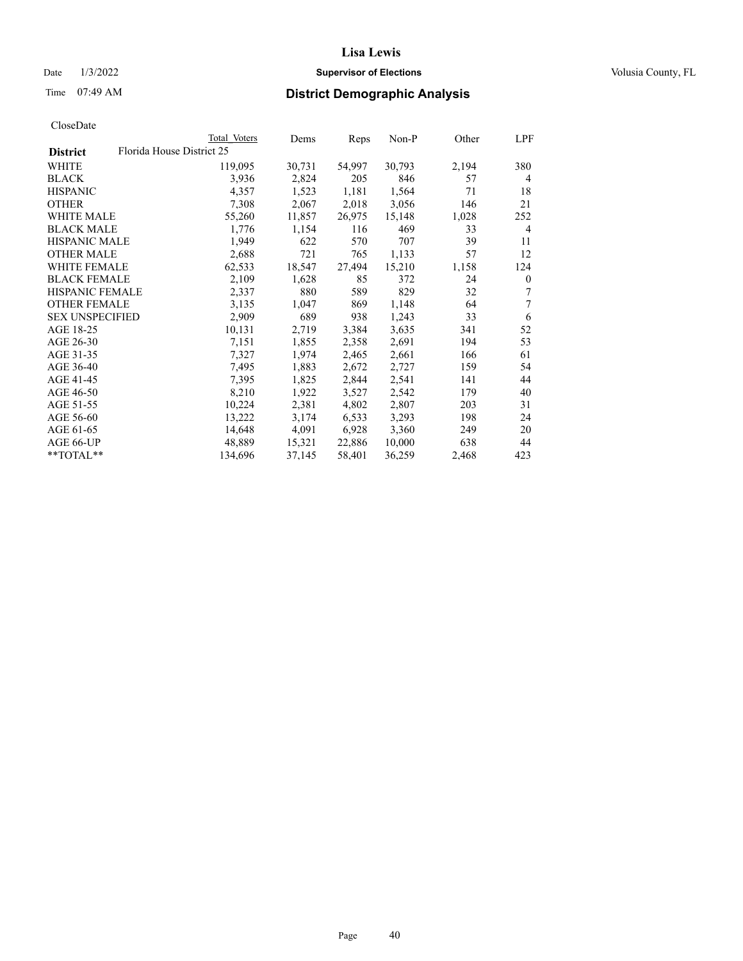## Date  $1/3/2022$  **Supervisor of Elections Supervisor of Elections** Volusia County, FL

| CloseDate |
|-----------|
|-----------|

|                                              | Total Voters | Dems   | Reps   | Non-P  | Other | LPF          |
|----------------------------------------------|--------------|--------|--------|--------|-------|--------------|
| Florida House District 25<br><b>District</b> |              |        |        |        |       |              |
| WHITE                                        | 119,095      | 30,731 | 54,997 | 30,793 | 2,194 | 380          |
| <b>BLACK</b>                                 | 3,936        | 2,824  | 205    | 846    | 57    | 4            |
| <b>HISPANIC</b>                              | 4,357        | 1,523  | 1,181  | 1,564  | 71    | 18           |
| <b>OTHER</b>                                 | 7,308        | 2,067  | 2,018  | 3,056  | 146   | 21           |
| <b>WHITE MALE</b>                            | 55,260       | 11,857 | 26,975 | 15,148 | 1,028 | 252          |
| <b>BLACK MALE</b>                            | 1,776        | 1,154  | 116    | 469    | 33    | 4            |
| <b>HISPANIC MALE</b>                         | 1,949        | 622    | 570    | 707    | 39    | 11           |
| <b>OTHER MALE</b>                            | 2,688        | 721    | 765    | 1,133  | 57    | 12           |
| WHITE FEMALE                                 | 62,533       | 18,547 | 27,494 | 15,210 | 1,158 | 124          |
| <b>BLACK FEMALE</b>                          | 2,109        | 1,628  | 85     | 372    | 24    | $\mathbf{0}$ |
| <b>HISPANIC FEMALE</b>                       | 2,337        | 880    | 589    | 829    | 32    | 7            |
| <b>OTHER FEMALE</b>                          | 3,135        | 1,047  | 869    | 1,148  | 64    | 7            |
| <b>SEX UNSPECIFIED</b>                       | 2,909        | 689    | 938    | 1,243  | 33    | 6            |
| AGE 18-25                                    | 10,131       | 2,719  | 3,384  | 3,635  | 341   | 52           |
| AGE 26-30                                    | 7,151        | 1,855  | 2,358  | 2,691  | 194   | 53           |
| AGE 31-35                                    | 7,327        | 1,974  | 2,465  | 2,661  | 166   | 61           |
| AGE 36-40                                    | 7,495        | 1,883  | 2,672  | 2,727  | 159   | 54           |
| AGE 41-45                                    | 7,395        | 1,825  | 2,844  | 2,541  | 141   | 44           |
| AGE 46-50                                    | 8,210        | 1,922  | 3,527  | 2,542  | 179   | 40           |
| AGE 51-55                                    | 10,224       | 2,381  | 4,802  | 2,807  | 203   | 31           |
| AGE 56-60                                    | 13,222       | 3,174  | 6,533  | 3,293  | 198   | 24           |
| AGE 61-65                                    | 14,648       | 4,091  | 6,928  | 3,360  | 249   | 20           |
| AGE 66-UP                                    | 48,889       | 15,321 | 22,886 | 10,000 | 638   | 44           |
| **TOTAL**                                    | 134,696      | 37,145 | 58,401 | 36,259 | 2,468 | 423          |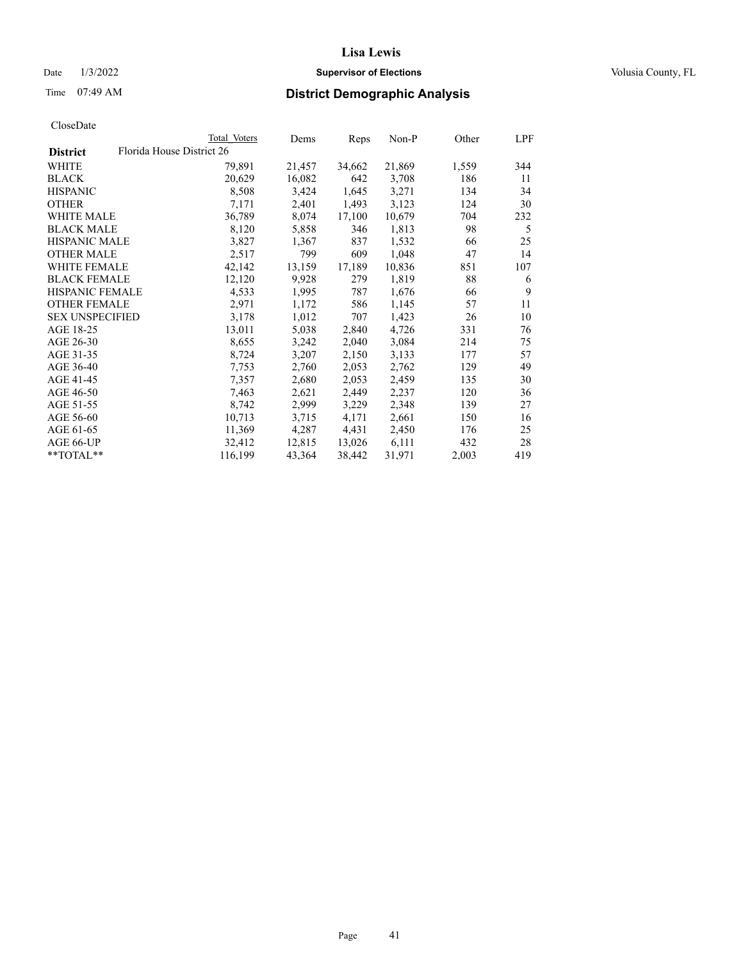## Date  $1/3/2022$  **Supervisor of Elections Supervisor of Elections** Volusia County, FL

| CloseDate |
|-----------|
|-----------|

|                        |                           | Total Voters | Dems   | Reps   | Non-P  | Other | LPF |
|------------------------|---------------------------|--------------|--------|--------|--------|-------|-----|
| <b>District</b>        | Florida House District 26 |              |        |        |        |       |     |
| WHITE                  |                           | 79,891       | 21,457 | 34,662 | 21,869 | 1,559 | 344 |
| BLACK                  |                           | 20,629       | 16,082 | 642    | 3,708  | 186   | 11  |
| HISPANIC               |                           | 8,508        | 3,424  | 1,645  | 3,271  | 134   | 34  |
| OTHER                  |                           | 7,171        | 2,401  | 1,493  | 3,123  | 124   | 30  |
| WHITE MALE             |                           | 36,789       | 8,074  | 17,100 | 10,679 | 704   | 232 |
| <b>BLACK MALE</b>      |                           | 8,120        | 5,858  | 346    | 1,813  | 98    | 5   |
| <b>HISPANIC MALE</b>   |                           | 3,827        | 1,367  | 837    | 1,532  | 66    | 25  |
| OTHER MALE             |                           | 2,517        | 799    | 609    | 1,048  | 47    | 14  |
| <b>WHITE FEMALE</b>    |                           | 42,142       | 13,159 | 17,189 | 10,836 | 851   | 107 |
| <b>BLACK FEMALE</b>    |                           | 12,120       | 9,928  | 279    | 1,819  | 88    | 6   |
| <b>HISPANIC FEMALE</b> |                           | 4,533        | 1,995  | 787    | 1,676  | 66    | 9   |
| <b>OTHER FEMALE</b>    |                           | 2,971        | 1,172  | 586    | 1,145  | 57    | 11  |
| <b>SEX UNSPECIFIED</b> |                           | 3,178        | 1,012  | 707    | 1,423  | 26    | 10  |
| AGE 18-25              |                           | 13,011       | 5,038  | 2,840  | 4,726  | 331   | 76  |
| AGE 26-30              |                           | 8,655        | 3,242  | 2,040  | 3,084  | 214   | 75  |
| AGE 31-35              |                           | 8,724        | 3,207  | 2,150  | 3,133  | 177   | 57  |
| AGE 36-40              |                           | 7,753        | 2,760  | 2,053  | 2,762  | 129   | 49  |
| AGE 41-45              |                           | 7,357        | 2,680  | 2,053  | 2,459  | 135   | 30  |
| AGE 46-50              |                           | 7,463        | 2,621  | 2,449  | 2,237  | 120   | 36  |
| AGE 51-55              |                           | 8,742        | 2,999  | 3,229  | 2,348  | 139   | 27  |
| AGE 56-60              |                           | 10,713       | 3,715  | 4,171  | 2,661  | 150   | 16  |
| AGE 61-65              |                           | 11,369       | 4,287  | 4,431  | 2,450  | 176   | 25  |
| AGE 66-UP              |                           | 32,412       | 12,815 | 13,026 | 6,111  | 432   | 28  |
| **TOTAL**              |                           | 116,199      | 43,364 | 38,442 | 31,971 | 2,003 | 419 |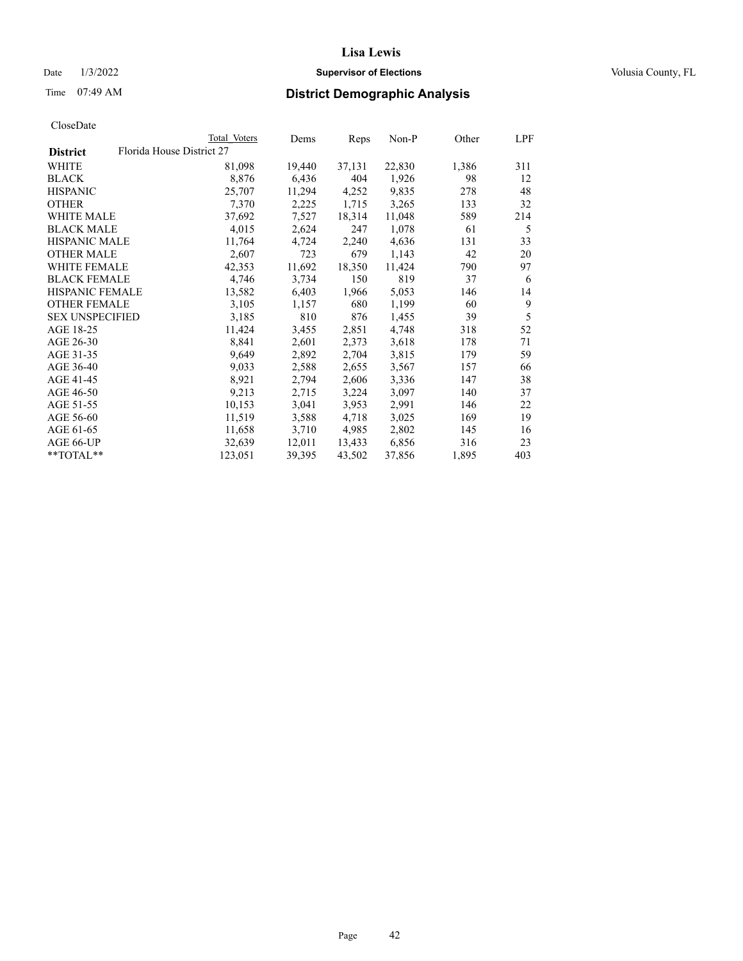## Date  $1/3/2022$  **Supervisor of Elections Supervisor of Elections** Volusia County, FL

| CloseDate |
|-----------|
|-----------|

|                        | Total Voters              | Dems   | Reps   | Non-P  | Other | LPF |
|------------------------|---------------------------|--------|--------|--------|-------|-----|
| <b>District</b>        | Florida House District 27 |        |        |        |       |     |
| WHITE                  | 81,098                    | 19,440 | 37,131 | 22,830 | 1,386 | 311 |
| <b>BLACK</b>           | 8,876                     | 6,436  | 404    | 1,926  | 98    | 12  |
| <b>HISPANIC</b>        | 25,707                    | 11,294 | 4,252  | 9,835  | 278   | 48  |
| <b>OTHER</b>           | 7,370                     | 2,225  | 1,715  | 3,265  | 133   | 32  |
| <b>WHITE MALE</b>      | 37,692                    | 7,527  | 18,314 | 11,048 | 589   | 214 |
| <b>BLACK MALE</b>      | 4,015                     | 2,624  | 247    | 1,078  | 61    | 5   |
| <b>HISPANIC MALE</b>   | 11,764                    | 4,724  | 2,240  | 4,636  | 131   | 33  |
| <b>OTHER MALE</b>      | 2,607                     | 723    | 679    | 1,143  | 42    | 20  |
| <b>WHITE FEMALE</b>    | 42,353                    | 11,692 | 18,350 | 11,424 | 790   | 97  |
| <b>BLACK FEMALE</b>    | 4,746                     | 3,734  | 150    | 819    | 37    | 6   |
| <b>HISPANIC FEMALE</b> | 13,582                    | 6,403  | 1,966  | 5,053  | 146   | 14  |
| <b>OTHER FEMALE</b>    | 3,105                     | 1,157  | 680    | 1,199  | 60    | 9   |
| <b>SEX UNSPECIFIED</b> | 3,185                     | 810    | 876    | 1,455  | 39    | 5   |
| AGE 18-25              | 11,424                    | 3,455  | 2,851  | 4,748  | 318   | 52  |
| AGE 26-30              | 8,841                     | 2,601  | 2,373  | 3,618  | 178   | 71  |
| AGE 31-35              | 9,649                     | 2,892  | 2,704  | 3,815  | 179   | 59  |
| AGE 36-40              | 9,033                     | 2,588  | 2,655  | 3,567  | 157   | 66  |
| AGE 41-45              | 8,921                     | 2,794  | 2,606  | 3,336  | 147   | 38  |
| AGE 46-50              | 9,213                     | 2,715  | 3,224  | 3,097  | 140   | 37  |
| AGE 51-55              | 10,153                    | 3,041  | 3,953  | 2,991  | 146   | 22  |
| AGE 56-60              | 11,519                    | 3,588  | 4,718  | 3,025  | 169   | 19  |
| AGE 61-65              | 11,658                    | 3,710  | 4,985  | 2,802  | 145   | 16  |
| AGE 66-UP              | 32,639                    | 12,011 | 13,433 | 6,856  | 316   | 23  |
| **TOTAL**              | 123,051                   | 39,395 | 43,502 | 37,856 | 1,895 | 403 |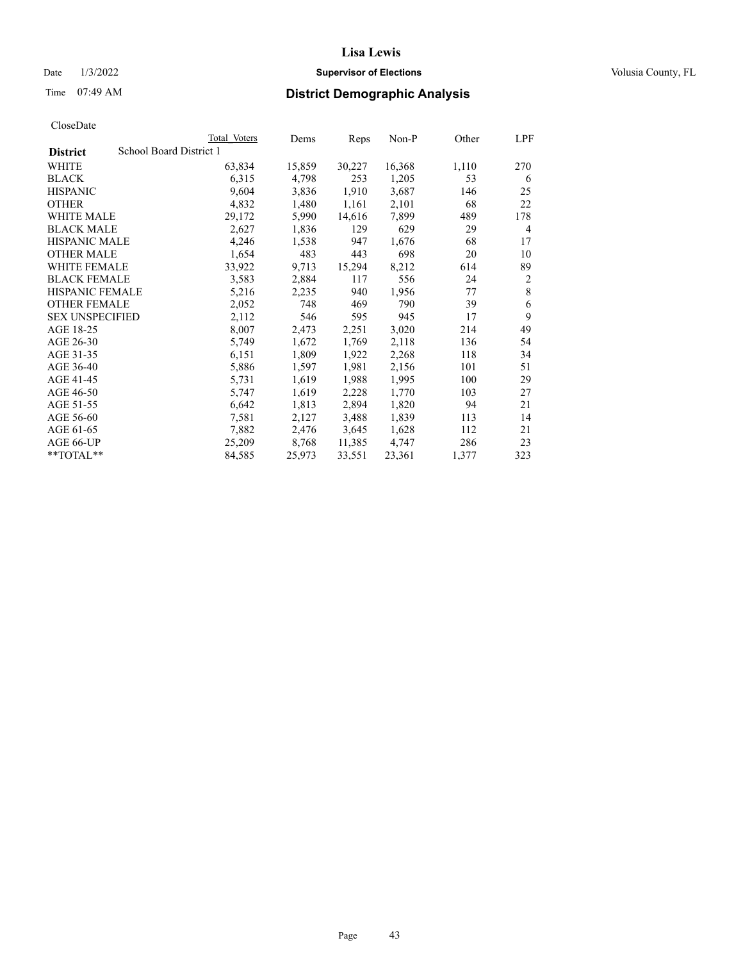## Date  $1/3/2022$  **Supervisor of Elections Supervisor of Elections** Volusia County, FL

# Time 07:49 AM **District Demographic Analysis**

|                        | Total Voters            | Dems   | Reps   | Non-P  | Other | LPF            |
|------------------------|-------------------------|--------|--------|--------|-------|----------------|
| <b>District</b>        | School Board District 1 |        |        |        |       |                |
| WHITE                  | 63,834                  | 15,859 | 30,227 | 16,368 | 1,110 | 270            |
| <b>BLACK</b>           | 6,315                   | 4,798  | 253    | 1,205  | 53    | 6              |
| <b>HISPANIC</b>        | 9,604                   | 3,836  | 1,910  | 3,687  | 146   | 25             |
| <b>OTHER</b>           | 4,832                   | 1,480  | 1,161  | 2,101  | 68    | 22             |
| WHITE MALE             | 29,172                  | 5,990  | 14,616 | 7,899  | 489   | 178            |
| <b>BLACK MALE</b>      | 2,627                   | 1,836  | 129    | 629    | 29    | 4              |
| <b>HISPANIC MALE</b>   | 4,246                   | 1,538  | 947    | 1,676  | 68    | 17             |
| <b>OTHER MALE</b>      | 1,654                   | 483    | 443    | 698    | 20    | 10             |
| WHITE FEMALE           | 33,922                  | 9,713  | 15,294 | 8,212  | 614   | 89             |
| <b>BLACK FEMALE</b>    | 3,583                   | 2,884  | 117    | 556    | 24    | $\overline{2}$ |
| <b>HISPANIC FEMALE</b> | 5,216                   | 2,235  | 940    | 1,956  | 77    | 8              |
| <b>OTHER FEMALE</b>    | 2,052                   | 748    | 469    | 790    | 39    | 6              |
| <b>SEX UNSPECIFIED</b> | 2,112                   | 546    | 595    | 945    | 17    | 9              |
| AGE 18-25              | 8,007                   | 2,473  | 2,251  | 3,020  | 214   | 49             |
| AGE 26-30              | 5,749                   | 1,672  | 1,769  | 2,118  | 136   | 54             |
| AGE 31-35              | 6,151                   | 1,809  | 1,922  | 2,268  | 118   | 34             |
| AGE 36-40              | 5,886                   | 1,597  | 1,981  | 2,156  | 101   | 51             |
| AGE 41-45              | 5,731                   | 1,619  | 1,988  | 1,995  | 100   | 29             |
| AGE 46-50              | 5,747                   | 1,619  | 2,228  | 1,770  | 103   | 27             |
| AGE 51-55              | 6,642                   | 1,813  | 2,894  | 1,820  | 94    | 21             |
| AGE 56-60              | 7,581                   | 2,127  | 3,488  | 1,839  | 113   | 14             |
| AGE 61-65              | 7,882                   | 2,476  | 3,645  | 1,628  | 112   | 21             |
| AGE 66-UP              | 25,209                  | 8,768  | 11,385 | 4,747  | 286   | 23             |
| $**TOTAL**$            | 84,585                  | 25,973 | 33,551 | 23,361 | 1,377 | 323            |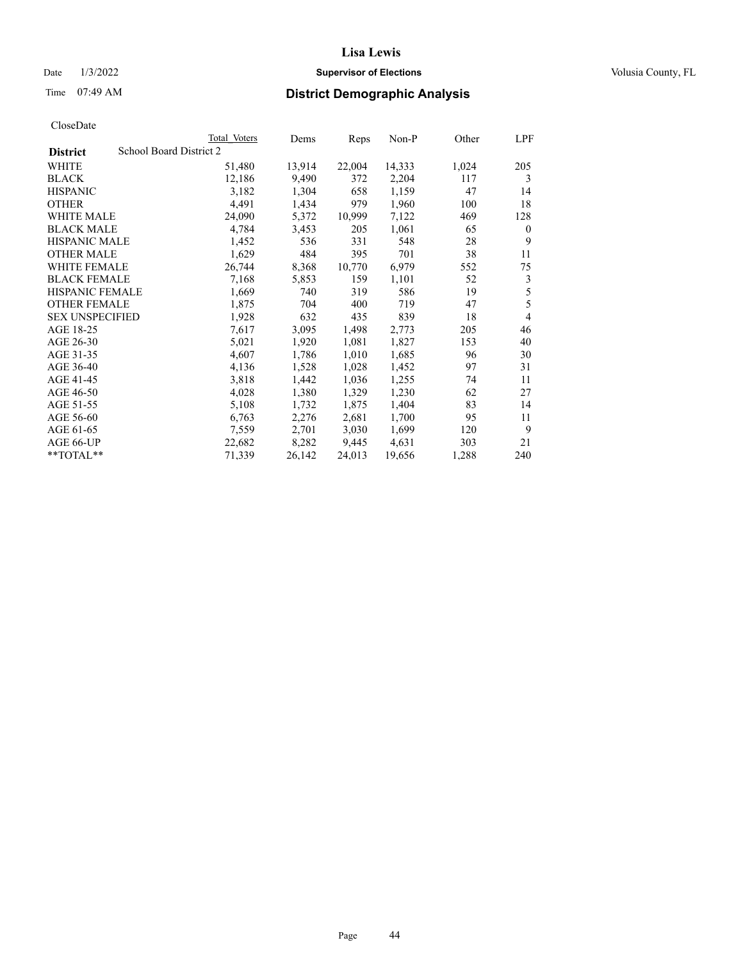## Date  $1/3/2022$  **Supervisor of Elections Supervisor of Elections** Volusia County, FL

# Time 07:49 AM **District Demographic Analysis**

|                        | Total Voters            | Dems   | Reps   | Non-P  | Other | LPF      |
|------------------------|-------------------------|--------|--------|--------|-------|----------|
| <b>District</b>        | School Board District 2 |        |        |        |       |          |
| WHITE                  | 51,480                  | 13,914 | 22,004 | 14,333 | 1,024 | 205      |
| <b>BLACK</b>           | 12,186                  | 9,490  | 372    | 2,204  | 117   | 3        |
| <b>HISPANIC</b>        | 3,182                   | 1,304  | 658    | 1,159  | 47    | 14       |
| <b>OTHER</b>           | 4,491                   | 1,434  | 979    | 1,960  | 100   | 18       |
| WHITE MALE             | 24,090                  | 5,372  | 10,999 | 7,122  | 469   | 128      |
| <b>BLACK MALE</b>      | 4,784                   | 3,453  | 205    | 1,061  | 65    | $\theta$ |
| <b>HISPANIC MALE</b>   | 1,452                   | 536    | 331    | 548    | 28    | 9        |
| <b>OTHER MALE</b>      | 1,629                   | 484    | 395    | 701    | 38    | 11       |
| WHITE FEMALE           | 26,744                  | 8,368  | 10,770 | 6,979  | 552   | 75       |
| <b>BLACK FEMALE</b>    | 7,168                   | 5,853  | 159    | 1,101  | 52    | 3        |
| <b>HISPANIC FEMALE</b> | 1,669                   | 740    | 319    | 586    | 19    | 5        |
| <b>OTHER FEMALE</b>    | 1,875                   | 704    | 400    | 719    | 47    | 5        |
| <b>SEX UNSPECIFIED</b> | 1,928                   | 632    | 435    | 839    | 18    | 4        |
| AGE 18-25              | 7,617                   | 3,095  | 1,498  | 2,773  | 205   | 46       |
| AGE 26-30              | 5,021                   | 1,920  | 1,081  | 1,827  | 153   | 40       |
| AGE 31-35              | 4,607                   | 1,786  | 1,010  | 1,685  | 96    | 30       |
| AGE 36-40              | 4,136                   | 1,528  | 1,028  | 1,452  | 97    | 31       |
| AGE 41-45              | 3,818                   | 1,442  | 1,036  | 1,255  | 74    | 11       |
| AGE 46-50              | 4,028                   | 1,380  | 1,329  | 1,230  | 62    | 27       |
| AGE 51-55              | 5,108                   | 1,732  | 1,875  | 1,404  | 83    | 14       |
| AGE 56-60              | 6,763                   | 2,276  | 2,681  | 1,700  | 95    | 11       |
| AGE 61-65              | 7,559                   | 2,701  | 3,030  | 1,699  | 120   | 9        |
| AGE 66-UP              | 22,682                  | 8,282  | 9,445  | 4,631  | 303   | 21       |
| $*$ $TOTAL**$          | 71,339                  | 26,142 | 24,013 | 19,656 | 1,288 | 240      |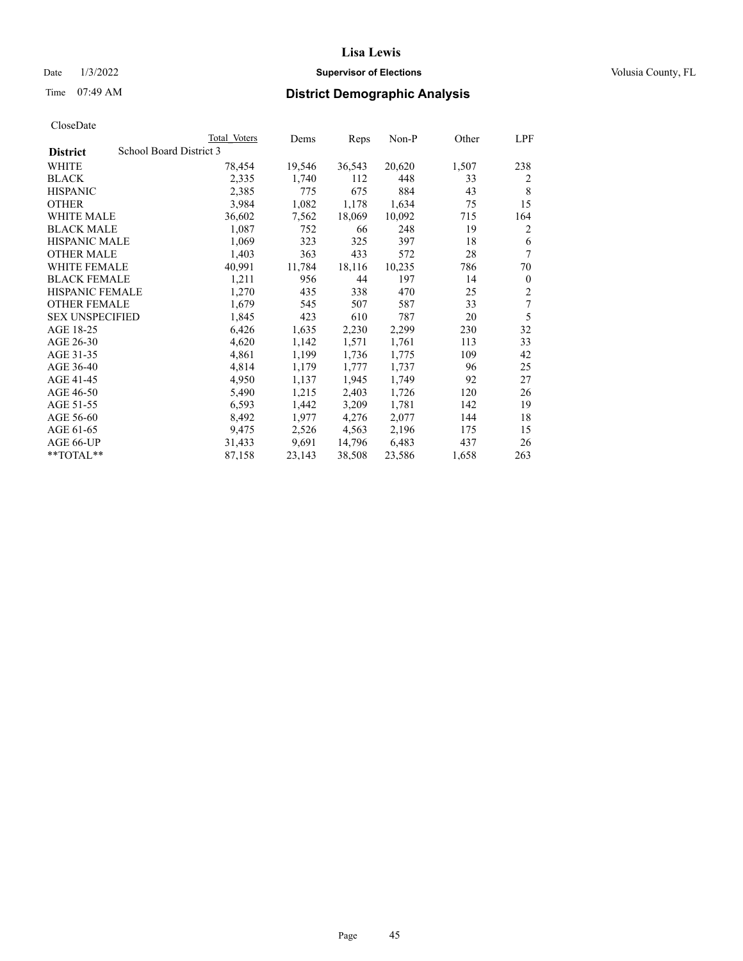## Date  $1/3/2022$  **Supervisor of Elections Supervisor of Elections** Volusia County, FL

# Time 07:49 AM **District Demographic Analysis**

|                        | Total Voters            | Dems   | Reps   | Non-P  | Other | LPF            |
|------------------------|-------------------------|--------|--------|--------|-------|----------------|
| <b>District</b>        | School Board District 3 |        |        |        |       |                |
| WHITE                  | 78,454                  | 19,546 | 36,543 | 20,620 | 1,507 | 238            |
| <b>BLACK</b>           | 2,335                   | 1,740  | 112    | 448    | 33    | 2              |
| <b>HISPANIC</b>        | 2,385                   | 775    | 675    | 884    | 43    | 8              |
| <b>OTHER</b>           | 3,984                   | 1,082  | 1,178  | 1,634  | 75    | 15             |
| WHITE MALE             | 36,602                  | 7,562  | 18,069 | 10,092 | 715   | 164            |
| <b>BLACK MALE</b>      | 1,087                   | 752    | 66     | 248    | 19    | 2              |
| <b>HISPANIC MALE</b>   | 1,069                   | 323    | 325    | 397    | 18    | 6              |
| <b>OTHER MALE</b>      | 1,403                   | 363    | 433    | 572    | 28    | 7              |
| <b>WHITE FEMALE</b>    | 40,991                  | 11,784 | 18,116 | 10,235 | 786   | 70             |
| <b>BLACK FEMALE</b>    | 1,211                   | 956    | 44     | 197    | 14    | $\theta$       |
| <b>HISPANIC FEMALE</b> | 1,270                   | 435    | 338    | 470    | 25    | $\overline{2}$ |
| <b>OTHER FEMALE</b>    | 1,679                   | 545    | 507    | 587    | 33    | 7              |
| <b>SEX UNSPECIFIED</b> | 1,845                   | 423    | 610    | 787    | 20    | 5              |
| AGE 18-25              | 6,426                   | 1,635  | 2,230  | 2,299  | 230   | 32             |
| AGE 26-30              | 4,620                   | 1,142  | 1,571  | 1,761  | 113   | 33             |
| AGE 31-35              | 4,861                   | 1,199  | 1,736  | 1,775  | 109   | 42             |
| AGE 36-40              | 4,814                   | 1,179  | 1,777  | 1,737  | 96    | 25             |
| AGE 41-45              | 4,950                   | 1,137  | 1,945  | 1,749  | 92    | 27             |
| AGE 46-50              | 5,490                   | 1,215  | 2,403  | 1,726  | 120   | 26             |
| AGE 51-55              | 6,593                   | 1,442  | 3,209  | 1,781  | 142   | 19             |
| AGE 56-60              | 8,492                   | 1,977  | 4,276  | 2,077  | 144   | 18             |
| AGE 61-65              | 9,475                   | 2,526  | 4,563  | 2,196  | 175   | 15             |
| AGE 66-UP              | 31,433                  | 9,691  | 14,796 | 6,483  | 437   | 26             |
| $*$ $TOTAL**$          | 87,158                  | 23,143 | 38,508 | 23,586 | 1,658 | 263            |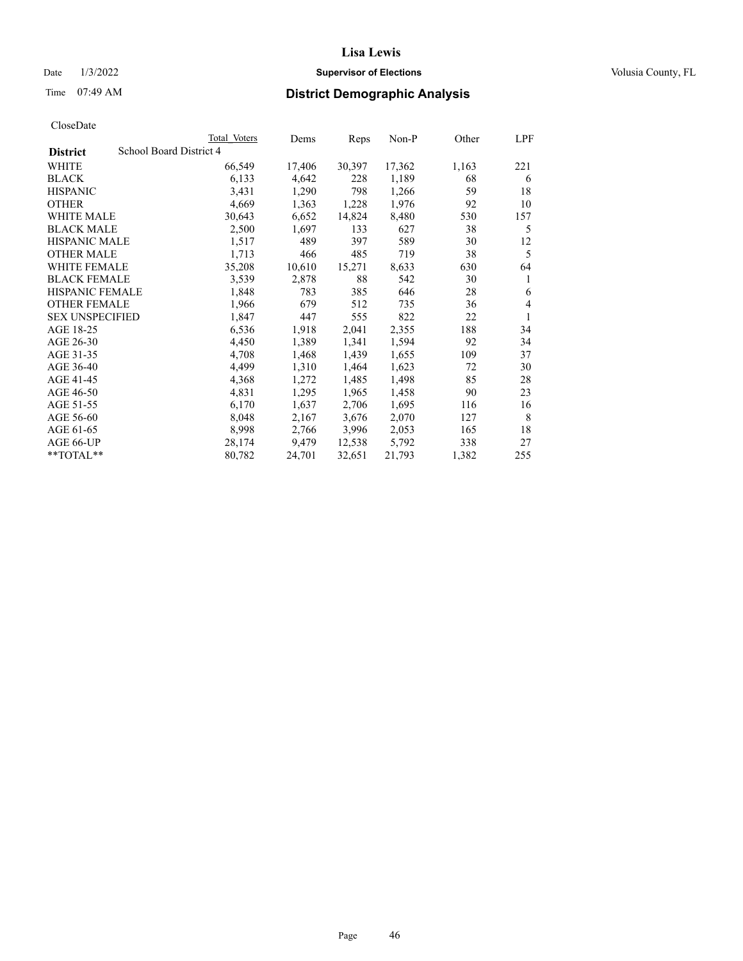## Date  $1/3/2022$  **Supervisor of Elections Supervisor of Elections** Volusia County, FL

# Time 07:49 AM **District Demographic Analysis**

|                        | Total Voters            | Dems   | Reps   | Non-P  | Other | LPF |
|------------------------|-------------------------|--------|--------|--------|-------|-----|
| <b>District</b>        | School Board District 4 |        |        |        |       |     |
| WHITE                  | 66,549                  | 17,406 | 30,397 | 17,362 | 1,163 | 221 |
| <b>BLACK</b>           | 6,133                   | 4,642  | 228    | 1,189  | 68    | 6   |
| <b>HISPANIC</b>        | 3,431                   | 1,290  | 798    | 1,266  | 59    | 18  |
| <b>OTHER</b>           | 4,669                   | 1,363  | 1,228  | 1,976  | 92    | 10  |
| WHITE MALE             | 30,643                  | 6,652  | 14,824 | 8,480  | 530   | 157 |
| <b>BLACK MALE</b>      | 2,500                   | 1,697  | 133    | 627    | 38    | 5   |
| <b>HISPANIC MALE</b>   | 1,517                   | 489    | 397    | 589    | 30    | 12  |
| <b>OTHER MALE</b>      | 1,713                   | 466    | 485    | 719    | 38    | 5   |
| WHITE FEMALE           | 35,208                  | 10,610 | 15,271 | 8,633  | 630   | 64  |
| <b>BLACK FEMALE</b>    | 3,539                   | 2,878  | 88     | 542    | 30    | 1   |
| <b>HISPANIC FEMALE</b> | 1,848                   | 783    | 385    | 646    | 28    | 6   |
| <b>OTHER FEMALE</b>    | 1,966                   | 679    | 512    | 735    | 36    | 4   |
| <b>SEX UNSPECIFIED</b> | 1,847                   | 447    | 555    | 822    | 22    | 1   |
| AGE 18-25              | 6,536                   | 1,918  | 2,041  | 2,355  | 188   | 34  |
| AGE 26-30              | 4,450                   | 1,389  | 1,341  | 1,594  | 92    | 34  |
| AGE 31-35              | 4,708                   | 1,468  | 1,439  | 1,655  | 109   | 37  |
| AGE 36-40              | 4,499                   | 1,310  | 1,464  | 1,623  | 72    | 30  |
| AGE 41-45              | 4,368                   | 1,272  | 1,485  | 1,498  | 85    | 28  |
| AGE 46-50              | 4,831                   | 1,295  | 1,965  | 1,458  | 90    | 23  |
| AGE 51-55              | 6,170                   | 1,637  | 2,706  | 1,695  | 116   | 16  |
| AGE 56-60              | 8,048                   | 2,167  | 3,676  | 2,070  | 127   | 8   |
| AGE 61-65              | 8,998                   | 2,766  | 3,996  | 2,053  | 165   | 18  |
| AGE 66-UP              | 28,174                  | 9,479  | 12,538 | 5,792  | 338   | 27  |
| $*$ $TOTAL**$          | 80,782                  | 24,701 | 32,651 | 21,793 | 1,382 | 255 |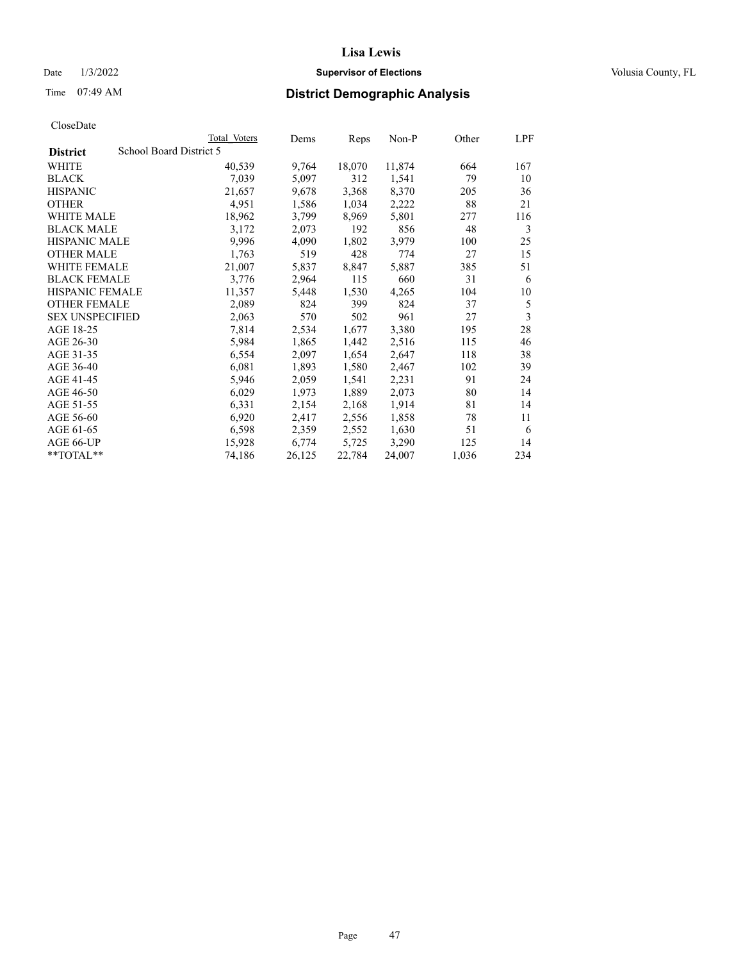## Date  $1/3/2022$  **Supervisor of Elections Supervisor of Elections** Volusia County, FL

# Time 07:49 AM **District Demographic Analysis**

|                        | Total Voters            | Dems   | Reps   | Non-P  | Other | LPF |
|------------------------|-------------------------|--------|--------|--------|-------|-----|
| <b>District</b>        | School Board District 5 |        |        |        |       |     |
| WHITE                  | 40,539                  | 9,764  | 18,070 | 11,874 | 664   | 167 |
| <b>BLACK</b>           | 7,039                   | 5,097  | 312    | 1,541  | 79    | 10  |
| <b>HISPANIC</b>        | 21,657                  | 9,678  | 3,368  | 8,370  | 205   | 36  |
| <b>OTHER</b>           | 4,951                   | 1,586  | 1,034  | 2,222  | 88    | 21  |
| WHITE MALE             | 18,962                  | 3,799  | 8,969  | 5,801  | 277   | 116 |
| <b>BLACK MALE</b>      | 3,172                   | 2,073  | 192    | 856    | 48    | 3   |
| <b>HISPANIC MALE</b>   | 9,996                   | 4,090  | 1,802  | 3,979  | 100   | 25  |
| <b>OTHER MALE</b>      | 1,763                   | 519    | 428    | 774    | 27    | 15  |
| WHITE FEMALE           | 21,007                  | 5,837  | 8,847  | 5,887  | 385   | 51  |
| <b>BLACK FEMALE</b>    | 3,776                   | 2,964  | 115    | 660    | 31    | 6   |
| <b>HISPANIC FEMALE</b> | 11,357                  | 5,448  | 1,530  | 4,265  | 104   | 10  |
| <b>OTHER FEMALE</b>    | 2,089                   | 824    | 399    | 824    | 37    | 5   |
| <b>SEX UNSPECIFIED</b> | 2,063                   | 570    | 502    | 961    | 27    | 3   |
| AGE 18-25              | 7,814                   | 2,534  | 1,677  | 3,380  | 195   | 28  |
| AGE 26-30              | 5,984                   | 1,865  | 1,442  | 2,516  | 115   | 46  |
| AGE 31-35              | 6,554                   | 2,097  | 1,654  | 2,647  | 118   | 38  |
| AGE 36-40              | 6,081                   | 1,893  | 1,580  | 2,467  | 102   | 39  |
| AGE 41-45              | 5,946                   | 2,059  | 1,541  | 2,231  | 91    | 24  |
| AGE 46-50              | 6,029                   | 1,973  | 1,889  | 2,073  | 80    | 14  |
| AGE 51-55              | 6,331                   | 2,154  | 2,168  | 1,914  | 81    | 14  |
| AGE 56-60              | 6,920                   | 2,417  | 2,556  | 1,858  | 78    | 11  |
| AGE 61-65              | 6,598                   | 2,359  | 2,552  | 1,630  | 51    | 6   |
| AGE 66-UP              | 15,928                  | 6,774  | 5,725  | 3,290  | 125   | 14  |
| $**TOTAL**$            | 74,186                  | 26,125 | 22,784 | 24,007 | 1,036 | 234 |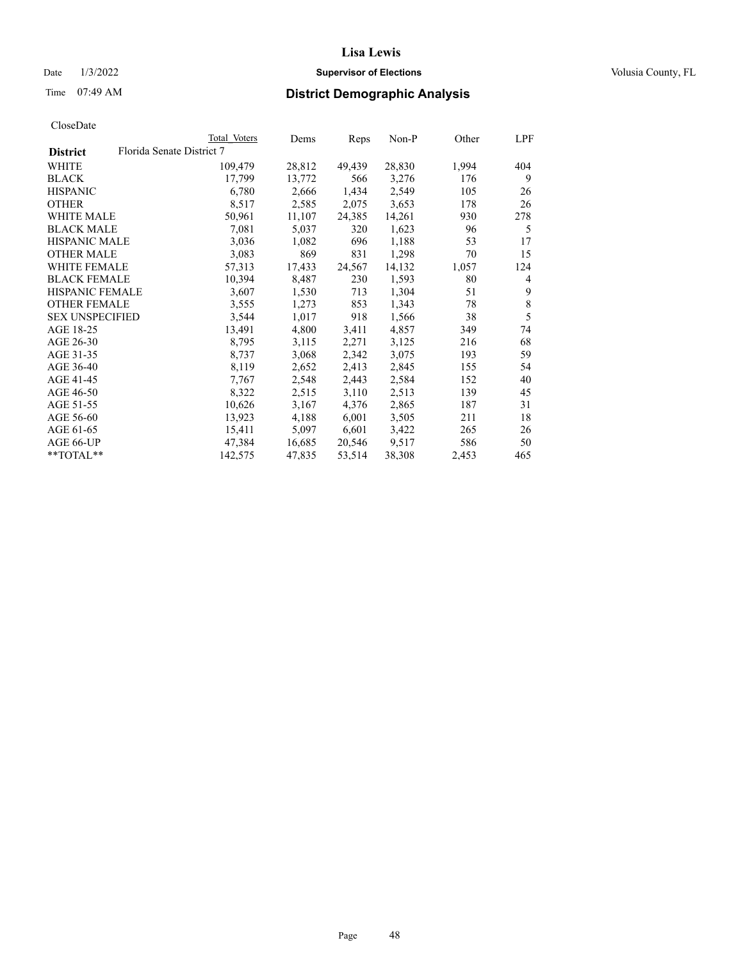## Date  $1/3/2022$  **Supervisor of Elections Supervisor of Elections** Volusia County, FL

| CloseDate |
|-----------|
|-----------|

|                        | Total Voters              | Dems   | Reps   | $Non-P$ | Other | LPF         |
|------------------------|---------------------------|--------|--------|---------|-------|-------------|
| <b>District</b>        | Florida Senate District 7 |        |        |         |       |             |
| WHITE                  | 109,479                   | 28,812 | 49,439 | 28,830  | 1,994 | 404         |
| <b>BLACK</b>           | 17,799                    | 13,772 | 566    | 3,276   | 176   | 9           |
| <b>HISPANIC</b>        | 6,780                     | 2,666  | 1,434  | 2,549   | 105   | 26          |
| <b>OTHER</b>           | 8,517                     | 2,585  | 2,075  | 3,653   | 178   | 26          |
| <b>WHITE MALE</b>      | 50,961                    | 11,107 | 24,385 | 14,261  | 930   | 278         |
| <b>BLACK MALE</b>      | 7,081                     | 5,037  | 320    | 1,623   | 96    | 5           |
| <b>HISPANIC MALE</b>   | 3,036                     | 1,082  | 696    | 1,188   | 53    | 17          |
| <b>OTHER MALE</b>      | 3,083                     | 869    | 831    | 1,298   | 70    | 15          |
| <b>WHITE FEMALE</b>    | 57,313                    | 17,433 | 24,567 | 14,132  | 1,057 | 124         |
| <b>BLACK FEMALE</b>    | 10,394                    | 8,487  | 230    | 1,593   | 80    | 4           |
| <b>HISPANIC FEMALE</b> | 3,607                     | 1,530  | 713    | 1,304   | 51    | 9           |
| <b>OTHER FEMALE</b>    | 3,555                     | 1,273  | 853    | 1,343   | 78    | $\,$ 8 $\,$ |
| <b>SEX UNSPECIFIED</b> | 3,544                     | 1,017  | 918    | 1,566   | 38    | 5           |
| AGE 18-25              | 13,491                    | 4,800  | 3,411  | 4,857   | 349   | 74          |
| AGE 26-30              | 8,795                     | 3,115  | 2,271  | 3,125   | 216   | 68          |
| AGE 31-35              | 8,737                     | 3,068  | 2,342  | 3,075   | 193   | 59          |
| AGE 36-40              | 8,119                     | 2,652  | 2,413  | 2,845   | 155   | 54          |
| AGE 41-45              | 7,767                     | 2,548  | 2,443  | 2,584   | 152   | 40          |
| AGE 46-50              | 8,322                     | 2,515  | 3,110  | 2,513   | 139   | 45          |
| AGE 51-55              | 10,626                    | 3,167  | 4,376  | 2,865   | 187   | 31          |
| AGE 56-60              | 13,923                    | 4,188  | 6,001  | 3,505   | 211   | 18          |
| AGE 61-65              | 15,411                    | 5,097  | 6,601  | 3,422   | 265   | 26          |
| AGE 66-UP              | 47,384                    | 16,685 | 20,546 | 9,517   | 586   | 50          |
| **TOTAL**              | 142,575                   | 47,835 | 53,514 | 38,308  | 2,453 | 465         |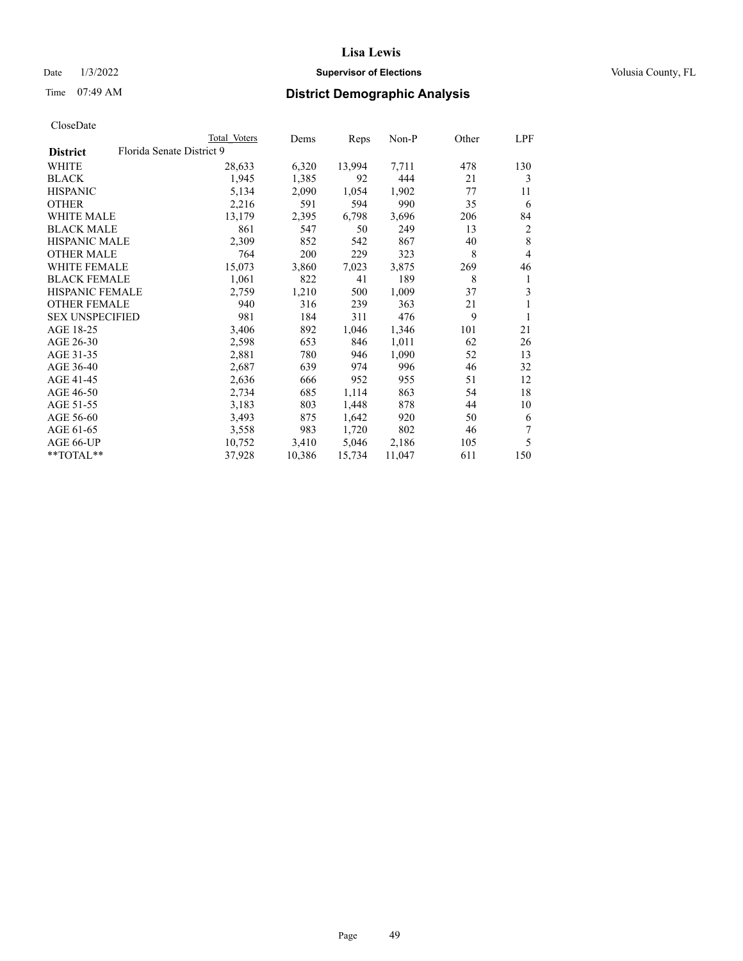## Date  $1/3/2022$  **Supervisor of Elections Supervisor of Elections** Volusia County, FL

# Time 07:49 AM **District Demographic Analysis**

|                                              | Total Voters | Dems   | Reps   | Non-P  | Other | LPF |
|----------------------------------------------|--------------|--------|--------|--------|-------|-----|
| Florida Senate District 9<br><b>District</b> |              |        |        |        |       |     |
| WHITE                                        | 28,633       | 6,320  | 13,994 | 7,711  | 478   | 130 |
| <b>BLACK</b>                                 | 1,945        | 1,385  | 92     | 444    | 21    | 3   |
| <b>HISPANIC</b>                              | 5,134        | 2,090  | 1,054  | 1,902  | 77    | 11  |
| <b>OTHER</b>                                 | 2,216        | 591    | 594    | 990    | 35    | 6   |
| WHITE MALE                                   | 13,179       | 2,395  | 6,798  | 3,696  | 206   | 84  |
| <b>BLACK MALE</b>                            | 861          | 547    | 50     | 249    | 13    | 2   |
| <b>HISPANIC MALE</b>                         | 2,309        | 852    | 542    | 867    | 40    | 8   |
| <b>OTHER MALE</b>                            | 764          | 200    | 229    | 323    | 8     | 4   |
| WHITE FEMALE                                 | 15,073       | 3,860  | 7,023  | 3,875  | 269   | 46  |
| <b>BLACK FEMALE</b>                          | 1,061        | 822    | 41     | 189    | 8     | 1   |
| <b>HISPANIC FEMALE</b>                       | 2,759        | 1,210  | 500    | 1,009  | 37    | 3   |
| <b>OTHER FEMALE</b>                          | 940          | 316    | 239    | 363    | 21    | 1   |
| <b>SEX UNSPECIFIED</b>                       | 981          | 184    | 311    | 476    | 9     |     |
| AGE 18-25                                    | 3,406        | 892    | 1,046  | 1,346  | 101   | 21  |
| AGE 26-30                                    | 2,598        | 653    | 846    | 1,011  | 62    | 26  |
| AGE 31-35                                    | 2,881        | 780    | 946    | 1,090  | 52    | 13  |
| AGE 36-40                                    | 2,687        | 639    | 974    | 996    | 46    | 32  |
| AGE 41-45                                    | 2,636        | 666    | 952    | 955    | 51    | 12  |
| AGE 46-50                                    | 2,734        | 685    | 1,114  | 863    | 54    | 18  |
| AGE 51-55                                    | 3,183        | 803    | 1,448  | 878    | 44    | 10  |
| AGE 56-60                                    | 3,493        | 875    | 1,642  | 920    | 50    | 6   |
| AGE 61-65                                    | 3,558        | 983    | 1,720  | 802    | 46    | 7   |
| AGE 66-UP                                    | 10,752       | 3,410  | 5,046  | 2,186  | 105   | 5   |
| $*$ $TOTAL**$                                | 37,928       | 10,386 | 15,734 | 11,047 | 611   | 150 |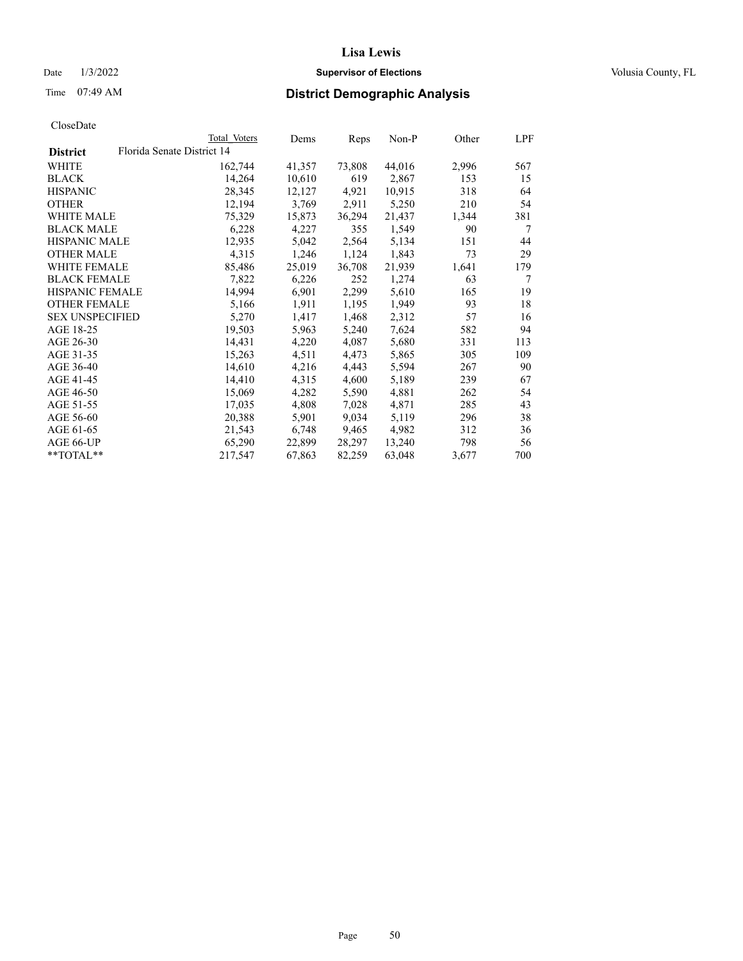## Date  $1/3/2022$  **Supervisor of Elections Supervisor of Elections** Volusia County, FL

|                        |                            | Total Voters | Dems   | Reps   | Non-P  | Other | LPF |
|------------------------|----------------------------|--------------|--------|--------|--------|-------|-----|
| <b>District</b>        | Florida Senate District 14 |              |        |        |        |       |     |
| WHITE                  |                            | 162,744      | 41,357 | 73,808 | 44,016 | 2,996 | 567 |
| BLACK                  |                            | 14,264       | 10,610 | 619    | 2,867  | 153   | 15  |
| HISPANIC               |                            | 28,345       | 12,127 | 4,921  | 10,915 | 318   | 64  |
| OTHER                  |                            | 12,194       | 3,769  | 2,911  | 5,250  | 210   | 54  |
| <b>WHITE MALE</b>      |                            | 75,329       | 15,873 | 36,294 | 21,437 | 1,344 | 381 |
| <b>BLACK MALE</b>      |                            | 6,228        | 4,227  | 355    | 1,549  | 90    | 7   |
| <b>HISPANIC MALE</b>   |                            | 12,935       | 5,042  | 2,564  | 5,134  | 151   | 44  |
| <b>OTHER MALE</b>      |                            | 4,315        | 1,246  | 1,124  | 1,843  | 73    | 29  |
| <b>WHITE FEMALE</b>    |                            | 85,486       | 25,019 | 36,708 | 21,939 | 1,641 | 179 |
| <b>BLACK FEMALE</b>    |                            | 7,822        | 6,226  | 252    | 1,274  | 63    | 7   |
| <b>HISPANIC FEMALE</b> |                            | 14,994       | 6,901  | 2,299  | 5,610  | 165   | 19  |
| <b>OTHER FEMALE</b>    |                            | 5,166        | 1,911  | 1,195  | 1,949  | 93    | 18  |
| <b>SEX UNSPECIFIED</b> |                            | 5,270        | 1,417  | 1,468  | 2,312  | 57    | 16  |
| AGE 18-25              |                            | 19,503       | 5,963  | 5,240  | 7,624  | 582   | 94  |
| AGE 26-30              |                            | 14,431       | 4,220  | 4,087  | 5,680  | 331   | 113 |
| AGE 31-35              |                            | 15,263       | 4,511  | 4,473  | 5,865  | 305   | 109 |
| AGE 36-40              |                            | 14,610       | 4,216  | 4,443  | 5,594  | 267   | 90  |
| AGE 41-45              |                            | 14,410       | 4,315  | 4,600  | 5,189  | 239   | 67  |
| AGE 46-50              |                            | 15,069       | 4,282  | 5,590  | 4,881  | 262   | 54  |
| AGE 51-55              |                            | 17,035       | 4,808  | 7,028  | 4,871  | 285   | 43  |
| AGE 56-60              |                            | 20,388       | 5,901  | 9,034  | 5,119  | 296   | 38  |
| AGE 61-65              |                            | 21,543       | 6,748  | 9,465  | 4,982  | 312   | 36  |
| AGE 66-UP              |                            | 65,290       | 22,899 | 28,297 | 13,240 | 798   | 56  |
| $*$ $TOTAL**$          |                            | 217,547      | 67,863 | 82,259 | 63,048 | 3,677 | 700 |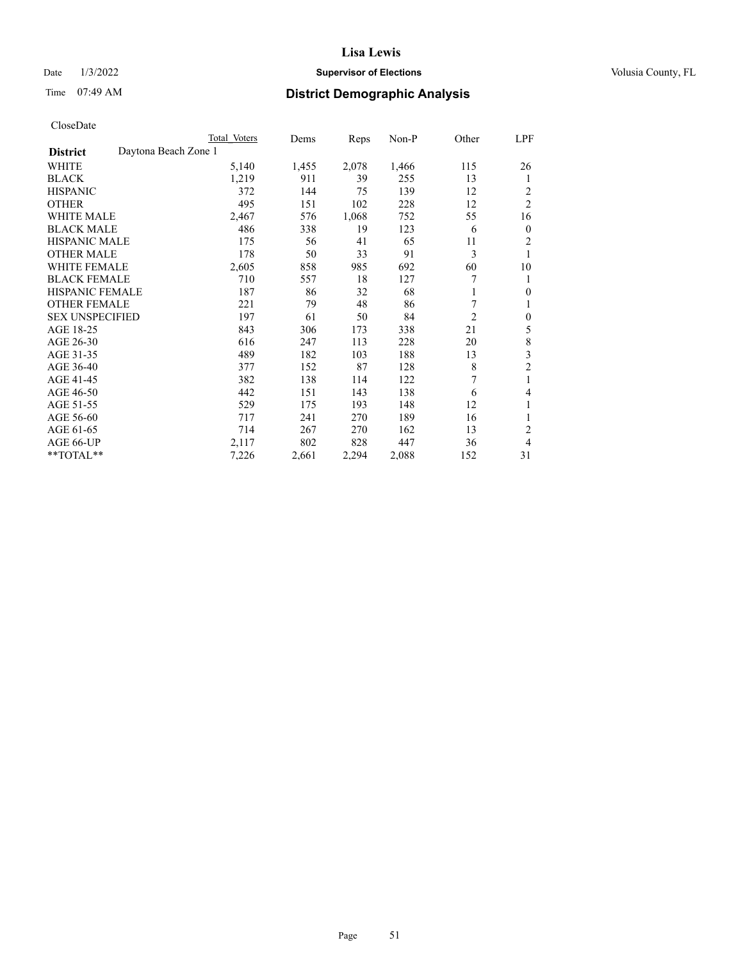## Date  $1/3/2022$  **Supervisor of Elections Supervisor of Elections** Volusia County, FL

# Time 07:49 AM **District Demographic Analysis**

|                        |                      | Total Voters | Dems  | Reps  | Non-P | Other          | <u>LPF</u>     |
|------------------------|----------------------|--------------|-------|-------|-------|----------------|----------------|
| <b>District</b>        | Daytona Beach Zone 1 |              |       |       |       |                |                |
| WHITE                  |                      | 5,140        | 1,455 | 2,078 | 1,466 | 115            | 26             |
| <b>BLACK</b>           |                      | 1,219        | 911   | 39    | 255   | 13             | 1              |
| <b>HISPANIC</b>        |                      | 372          | 144   | 75    | 139   | 12             | 2              |
| <b>OTHER</b>           |                      | 495          | 151   | 102   | 228   | 12             | $\overline{2}$ |
| <b>WHITE MALE</b>      |                      | 2,467        | 576   | 1,068 | 752   | 55             | 16             |
| <b>BLACK MALE</b>      |                      | 486          | 338   | 19    | 123   | 6              | $\mathbf{0}$   |
| <b>HISPANIC MALE</b>   |                      | 175          | 56    | 41    | 65    | 11             | 2              |
| <b>OTHER MALE</b>      |                      | 178          | 50    | 33    | 91    | 3              | 1              |
| <b>WHITE FEMALE</b>    |                      | 2,605        | 858   | 985   | 692   | 60             | 10             |
| <b>BLACK FEMALE</b>    |                      | 710          | 557   | 18    | 127   | 7              | 1              |
| <b>HISPANIC FEMALE</b> |                      | 187          | 86    | 32    | 68    | 1              | $\mathbf{0}$   |
| <b>OTHER FEMALE</b>    |                      | 221          | 79    | 48    | 86    | 7              | 1              |
| <b>SEX UNSPECIFIED</b> |                      | 197          | 61    | 50    | 84    | $\overline{2}$ | $\mathbf{0}$   |
| AGE 18-25              |                      | 843          | 306   | 173   | 338   | 21             | 5              |
| AGE 26-30              |                      | 616          | 247   | 113   | 228   | 20             | 8              |
| AGE 31-35              |                      | 489          | 182   | 103   | 188   | 13             | 3              |
| AGE 36-40              |                      | 377          | 152   | 87    | 128   | 8              | $\overline{c}$ |
| AGE 41-45              |                      | 382          | 138   | 114   | 122   | 7              | 1              |
| AGE 46-50              |                      | 442          | 151   | 143   | 138   | 6              | 4              |
| AGE 51-55              |                      | 529          | 175   | 193   | 148   | 12             | 1              |
| AGE 56-60              |                      | 717          | 241   | 270   | 189   | 16             | 1              |
| AGE 61-65              |                      | 714          | 267   | 270   | 162   | 13             | $\overline{2}$ |
| AGE 66-UP              |                      | 2,117        | 802   | 828   | 447   | 36             | 4              |
| **TOTAL**              |                      | 7,226        | 2,661 | 2,294 | 2,088 | 152            | 31             |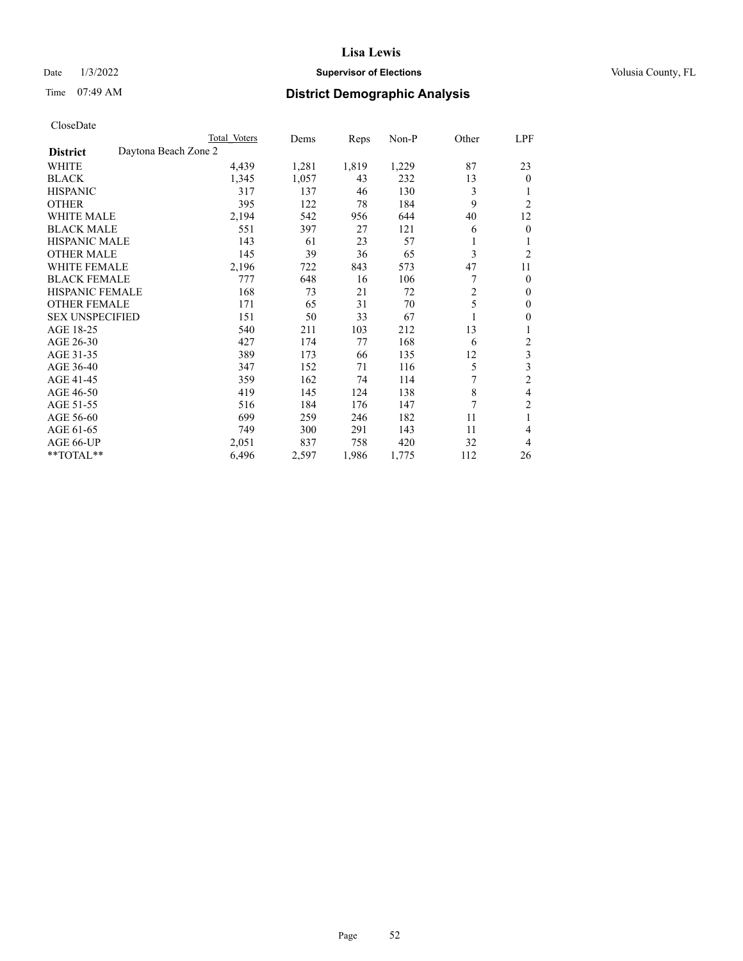## Date  $1/3/2022$  **Supervisor of Elections Supervisor of Elections** Volusia County, FL

# Time 07:49 AM **District Demographic Analysis**

|                                         | Total Voters | Dems  | Reps  | $Non-P$ | Other | LPF              |
|-----------------------------------------|--------------|-------|-------|---------|-------|------------------|
| Daytona Beach Zone 2<br><b>District</b> |              |       |       |         |       |                  |
| WHITE                                   | 4,439        | 1,281 | 1,819 | 1,229   | 87    | 23               |
| <b>BLACK</b>                            | 1,345        | 1,057 | 43    | 232     | 13    | $\theta$         |
| <b>HISPANIC</b>                         | 317          | 137   | 46    | 130     | 3     |                  |
| <b>OTHER</b>                            | 395          | 122   | 78    | 184     | 9     | $\overline{c}$   |
| <b>WHITE MALE</b>                       | 2,194        | 542   | 956   | 644     | 40    | 12               |
| <b>BLACK MALE</b>                       | 551          | 397   | 27    | 121     | 6     | $\mathbf{0}$     |
| <b>HISPANIC MALE</b>                    | 143          | 61    | 23    | 57      | 1     | 1                |
| <b>OTHER MALE</b>                       | 145          | 39    | 36    | 65      | 3     | $\overline{2}$   |
| <b>WHITE FEMALE</b>                     | 2,196        | 722   | 843   | 573     | 47    | 11               |
| <b>BLACK FEMALE</b>                     | 777          | 648   | 16    | 106     | 7     | $\mathbf{0}$     |
| <b>HISPANIC FEMALE</b>                  | 168          | 73    | 21    | 72      | 2     | $\mathbf{0}$     |
| <b>OTHER FEMALE</b>                     | 171          | 65    | 31    | 70      | 5     | $\mathbf{0}$     |
| <b>SEX UNSPECIFIED</b>                  | 151          | 50    | 33    | 67      |       | $\boldsymbol{0}$ |
| AGE 18-25                               | 540          | 211   | 103   | 212     | 13    | 1                |
| AGE 26-30                               | 427          | 174   | 77    | 168     | 6     | $\overline{c}$   |
| AGE 31-35                               | 389          | 173   | 66    | 135     | 12    | 3                |
| AGE 36-40                               | 347          | 152   | 71    | 116     | 5     | 3                |
| AGE 41-45                               | 359          | 162   | 74    | 114     | 7     | $\overline{2}$   |
| AGE 46-50                               | 419          | 145   | 124   | 138     | 8     | 4                |
| AGE 51-55                               | 516          | 184   | 176   | 147     | 7     | $\overline{c}$   |
| AGE 56-60                               | 699          | 259   | 246   | 182     | 11    | 1                |
| AGE 61-65                               | 749          | 300   | 291   | 143     | 11    | 4                |
| AGE 66-UP                               | 2,051        | 837   | 758   | 420     | 32    | 4                |
| **TOTAL**                               | 6,496        | 2,597 | 1,986 | 1,775   | 112   | 26               |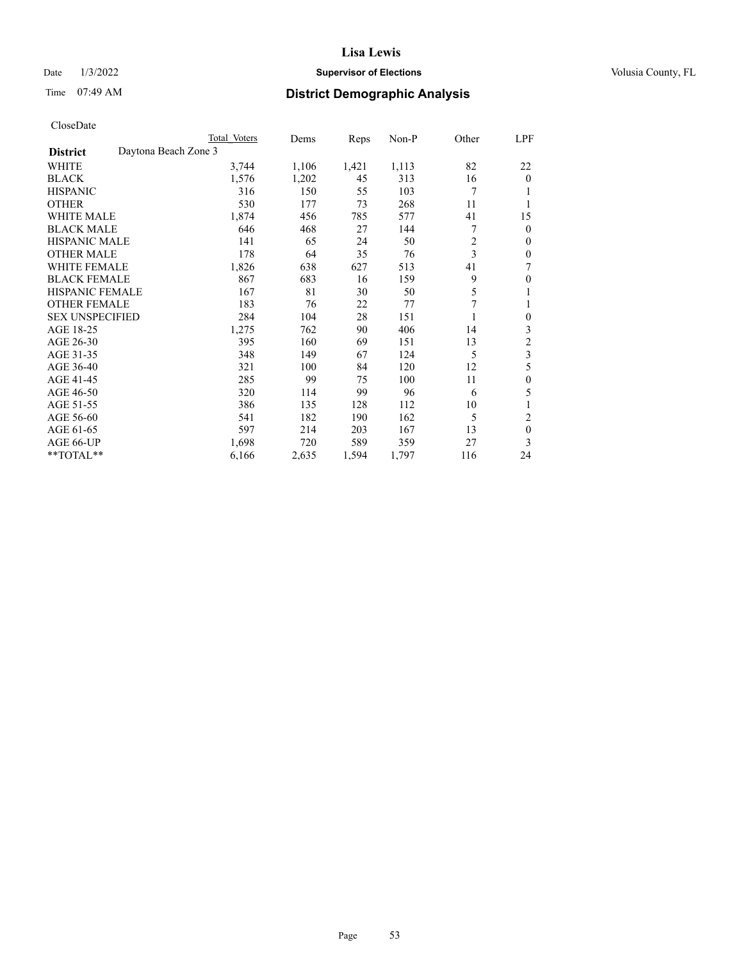## Date  $1/3/2022$  **Supervisor of Elections Supervisor of Elections** Volusia County, FL

# Time 07:49 AM **District Demographic Analysis**

|                                         | Total Voters | Dems  | Reps  | $Non-P$ | Other          | LPF            |
|-----------------------------------------|--------------|-------|-------|---------|----------------|----------------|
| Daytona Beach Zone 3<br><b>District</b> |              |       |       |         |                |                |
| WHITE                                   | 3,744        | 1,106 | 1,421 | 1,113   | 82             | 22             |
| <b>BLACK</b>                            | 1,576        | 1,202 | 45    | 313     | 16             | $\Omega$       |
| <b>HISPANIC</b>                         | 316          | 150   | 55    | 103     | 7              |                |
| <b>OTHER</b>                            | 530          | 177   | 73    | 268     | 11             |                |
| <b>WHITE MALE</b>                       | 1,874        | 456   | 785   | 577     | 41             | 15             |
| <b>BLACK MALE</b>                       | 646          | 468   | 27    | 144     | 7              | 0              |
| <b>HISPANIC MALE</b>                    | 141          | 65    | 24    | 50      | $\overline{2}$ | 0              |
| <b>OTHER MALE</b>                       | 178          | 64    | 35    | 76      | 3              | 0              |
| WHITE FEMALE                            | 1,826        | 638   | 627   | 513     | 41             | 7              |
| <b>BLACK FEMALE</b>                     | 867          | 683   | 16    | 159     | 9              | 0              |
| <b>HISPANIC FEMALE</b>                  | 167          | 81    | 30    | 50      | 5              | 1              |
| <b>OTHER FEMALE</b>                     | 183          | 76    | 22    | 77      | 7              | 1              |
| <b>SEX UNSPECIFIED</b>                  | 284          | 104   | 28    | 151     |                | 0              |
| AGE 18-25                               | 1,275        | 762   | 90    | 406     | 14             | 3              |
| AGE 26-30                               | 395          | 160   | 69    | 151     | 13             | $\overline{c}$ |
| AGE 31-35                               | 348          | 149   | 67    | 124     | 5              | 3              |
| AGE 36-40                               | 321          | 100   | 84    | 120     | 12             | 5              |
| AGE 41-45                               | 285          | 99    | 75    | 100     | 11             | $\mathbf{0}$   |
| AGE 46-50                               | 320          | 114   | 99    | 96      | 6              | 5              |
| AGE 51-55                               | 386          | 135   | 128   | 112     | 10             |                |
| AGE 56-60                               | 541          | 182   | 190   | 162     | 5              | 2              |
| AGE 61-65                               | 597          | 214   | 203   | 167     | 13             | $\theta$       |
| AGE 66-UP                               | 1,698        | 720   | 589   | 359     | 27             | 3              |
| **TOTAL**                               | 6,166        | 2,635 | 1,594 | 1,797   | 116            | 24             |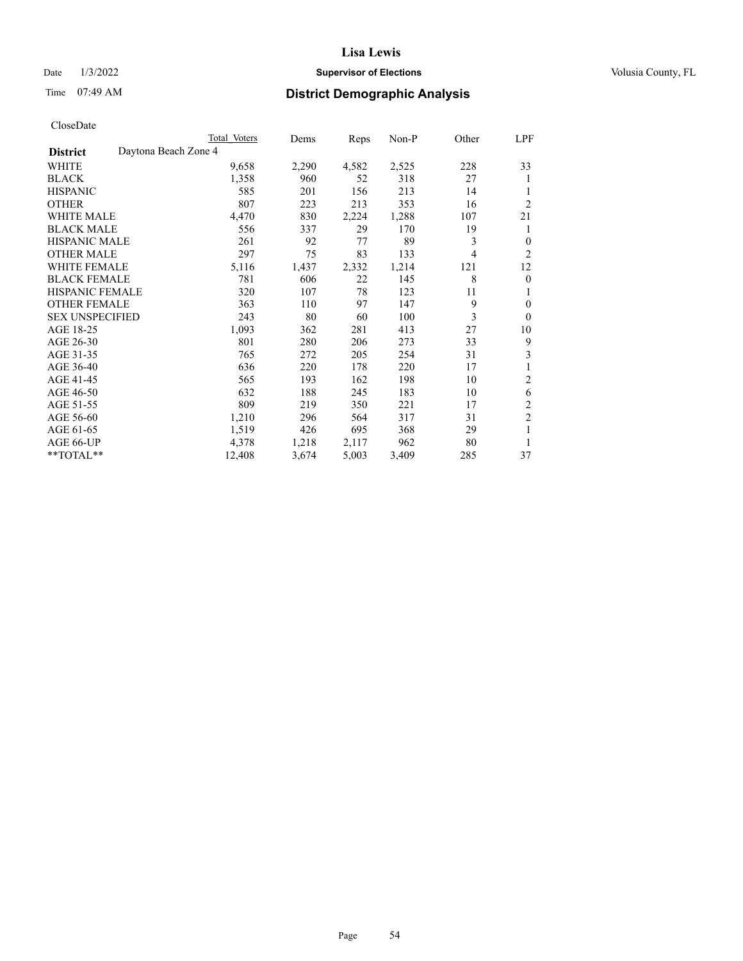## Date  $1/3/2022$  **Supervisor of Elections Supervisor of Elections** Volusia County, FL

# Time 07:49 AM **District Demographic Analysis**

|                        |                      | Total Voters | Dems  | Reps  | $Non-P$ | Other | <u>LPF</u>     |
|------------------------|----------------------|--------------|-------|-------|---------|-------|----------------|
| <b>District</b>        | Daytona Beach Zone 4 |              |       |       |         |       |                |
| WHITE                  |                      | 9,658        | 2,290 | 4,582 | 2,525   | 228   | 33             |
| <b>BLACK</b>           |                      | 1,358        | 960   | 52    | 318     | 27    | 1              |
| <b>HISPANIC</b>        |                      | 585          | 201   | 156   | 213     | 14    |                |
| <b>OTHER</b>           |                      | 807          | 223   | 213   | 353     | 16    | $\overline{2}$ |
| <b>WHITE MALE</b>      |                      | 4,470        | 830   | 2,224 | 1,288   | 107   | 21             |
| <b>BLACK MALE</b>      |                      | 556          | 337   | 29    | 170     | 19    | 1              |
| <b>HISPANIC MALE</b>   |                      | 261          | 92    | 77    | 89      | 3     | $\overline{0}$ |
| <b>OTHER MALE</b>      |                      | 297          | 75    | 83    | 133     | 4     | $\overline{2}$ |
| <b>WHITE FEMALE</b>    |                      | 5,116        | 1,437 | 2,332 | 1,214   | 121   | 12             |
| <b>BLACK FEMALE</b>    |                      | 781          | 606   | 22    | 145     | 8     | $\theta$       |
| <b>HISPANIC FEMALE</b> |                      | 320          | 107   | 78    | 123     | 11    | 1              |
| <b>OTHER FEMALE</b>    |                      | 363          | 110   | 97    | 147     | 9     | $\theta$       |
| <b>SEX UNSPECIFIED</b> |                      | 243          | 80    | 60    | 100     | 3     | $\theta$       |
| AGE 18-25              |                      | 1,093        | 362   | 281   | 413     | 27    | 10             |
| AGE 26-30              |                      | 801          | 280   | 206   | 273     | 33    | 9              |
| AGE 31-35              |                      | 765          | 272   | 205   | 254     | 31    | 3              |
| AGE 36-40              |                      | 636          | 220   | 178   | 220     | 17    | 1              |
| AGE 41-45              |                      | 565          | 193   | 162   | 198     | 10    | 2              |
| AGE 46-50              |                      | 632          | 188   | 245   | 183     | 10    | 6              |
| AGE 51-55              |                      | 809          | 219   | 350   | 221     | 17    | 2              |
| AGE 56-60              |                      | 1,210        | 296   | 564   | 317     | 31    | $\overline{2}$ |
| AGE 61-65              |                      | 1,519        | 426   | 695   | 368     | 29    | 1              |
| AGE 66-UP              |                      | 4,378        | 1,218 | 2,117 | 962     | 80    | 1              |
| **TOTAL**              |                      | 12,408       | 3,674 | 5,003 | 3,409   | 285   | 37             |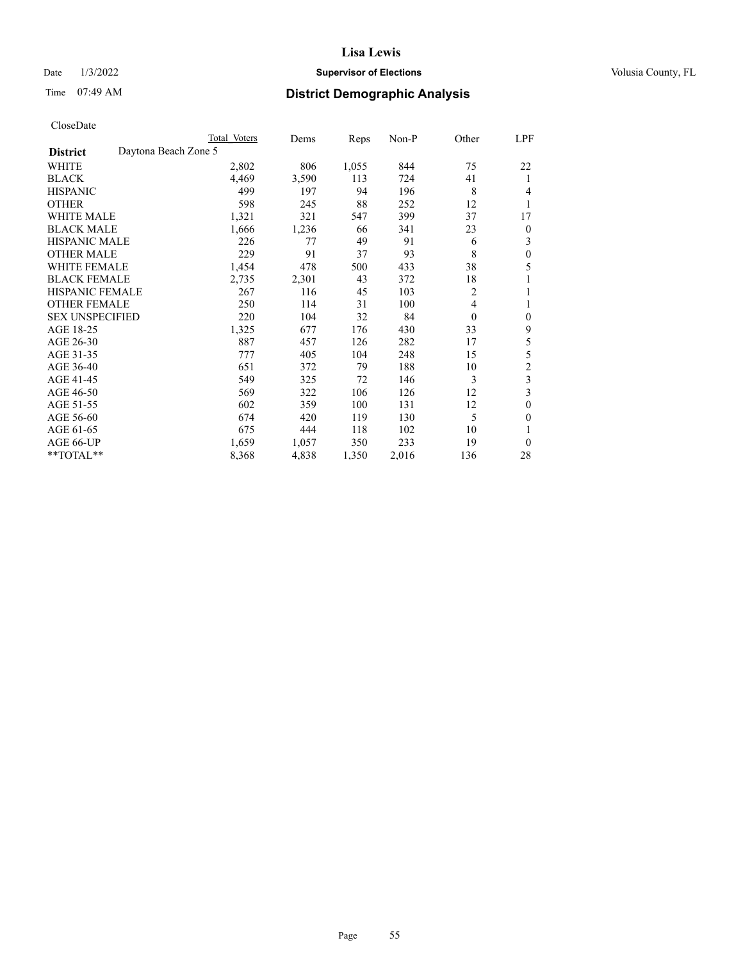## Date  $1/3/2022$  **Supervisor of Elections Supervisor of Elections** Volusia County, FL

# Time 07:49 AM **District Demographic Analysis**

| Total Voters | Dems                 | Reps  | $Non-P$ | Other                    | LPF            |
|--------------|----------------------|-------|---------|--------------------------|----------------|
|              |                      |       |         |                          |                |
| 2,802        | 806                  | 1,055 | 844     | 75                       | 22             |
| 4,469        | 3,590                | 113   | 724     | 41                       | 1              |
| 499          | 197                  | 94    | 196     | 8                        | 4              |
| 598          | 245                  | 88    | 252     | 12                       | 1              |
| 1,321        | 321                  | 547   | 399     | 37                       | 17             |
| 1,666        | 1,236                | 66    | 341     | 23                       | $\theta$       |
| 226          | 77                   | 49    | 91      | 6                        | 3              |
| 229          | 91                   | 37    | 93      | 8                        | $\theta$       |
| 1,454        | 478                  | 500   | 433     | 38                       | 5              |
| 2,735        | 2,301                | 43    | 372     | 18                       |                |
| 267          | 116                  | 45    | 103     | 2                        | 1              |
| 250          | 114                  | 31    | 100     | $\overline{\mathcal{L}}$ | 1              |
| 220          | 104                  | 32    | 84      | $\mathbf{0}$             | $\theta$       |
| 1,325        | 677                  | 176   | 430     | 33                       | 9              |
| 887          | 457                  | 126   | 282     | 17                       | 5              |
| 777          | 405                  | 104   | 248     | 15                       | 5              |
| 651          | 372                  | 79    | 188     | 10                       | $\overline{c}$ |
| 549          | 325                  | 72    | 146     | 3                        | 3              |
| 569          | 322                  | 106   | 126     | 12                       | 3              |
| 602          | 359                  | 100   | 131     | 12                       | $\theta$       |
| 674          | 420                  | 119   | 130     | 5                        | $\theta$       |
| 675          | 444                  | 118   | 102     | 10                       |                |
| 1,659        | 1,057                | 350   | 233     | 19                       | $\theta$       |
| 8,368        | 4,838                | 1,350 | 2,016   | 136                      | 28             |
|              | Daytona Beach Zone 5 |       |         |                          |                |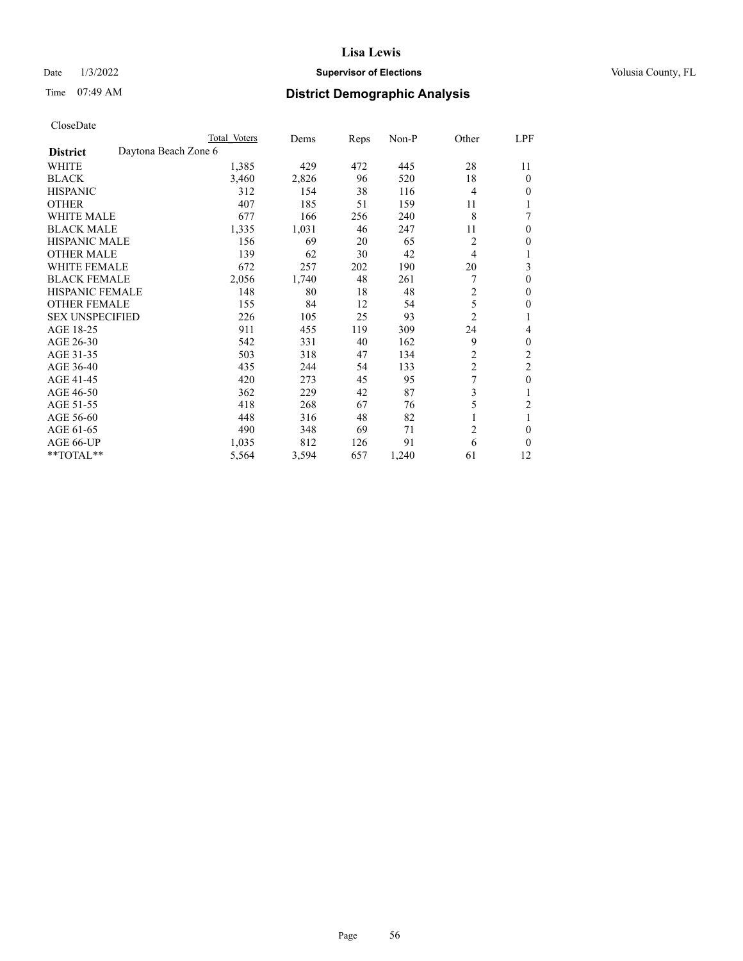## Date  $1/3/2022$  **Supervisor of Elections Supervisor of Elections** Volusia County, FL

# Time 07:49 AM **District Demographic Analysis**

|                        |                      | Total Voters | Dems  | Reps | Non-P | Other          | LPF            |
|------------------------|----------------------|--------------|-------|------|-------|----------------|----------------|
| <b>District</b>        | Daytona Beach Zone 6 |              |       |      |       |                |                |
| WHITE                  |                      | 1,385        | 429   | 472  | 445   | 28             | 11             |
| <b>BLACK</b>           |                      | 3,460        | 2,826 | 96   | 520   | 18             | 0              |
| <b>HISPANIC</b>        |                      | 312          | 154   | 38   | 116   | $\overline{4}$ | 0              |
| <b>OTHER</b>           |                      | 407          | 185   | 51   | 159   | 11             |                |
| WHITE MALE             |                      | 677          | 166   | 256  | 240   | 8              | 7              |
| <b>BLACK MALE</b>      |                      | 1,335        | 1,031 | 46   | 247   | 11             | 0              |
| <b>HISPANIC MALE</b>   |                      | 156          | 69    | 20   | 65    | 2              | 0              |
| <b>OTHER MALE</b>      |                      | 139          | 62    | 30   | 42    | 4              | 1              |
| <b>WHITE FEMALE</b>    |                      | 672          | 257   | 202  | 190   | 20             | 3              |
| <b>BLACK FEMALE</b>    |                      | 2,056        | 1,740 | 48   | 261   | 7              | 0              |
| <b>HISPANIC FEMALE</b> |                      | 148          | 80    | 18   | 48    | $\overline{2}$ | 0              |
| <b>OTHER FEMALE</b>    |                      | 155          | 84    | 12   | 54    | 5              | 0              |
| <b>SEX UNSPECIFIED</b> |                      | 226          | 105   | 25   | 93    | $\overline{2}$ |                |
| AGE 18-25              |                      | 911          | 455   | 119  | 309   | 24             | 4              |
| AGE 26-30              |                      | 542          | 331   | 40   | 162   | 9              | 0              |
| AGE 31-35              |                      | 503          | 318   | 47   | 134   | $\overline{c}$ | $\overline{c}$ |
| AGE 36-40              |                      | 435          | 244   | 54   | 133   | $\overline{c}$ | 2              |
| AGE 41-45              |                      | 420          | 273   | 45   | 95    | 7              | 0              |
| AGE 46-50              |                      | 362          | 229   | 42   | 87    | 3              |                |
| AGE 51-55              |                      | 418          | 268   | 67   | 76    | 5              | $\overline{c}$ |
| AGE 56-60              |                      | 448          | 316   | 48   | 82    |                |                |
| AGE 61-65              |                      | 490          | 348   | 69   | 71    | $\overline{2}$ | 0              |
| AGE 66-UP              |                      | 1,035        | 812   | 126  | 91    | 6              | 0              |
| **TOTAL**              |                      | 5,564        | 3,594 | 657  | 1,240 | 61             | 12             |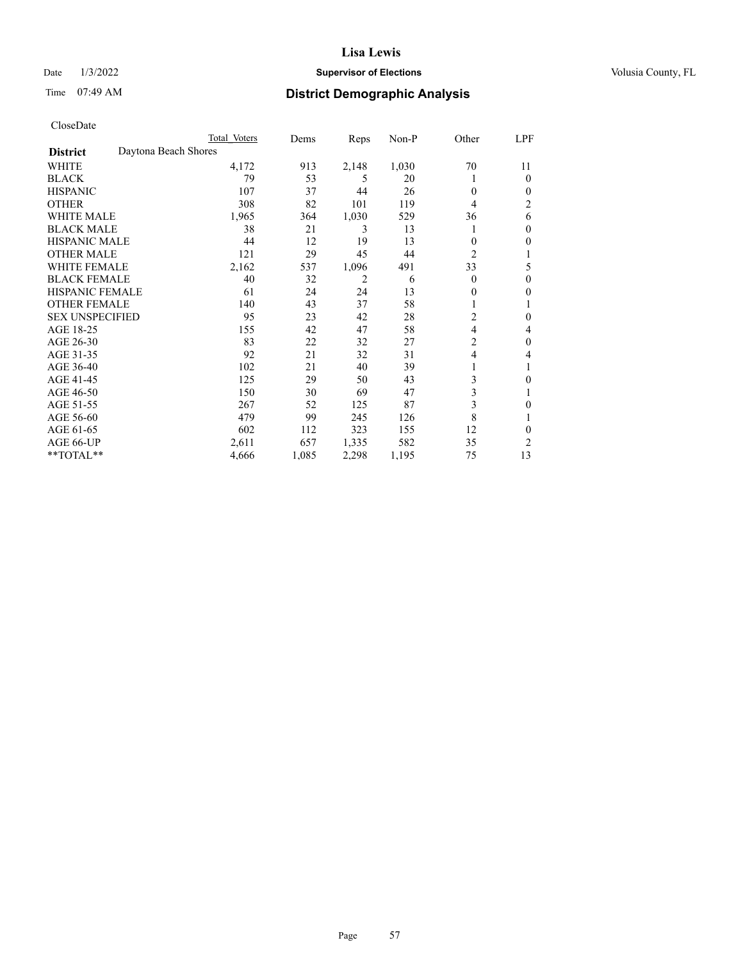## Date  $1/3/2022$  **Supervisor of Elections Supervisor of Elections** Volusia County, FL

# Time 07:49 AM **District Demographic Analysis**

|                        | Total Voters         | Dems  | Reps  | Non-P | Other          | LPF            |
|------------------------|----------------------|-------|-------|-------|----------------|----------------|
| <b>District</b>        | Daytona Beach Shores |       |       |       |                |                |
| WHITE                  | 4,172                | 913   | 2,148 | 1,030 | 70             | 11             |
| <b>BLACK</b>           | 79                   | 53    | 5     | 20    |                | $\Omega$       |
| <b>HISPANIC</b>        | 107                  | 37    | 44    | 26    | $\Omega$       | $\Omega$       |
| <b>OTHER</b>           | 308                  | 82    | 101   | 119   | 4              | $\overline{2}$ |
| <b>WHITE MALE</b>      | 1,965                | 364   | 1,030 | 529   | 36             | 6              |
| <b>BLACK MALE</b>      | 38                   | 21    | 3     | 13    |                | $\mathbf{0}$   |
| <b>HISPANIC MALE</b>   | 44                   | 12    | 19    | 13    | $\mathbf{0}$   | 0              |
| <b>OTHER MALE</b>      | 121                  | 29    | 45    | 44    | $\overline{2}$ | 1              |
| <b>WHITE FEMALE</b>    | 2,162                | 537   | 1,096 | 491   | 33             | 5              |
| <b>BLACK FEMALE</b>    | 40                   | 32    | 2     | 6     | $\Omega$       | $\mathbf{0}$   |
| <b>HISPANIC FEMALE</b> | 61                   | 24    | 24    | 13    | 0              | 0              |
| <b>OTHER FEMALE</b>    | 140                  | 43    | 37    | 58    |                |                |
| <b>SEX UNSPECIFIED</b> | 95                   | 23    | 42    | 28    | $\overline{c}$ | $\theta$       |
| AGE 18-25              | 155                  | 42    | 47    | 58    | $\overline{4}$ | 4              |
| AGE 26-30              | 83                   | 22    | 32    | 27    | $\overline{c}$ | $\theta$       |
| AGE 31-35              | 92                   | 21    | 32    | 31    | 4              | 4              |
| AGE 36-40              | 102                  | 21    | 40    | 39    | 1              |                |
| AGE 41-45              | 125                  | 29    | 50    | 43    | 3              | 0              |
| AGE 46-50              | 150                  | 30    | 69    | 47    | 3              |                |
| AGE 51-55              | 267                  | 52    | 125   | 87    | 3              | 0              |
| AGE 56-60              | 479                  | 99    | 245   | 126   | 8              |                |
| AGE 61-65              | 602                  | 112   | 323   | 155   | 12             | $\theta$       |
| AGE 66-UP              | 2,611                | 657   | 1,335 | 582   | 35             | 2              |
| **TOTAL**              | 4,666                | 1,085 | 2,298 | 1,195 | 75             | 13             |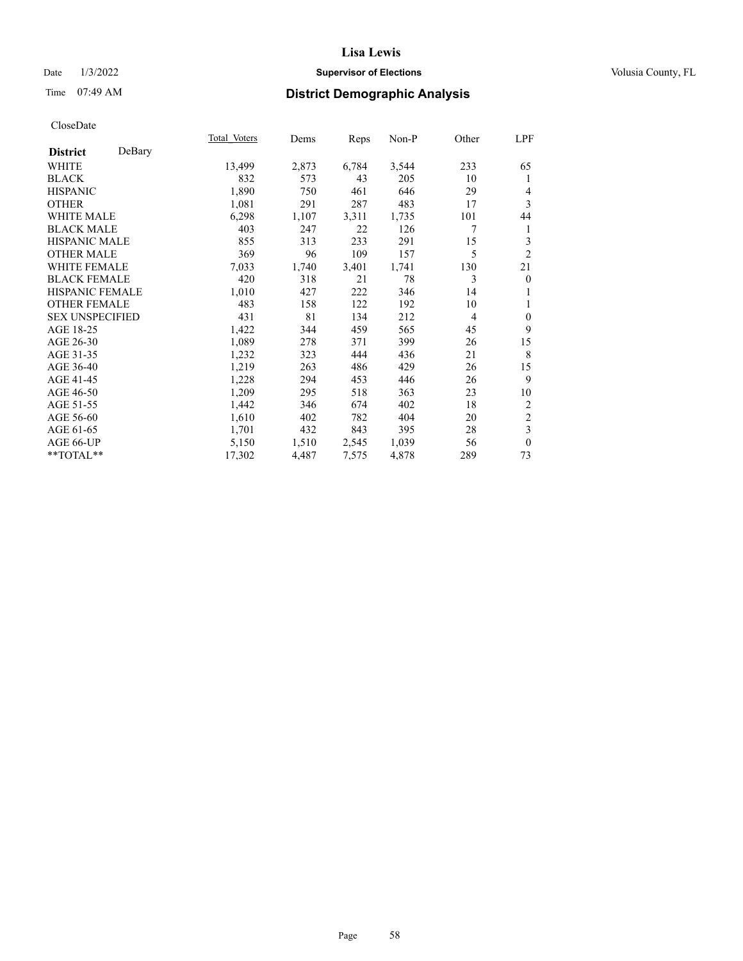## Date  $1/3/2022$  **Supervisor of Elections Supervisor of Elections** Volusia County, FL

# Time 07:49 AM **District Demographic Analysis**

|                        |        | Total Voters | Dems  | Reps  | Non-P | Other          | LPF              |
|------------------------|--------|--------------|-------|-------|-------|----------------|------------------|
| <b>District</b>        | DeBary |              |       |       |       |                |                  |
| WHITE                  |        | 13,499       | 2,873 | 6,784 | 3,544 | 233            | 65               |
| <b>BLACK</b>           |        | 832          | 573   | 43    | 205   | 10             | 1                |
| <b>HISPANIC</b>        |        | 1,890        | 750   | 461   | 646   | 29             | 4                |
| <b>OTHER</b>           |        | 1,081        | 291   | 287   | 483   | 17             | 3                |
| WHITE MALE             |        | 6,298        | 1,107 | 3,311 | 1,735 | 101            | 44               |
| <b>BLACK MALE</b>      |        | 403          | 247   | 22    | 126   | 7              | 1                |
| <b>HISPANIC MALE</b>   |        | 855          | 313   | 233   | 291   | 15             | 3                |
| <b>OTHER MALE</b>      |        | 369          | 96    | 109   | 157   | 5              | $\overline{2}$   |
| <b>WHITE FEMALE</b>    |        | 7,033        | 1,740 | 3,401 | 1,741 | 130            | 21               |
| <b>BLACK FEMALE</b>    |        | 420          | 318   | 21    | 78    | 3              | $\mathbf{0}$     |
| <b>HISPANIC FEMALE</b> |        | 1,010        | 427   | 222   | 346   | 14             | 1                |
| <b>OTHER FEMALE</b>    |        | 483          | 158   | 122   | 192   | 10             | 1                |
| <b>SEX UNSPECIFIED</b> |        | 431          | 81    | 134   | 212   | $\overline{4}$ | $\boldsymbol{0}$ |
| AGE 18-25              |        | 1,422        | 344   | 459   | 565   | 45             | 9                |
| AGE 26-30              |        | 1,089        | 278   | 371   | 399   | 26             | 15               |
| AGE 31-35              |        | 1,232        | 323   | 444   | 436   | 21             | 8                |
| AGE 36-40              |        | 1,219        | 263   | 486   | 429   | 26             | 15               |
| AGE 41-45              |        | 1,228        | 294   | 453   | 446   | 26             | 9                |
| AGE 46-50              |        | 1,209        | 295   | 518   | 363   | 23             | 10               |
| AGE 51-55              |        | 1,442        | 346   | 674   | 402   | 18             | $\overline{2}$   |
| AGE 56-60              |        | 1,610        | 402   | 782   | 404   | 20             | $\sqrt{2}$       |
| AGE 61-65              |        | 1,701        | 432   | 843   | 395   | 28             | 3                |
| AGE 66-UP              |        | 5,150        | 1,510 | 2,545 | 1,039 | 56             | $\mathbf{0}$     |
| **TOTAL**              |        | 17,302       | 4,487 | 7,575 | 4,878 | 289            | 73               |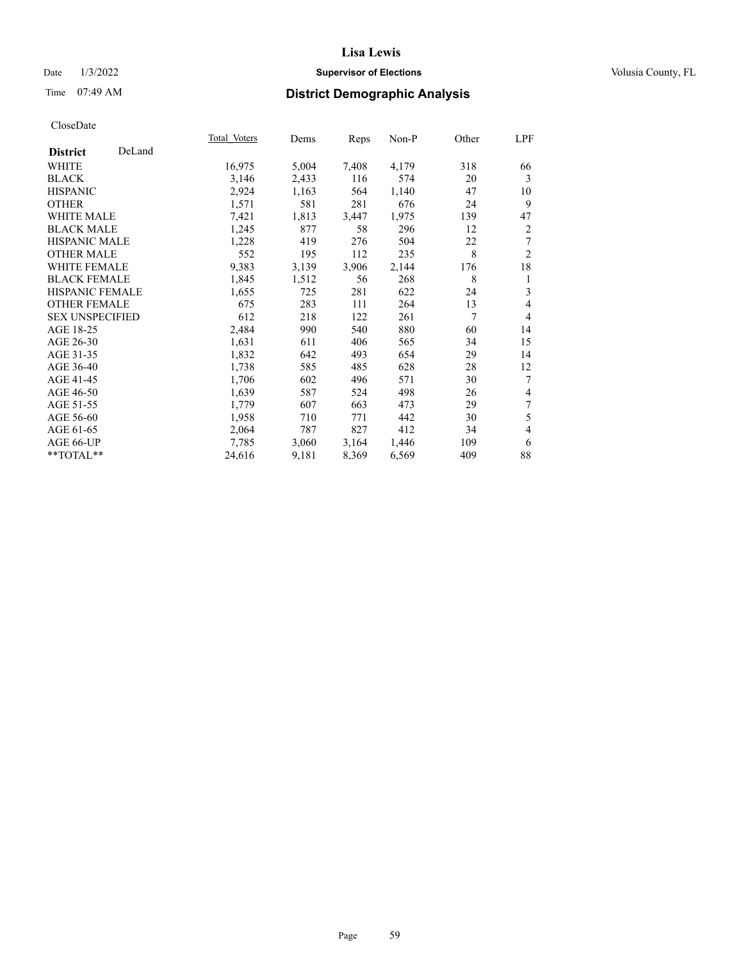## Date  $1/3/2022$  **Supervisor of Elections Supervisor of Elections** Volusia County, FL

# Time 07:49 AM **District Demographic Analysis**

|                        |        | Total Voters | Dems  | Reps  | Non-P | Other | LPF            |
|------------------------|--------|--------------|-------|-------|-------|-------|----------------|
| <b>District</b>        | DeLand |              |       |       |       |       |                |
| <b>WHITE</b>           |        | 16,975       | 5,004 | 7,408 | 4,179 | 318   | 66             |
| <b>BLACK</b>           |        | 3,146        | 2,433 | 116   | 574   | 20    | 3              |
| <b>HISPANIC</b>        |        | 2,924        | 1,163 | 564   | 1,140 | 47    | 10             |
| <b>OTHER</b>           |        | 1,571        | 581   | 281   | 676   | 24    | 9              |
| <b>WHITE MALE</b>      |        | 7,421        | 1,813 | 3,447 | 1,975 | 139   | 47             |
| <b>BLACK MALE</b>      |        | 1,245        | 877   | 58    | 296   | 12    | 2              |
| <b>HISPANIC MALE</b>   |        | 1,228        | 419   | 276   | 504   | 22    | 7              |
| <b>OTHER MALE</b>      |        | 552          | 195   | 112   | 235   | 8     | $\overline{2}$ |
| WHITE FEMALE           |        | 9,383        | 3,139 | 3,906 | 2,144 | 176   | 18             |
| <b>BLACK FEMALE</b>    |        | 1,845        | 1,512 | 56    | 268   | 8     | 1              |
| <b>HISPANIC FEMALE</b> |        | 1,655        | 725   | 281   | 622   | 24    | 3              |
| <b>OTHER FEMALE</b>    |        | 675          | 283   | 111   | 264   | 13    | 4              |
| <b>SEX UNSPECIFIED</b> |        | 612          | 218   | 122   | 261   | 7     | $\overline{4}$ |
| AGE 18-25              |        | 2,484        | 990   | 540   | 880   | 60    | 14             |
| AGE 26-30              |        | 1,631        | 611   | 406   | 565   | 34    | 15             |
| AGE 31-35              |        | 1,832        | 642   | 493   | 654   | 29    | 14             |
| AGE 36-40              |        | 1,738        | 585   | 485   | 628   | 28    | 12             |
| AGE 41-45              |        | 1,706        | 602   | 496   | 571   | 30    | 7              |
| AGE 46-50              |        | 1,639        | 587   | 524   | 498   | 26    | 4              |
| AGE 51-55              |        | 1,779        | 607   | 663   | 473   | 29    | 7              |
| AGE 56-60              |        | 1,958        | 710   | 771   | 442   | 30    | 5              |
| AGE 61-65              |        | 2,064        | 787   | 827   | 412   | 34    | 4              |
| AGE 66-UP              |        | 7,785        | 3,060 | 3,164 | 1,446 | 109   | 6              |
| $**TOTAL**$            |        | 24,616       | 9,181 | 8,369 | 6,569 | 409   | 88             |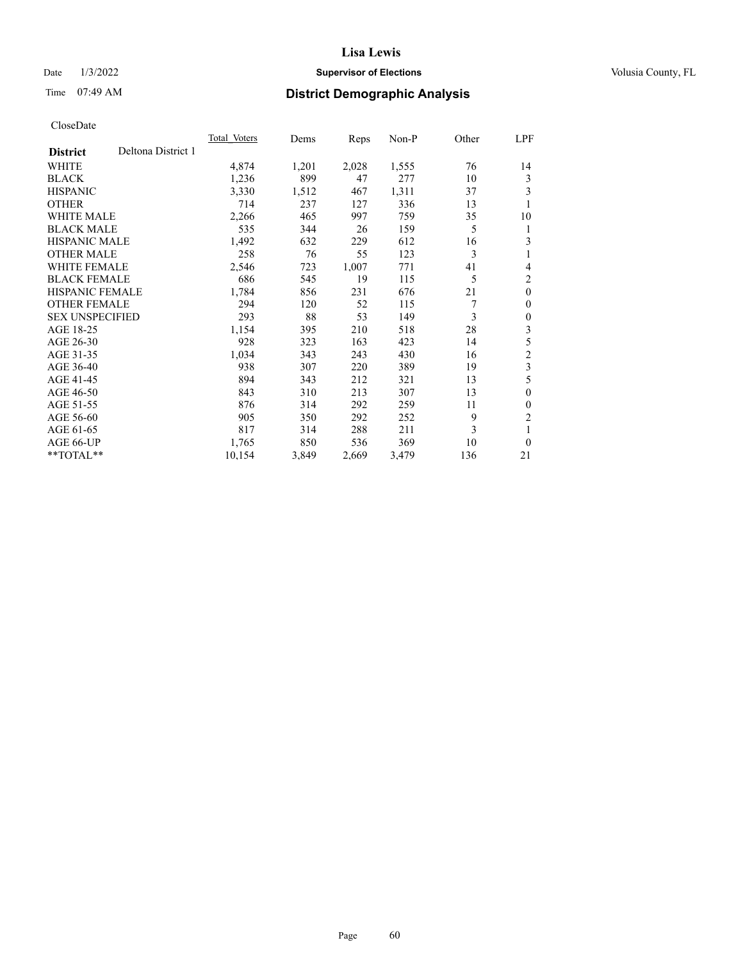## Date  $1/3/2022$  **Supervisor of Elections Supervisor of Elections** Volusia County, FL

# Time 07:49 AM **District Demographic Analysis**

|                        |                    | Total Voters | Dems  | Reps  | Non-P | Other | LPF            |
|------------------------|--------------------|--------------|-------|-------|-------|-------|----------------|
| <b>District</b>        | Deltona District 1 |              |       |       |       |       |                |
| WHITE                  |                    | 4,874        | 1,201 | 2,028 | 1,555 | 76    | 14             |
| <b>BLACK</b>           |                    | 1,236        | 899   | 47    | 277   | 10    | 3              |
| <b>HISPANIC</b>        |                    | 3,330        | 1,512 | 467   | 1,311 | 37    | 3              |
| <b>OTHER</b>           |                    | 714          | 237   | 127   | 336   | 13    | 1              |
| WHITE MALE             |                    | 2,266        | 465   | 997   | 759   | 35    | 10             |
| <b>BLACK MALE</b>      |                    | 535          | 344   | 26    | 159   | 5     | 1              |
| <b>HISPANIC MALE</b>   |                    | 1,492        | 632   | 229   | 612   | 16    | 3              |
| <b>OTHER MALE</b>      |                    | 258          | 76    | 55    | 123   | 3     | 1              |
| WHITE FEMALE           |                    | 2,546        | 723   | 1,007 | 771   | 41    | 4              |
| <b>BLACK FEMALE</b>    |                    | 686          | 545   | 19    | 115   | 5     | 2              |
| <b>HISPANIC FEMALE</b> |                    | 1,784        | 856   | 231   | 676   | 21    | $\theta$       |
| <b>OTHER FEMALE</b>    |                    | 294          | 120   | 52    | 115   | 7     | 0              |
| <b>SEX UNSPECIFIED</b> |                    | 293          | 88    | 53    | 149   | 3     | 0              |
| AGE 18-25              |                    | 1,154        | 395   | 210   | 518   | 28    | 3              |
| AGE 26-30              |                    | 928          | 323   | 163   | 423   | 14    | 5              |
| AGE 31-35              |                    | 1,034        | 343   | 243   | 430   | 16    | $\overline{c}$ |
| AGE 36-40              |                    | 938          | 307   | 220   | 389   | 19    | 3              |
| AGE 41-45              |                    | 894          | 343   | 212   | 321   | 13    | 5              |
| AGE 46-50              |                    | 843          | 310   | 213   | 307   | 13    | $\Omega$       |
| AGE 51-55              |                    | 876          | 314   | 292   | 259   | 11    | 0              |
| AGE 56-60              |                    | 905          | 350   | 292   | 252   | 9     | 2              |
| AGE 61-65              |                    | 817          | 314   | 288   | 211   | 3     | 1              |
| AGE 66-UP              |                    | 1,765        | 850   | 536   | 369   | 10    | $\Omega$       |
| **TOTAL**              |                    | 10,154       | 3,849 | 2,669 | 3,479 | 136   | 21             |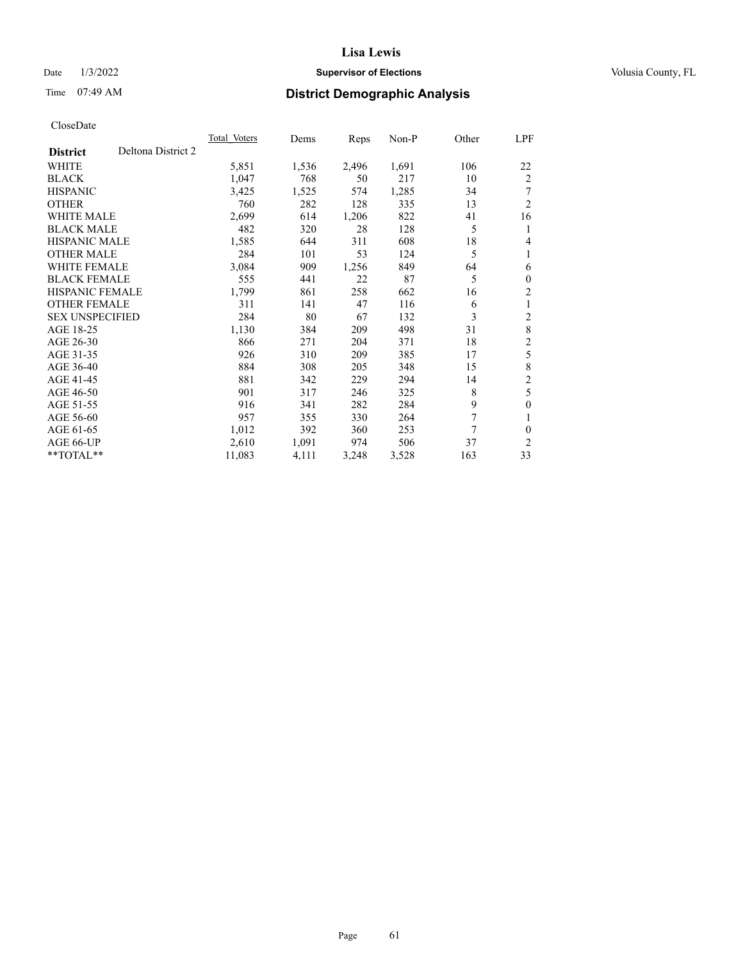## Date  $1/3/2022$  **Supervisor of Elections Supervisor of Elections** Volusia County, FL

# Time 07:49 AM **District Demographic Analysis**

|                                       | Total Voters | Dems  | Reps  | $Non-P$ | Other | LPF            |
|---------------------------------------|--------------|-------|-------|---------|-------|----------------|
| Deltona District 2<br><b>District</b> |              |       |       |         |       |                |
| WHITE                                 | 5,851        | 1,536 | 2,496 | 1,691   | 106   | 22             |
| <b>BLACK</b>                          | 1,047        | 768   | 50    | 217     | 10    | 2              |
| <b>HISPANIC</b>                       | 3,425        | 1,525 | 574   | 1,285   | 34    | 7              |
| <b>OTHER</b>                          | 760          | 282   | 128   | 335     | 13    | $\overline{2}$ |
| <b>WHITE MALE</b>                     | 2,699        | 614   | 1,206 | 822     | 41    | 16             |
| <b>BLACK MALE</b>                     | 482          | 320   | 28    | 128     | 5     | 1              |
| <b>HISPANIC MALE</b>                  | 1,585        | 644   | 311   | 608     | 18    | 4              |
| <b>OTHER MALE</b>                     | 284          | 101   | 53    | 124     | 5     | 1              |
| <b>WHITE FEMALE</b>                   | 3,084        | 909   | 1,256 | 849     | 64    | 6              |
| <b>BLACK FEMALE</b>                   | 555          | 441   | 22    | 87      | 5     | $\mathbf{0}$   |
| <b>HISPANIC FEMALE</b>                | 1,799        | 861   | 258   | 662     | 16    | $\overline{2}$ |
| <b>OTHER FEMALE</b>                   | 311          | 141   | 47    | 116     | 6     | 1              |
| <b>SEX UNSPECIFIED</b>                | 284          | 80    | 67    | 132     | 3     | $\overline{c}$ |
| AGE 18-25                             | 1,130        | 384   | 209   | 498     | 31    | 8              |
| AGE 26-30                             | 866          | 271   | 204   | 371     | 18    | $\overline{c}$ |
| AGE 31-35                             | 926          | 310   | 209   | 385     | 17    | 5              |
| AGE 36-40                             | 884          | 308   | 205   | 348     | 15    | 8              |
| AGE 41-45                             | 881          | 342   | 229   | 294     | 14    | $\overline{c}$ |
| AGE 46-50                             | 901          | 317   | 246   | 325     | 8     | 5              |
| AGE 51-55                             | 916          | 341   | 282   | 284     | 9     | $\mathbf{0}$   |
| AGE 56-60                             | 957          | 355   | 330   | 264     | 7     | 1              |
| AGE 61-65                             | 1,012        | 392   | 360   | 253     | 7     | $\theta$       |
| AGE 66-UP                             | 2,610        | 1,091 | 974   | 506     | 37    | 2              |
| $*$ $TOTAL**$                         | 11,083       | 4,111 | 3,248 | 3,528   | 163   | 33             |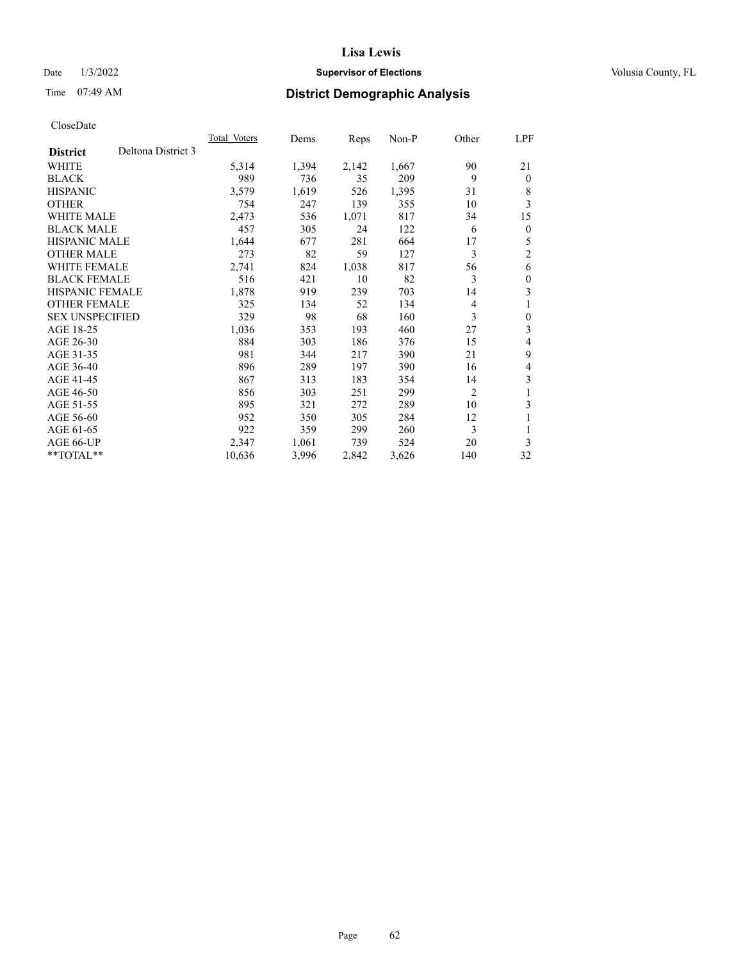## Date  $1/3/2022$  **Supervisor of Elections Supervisor of Elections** Volusia County, FL

# Time 07:49 AM **District Demographic Analysis**

| Total Voters | Dems  | Reps  | Non-P | Other          | LPF            |
|--------------|-------|-------|-------|----------------|----------------|
|              |       |       |       |                |                |
| 5,314        | 1,394 | 2,142 | 1,667 | 90             | 21             |
| 989          | 736   | 35    | 209   | 9              | $\theta$       |
| 3,579        | 1,619 | 526   | 1,395 | 31             | 8              |
| 754          | 247   | 139   | 355   | 10             | 3              |
| 2,473        | 536   | 1,071 | 817   | 34             | 15             |
| 457          | 305   | 24    | 122   | 6              | $\mathbf{0}$   |
| 1,644        | 677   | 281   | 664   | 17             | 5              |
| 273          | 82    | 59    | 127   | 3              | $\overline{2}$ |
| 2,741        | 824   | 1,038 | 817   | 56             | 6              |
| 516          | 421   | 10    | 82    | 3              | $\theta$       |
| 1,878        | 919   | 239   | 703   | 14             | 3              |
| 325          | 134   | 52    | 134   | 4              | 1              |
| 329          | 98    | 68    | 160   | 3              | $\theta$       |
| 1,036        | 353   | 193   | 460   | 27             | 3              |
| 884          | 303   | 186   | 376   | 15             | 4              |
| 981          | 344   | 217   | 390   | 21             | 9              |
| 896          | 289   | 197   | 390   | 16             | 4              |
| 867          | 313   | 183   | 354   | 14             | 3              |
| 856          | 303   | 251   | 299   | $\overline{2}$ |                |
| 895          | 321   | 272   | 289   | 10             | 3              |
| 952          | 350   | 305   | 284   | 12             | 1              |
| 922          | 359   | 299   | 260   | 3              |                |
| 2,347        | 1,061 | 739   | 524   | 20             | 3              |
| 10,636       | 3,996 | 2,842 | 3,626 | 140            | 32             |
|              |       |       |       |                |                |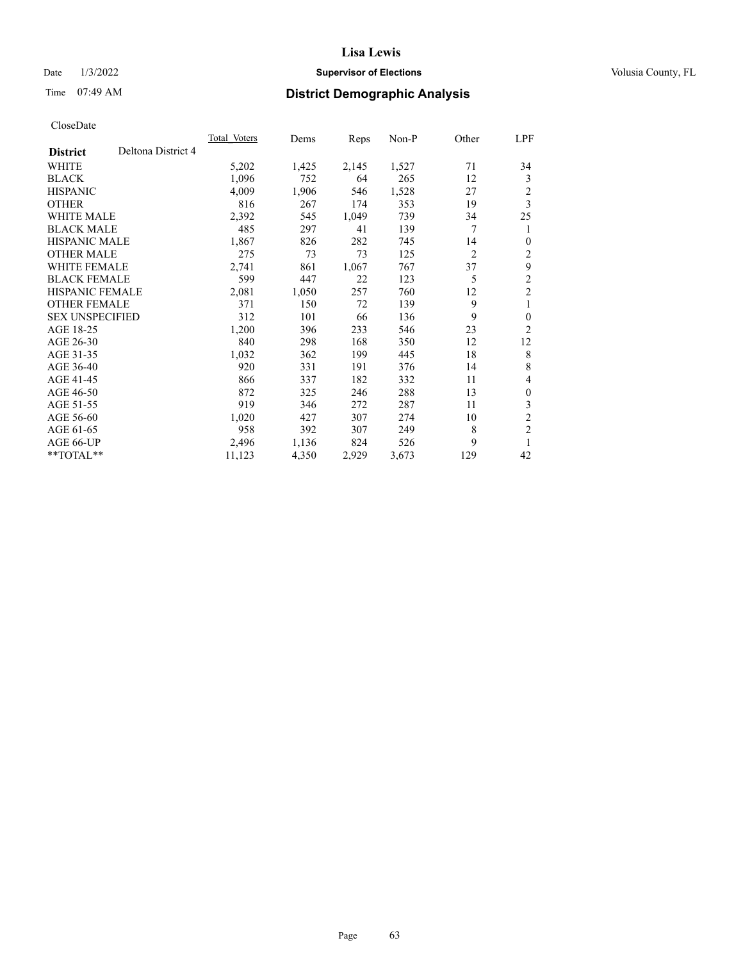## Date  $1/3/2022$  **Supervisor of Elections Supervisor of Elections** Volusia County, FL

# Time 07:49 AM **District Demographic Analysis**

| Total Voters | Dems  | Reps  | Non-P | Other          | LPF            |
|--------------|-------|-------|-------|----------------|----------------|
|              |       |       |       |                |                |
| 5,202        | 1,425 | 2,145 | 1,527 | 71             | 34             |
| 1,096        | 752   | 64    | 265   | 12             | 3              |
| 4,009        | 1,906 | 546   | 1,528 | 27             | $\overline{c}$ |
| 816          | 267   | 174   | 353   | 19             | 3              |
| 2,392        | 545   | 1,049 | 739   | 34             | 25             |
| 485          | 297   | 41    | 139   | 7              | 1              |
| 1,867        | 826   | 282   | 745   | 14             | $\theta$       |
| 275          | 73    | 73    | 125   | $\overline{2}$ | 2              |
| 2,741        | 861   | 1,067 | 767   | 37             | 9              |
| 599          | 447   | 22    | 123   | 5              | $\mathfrak{2}$ |
| 2,081        | 1,050 | 257   | 760   | 12             | $\overline{2}$ |
| 371          | 150   | 72    | 139   | 9              | 1              |
| 312          | 101   | 66    | 136   | 9              | $\mathbf{0}$   |
| 1,200        | 396   | 233   | 546   | 23             | $\overline{2}$ |
| 840          | 298   | 168   | 350   | 12             | 12             |
| 1,032        | 362   | 199   | 445   | 18             | 8              |
| 920          | 331   | 191   | 376   | 14             | 8              |
| 866          | 337   | 182   | 332   | 11             | 4              |
| 872          | 325   | 246   | 288   | 13             | $\mathbf{0}$   |
| 919          | 346   | 272   | 287   | 11             | 3              |
| 1,020        | 427   | 307   | 274   | 10             | $\overline{c}$ |
| 958          | 392   | 307   | 249   | 8              | $\mathfrak{2}$ |
| 2,496        | 1,136 | 824   | 526   | 9              | 1              |
| 11,123       | 4,350 | 2,929 | 3,673 | 129            | 42             |
|              |       |       |       |                |                |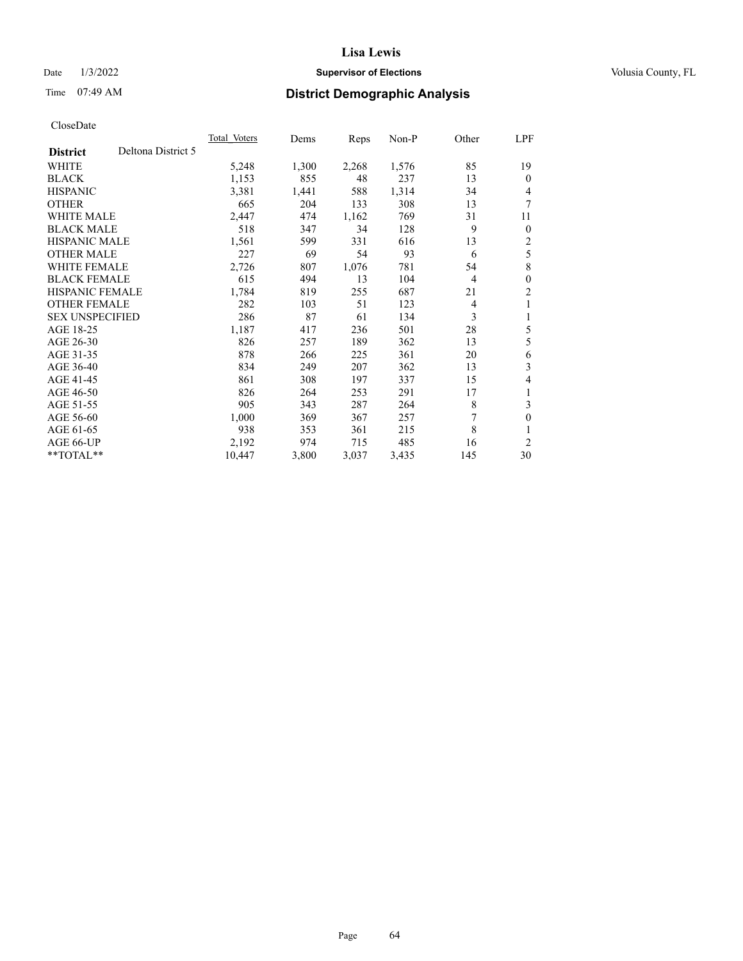## Date  $1/3/2022$  **Supervisor of Elections Supervisor of Elections** Volusia County, FL

# Time 07:49 AM **District Demographic Analysis**

|                        |                    | <b>Total Voters</b> | Dems  | Reps  | $Non-P$ | Other          | LPF            |
|------------------------|--------------------|---------------------|-------|-------|---------|----------------|----------------|
| <b>District</b>        | Deltona District 5 |                     |       |       |         |                |                |
| WHITE                  |                    | 5,248               | 1,300 | 2,268 | 1,576   | 85             | 19             |
| <b>BLACK</b>           |                    | 1,153               | 855   | 48    | 237     | 13             | $\Omega$       |
| <b>HISPANIC</b>        |                    | 3,381               | 1,441 | 588   | 1,314   | 34             | 4              |
| <b>OTHER</b>           |                    | 665                 | 204   | 133   | 308     | 13             | 7              |
| <b>WHITE MALE</b>      |                    | 2,447               | 474   | 1,162 | 769     | 31             | 11             |
| <b>BLACK MALE</b>      |                    | 518                 | 347   | 34    | 128     | 9              | $\overline{0}$ |
| <b>HISPANIC MALE</b>   |                    | 1,561               | 599   | 331   | 616     | 13             | 2              |
| <b>OTHER MALE</b>      |                    | 227                 | 69    | 54    | 93      | 6              | 5              |
| <b>WHITE FEMALE</b>    |                    | 2,726               | 807   | 1,076 | 781     | 54             | 8              |
| <b>BLACK FEMALE</b>    |                    | 615                 | 494   | 13    | 104     | $\overline{4}$ | $\theta$       |
| <b>HISPANIC FEMALE</b> |                    | 1,784               | 819   | 255   | 687     | 21             | 2              |
| <b>OTHER FEMALE</b>    |                    | 282                 | 103   | 51    | 123     | 4              | 1              |
| <b>SEX UNSPECIFIED</b> |                    | 286                 | 87    | 61    | 134     | 3              | 1              |
| AGE 18-25              |                    | 1,187               | 417   | 236   | 501     | 28             | 5              |
| AGE 26-30              |                    | 826                 | 257   | 189   | 362     | 13             | 5              |
| AGE 31-35              |                    | 878                 | 266   | 225   | 361     | 20             | 6              |
| AGE 36-40              |                    | 834                 | 249   | 207   | 362     | 13             | 3              |
| AGE 41-45              |                    | 861                 | 308   | 197   | 337     | 15             | 4              |
| AGE 46-50              |                    | 826                 | 264   | 253   | 291     | 17             | 1              |
| AGE 51-55              |                    | 905                 | 343   | 287   | 264     | 8              | 3              |
| AGE 56-60              |                    | 1,000               | 369   | 367   | 257     | 7              | 0              |
| AGE 61-65              |                    | 938                 | 353   | 361   | 215     | 8              |                |
| AGE 66-UP              |                    | 2,192               | 974   | 715   | 485     | 16             | 2              |
| $*$ $TOTAL**$          |                    | 10,447              | 3,800 | 3,037 | 3,435   | 145            | 30             |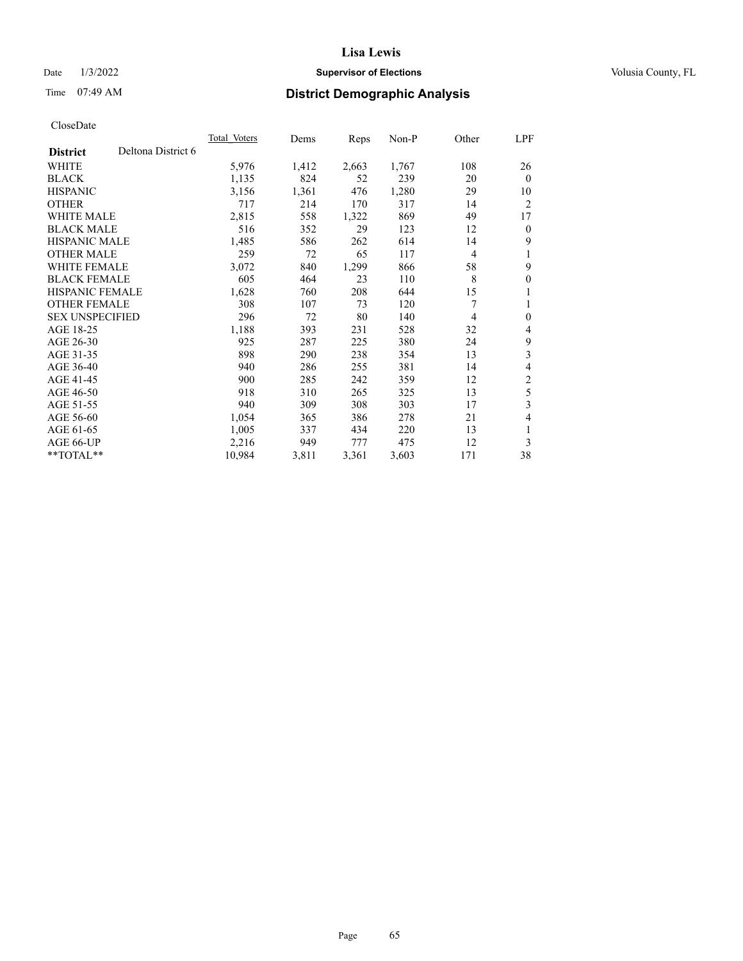## Date  $1/3/2022$  **Supervisor of Elections Supervisor of Elections** Volusia County, FL

# Time 07:49 AM **District Demographic Analysis**

|                        |                    | Total Voters | Dems  | Reps  | $Non-P$ | Other | LPF            |
|------------------------|--------------------|--------------|-------|-------|---------|-------|----------------|
| <b>District</b>        | Deltona District 6 |              |       |       |         |       |                |
| WHITE                  |                    | 5,976        | 1,412 | 2,663 | 1,767   | 108   | 26             |
| <b>BLACK</b>           |                    | 1,135        | 824   | 52    | 239     | 20    | $\mathbf{0}$   |
| <b>HISPANIC</b>        |                    | 3,156        | 1,361 | 476   | 1,280   | 29    | 10             |
| <b>OTHER</b>           |                    | 717          | 214   | 170   | 317     | 14    | $\overline{2}$ |
| <b>WHITE MALE</b>      |                    | 2,815        | 558   | 1,322 | 869     | 49    | 17             |
| <b>BLACK MALE</b>      |                    | 516          | 352   | 29    | 123     | 12    | $\mathbf{0}$   |
| <b>HISPANIC MALE</b>   |                    | 1,485        | 586   | 262   | 614     | 14    | 9              |
| <b>OTHER MALE</b>      |                    | 259          | 72    | 65    | 117     | 4     | 1              |
| <b>WHITE FEMALE</b>    |                    | 3,072        | 840   | 1,299 | 866     | 58    | 9              |
| <b>BLACK FEMALE</b>    |                    | 605          | 464   | 23    | 110     | 8     | $\mathbf{0}$   |
| <b>HISPANIC FEMALE</b> |                    | 1,628        | 760   | 208   | 644     | 15    | 1              |
| <b>OTHER FEMALE</b>    |                    | 308          | 107   | 73    | 120     | 7     | 1              |
| <b>SEX UNSPECIFIED</b> |                    | 296          | 72    | 80    | 140     | 4     | $\mathbf{0}$   |
| AGE 18-25              |                    | 1,188        | 393   | 231   | 528     | 32    | 4              |
| AGE 26-30              |                    | 925          | 287   | 225   | 380     | 24    | 9              |
| AGE 31-35              |                    | 898          | 290   | 238   | 354     | 13    | 3              |
| AGE 36-40              |                    | 940          | 286   | 255   | 381     | 14    | 4              |
| AGE 41-45              |                    | 900          | 285   | 242   | 359     | 12    | $\mathfrak{2}$ |
| AGE 46-50              |                    | 918          | 310   | 265   | 325     | 13    | 5              |
| AGE 51-55              |                    | 940          | 309   | 308   | 303     | 17    | 3              |
| AGE 56-60              |                    | 1,054        | 365   | 386   | 278     | 21    | 4              |
| AGE 61-65              |                    | 1,005        | 337   | 434   | 220     | 13    | 1              |
| AGE 66-UP              |                    | 2,216        | 949   | 777   | 475     | 12    | 3              |
| $*$ $TOTAL**$          |                    | 10,984       | 3,811 | 3,361 | 3,603   | 171   | 38             |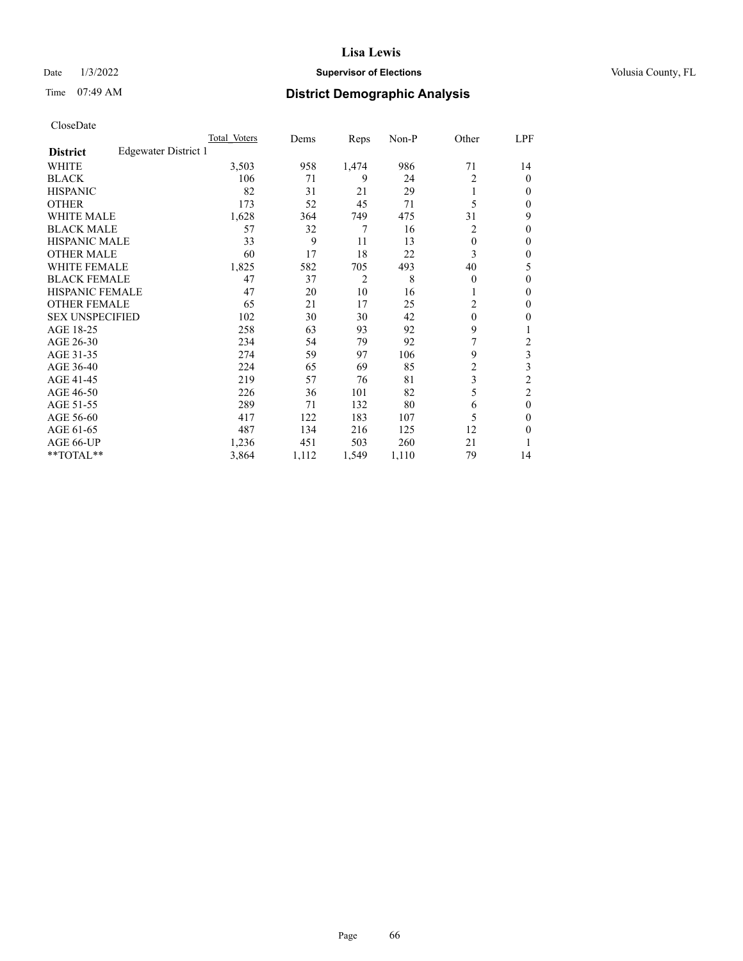## Date  $1/3/2022$  **Supervisor of Elections Supervisor of Elections** Volusia County, FL

| CloseDate |
|-----------|
|-----------|

|                                         | Total Voters | Dems  | Reps           | Non-P | Other        | LPF            |
|-----------------------------------------|--------------|-------|----------------|-------|--------------|----------------|
| Edgewater District 1<br><b>District</b> |              |       |                |       |              |                |
| WHITE                                   | 3,503        | 958   | 1,474          | 986   | 71           | 14             |
| <b>BLACK</b>                            | 106          | 71    | 9              | 24    | 2            | $\theta$       |
| <b>HISPANIC</b>                         | 82           | 31    | 21             | 29    |              | 0              |
| <b>OTHER</b>                            | 173          | 52    | 45             | 71    | 5            | 0              |
| <b>WHITE MALE</b>                       | 1,628        | 364   | 749            | 475   | 31           | 9              |
| <b>BLACK MALE</b>                       | 57           | 32    | 7              | 16    | 2            | 0              |
| <b>HISPANIC MALE</b>                    | 33           | 9     | 11             | 13    | $\theta$     | 0              |
| <b>OTHER MALE</b>                       | 60           | 17    | 18             | 22    | 3            | 0              |
| <b>WHITE FEMALE</b>                     | 1,825        | 582   | 705            | 493   | 40           | 5              |
| <b>BLACK FEMALE</b>                     | 47           | 37    | $\overline{2}$ | 8     | $\mathbf{0}$ | 0              |
| <b>HISPANIC FEMALE</b>                  | 47           | 20    | 10             | 16    |              | 0              |
| <b>OTHER FEMALE</b>                     | 65           | 21    | 17             | 25    | 2            | 0              |
| <b>SEX UNSPECIFIED</b>                  | 102          | 30    | 30             | 42    | $\mathbf{0}$ | 0              |
| AGE 18-25                               | 258          | 63    | 93             | 92    | 9            |                |
| AGE 26-30                               | 234          | 54    | 79             | 92    | 7            | 2              |
| AGE 31-35                               | 274          | 59    | 97             | 106   | 9            | 3              |
| AGE 36-40                               | 224          | 65    | 69             | 85    | 2            | 3              |
| AGE 41-45                               | 219          | 57    | 76             | 81    | 3            | $\overline{c}$ |
| AGE 46-50                               | 226          | 36    | 101            | 82    | 5            | $\overline{2}$ |
| AGE 51-55                               | 289          | 71    | 132            | 80    | 6            | $\mathbf{0}$   |
| AGE 56-60                               | 417          | 122   | 183            | 107   | 5            | $\mathbf{0}$   |
| AGE 61-65                               | 487          | 134   | 216            | 125   | 12           | 0              |
| AGE 66-UP                               | 1,236        | 451   | 503            | 260   | 21           |                |
| **TOTAL**                               | 3,864        | 1,112 | 1,549          | 1,110 | 79           | 14             |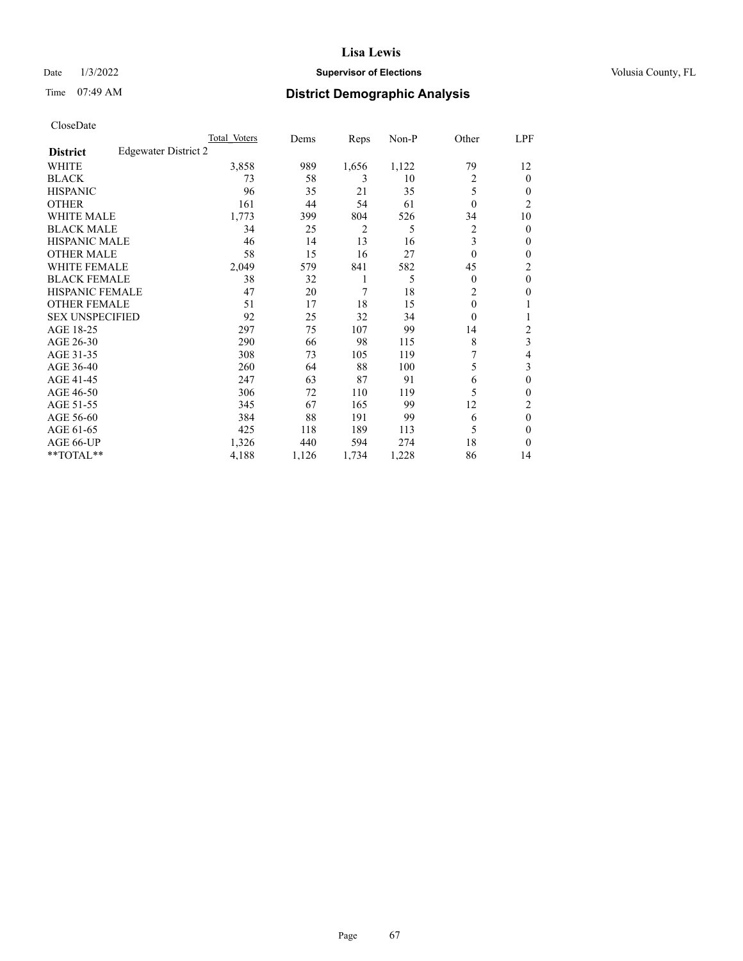## Date  $1/3/2022$  **Supervisor of Elections Supervisor of Elections** Volusia County, FL

# Time 07:49 AM **District Demographic Analysis**

|                        |                      | Total Voters | Dems  | Reps  | Non-P | Other          | LPF            |
|------------------------|----------------------|--------------|-------|-------|-------|----------------|----------------|
| <b>District</b>        | Edgewater District 2 |              |       |       |       |                |                |
| WHITE                  |                      | 3,858        | 989   | 1,656 | 1,122 | 79             | 12             |
| <b>BLACK</b>           |                      | 73           | 58    | 3     | 10    | $\overline{2}$ | 0              |
| <b>HISPANIC</b>        |                      | 96           | 35    | 21    | 35    | 5              | 0              |
| <b>OTHER</b>           |                      | 161          | 44    | 54    | 61    | $\theta$       | $\overline{c}$ |
| WHITE MALE             |                      | 1,773        | 399   | 804   | 526   | 34             | 10             |
| <b>BLACK MALE</b>      |                      | 34           | 25    | 2     | 5     | 2              | 0              |
| <b>HISPANIC MALE</b>   |                      | 46           | 14    | 13    | 16    | 3              | 0              |
| <b>OTHER MALE</b>      |                      | 58           | 15    | 16    | 27    | $\theta$       | 0              |
| <b>WHITE FEMALE</b>    |                      | 2,049        | 579   | 841   | 582   | 45             | 2              |
| <b>BLACK FEMALE</b>    |                      | 38           | 32    | 1     | 5     | $\Omega$       | $\theta$       |
| <b>HISPANIC FEMALE</b> |                      | 47           | 20    | 7     | 18    | $\overline{2}$ | 0              |
| <b>OTHER FEMALE</b>    |                      | 51           | 17    | 18    | 15    | $\theta$       |                |
| <b>SEX UNSPECIFIED</b> |                      | 92           | 25    | 32    | 34    | $\Omega$       |                |
| AGE 18-25              |                      | 297          | 75    | 107   | 99    | 14             | 2              |
| AGE 26-30              |                      | 290          | 66    | 98    | 115   | 8              | 3              |
| AGE 31-35              |                      | 308          | 73    | 105   | 119   | 7              | 4              |
| AGE 36-40              |                      | 260          | 64    | 88    | 100   | 5              | 3              |
| AGE 41-45              |                      | 247          | 63    | 87    | 91    | 6              | 0              |
| AGE 46-50              |                      | 306          | 72    | 110   | 119   | 5              | 0              |
| AGE 51-55              |                      | 345          | 67    | 165   | 99    | 12             | 2              |
| AGE 56-60              |                      | 384          | 88    | 191   | 99    | 6              | $\theta$       |
| AGE 61-65              |                      | 425          | 118   | 189   | 113   | 5              | 0              |
| AGE 66-UP              |                      | 1,326        | 440   | 594   | 274   | 18             | 0              |
| **TOTAL**              |                      | 4,188        | 1,126 | 1,734 | 1,228 | 86             | 14             |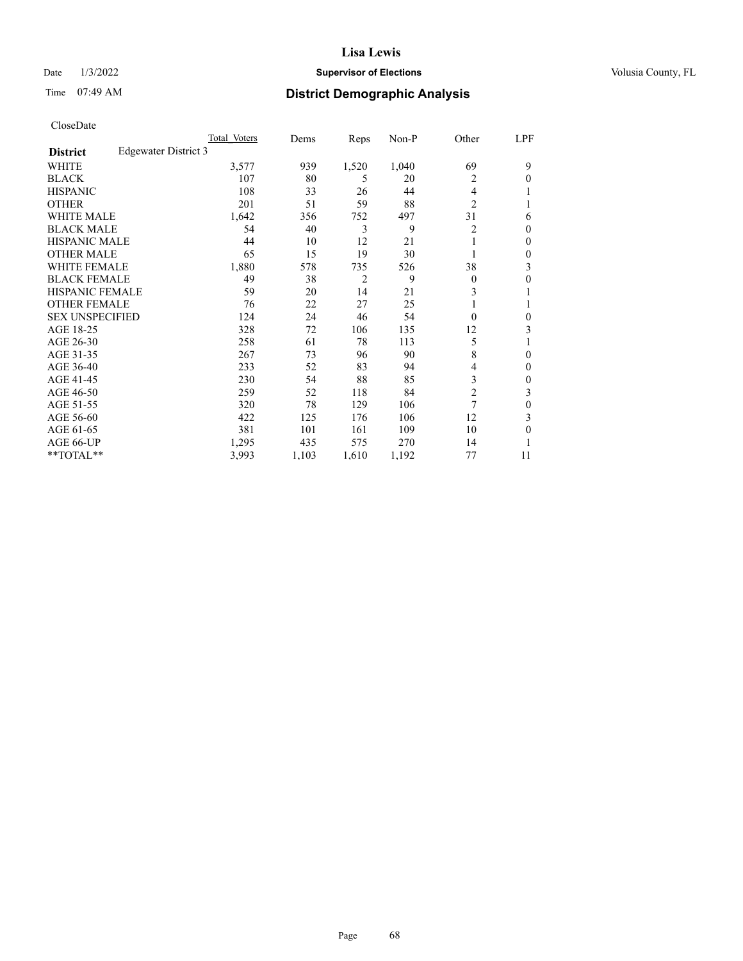## Date  $1/3/2022$  **Supervisor of Elections Supervisor of Elections** Volusia County, FL

# Time 07:49 AM **District Demographic Analysis**

|                        |                      | Total Voters | Dems  | Reps           | Non-P | Other          | LPF |
|------------------------|----------------------|--------------|-------|----------------|-------|----------------|-----|
| <b>District</b>        | Edgewater District 3 |              |       |                |       |                |     |
| WHITE                  |                      | 3,577        | 939   | 1,520          | 1,040 | 69             | 9   |
| <b>BLACK</b>           |                      | 107          | 80    | 5              | 20    | 2              | 0   |
| <b>HISPANIC</b>        |                      | 108          | 33    | 26             | 44    | 4              |     |
| <b>OTHER</b>           |                      | 201          | 51    | 59             | 88    | $\overline{2}$ |     |
| WHITE MALE             |                      | 1,642        | 356   | 752            | 497   | 31             | 6   |
| <b>BLACK MALE</b>      |                      | 54           | 40    | 3              | 9     | 2              | 0   |
| <b>HISPANIC MALE</b>   |                      | 44           | 10    | 12             | 21    |                | 0   |
| <b>OTHER MALE</b>      |                      | 65           | 15    | 19             | 30    |                | 0   |
| <b>WHITE FEMALE</b>    |                      | 1,880        | 578   | 735            | 526   | 38             | 3   |
| <b>BLACK FEMALE</b>    |                      | 49           | 38    | $\overline{2}$ | 9     | $\Omega$       | 0   |
| <b>HISPANIC FEMALE</b> |                      | 59           | 20    | 14             | 21    | 3              |     |
| <b>OTHER FEMALE</b>    |                      | 76           | 22    | 27             | 25    |                |     |
| <b>SEX UNSPECIFIED</b> |                      | 124          | 24    | 46             | 54    | $\Omega$       | 0   |
| AGE 18-25              |                      | 328          | 72    | 106            | 135   | 12             | 3   |
| AGE 26-30              |                      | 258          | 61    | 78             | 113   | 5              |     |
| AGE 31-35              |                      | 267          | 73    | 96             | 90    | 8              | 0   |
| AGE 36-40              |                      | 233          | 52    | 83             | 94    | 4              | 0   |
| AGE 41-45              |                      | 230          | 54    | 88             | 85    | 3              | 0   |
| AGE 46-50              |                      | 259          | 52    | 118            | 84    | $\overline{2}$ | 3   |
| AGE 51-55              |                      | 320          | 78    | 129            | 106   | 7              | 0   |
| AGE 56-60              |                      | 422          | 125   | 176            | 106   | 12             | 3   |
| AGE 61-65              |                      | 381          | 101   | 161            | 109   | 10             | 0   |
| AGE 66-UP              |                      | 1,295        | 435   | 575            | 270   | 14             |     |
| **TOTAL**              |                      | 3,993        | 1,103 | 1,610          | 1,192 | 77             | 11  |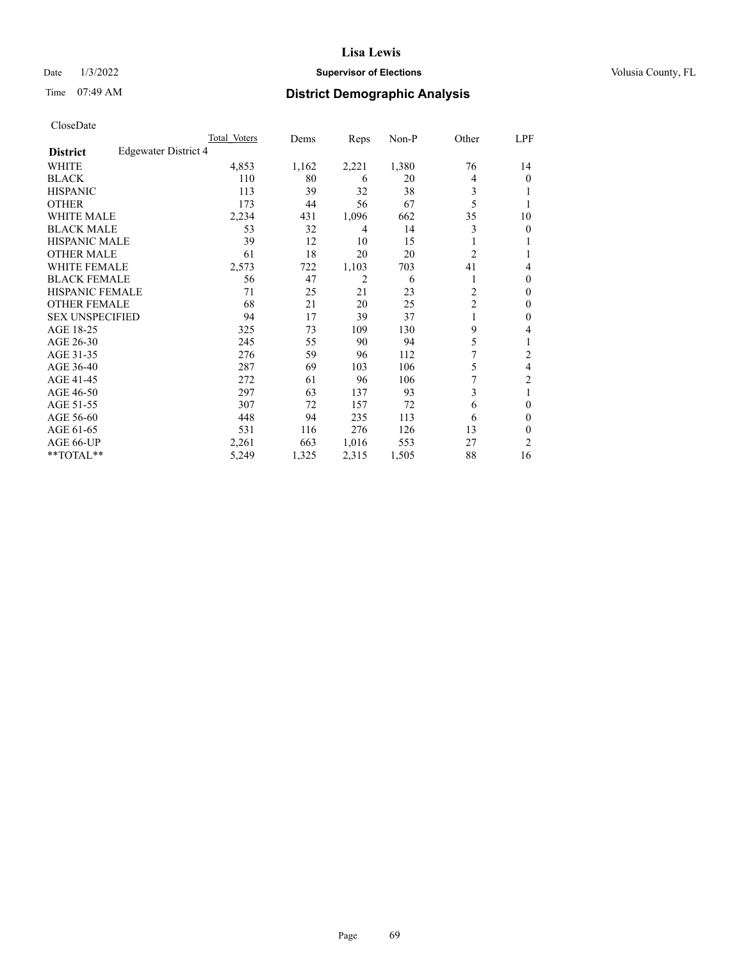## Date  $1/3/2022$  **Supervisor of Elections Supervisor of Elections** Volusia County, FL

# Time 07:49 AM **District Demographic Analysis**

|                        |                      | Total Voters | Dems  | Reps           | Non-P | Other          | LPF            |
|------------------------|----------------------|--------------|-------|----------------|-------|----------------|----------------|
| <b>District</b>        | Edgewater District 4 |              |       |                |       |                |                |
| WHITE                  |                      | 4,853        | 1,162 | 2,221          | 1,380 | 76             | 14             |
| <b>BLACK</b>           |                      | 110          | 80    | 6              | 20    | 4              | 0              |
| <b>HISPANIC</b>        |                      | 113          | 39    | 32             | 38    | 3              |                |
| <b>OTHER</b>           |                      | 173          | 44    | 56             | 67    | 5              |                |
| WHITE MALE             |                      | 2,234        | 431   | 1,096          | 662   | 35             | 10             |
| <b>BLACK MALE</b>      |                      | 53           | 32    | 4              | 14    | 3              | 0              |
| <b>HISPANIC MALE</b>   |                      | 39           | 12    | 10             | 15    |                |                |
| <b>OTHER MALE</b>      |                      | 61           | 18    | 20             | 20    | $\overline{2}$ | 1              |
| <b>WHITE FEMALE</b>    |                      | 2,573        | 722   | 1,103          | 703   | 41             | 4              |
| <b>BLACK FEMALE</b>    |                      | 56           | 47    | $\overline{2}$ | 6     | 1              | 0              |
| <b>HISPANIC FEMALE</b> |                      | 71           | 25    | 21             | 23    | $\overline{2}$ | 0              |
| <b>OTHER FEMALE</b>    |                      | 68           | 21    | 20             | 25    | $\overline{c}$ | 0              |
| <b>SEX UNSPECIFIED</b> |                      | 94           | 17    | 39             | 37    |                | 0              |
| AGE 18-25              |                      | 325          | 73    | 109            | 130   | 9              | 4              |
| AGE 26-30              |                      | 245          | 55    | 90             | 94    | 5              | 1              |
| AGE 31-35              |                      | 276          | 59    | 96             | 112   | 7              | $\overline{c}$ |
| AGE 36-40              |                      | 287          | 69    | 103            | 106   | 5              | 4              |
| AGE 41-45              |                      | 272          | 61    | 96             | 106   | 7              | 2              |
| AGE 46-50              |                      | 297          | 63    | 137            | 93    | 3              | 1              |
| AGE 51-55              |                      | 307          | 72    | 157            | 72    | 6              | 0              |
| AGE 56-60              |                      | 448          | 94    | 235            | 113   | 6              | 0              |
| AGE 61-65              |                      | 531          | 116   | 276            | 126   | 13             | 0              |
| AGE 66-UP              |                      | 2,261        | 663   | 1,016          | 553   | 27             | 2              |
| **TOTAL**              |                      | 5,249        | 1,325 | 2,315          | 1,505 | 88             | 16             |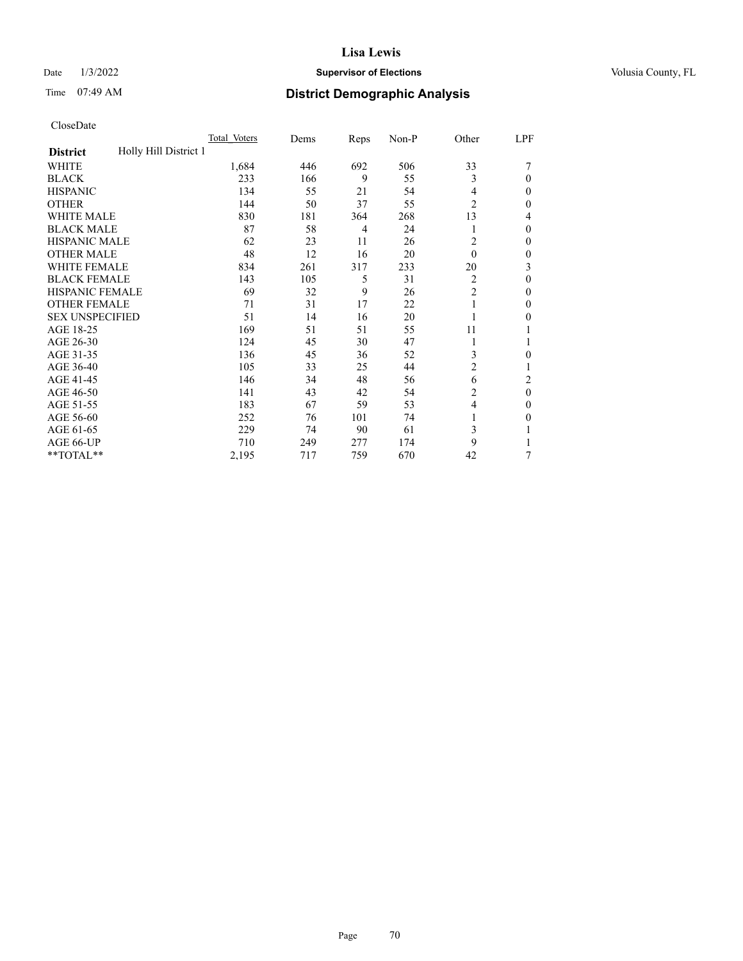## Date  $1/3/2022$  **Supervisor of Elections Supervisor of Elections** Volusia County, FL

# Time 07:49 AM **District Demographic Analysis**

|                                          | Total Voters | Dems | Reps | Non-P | Other          | LPF          |
|------------------------------------------|--------------|------|------|-------|----------------|--------------|
| Holly Hill District 1<br><b>District</b> |              |      |      |       |                |              |
| WHITE                                    | 1,684        | 446  | 692  | 506   | 33             |              |
| <b>BLACK</b>                             | 233          | 166  | 9    | 55    | 3              | $\Omega$     |
| <b>HISPANIC</b>                          | 134          | 55   | 21   | 54    | $\overline{4}$ | $\Omega$     |
| <b>OTHER</b>                             | 144          | 50   | 37   | 55    | $\overline{2}$ | 0            |
| <b>WHITE MALE</b>                        | 830          | 181  | 364  | 268   | 13             | 4            |
| <b>BLACK MALE</b>                        | 87           | 58   | 4    | 24    | 1              | $\Omega$     |
| <b>HISPANIC MALE</b>                     | 62           | 23   | 11   | 26    | 2              | $\mathbf{0}$ |
| <b>OTHER MALE</b>                        | 48           | 12   | 16   | 20    | $\theta$       | 0            |
| WHITE FEMALE                             | 834          | 261  | 317  | 233   | 20             | 3            |
| <b>BLACK FEMALE</b>                      | 143          | 105  | 5    | 31    | 2              | $\theta$     |
| <b>HISPANIC FEMALE</b>                   | 69           | 32   | 9    | 26    | $\overline{c}$ | 0            |
| <b>OTHER FEMALE</b>                      | 71           | 31   | 17   | 22    | 1              | $\Omega$     |
| <b>SEX UNSPECIFIED</b>                   | 51           | 14   | 16   | 20    |                | 0            |
| AGE 18-25                                | 169          | 51   | 51   | 55    | 11             |              |
| AGE 26-30                                | 124          | 45   | 30   | 47    | 1              |              |
| AGE 31-35                                | 136          | 45   | 36   | 52    | 3              | 0            |
| AGE 36-40                                | 105          | 33   | 25   | 44    | 2              |              |
| AGE 41-45                                | 146          | 34   | 48   | 56    | 6              | 2            |
| AGE 46-50                                | 141          | 43   | 42   | 54    | 2              | $\theta$     |
| AGE 51-55                                | 183          | 67   | 59   | 53    | $\overline{4}$ | $\Omega$     |
| AGE 56-60                                | 252          | 76   | 101  | 74    | 1              | 0            |
| AGE 61-65                                | 229          | 74   | 90   | 61    | 3              |              |
| AGE 66-UP                                | 710          | 249  | 277  | 174   | 9              |              |
| **TOTAL**                                | 2,195        | 717  | 759  | 670   | 42             | 7            |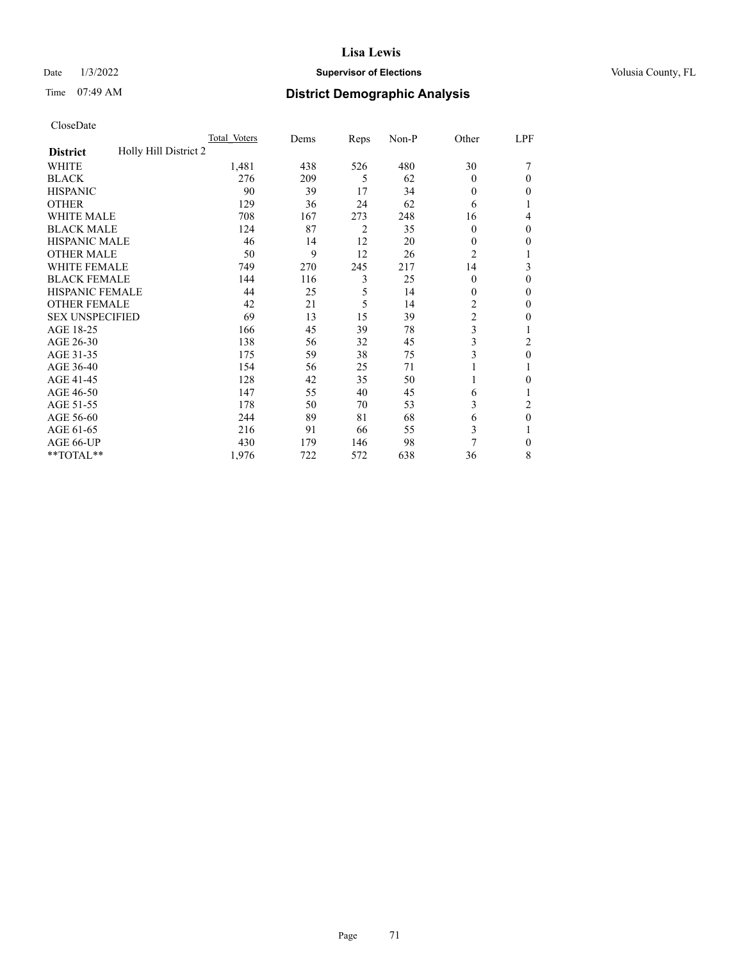## Date  $1/3/2022$  **Supervisor of Elections Supervisor of Elections** Volusia County, FL

# Time 07:49 AM **District Demographic Analysis**

|                                          | Total Voters | Dems | Reps           | Non-P | Other          | LPF            |
|------------------------------------------|--------------|------|----------------|-------|----------------|----------------|
| Holly Hill District 2<br><b>District</b> |              |      |                |       |                |                |
| WHITE                                    | 1,481        | 438  | 526            | 480   | 30             |                |
| <b>BLACK</b>                             | 276          | 209  | 5              | 62    | $\theta$       | $\Omega$       |
| <b>HISPANIC</b>                          | 90           | 39   | 17             | 34    | $\theta$       | $\Omega$       |
| <b>OTHER</b>                             | 129          | 36   | 24             | 62    | 6              | 1              |
| <b>WHITE MALE</b>                        | 708          | 167  | 273            | 248   | 16             | 4              |
| <b>BLACK MALE</b>                        | 124          | 87   | $\overline{2}$ | 35    | $\mathbf{0}$   | $\mathbf{0}$   |
| <b>HISPANIC MALE</b>                     | 46           | 14   | 12             | 20    | 0              | 0              |
| <b>OTHER MALE</b>                        | 50           | 9    | 12             | 26    | $\overline{c}$ | 1              |
| <b>WHITE FEMALE</b>                      | 749          | 270  | 245            | 217   | 14             | 3              |
| <b>BLACK FEMALE</b>                      | 144          | 116  | 3              | 25    | $\theta$       | $\theta$       |
| <b>HISPANIC FEMALE</b>                   | 44           | 25   | 5              | 14    | $\theta$       | $\Omega$       |
| <b>OTHER FEMALE</b>                      | 42           | 21   | 5              | 14    | 2              | $\theta$       |
| <b>SEX UNSPECIFIED</b>                   | 69           | 13   | 15             | 39    | $\overline{c}$ | $\theta$       |
| AGE 18-25                                | 166          | 45   | 39             | 78    | 3              |                |
| AGE 26-30                                | 138          | 56   | 32             | 45    | 3              | 2              |
| AGE 31-35                                | 175          | 59   | 38             | 75    | 3              | $\theta$       |
| AGE 36-40                                | 154          | 56   | 25             | 71    |                |                |
| AGE 41-45                                | 128          | 42   | 35             | 50    |                | 0              |
| AGE 46-50                                | 147          | 55   | 40             | 45    | 6              |                |
| AGE 51-55                                | 178          | 50   | 70             | 53    | 3              | $\overline{2}$ |
| AGE 56-60                                | 244          | 89   | 81             | 68    | 6              | $\theta$       |
| AGE 61-65                                | 216          | 91   | 66             | 55    | 3              |                |
| AGE 66-UP                                | 430          | 179  | 146            | 98    | 7              | $\Omega$       |
| **TOTAL**                                | 1,976        | 722  | 572            | 638   | 36             | 8              |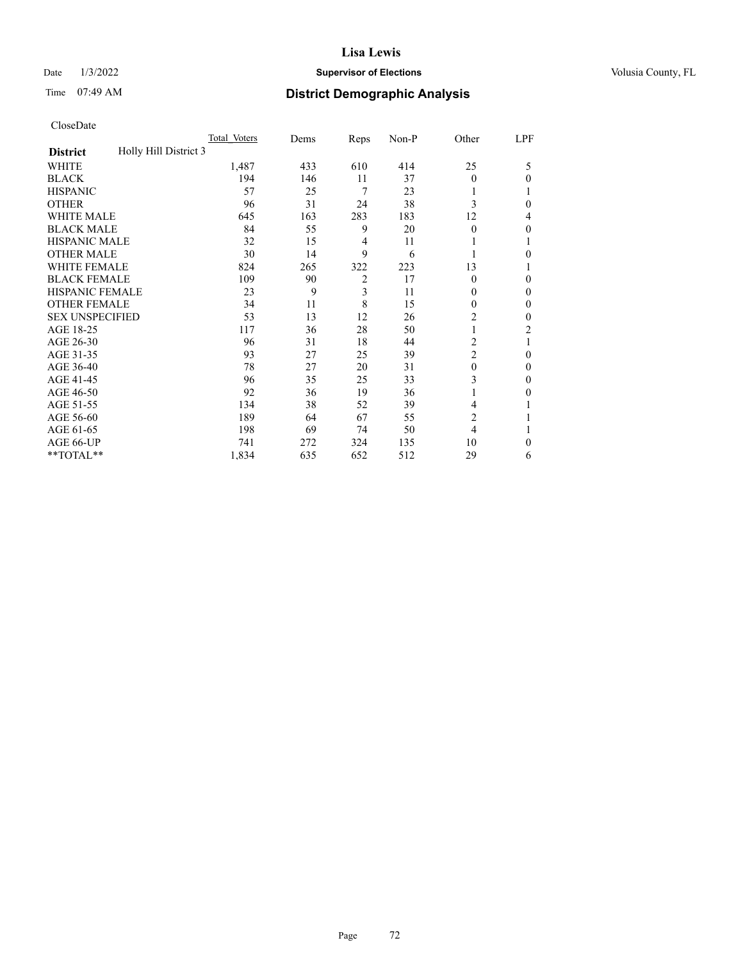## Date  $1/3/2022$  **Supervisor of Elections Supervisor of Elections** Volusia County, FL

# Time 07:49 AM **District Demographic Analysis**

|                                          | Total Voters | Dems | Reps           | Non-P | Other          | LPF            |
|------------------------------------------|--------------|------|----------------|-------|----------------|----------------|
| Holly Hill District 3<br><b>District</b> |              |      |                |       |                |                |
| WHITE                                    | 1,487        | 433  | 610            | 414   | 25             | 5              |
| <b>BLACK</b>                             | 194          | 146  | 11             | 37    | $\theta$       | 0              |
| <b>HISPANIC</b>                          | 57           | 25   | 7              | 23    | 1              |                |
| <b>OTHER</b>                             | 96           | 31   | 24             | 38    | 3              | 0              |
| WHITE MALE                               | 645          | 163  | 283            | 183   | 12             | 4              |
| <b>BLACK MALE</b>                        | 84           | 55   | 9              | 20    | $\theta$       | 0              |
| <b>HISPANIC MALE</b>                     | 32           | 15   | 4              | 11    | 1              |                |
| <b>OTHER MALE</b>                        | 30           | 14   | 9              | 6     | 1              | 0              |
| <b>WHITE FEMALE</b>                      | 824          | 265  | 322            | 223   | 13             |                |
| <b>BLACK FEMALE</b>                      | 109          | 90   | $\overline{2}$ | 17    | $\theta$       | $\Omega$       |
| <b>HISPANIC FEMALE</b>                   | 23           | 9    | 3              | 11    | $\Omega$       | 0              |
| <b>OTHER FEMALE</b>                      | 34           | 11   | 8              | 15    | $\theta$       | 0              |
| <b>SEX UNSPECIFIED</b>                   | 53           | 13   | 12             | 26    | $\overline{2}$ | 0              |
| AGE 18-25                                | 117          | 36   | 28             | 50    | 1              | $\overline{2}$ |
| AGE 26-30                                | 96           | 31   | 18             | 44    | 2              | 1              |
| AGE 31-35                                | 93           | 27   | 25             | 39    | $\overline{c}$ | 0              |
| AGE 36-40                                | 78           | 27   | 20             | 31    | $\theta$       | $\Omega$       |
| AGE 41-45                                | 96           | 35   | 25             | 33    | 3              | 0              |
| AGE 46-50                                | 92           | 36   | 19             | 36    | 1              | 0              |
| AGE 51-55                                | 134          | 38   | 52             | 39    | 4              |                |
| AGE 56-60                                | 189          | 64   | 67             | 55    | 2              |                |
| AGE 61-65                                | 198          | 69   | 74             | 50    | $\overline{4}$ |                |
| AGE 66-UP                                | 741          | 272  | 324            | 135   | 10             | $\Omega$       |
| **TOTAL**                                | 1,834        | 635  | 652            | 512   | 29             | 6              |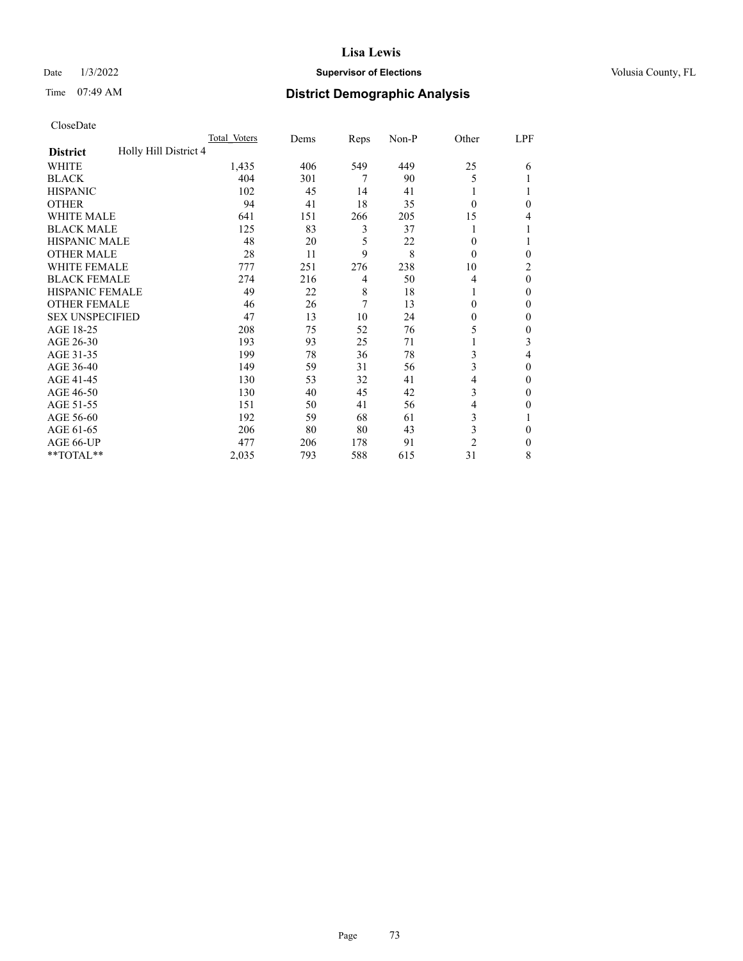# Date  $1/3/2022$  **Supervisor of Elections Supervisor of Elections** Volusia County, FL

# Time 07:49 AM **District Demographic Analysis**

|                                          | Total Voters | Dems | Reps | Non-P | Other          | LPF      |
|------------------------------------------|--------------|------|------|-------|----------------|----------|
| Holly Hill District 4<br><b>District</b> |              |      |      |       |                |          |
| WHITE                                    | 1,435        | 406  | 549  | 449   | 25             | 6        |
| <b>BLACK</b>                             | 404          | 301  | 7    | 90    | 5              |          |
| <b>HISPANIC</b>                          | 102          | 45   | 14   | 41    |                |          |
| <b>OTHER</b>                             | 94           | 41   | 18   | 35    | $\Omega$       | 0        |
| WHITE MALE                               | 641          | 151  | 266  | 205   | 15             | 4        |
| <b>BLACK MALE</b>                        | 125          | 83   | 3    | 37    |                |          |
| <b>HISPANIC MALE</b>                     | 48           | 20   | 5    | 22    | $\theta$       |          |
| <b>OTHER MALE</b>                        | 28           | 11   | 9    | 8     | $\theta$       | 0        |
| <b>WHITE FEMALE</b>                      | 777          | 251  | 276  | 238   | 10             | 2        |
| <b>BLACK FEMALE</b>                      | 274          | 216  | 4    | 50    | 4              | $\Omega$ |
| <b>HISPANIC FEMALE</b>                   | 49           | 22   | 8    | 18    |                | 0        |
| <b>OTHER FEMALE</b>                      | 46           | 26   | 7    | 13    | $\Omega$       | 0        |
| <b>SEX UNSPECIFIED</b>                   | 47           | 13   | 10   | 24    | $\Omega$       | 0        |
| AGE 18-25                                | 208          | 75   | 52   | 76    | 5              | 0        |
| AGE 26-30                                | 193          | 93   | 25   | 71    |                | 3        |
| AGE 31-35                                | 199          | 78   | 36   | 78    | 3              | 4        |
| AGE 36-40                                | 149          | 59   | 31   | 56    | 3              | 0        |
| AGE 41-45                                | 130          | 53   | 32   | 41    | 4              | 0        |
| AGE 46-50                                | 130          | 40   | 45   | 42    | 3              | 0        |
| AGE 51-55                                | 151          | 50   | 41   | 56    | 4              | 0        |
| AGE 56-60                                | 192          | 59   | 68   | 61    | 3              |          |
| AGE 61-65                                | 206          | 80   | 80   | 43    | 3              | 0        |
| AGE 66-UP                                | 477          | 206  | 178  | 91    | $\overline{2}$ | 0        |
| **TOTAL**                                | 2,035        | 793  | 588  | 615   | 31             | 8        |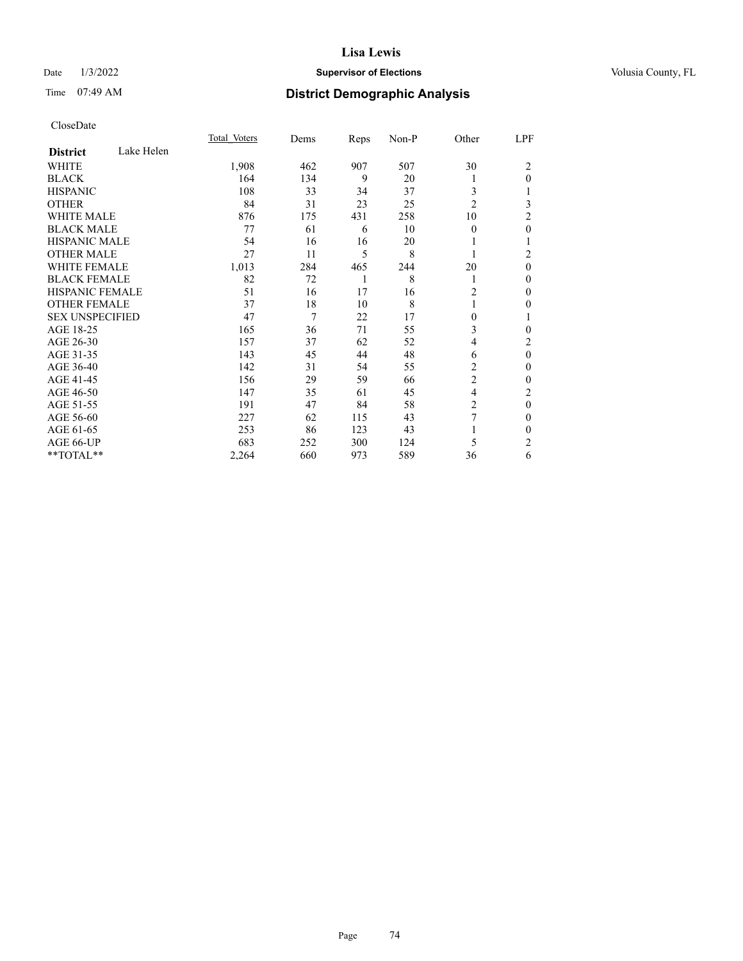# Date  $1/3/2022$  **Supervisor of Elections Supervisor of Elections** Volusia County, FL

# Time 07:49 AM **District Demographic Analysis**

|                        |            | Total Voters | Dems | Reps | Non-P | Other          | LPF            |
|------------------------|------------|--------------|------|------|-------|----------------|----------------|
| <b>District</b>        | Lake Helen |              |      |      |       |                |                |
| WHITE                  |            | 1,908        | 462  | 907  | 507   | 30             | 2              |
| <b>BLACK</b>           |            | 164          | 134  | 9    | 20    |                | $\theta$       |
| <b>HISPANIC</b>        |            | 108          | 33   | 34   | 37    | 3              |                |
| <b>OTHER</b>           |            | 84           | 31   | 23   | 25    | $\overline{2}$ | 3              |
| WHITE MALE             |            | 876          | 175  | 431  | 258   | 10             | 2              |
| <b>BLACK MALE</b>      |            | 77           | 61   | 6    | 10    | $\theta$       | $\mathbf{0}$   |
| <b>HISPANIC MALE</b>   |            | 54           | 16   | 16   | 20    |                | 1              |
| <b>OTHER MALE</b>      |            | 27           | 11   | 5    | 8     | 1              | $\overline{2}$ |
| <b>WHITE FEMALE</b>    |            | 1,013        | 284  | 465  | 244   | 20             | $\theta$       |
| <b>BLACK FEMALE</b>    |            | 82           | 72   | 1    | 8     | 1              | $\theta$       |
| <b>HISPANIC FEMALE</b> |            | 51           | 16   | 17   | 16    | 2              | $\Omega$       |
| <b>OTHER FEMALE</b>    |            | 37           | 18   | 10   | 8     |                | 0              |
| <b>SEX UNSPECIFIED</b> |            | 47           | 7    | 22   | 17    | 0              | 1              |
| AGE 18-25              |            | 165          | 36   | 71   | 55    | 3              | $\theta$       |
| AGE 26-30              |            | 157          | 37   | 62   | 52    | 4              | $\overline{2}$ |
| AGE 31-35              |            | 143          | 45   | 44   | 48    | 6              | $\mathbf{0}$   |
| AGE 36-40              |            | 142          | 31   | 54   | 55    | 2              | $\theta$       |
| AGE 41-45              |            | 156          | 29   | 59   | 66    | $\overline{2}$ | $\theta$       |
| AGE 46-50              |            | 147          | 35   | 61   | 45    | 4              | $\overline{2}$ |
| AGE 51-55              |            | 191          | 47   | 84   | 58    | $\overline{c}$ | $\mathbf{0}$   |
| AGE 56-60              |            | 227          | 62   | 115  | 43    | 7              | $\theta$       |
| AGE 61-65              |            | 253          | 86   | 123  | 43    |                | $\theta$       |
| AGE 66-UP              |            | 683          | 252  | 300  | 124   | 5              | $\overline{2}$ |
| **TOTAL**              |            | 2,264        | 660  | 973  | 589   | 36             | 6              |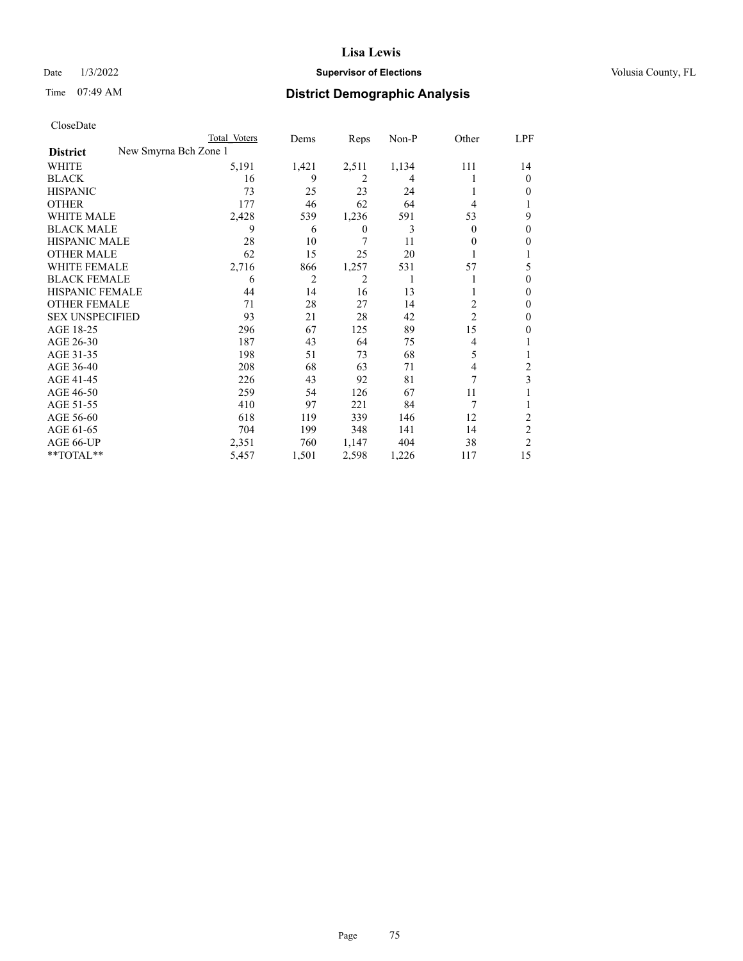# Date  $1/3/2022$  **Supervisor of Elections Supervisor of Elections** Volusia County, FL

|                                          | Total Voters | Dems           | Reps             | Non-P | Other          | LPF            |
|------------------------------------------|--------------|----------------|------------------|-------|----------------|----------------|
| New Smyrna Bch Zone 1<br><b>District</b> |              |                |                  |       |                |                |
| WHITE                                    | 5,191        | 1,421          | 2,511            | 1,134 | 111            | 14             |
| <b>BLACK</b>                             | 16           | 9              | 2                | 4     |                | $\theta$       |
| <b>HISPANIC</b>                          | 73           | 25             | 23               | 24    |                | $\Omega$       |
| <b>OTHER</b>                             | 177          | 46             | 62               | 64    | 4              |                |
| <b>WHITE MALE</b>                        | 2,428        | 539            | 1,236            | 591   | 53             | 9              |
| <b>BLACK MALE</b>                        | 9            | 6              | $\boldsymbol{0}$ | 3     | 0              | $\theta$       |
| <b>HISPANIC MALE</b>                     | 28           | 10             | 7                | 11    | $_{0}$         | 0              |
| <b>OTHER MALE</b>                        | 62           | 15             | 25               | 20    |                |                |
| <b>WHITE FEMALE</b>                      | 2,716        | 866            | 1,257            | 531   | 57             | 5              |
| <b>BLACK FEMALE</b>                      | 6            | $\overline{2}$ | 2                | 1     |                | $\Omega$       |
| <b>HISPANIC FEMALE</b>                   | 44           | 14             | 16               | 13    |                | $\Omega$       |
| <b>OTHER FEMALE</b>                      | 71           | 28             | 27               | 14    | 2              | $\Omega$       |
| <b>SEX UNSPECIFIED</b>                   | 93           | 21             | 28               | 42    | $\overline{c}$ | $\Omega$       |
| AGE 18-25                                | 296          | 67             | 125              | 89    | 15             | 0              |
| AGE 26-30                                | 187          | 43             | 64               | 75    | 4              |                |
| AGE 31-35                                | 198          | 51             | 73               | 68    | 5              |                |
| AGE 36-40                                | 208          | 68             | 63               | 71    | 4              | 2              |
| AGE 41-45                                | 226          | 43             | 92               | 81    | 7              | 3              |
| AGE 46-50                                | 259          | 54             | 126              | 67    | 11             |                |
| AGE 51-55                                | 410          | 97             | 221              | 84    | 7              |                |
| AGE 56-60                                | 618          | 119            | 339              | 146   | 12             | 2              |
| AGE 61-65                                | 704          | 199            | 348              | 141   | 14             | 2              |
| AGE 66-UP                                | 2,351        | 760            | 1,147            | 404   | 38             | $\overline{c}$ |
| $**TOTAL**$                              | 5,457        | 1,501          | 2,598            | 1,226 | 117            | 15             |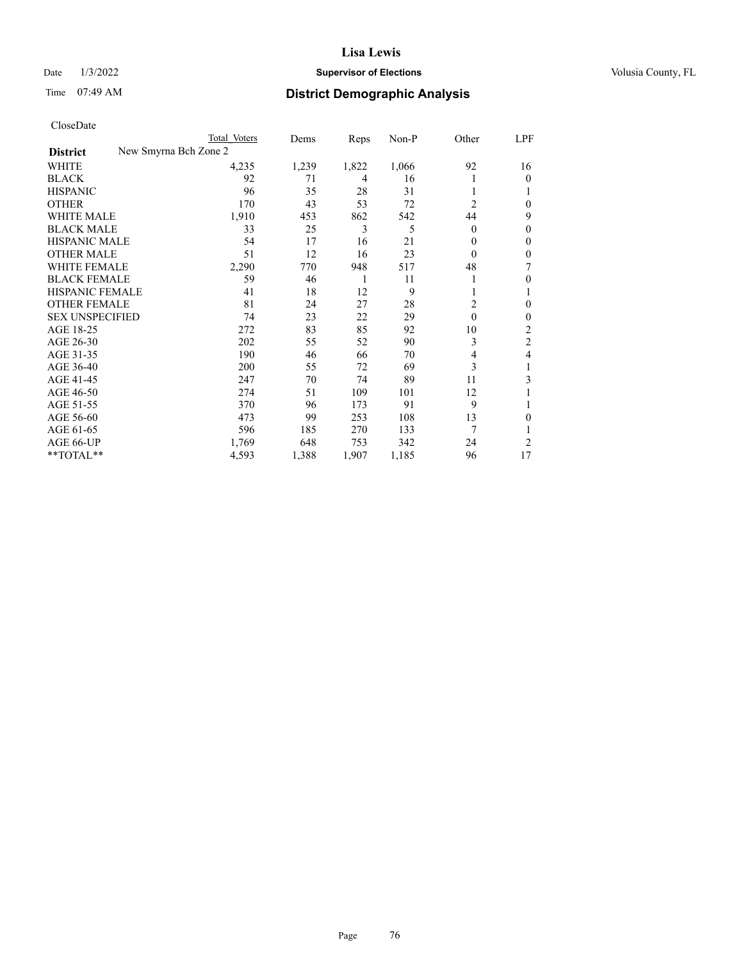# Date  $1/3/2022$  **Supervisor of Elections Supervisor of Elections** Volusia County, FL

| CloseDate |
|-----------|
|-----------|

|                        | Total Voters          | Dems  | Reps         | Non-P | Other        | LPF      |
|------------------------|-----------------------|-------|--------------|-------|--------------|----------|
| <b>District</b>        | New Smyrna Bch Zone 2 |       |              |       |              |          |
| WHITE                  | 4,235                 | 1,239 | 1,822        | 1,066 | 92           | 16       |
| <b>BLACK</b>           | 92                    | 71    | 4            | 16    |              | $\Omega$ |
| <b>HISPANIC</b>        | 96                    | 35    | 28           | 31    |              |          |
| <b>OTHER</b>           | 170                   | 43    | 53           | 72    | 2            | 0        |
| <b>WHITE MALE</b>      | 1,910                 | 453   | 862          | 542   | 44           | 9        |
| <b>BLACK MALE</b>      | 33                    | 25    | 3            | 5     | $\theta$     | 0        |
| <b>HISPANIC MALE</b>   | 54                    | 17    | 16           | 21    | 0            | 0        |
| OTHER MALE             | 51                    | 12    | 16           | 23    | $\theta$     | 0        |
| WHITE FEMALE           | 2,290                 | 770   | 948          | 517   | 48           |          |
| <b>BLACK FEMALE</b>    | 59                    | 46    | $\mathbf{1}$ | 11    | 1            | 0        |
| <b>HISPANIC FEMALE</b> | 41                    | 18    | 12           | 9     |              |          |
| <b>OTHER FEMALE</b>    | 81                    | 24    | 27           | 28    | 2            | 0        |
| <b>SEX UNSPECIFIED</b> | 74                    | 23    | 22           | 29    | $\mathbf{0}$ | 0        |
| AGE 18-25              | 272                   | 83    | 85           | 92    | 10           | 2        |
| AGE 26-30              | 202                   | 55    | 52           | 90    | 3            | 2        |
| AGE 31-35              | 190                   | 46    | 66           | 70    | 4            | 4        |
| AGE 36-40              | 200                   | 55    | 72           | 69    | 3            |          |
| AGE 41-45              | 247                   | 70    | 74           | 89    | 11           | 3        |
| AGE 46-50              | 274                   | 51    | 109          | 101   | 12           |          |
| AGE 51-55              | 370                   | 96    | 173          | 91    | 9            |          |
| AGE 56-60              | 473                   | 99    | 253          | 108   | 13           | 0        |
| AGE 61-65              | 596                   | 185   | 270          | 133   |              |          |
| AGE 66-UP              | 1,769                 | 648   | 753          | 342   | 24           | 2        |
| **TOTAL**              | 4,593                 | 1,388 | 1,907        | 1,185 | 96           | 17       |
|                        |                       |       |              |       |              |          |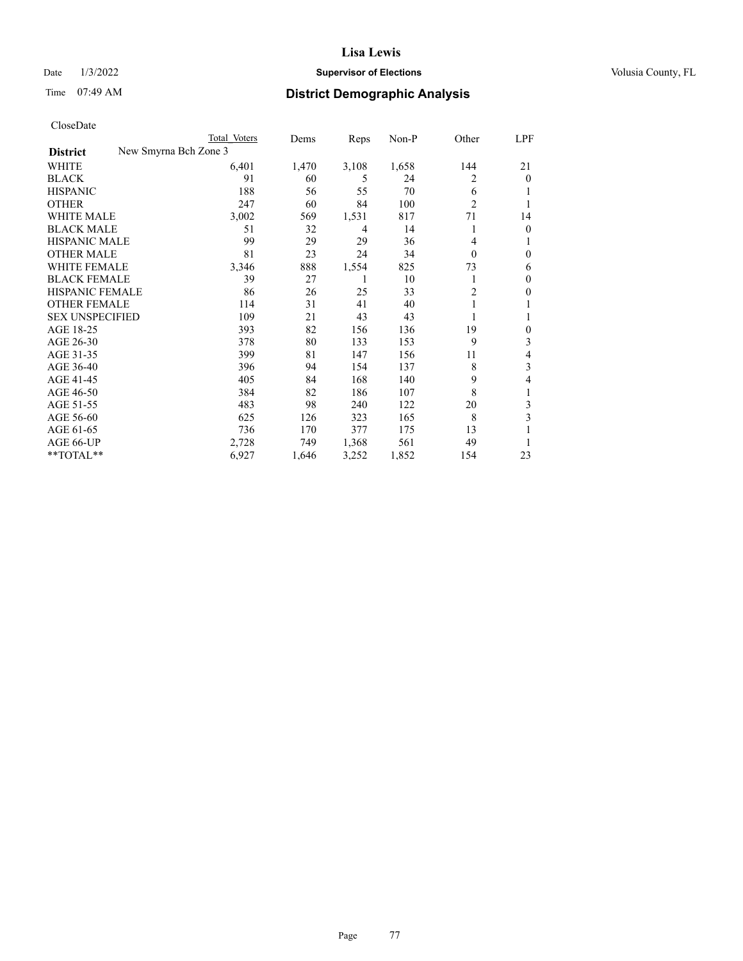# Date  $1/3/2022$  **Supervisor of Elections Supervisor of Elections** Volusia County, FL

| CloseDate |
|-----------|
|-----------|

| Total Voters | Dems                  | Reps  | Non-P | Other          | LPF          |
|--------------|-----------------------|-------|-------|----------------|--------------|
|              |                       |       |       |                |              |
| 6,401        | 1,470                 | 3,108 | 1,658 | 144            | 21           |
| 91           | 60                    | 5     | 24    | 2              | $\theta$     |
| 188          | 56                    | 55    | 70    | 6              | 1            |
| 247          | 60                    | 84    | 100   | $\overline{2}$ | 1            |
| 3,002        | 569                   | 1,531 | 817   | 71             | 14           |
| 51           | 32                    | 4     | 14    |                | $\theta$     |
| 99           | 29                    | 29    | 36    | 4              | 1            |
| 81           | 23                    | 24    | 34    | $\theta$       | $\mathbf{0}$ |
| 3,346        | 888                   | 1,554 | 825   | 73             | 6            |
| 39           | 27                    | 1     | 10    |                | $\mathbf{0}$ |
| 86           | 26                    | 25    | 33    | $\overline{c}$ | $\mathbf{0}$ |
| 114          | 31                    | 41    | 40    |                | 1            |
| 109          | 21                    | 43    | 43    |                | 1            |
| 393          | 82                    | 156   | 136   | 19             | $\mathbf{0}$ |
| 378          | 80                    | 133   | 153   | 9              | 3            |
| 399          | 81                    | 147   | 156   | 11             | 4            |
| 396          | 94                    | 154   | 137   | 8              | 3            |
| 405          | 84                    | 168   | 140   | 9              | 4            |
| 384          | 82                    | 186   | 107   | 8              | 1            |
| 483          | 98                    | 240   | 122   | 20             | 3            |
| 625          | 126                   | 323   | 165   | 8              | 3            |
| 736          | 170                   | 377   | 175   | 13             |              |
| 2,728        | 749                   | 1,368 | 561   | 49             | 1            |
| 6,927        | 1,646                 | 3,252 | 1,852 | 154            | 23           |
|              | New Smyrna Bch Zone 3 |       |       |                |              |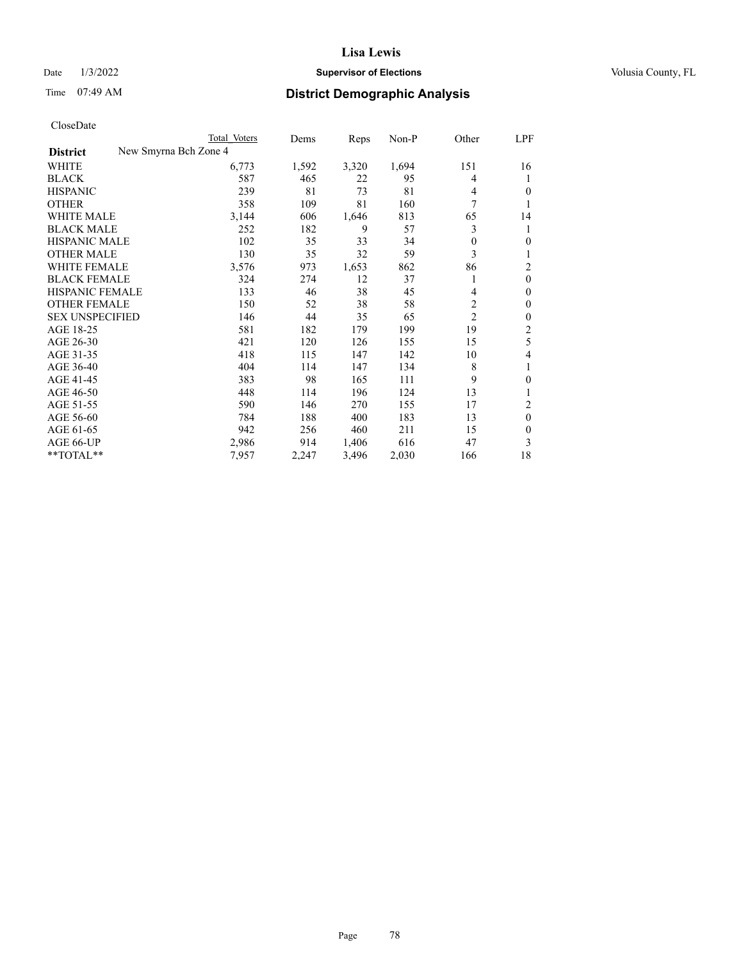# Date  $1/3/2022$  **Supervisor of Elections Supervisor of Elections** Volusia County, FL

| CloseDate |
|-----------|
|-----------|

|                        | Total Voters          | Dems  | Reps  | $Non-P$ | Other          | LPF            |
|------------------------|-----------------------|-------|-------|---------|----------------|----------------|
| <b>District</b>        | New Smyrna Bch Zone 4 |       |       |         |                |                |
| WHITE                  | 6,773                 | 1,592 | 3,320 | 1,694   | 151            | 16             |
| <b>BLACK</b>           | 587                   | 465   | 22    | 95      | 4              | 1              |
| <b>HISPANIC</b>        | 239                   | 81    | 73    | 81      | 4              | 0              |
| <b>OTHER</b>           | 358                   | 109   | 81    | 160     | 7              | 1              |
| <b>WHITE MALE</b>      | 3,144                 | 606   | 1,646 | 813     | 65             | 14             |
| <b>BLACK MALE</b>      | 252                   | 182   | 9     | 57      | 3              | 1              |
| <b>HISPANIC MALE</b>   | 102                   | 35    | 33    | 34      | $\mathbf{0}$   | $\theta$       |
| <b>OTHER MALE</b>      | 130                   | 35    | 32    | 59      | 3              | 1              |
| WHITE FEMALE           | 3,576                 | 973   | 1,653 | 862     | 86             | $\overline{2}$ |
| <b>BLACK FEMALE</b>    | 324                   | 274   | 12    | 37      | 1              | $\mathbf{0}$   |
| HISPANIC FEMALE        | 133                   | 46    | 38    | 45      | 4              | $\theta$       |
| <b>OTHER FEMALE</b>    | 150                   | 52    | 38    | 58      | 2              | $\mathbf{0}$   |
| <b>SEX UNSPECIFIED</b> | 146                   | 44    | 35    | 65      | $\overline{2}$ | 0              |
| AGE 18-25              | 581                   | 182   | 179   | 199     | 19             | 2              |
| AGE 26-30              | 421                   | 120   | 126   | 155     | 15             | 5              |
| AGE 31-35              | 418                   | 115   | 147   | 142     | 10             | 4              |
| AGE 36-40              | 404                   | 114   | 147   | 134     | 8              | 1              |
| AGE 41-45              | 383                   | 98    | 165   | 111     | 9              | $\theta$       |
| AGE 46-50              | 448                   | 114   | 196   | 124     | 13             |                |
| AGE 51-55              | 590                   | 146   | 270   | 155     | 17             | 2              |
| AGE 56-60              | 784                   | 188   | 400   | 183     | 13             | $\theta$       |
| AGE 61-65              | 942                   | 256   | 460   | 211     | 15             | $\theta$       |
| AGE 66-UP              | 2,986                 | 914   | 1,406 | 616     | 47             | 3              |
| **TOTAL**              | 7,957                 | 2,247 | 3,496 | 2,030   | 166            | 18             |
|                        |                       |       |       |         |                |                |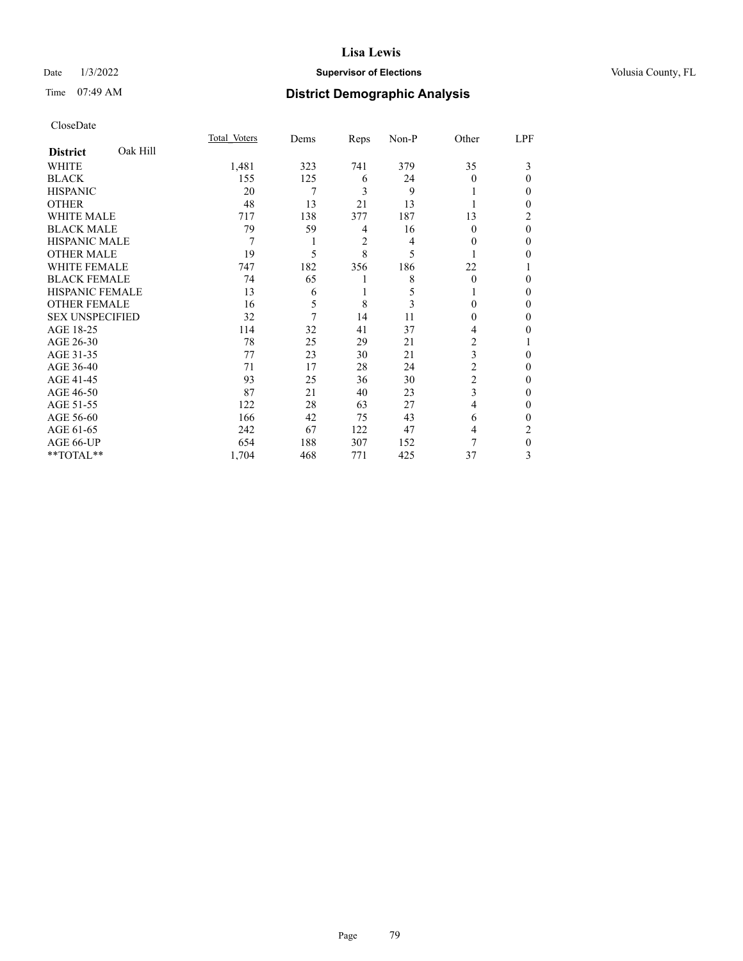# Date  $1/3/2022$  **Supervisor of Elections Supervisor of Elections** Volusia County, FL

| CloseDate |
|-----------|
|-----------|

|                        |          | Total Voters | Dems | Reps           | Non-P | Other          | LPF      |
|------------------------|----------|--------------|------|----------------|-------|----------------|----------|
| <b>District</b>        | Oak Hill |              |      |                |       |                |          |
| <b>WHITE</b>           |          | 1,481        | 323  | 741            | 379   | 35             | 3        |
| <b>BLACK</b>           |          | 155          | 125  | 6              | 24    | $\theta$       | $\Omega$ |
| <b>HISPANIC</b>        |          | 20           | 7    | 3              | 9     |                | 0        |
| <b>OTHER</b>           |          | 48           | 13   | 21             | 13    |                | 0        |
| <b>WHITE MALE</b>      |          | 717          | 138  | 377            | 187   | 13             | 2        |
| <b>BLACK MALE</b>      |          | 79           | 59   | 4              | 16    | 0              | $\theta$ |
| <b>HISPANIC MALE</b>   |          | 7            | 1    | $\overline{c}$ | 4     | $\theta$       | 0        |
| <b>OTHER MALE</b>      |          | 19           | 5    | 8              | 5     |                | 0        |
| <b>WHITE FEMALE</b>    |          | 747          | 182  | 356            | 186   | 22             |          |
| <b>BLACK FEMALE</b>    |          | 74           | 65   |                | 8     | $\Omega$       | 0        |
| <b>HISPANIC FEMALE</b> |          | 13           | 6    |                | 5     |                | 0        |
| <b>OTHER FEMALE</b>    |          | 16           | 5    | 8              | 3     | $\Omega$       | 0        |
| <b>SEX UNSPECIFIED</b> |          | 32           | 7    | 14             | 11    | 0              | 0        |
| AGE 18-25              |          | 114          | 32   | 41             | 37    | 4              | 0        |
| AGE 26-30              |          | 78           | 25   | 29             | 21    | 2              |          |
| AGE 31-35              |          | 77           | 23   | 30             | 21    | 3              | 0        |
| AGE 36-40              |          | 71           | 17   | 28             | 24    | $\overline{c}$ | 0        |
| AGE 41-45              |          | 93           | 25   | 36             | 30    | 2              | 0        |
| AGE 46-50              |          | 87           | 21   | 40             | 23    | 3              | 0        |
| AGE 51-55              |          | 122          | 28   | 63             | 27    | 4              | 0        |
| AGE 56-60              |          | 166          | 42   | 75             | 43    | 6              | 0        |
| AGE 61-65              |          | 242          | 67   | 122            | 47    | 4              | 2        |
| AGE 66-UP              |          | 654          | 188  | 307            | 152   | 7              | 0        |
| **TOTAL**              |          | 1,704        | 468  | 771            | 425   | 37             | 3        |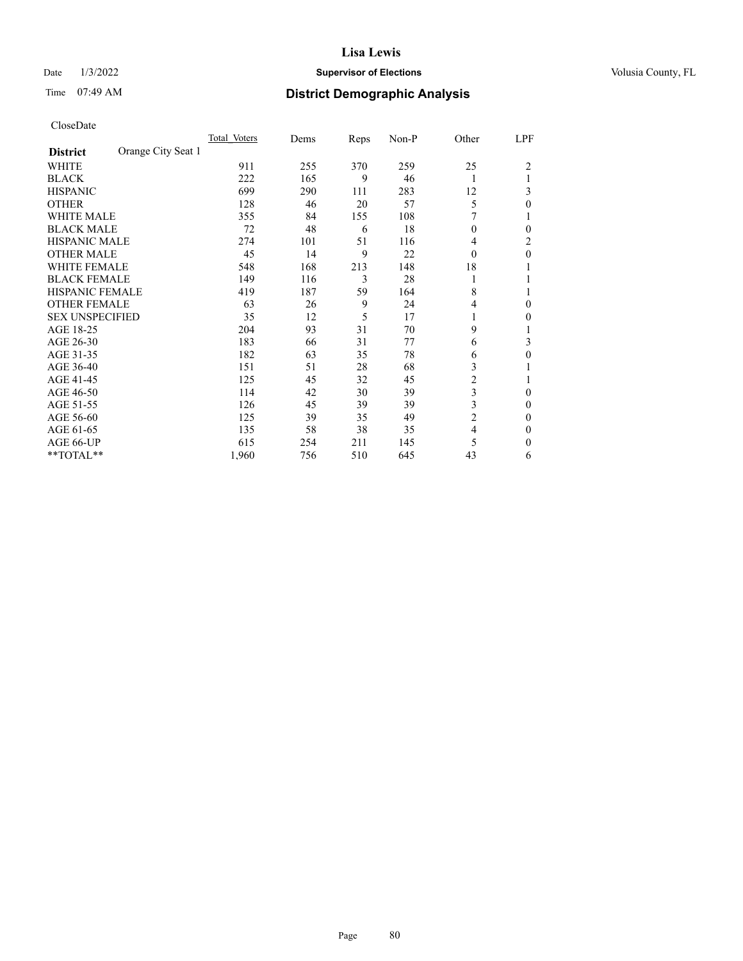# Date  $1/3/2022$  **Supervisor of Elections Supervisor of Elections** Volusia County, FL

# Time 07:49 AM **District Demographic Analysis**

|                        |                    | Total Voters | Dems | Reps | Non-P | Other          | LPF |
|------------------------|--------------------|--------------|------|------|-------|----------------|-----|
| <b>District</b>        | Orange City Seat 1 |              |      |      |       |                |     |
| WHITE                  |                    | 911          | 255  | 370  | 259   | 25             | 2   |
| <b>BLACK</b>           |                    | 222          | 165  | 9    | 46    | 1              |     |
| <b>HISPANIC</b>        |                    | 699          | 290  | 111  | 283   | 12             | 3   |
| <b>OTHER</b>           |                    | 128          | 46   | 20   | 57    | 5              | 0   |
| WHITE MALE             |                    | 355          | 84   | 155  | 108   | 7              |     |
| <b>BLACK MALE</b>      |                    | 72           | 48   | 6    | 18    | $\theta$       | 0   |
| HISPANIC MALE          |                    | 274          | 101  | 51   | 116   | 4              | 2   |
| <b>OTHER MALE</b>      |                    | 45           | 14   | 9    | 22    | 0              | 0   |
| WHITE FEMALE           |                    | 548          | 168  | 213  | 148   | 18             |     |
| <b>BLACK FEMALE</b>    |                    | 149          | 116  | 3    | 28    | 1              |     |
| <b>HISPANIC FEMALE</b> |                    | 419          | 187  | 59   | 164   | 8              |     |
| <b>OTHER FEMALE</b>    |                    | 63           | 26   | 9    | 24    | 4              | 0   |
| <b>SEX UNSPECIFIED</b> |                    | 35           | 12   | 5    | 17    |                | 0   |
| AGE 18-25              |                    | 204          | 93   | 31   | 70    | 9              |     |
| AGE 26-30              |                    | 183          | 66   | 31   | 77    | 6              | 3   |
| AGE 31-35              |                    | 182          | 63   | 35   | 78    | 6              | 0   |
| AGE 36-40              |                    | 151          | 51   | 28   | 68    | 3              |     |
| AGE 41-45              |                    | 125          | 45   | 32   | 45    | 2              |     |
| AGE 46-50              |                    | 114          | 42   | 30   | 39    | 3              | 0   |
| AGE 51-55              |                    | 126          | 45   | 39   | 39    | 3              | 0   |
| AGE 56-60              |                    | 125          | 39   | 35   | 49    | $\overline{c}$ | 0   |
| AGE 61-65              |                    | 135          | 58   | 38   | 35    | 4              | 0   |
| AGE 66-UP              |                    | 615          | 254  | 211  | 145   | 5              | 0   |
| **TOTAL**              |                    | 1,960        | 756  | 510  | 645   | 43             | 6   |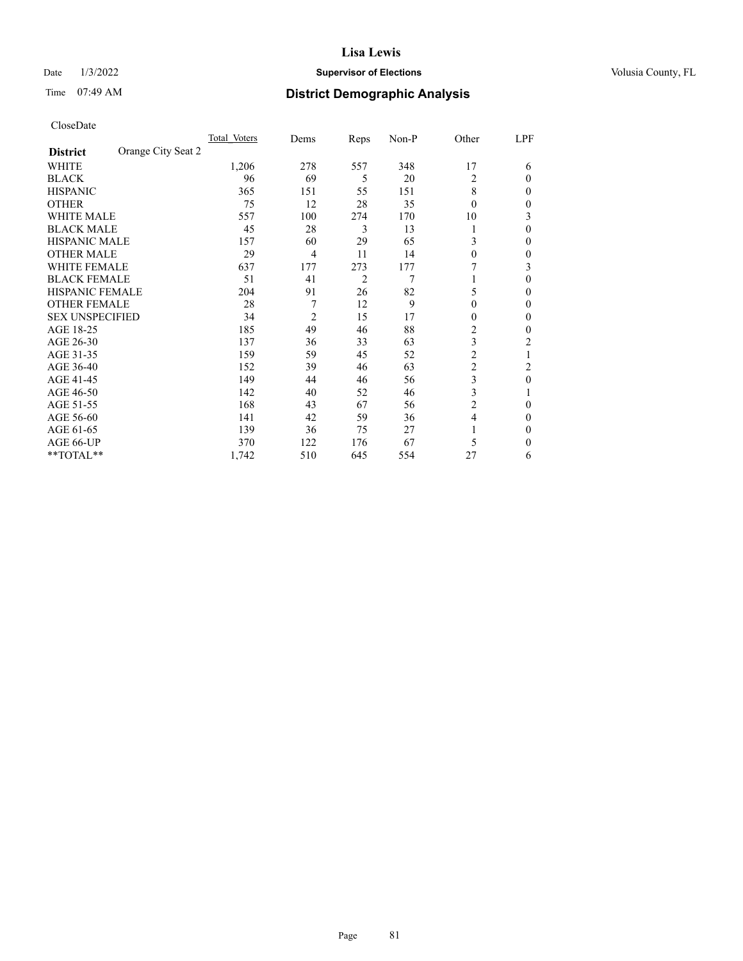# Date  $1/3/2022$  **Supervisor of Elections Supervisor of Elections** Volusia County, FL

| CloseDate |
|-----------|
|-----------|

|                                       | Total Voters | Dems           | Reps | Non-P | Other          | LPF              |
|---------------------------------------|--------------|----------------|------|-------|----------------|------------------|
| Orange City Seat 2<br><b>District</b> |              |                |      |       |                |                  |
| WHITE                                 | 1,206        | 278            | 557  | 348   | 17             | 6                |
| <b>BLACK</b>                          | 96           | 69             | 5    | 20    | 2              | 0                |
| <b>HISPANIC</b>                       | 365          | 151            | 55   | 151   | 8              | 0                |
| <b>OTHER</b>                          | 75           | 12             | 28   | 35    | $\theta$       | 0                |
| <b>WHITE MALE</b>                     | 557          | 100            | 274  | 170   | 10             | 3                |
| <b>BLACK MALE</b>                     | 45           | 28             | 3    | 13    |                | 0                |
| <b>HISPANIC MALE</b>                  | 157          | 60             | 29   | 65    | 3              | 0                |
| <b>OTHER MALE</b>                     | 29           | $\overline{4}$ | 11   | 14    | $\theta$       | 0                |
| <b>WHITE FEMALE</b>                   | 637          | 177            | 273  | 177   |                | 3                |
| <b>BLACK FEMALE</b>                   | 51           | 41             | 2    | 7     |                | 0                |
| <b>HISPANIC FEMALE</b>                | 204          | 91             | 26   | 82    | 5              | 0                |
| <b>OTHER FEMALE</b>                   | 28           | 7              | 12   | 9     | $\theta$       | 0                |
| <b>SEX UNSPECIFIED</b>                | 34           | $\overline{2}$ | 15   | 17    | $\Omega$       | 0                |
| AGE 18-25                             | 185          | 49             | 46   | 88    | $\overline{c}$ | 0                |
| AGE 26-30                             | 137          | 36             | 33   | 63    | 3              | 2                |
| AGE 31-35                             | 159          | 59             | 45   | 52    | $\overline{c}$ |                  |
| AGE 36-40                             | 152          | 39             | 46   | 63    | 2              | 2                |
| AGE 41-45                             | 149          | 44             | 46   | 56    | 3              | $\boldsymbol{0}$ |
| AGE 46-50                             | 142          | 40             | 52   | 46    | 3              |                  |
| AGE 51-55                             | 168          | 43             | 67   | 56    | $\overline{c}$ | 0                |
| AGE 56-60                             | 141          | 42             | 59   | 36    | 4              | 0                |
| AGE 61-65                             | 139          | 36             | 75   | 27    |                | 0                |
| AGE 66-UP                             | 370          | 122            | 176  | 67    | 5              | 0                |
| **TOTAL**                             | 1,742        | 510            | 645  | 554   | 27             | 6                |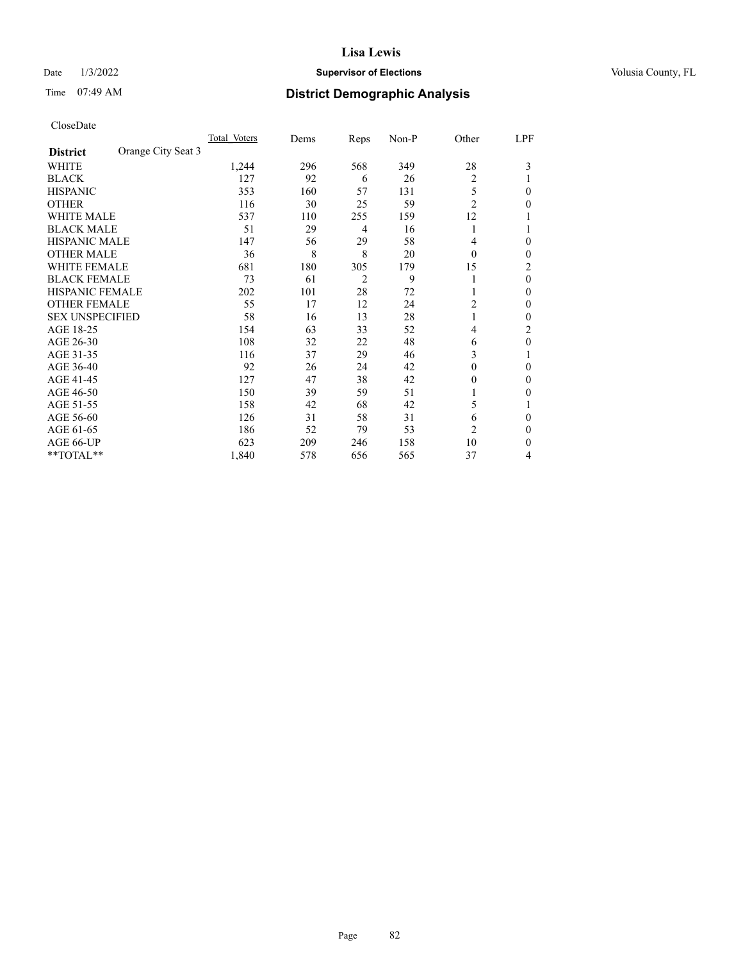# Date  $1/3/2022$  **Supervisor of Elections Supervisor of Elections** Volusia County, FL

# Time 07:49 AM **District Demographic Analysis**

|                        |                    | Total Voters | Dems | Reps           | Non-P | Other          | LPF            |
|------------------------|--------------------|--------------|------|----------------|-------|----------------|----------------|
| <b>District</b>        | Orange City Seat 3 |              |      |                |       |                |                |
| WHITE                  |                    | 1,244        | 296  | 568            | 349   | 28             | 3              |
| <b>BLACK</b>           |                    | 127          | 92   | 6              | 26    | $\overline{2}$ |                |
| <b>HISPANIC</b>        |                    | 353          | 160  | 57             | 131   | 5              | $\Omega$       |
| <b>OTHER</b>           |                    | 116          | 30   | 25             | 59    | $\overline{2}$ | 0              |
| <b>WHITE MALE</b>      |                    | 537          | 110  | 255            | 159   | 12             |                |
| <b>BLACK MALE</b>      |                    | 51           | 29   | 4              | 16    | 1              |                |
| <b>HISPANIC MALE</b>   |                    | 147          | 56   | 29             | 58    | 4              | 0              |
| <b>OTHER MALE</b>      |                    | 36           | 8    | 8              | 20    | $\theta$       | $\mathbf{0}$   |
| <b>WHITE FEMALE</b>    |                    | 681          | 180  | 305            | 179   | 15             | $\overline{2}$ |
| <b>BLACK FEMALE</b>    |                    | 73           | 61   | $\overline{2}$ | 9     |                | $\theta$       |
| <b>HISPANIC FEMALE</b> |                    | 202          | 101  | 28             | 72    |                | $\Omega$       |
| <b>OTHER FEMALE</b>    |                    | 55           | 17   | 12             | 24    | 2              | $\Omega$       |
| <b>SEX UNSPECIFIED</b> |                    | 58           | 16   | 13             | 28    | 1              | $\theta$       |
| AGE 18-25              |                    | 154          | 63   | 33             | 52    | $\overline{4}$ | $\overline{c}$ |
| AGE 26-30              |                    | 108          | 32   | 22             | 48    | 6              | $\theta$       |
| AGE 31-35              |                    | 116          | 37   | 29             | 46    | 3              |                |
| AGE 36-40              |                    | 92           | 26   | 24             | 42    | 0              | $\theta$       |
| AGE 41-45              |                    | 127          | 47   | 38             | 42    | 0              | $\Omega$       |
| AGE 46-50              |                    | 150          | 39   | 59             | 51    |                | $\Omega$       |
| AGE 51-55              |                    | 158          | 42   | 68             | 42    | 5              |                |
| AGE 56-60              |                    | 126          | 31   | 58             | 31    | 6              | $\theta$       |
| AGE 61-65              |                    | 186          | 52   | 79             | 53    | $\overline{c}$ | $\theta$       |
| AGE 66-UP              |                    | 623          | 209  | 246            | 158   | 10             | $\Omega$       |
| **TOTAL**              |                    | 1,840        | 578  | 656            | 565   | 37             | 4              |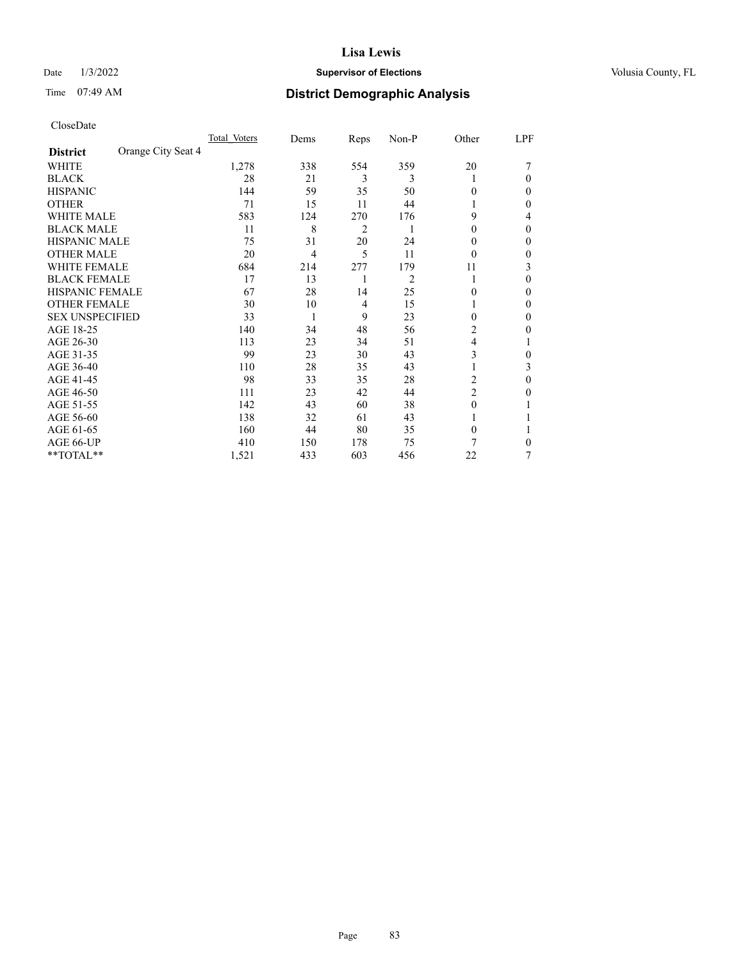# Date  $1/3/2022$  **Supervisor of Elections Supervisor of Elections** Volusia County, FL

# Time 07:49 AM **District Demographic Analysis**

|                        |                    | Total Voters | Dems           | Reps | Non-P          | Other          | LPF |
|------------------------|--------------------|--------------|----------------|------|----------------|----------------|-----|
| <b>District</b>        | Orange City Seat 4 |              |                |      |                |                |     |
| WHITE                  |                    | 1,278        | 338            | 554  | 359            | 20             |     |
| <b>BLACK</b>           |                    | 28           | 21             | 3    | 3              |                | 0   |
| <b>HISPANIC</b>        |                    | 144          | 59             | 35   | 50             | 0              | 0   |
| <b>OTHER</b>           |                    | 71           | 15             | 11   | 44             |                | 0   |
| WHITE MALE             |                    | 583          | 124            | 270  | 176            | 9              | 4   |
| <b>BLACK MALE</b>      |                    | 11           | 8              | 2    | 1              | $\theta$       | 0   |
| <b>HISPANIC MALE</b>   |                    | 75           | 31             | 20   | 24             | 0              | 0   |
| <b>OTHER MALE</b>      |                    | 20           | $\overline{4}$ | 5    | 11             | $\theta$       | 0   |
| <b>WHITE FEMALE</b>    |                    | 684          | 214            | 277  | 179            | 11             | 3   |
| <b>BLACK FEMALE</b>    |                    | 17           | 13             | 1    | $\overline{c}$ | 1              | 0   |
| <b>HISPANIC FEMALE</b> |                    | 67           | 28             | 14   | 25             | 0              | 0   |
| <b>OTHER FEMALE</b>    |                    | 30           | 10             | 4    | 15             |                | 0   |
| <b>SEX UNSPECIFIED</b> |                    | 33           | 1              | 9    | 23             | $\Omega$       | 0   |
| AGE 18-25              |                    | 140          | 34             | 48   | 56             | 2              | 0   |
| AGE 26-30              |                    | 113          | 23             | 34   | 51             | 4              |     |
| AGE 31-35              |                    | 99           | 23             | 30   | 43             | 3              | 0   |
| AGE 36-40              |                    | 110          | 28             | 35   | 43             |                | 3   |
| AGE 41-45              |                    | 98           | 33             | 35   | 28             | 2              | 0   |
| AGE 46-50              |                    | 111          | 23             | 42   | 44             | $\overline{c}$ | 0   |
| AGE 51-55              |                    | 142          | 43             | 60   | 38             | $\Omega$       |     |
| AGE 56-60              |                    | 138          | 32             | 61   | 43             |                |     |
| AGE 61-65              |                    | 160          | 44             | 80   | 35             | $\theta$       |     |
| AGE 66-UP              |                    | 410          | 150            | 178  | 75             | 7              | 0   |
| **TOTAL**              |                    | 1,521        | 433            | 603  | 456            | 22             | 7   |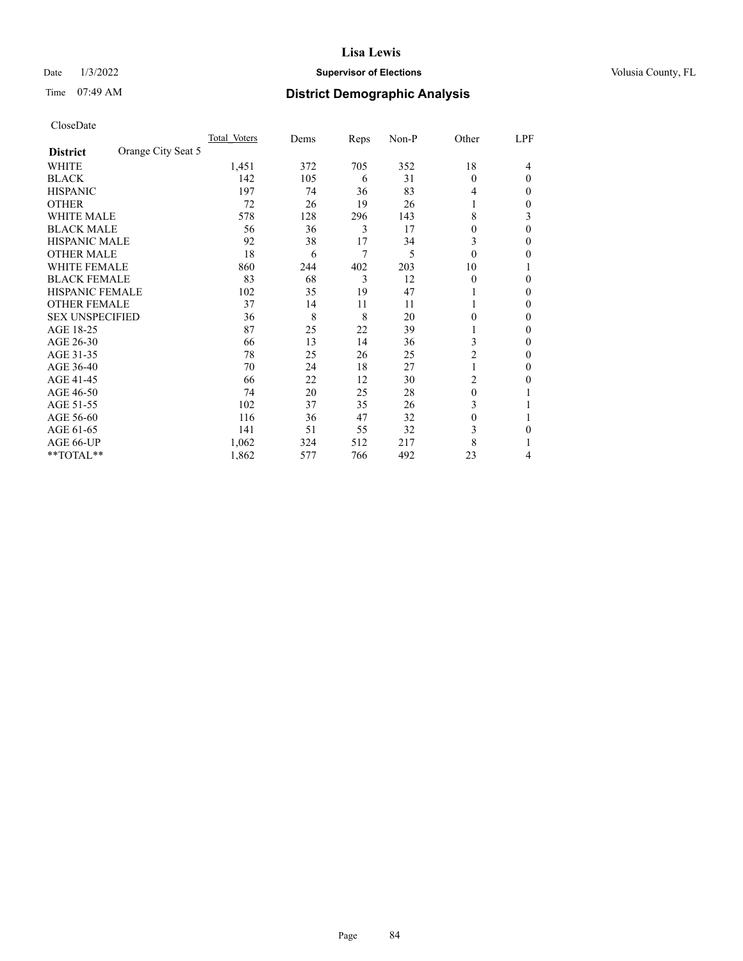# Date  $1/3/2022$  **Supervisor of Elections Supervisor of Elections** Volusia County, FL

# Time 07:49 AM **District Demographic Analysis**

|                        |                    | Total Voters | Dems | Reps | Non-P | Other          | LPF    |
|------------------------|--------------------|--------------|------|------|-------|----------------|--------|
| <b>District</b>        | Orange City Seat 5 |              |      |      |       |                |        |
| WHITE                  |                    | 1,451        | 372  | 705  | 352   | 18             | 4      |
| <b>BLACK</b>           |                    | 142          | 105  | 6    | 31    | 0              | 0      |
| <b>HISPANIC</b>        |                    | 197          | 74   | 36   | 83    | 4              | $_{0}$ |
| <b>OTHER</b>           |                    | 72           | 26   | 19   | 26    |                | 0      |
| WHITE MALE             |                    | 578          | 128  | 296  | 143   | 8              | 3      |
| <b>BLACK MALE</b>      |                    | 56           | 36   | 3    | 17    | 0              | 0      |
| <b>HISPANIC MALE</b>   |                    | 92           | 38   | 17   | 34    | 3              | 0      |
| <b>OTHER MALE</b>      |                    | 18           | 6    | 7    | 5     | 0              | 0      |
| WHITE FEMALE           |                    | 860          | 244  | 402  | 203   | 10             |        |
| <b>BLACK FEMALE</b>    |                    | 83           | 68   | 3    | 12    | 0              | 0      |
| <b>HISPANIC FEMALE</b> |                    | 102          | 35   | 19   | 47    |                | 0      |
| <b>OTHER FEMALE</b>    |                    | 37           | 14   | 11   | 11    |                | 0      |
| <b>SEX UNSPECIFIED</b> |                    | 36           | 8    | 8    | 20    | 0              | 0      |
| AGE 18-25              |                    | 87           | 25   | 22   | 39    |                | 0      |
| AGE 26-30              |                    | 66           | 13   | 14   | 36    | 3              | 0      |
| AGE 31-35              |                    | 78           | 25   | 26   | 25    | $\overline{2}$ | 0      |
| AGE 36-40              |                    | 70           | 24   | 18   | 27    | 1              | 0      |
| AGE 41-45              |                    | 66           | 22   | 12   | 30    | 2              | 0      |
| AGE 46-50              |                    | 74           | 20   | 25   | 28    | $\theta$       |        |
| AGE 51-55              |                    | 102          | 37   | 35   | 26    | 3              |        |
| AGE 56-60              |                    | 116          | 36   | 47   | 32    | 0              |        |
| AGE 61-65              |                    | 141          | 51   | 55   | 32    | 3              | 0      |
| AGE 66-UP              |                    | 1,062        | 324  | 512  | 217   | 8              |        |
| **TOTAL**              |                    | 1,862        | 577  | 766  | 492   | 23             | 4      |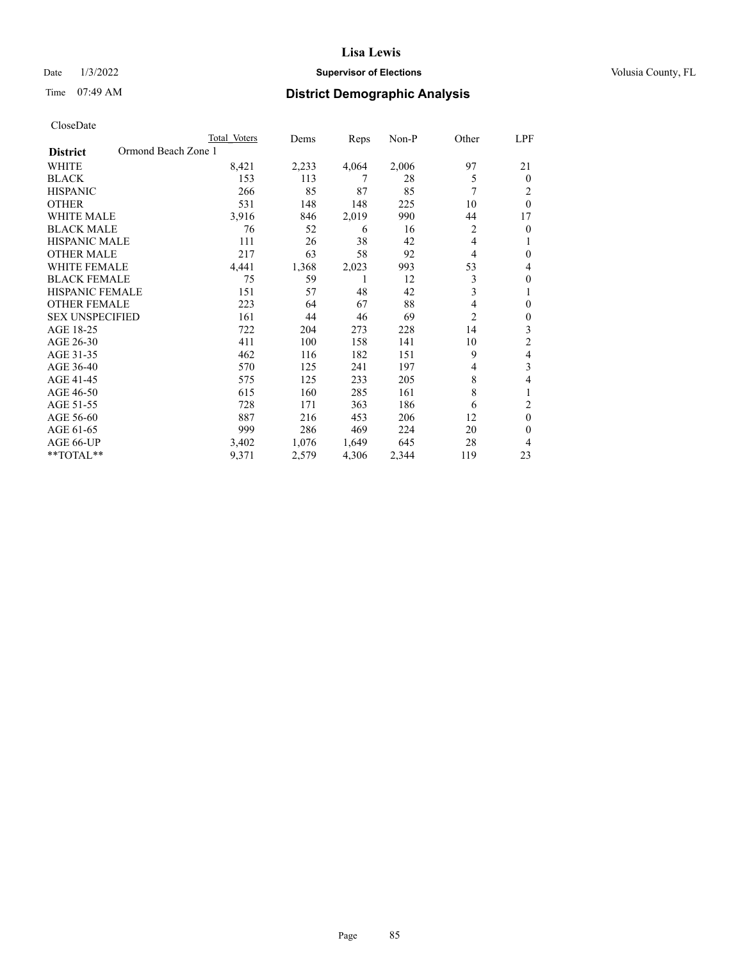# Date  $1/3/2022$  **Supervisor of Elections Supervisor of Elections** Volusia County, FL

# Time 07:49 AM **District Demographic Analysis**

| Total Voters | Dems                | Reps  | $Non-P$ | Other          | LPF      |
|--------------|---------------------|-------|---------|----------------|----------|
|              |                     |       |         |                |          |
| 8,421        | 2,233               | 4,064 | 2,006   | 97             | 21       |
| 153          | 113                 | 7     | 28      | 5              | $\theta$ |
| 266          | 85                  | 87    | 85      | 7              | 2        |
| 531          | 148                 | 148   | 225     | 10             | $\theta$ |
| 3,916        | 846                 | 2,019 | 990     | 44             | 17       |
| 76           | 52                  | 6     | 16      | $\overline{2}$ | $\theta$ |
| 111          | 26                  | 38    | 42      | 4              | 1        |
| 217          | 63                  | 58    | 92      | 4              | $\theta$ |
| 4,441        | 1,368               | 2,023 | 993     | 53             | 4        |
| 75           | 59                  | 1     | 12      | 3              | $\theta$ |
| 151          | 57                  | 48    | 42      | 3              | 1        |
| 223          | 64                  | 67    | 88      | 4              | $\theta$ |
| 161          | 44                  | 46    | 69      | $\overline{c}$ | $\theta$ |
| 722          | 204                 | 273   | 228     | 14             | 3        |
| 411          | 100                 | 158   | 141     | 10             | 2        |
| 462          | 116                 | 182   | 151     | 9              | 4        |
| 570          | 125                 | 241   | 197     | 4              | 3        |
| 575          | 125                 | 233   | 205     | $\,$ 8 $\,$    | 4        |
| 615          | 160                 | 285   | 161     | 8              |          |
| 728          | 171                 | 363   | 186     | 6              | 2        |
| 887          | 216                 | 453   | 206     | 12             | $\theta$ |
| 999          | 286                 | 469   | 224     | 20             | $\theta$ |
| 3,402        | 1,076               | 1,649 | 645     | 28             | 4        |
| 9,371        | 2,579               | 4,306 | 2,344   | 119            | 23       |
|              | Ormond Beach Zone 1 |       |         |                |          |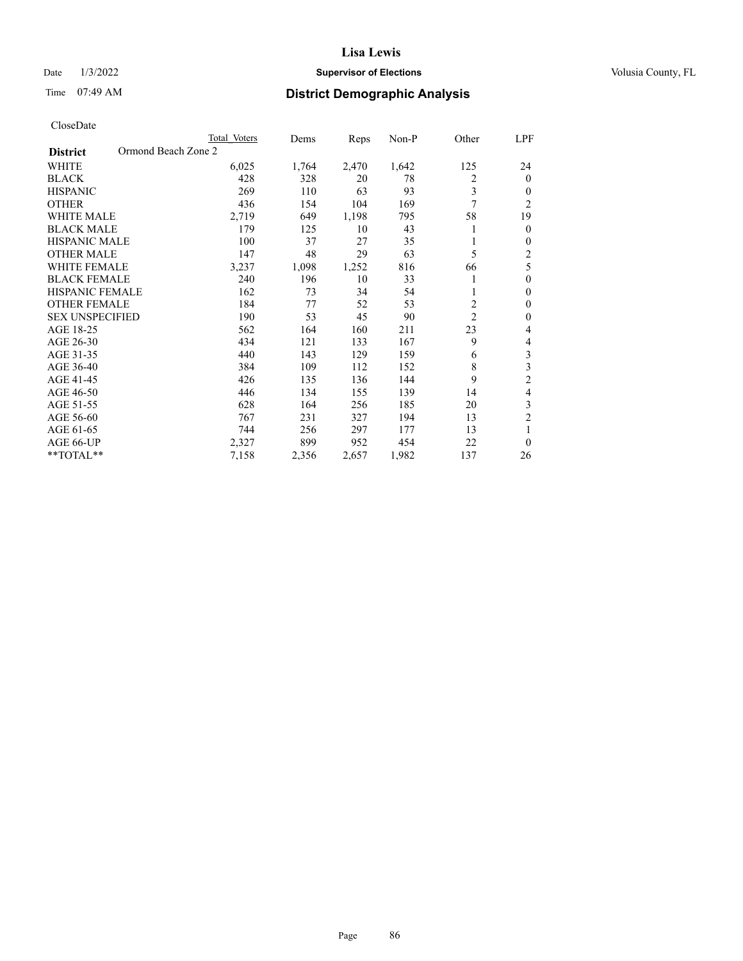# Date  $1/3/2022$  **Supervisor of Elections Supervisor of Elections** Volusia County, FL

# Time 07:49 AM **District Demographic Analysis**

|                                        | Total Voters | Dems  | Reps  | $Non-P$ | Other          | LPF                     |
|----------------------------------------|--------------|-------|-------|---------|----------------|-------------------------|
| Ormond Beach Zone 2<br><b>District</b> |              |       |       |         |                |                         |
| <b>WHITE</b>                           | 6,025        | 1,764 | 2,470 | 1,642   | 125            | 24                      |
| <b>BLACK</b>                           | 428          | 328   | 20    | 78      | 2              | $\theta$                |
| <b>HISPANIC</b>                        | 269          | 110   | 63    | 93      | 3              | $\theta$                |
| <b>OTHER</b>                           | 436          | 154   | 104   | 169     | 7              | $\overline{2}$          |
| <b>WHITE MALE</b>                      | 2,719        | 649   | 1,198 | 795     | 58             | 19                      |
| <b>BLACK MALE</b>                      | 179          | 125   | 10    | 43      |                | $\mathbf{0}$            |
| HISPANIC MALE                          | 100          | 37    | 27    | 35      |                | $\theta$                |
| <b>OTHER MALE</b>                      | 147          | 48    | 29    | 63      | 5              | 2                       |
| <b>WHITE FEMALE</b>                    | 3,237        | 1,098 | 1,252 | 816     | 66             | 5                       |
| <b>BLACK FEMALE</b>                    | 240          | 196   | 10    | 33      |                | $\mathbf{0}$            |
| <b>HISPANIC FEMALE</b>                 | 162          | 73    | 34    | 54      | 1              | $\theta$                |
| <b>OTHER FEMALE</b>                    | 184          | 77    | 52    | 53      | $\overline{c}$ | $\theta$                |
| <b>SEX UNSPECIFIED</b>                 | 190          | 53    | 45    | 90      | $\overline{2}$ | $\theta$                |
| AGE 18-25                              | 562          | 164   | 160   | 211     | 23             | 4                       |
| AGE 26-30                              | 434          | 121   | 133   | 167     | 9              | 4                       |
| AGE 31-35                              | 440          | 143   | 129   | 159     | 6              | $\mathfrak{Z}$          |
| AGE 36-40                              | 384          | 109   | 112   | 152     | 8              | $\overline{\mathbf{3}}$ |
| AGE 41-45                              | 426          | 135   | 136   | 144     | 9              | $\overline{2}$          |
| AGE 46-50                              | 446          | 134   | 155   | 139     | 14             | 4                       |
| AGE 51-55                              | 628          | 164   | 256   | 185     | 20             | 3                       |
| AGE 56-60                              | 767          | 231   | 327   | 194     | 13             | $\overline{c}$          |
| AGE 61-65                              | 744          | 256   | 297   | 177     | 13             | 1                       |
| AGE 66-UP                              | 2,327        | 899   | 952   | 454     | 22             | $\theta$                |
| $*$ $TOTAL**$                          | 7,158        | 2,356 | 2,657 | 1,982   | 137            | 26                      |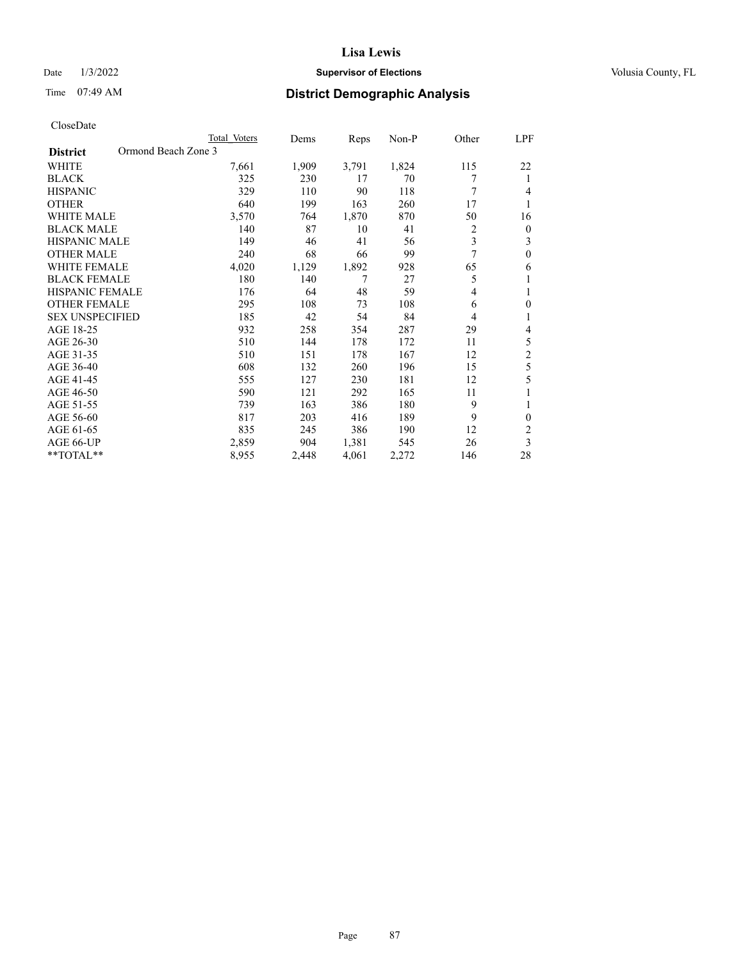# Date  $1/3/2022$  **Supervisor of Elections Supervisor of Elections** Volusia County, FL

# Time 07:49 AM **District Demographic Analysis**

|                                        | Total Voters | Dems  | Reps  | $Non-P$ | Other          | <u>LPF</u>     |
|----------------------------------------|--------------|-------|-------|---------|----------------|----------------|
| Ormond Beach Zone 3<br><b>District</b> |              |       |       |         |                |                |
| <b>WHITE</b>                           | 7,661        | 1,909 | 3,791 | 1,824   | 115            | 22             |
| <b>BLACK</b>                           | 325          | 230   | 17    | 70      | 7              | 1              |
| <b>HISPANIC</b>                        | 329          | 110   | 90    | 118     | 7              | $\overline{4}$ |
| <b>OTHER</b>                           | 640          | 199   | 163   | 260     | 17             | 1              |
| <b>WHITE MALE</b>                      | 3,570        | 764   | 1,870 | 870     | 50             | 16             |
| <b>BLACK MALE</b>                      | 140          | 87    | 10    | 41      | 2              | $\mathbf{0}$   |
| <b>HISPANIC MALE</b>                   | 149          | 46    | 41    | 56      | 3              | 3              |
| <b>OTHER MALE</b>                      | 240          | 68    | 66    | 99      | 7              | $\mathbf{0}$   |
| <b>WHITE FEMALE</b>                    | 4,020        | 1,129 | 1,892 | 928     | 65             | 6              |
| <b>BLACK FEMALE</b>                    | 180          | 140   | 7     | 27      | 5              | 1              |
| <b>HISPANIC FEMALE</b>                 | 176          | 64    | 48    | 59      | $\overline{4}$ | 1              |
| <b>OTHER FEMALE</b>                    | 295          | 108   | 73    | 108     | 6              | $\mathbf{0}$   |
| <b>SEX UNSPECIFIED</b>                 | 185          | 42    | 54    | 84      | $\overline{4}$ | 1              |
| AGE 18-25                              | 932          | 258   | 354   | 287     | 29             | 4              |
| AGE 26-30                              | 510          | 144   | 178   | 172     | 11             | 5              |
| AGE 31-35                              | 510          | 151   | 178   | 167     | 12             | $\overline{c}$ |
| AGE 36-40                              | 608          | 132   | 260   | 196     | 15             | 5              |
| AGE 41-45                              | 555          | 127   | 230   | 181     | 12             | 5              |
| AGE 46-50                              | 590          | 121   | 292   | 165     | 11             |                |
| AGE 51-55                              | 739          | 163   | 386   | 180     | 9              | 1              |
| AGE 56-60                              | 817          | 203   | 416   | 189     | 9              | $\theta$       |
| AGE 61-65                              | 835          | 245   | 386   | 190     | 12             | $\overline{2}$ |
| AGE 66-UP                              | 2,859        | 904   | 1,381 | 545     | 26             | 3              |
| **TOTAL**                              | 8,955        | 2,448 | 4,061 | 2,272   | 146            | 28             |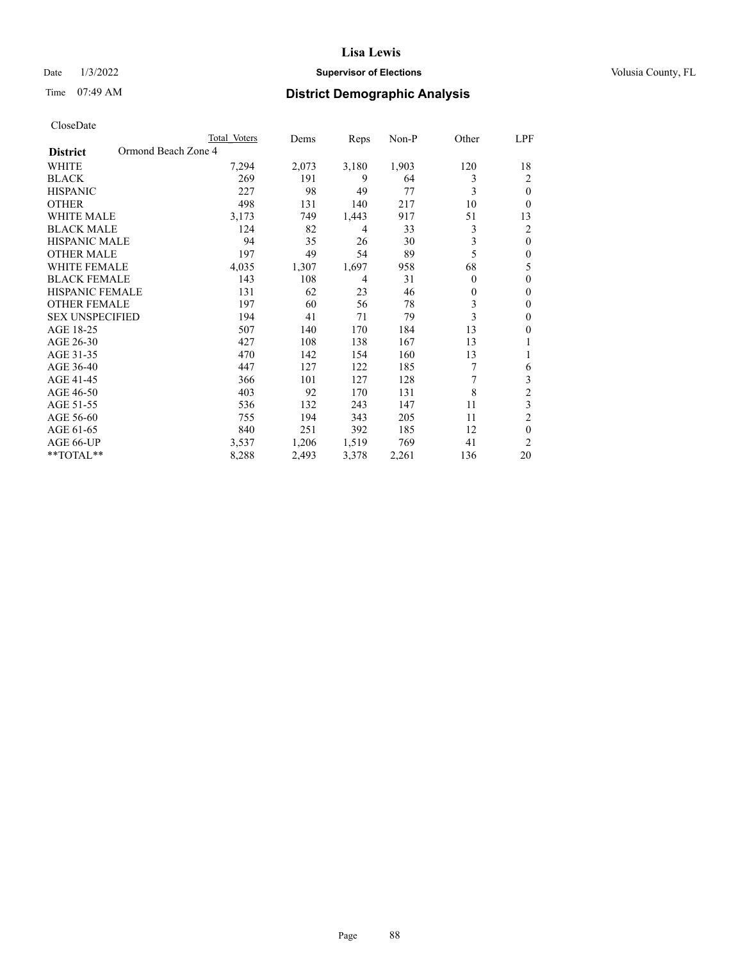# Date  $1/3/2022$  **Supervisor of Elections Supervisor of Elections** Volusia County, FL

# Time 07:49 AM **District Demographic Analysis**

|                                        | Total Voters | Dems  | Reps  | Non-P | Other    | LPF            |
|----------------------------------------|--------------|-------|-------|-------|----------|----------------|
| Ormond Beach Zone 4<br><b>District</b> |              |       |       |       |          |                |
| WHITE                                  | 7,294        | 2,073 | 3,180 | 1,903 | 120      | 18             |
| <b>BLACK</b>                           | 269          | 191   | 9     | 64    | 3        | 2              |
| <b>HISPANIC</b>                        | 227          | 98    | 49    | 77    | 3        | $\theta$       |
| <b>OTHER</b>                           | 498          | 131   | 140   | 217   | 10       | 0              |
| <b>WHITE MALE</b>                      | 3,173        | 749   | 1,443 | 917   | 51       | 13             |
| <b>BLACK MALE</b>                      | 124          | 82    | 4     | 33    | 3        | 2              |
| <b>HISPANIC MALE</b>                   | 94           | 35    | 26    | 30    | 3        | $\theta$       |
| <b>OTHER MALE</b>                      | 197          | 49    | 54    | 89    | 5        | $\theta$       |
| <b>WHITE FEMALE</b>                    | 4,035        | 1,307 | 1,697 | 958   | 68       | 5              |
| <b>BLACK FEMALE</b>                    | 143          | 108   | 4     | 31    | $\theta$ | $\theta$       |
| <b>HISPANIC FEMALE</b>                 | 131          | 62    | 23    | 46    | $\theta$ | $\theta$       |
| <b>OTHER FEMALE</b>                    | 197          | 60    | 56    | 78    | 3        | $\theta$       |
| <b>SEX UNSPECIFIED</b>                 | 194          | 41    | 71    | 79    | 3        | $\theta$       |
| AGE 18-25                              | 507          | 140   | 170   | 184   | 13       | $\theta$       |
| AGE 26-30                              | 427          | 108   | 138   | 167   | 13       | 1              |
| AGE 31-35                              | 470          | 142   | 154   | 160   | 13       |                |
| AGE 36-40                              | 447          | 127   | 122   | 185   | 7        | 6              |
| AGE 41-45                              | 366          | 101   | 127   | 128   | 7        | 3              |
| AGE 46-50                              | 403          | 92    | 170   | 131   | 8        | $\overline{2}$ |
| AGE 51-55                              | 536          | 132   | 243   | 147   | 11       | 3              |
| AGE 56-60                              | 755          | 194   | 343   | 205   | 11       | $\overline{c}$ |
| AGE 61-65                              | 840          | 251   | 392   | 185   | 12       | $\theta$       |
| AGE 66-UP                              | 3,537        | 1,206 | 1,519 | 769   | 41       | $\overline{c}$ |
| **TOTAL**                              | 8,288        | 2,493 | 3,378 | 2,261 | 136      | 20             |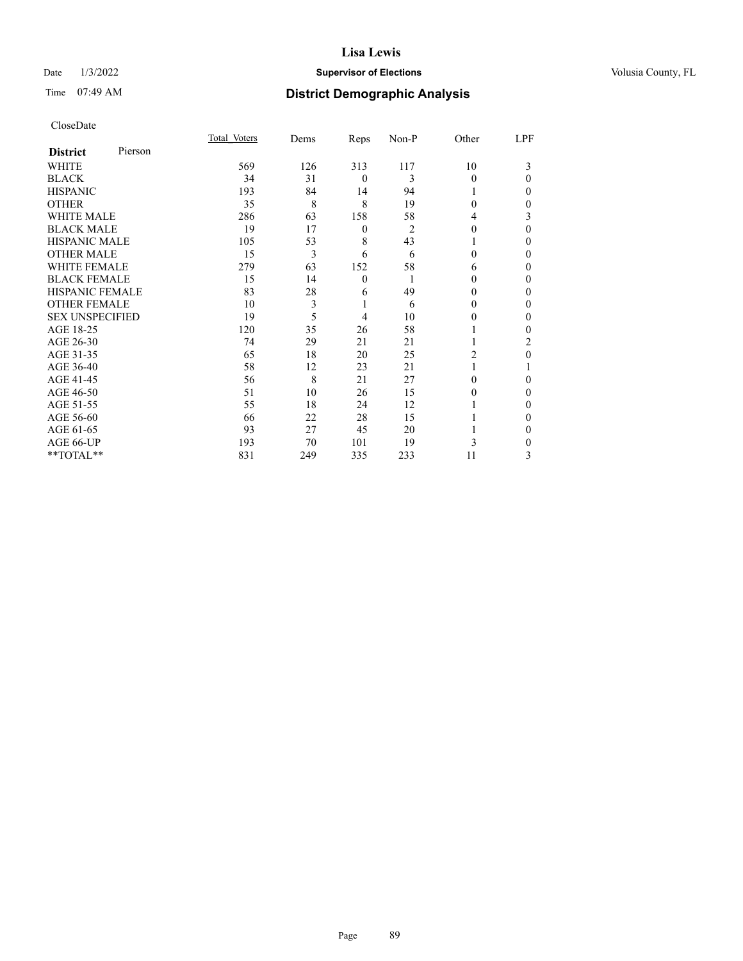# Date  $1/3/2022$  **Supervisor of Elections Supervisor of Elections** Volusia County, FL

| CloseDate |
|-----------|
|-----------|

|                        |         | Total Voters | Dems | Reps             | Non-P          | Other    | LPF      |
|------------------------|---------|--------------|------|------------------|----------------|----------|----------|
| <b>District</b>        | Pierson |              |      |                  |                |          |          |
| WHITE                  |         | 569          | 126  | 313              | 117            | 10       | 3        |
| <b>BLACK</b>           |         | 34           | 31   | $\theta$         | 3              | $\Omega$ | $\Omega$ |
| <b>HISPANIC</b>        |         | 193          | 84   | 14               | 94             |          | 0        |
| <b>OTHER</b>           |         | 35           | 8    | 8                | 19             | $\Omega$ | 0        |
| <b>WHITE MALE</b>      |         | 286          | 63   | 158              | 58             | 4        | 3        |
| <b>BLACK MALE</b>      |         | 19           | 17   | $\boldsymbol{0}$ | $\overline{2}$ | $\theta$ | $\Omega$ |
| <b>HISPANIC MALE</b>   |         | 105          | 53   | 8                | 43             |          | 0        |
| <b>OTHER MALE</b>      |         | 15           | 3    | 6                | 6              | 0        | 0        |
| <b>WHITE FEMALE</b>    |         | 279          | 63   | 152              | 58             | 6        | 0        |
| <b>BLACK FEMALE</b>    |         | 15           | 14   | $\mathbf{0}$     |                | 0        | 0        |
| <b>HISPANIC FEMALE</b> |         | 83           | 28   | 6                | 49             | 0        | 0        |
| <b>OTHER FEMALE</b>    |         | 10           | 3    | 1                | 6              | 0        | 0        |
| <b>SEX UNSPECIFIED</b> |         | 19           | 5    | 4                | 10             | 0        | 0        |
| AGE 18-25              |         | 120          | 35   | 26               | 58             |          | 0        |
| AGE 26-30              |         | 74           | 29   | 21               | 21             |          | 2        |
| AGE 31-35              |         | 65           | 18   | 20               | 25             | 2        | 0        |
| AGE 36-40              |         | 58           | 12   | 23               | 21             |          |          |
| AGE 41-45              |         | 56           | 8    | 21               | 27             | 0        | 0        |
| AGE 46-50              |         | 51           | 10   | 26               | 15             | 0        | $\Omega$ |
| AGE 51-55              |         | 55           | 18   | 24               | 12             |          | 0        |
| AGE 56-60              |         | 66           | 22   | 28               | 15             |          | 0        |
| AGE 61-65              |         | 93           | 27   | 45               | 20             |          | 0        |
| AGE 66-UP              |         | 193          | 70   | 101              | 19             | 3        | 0        |
| **TOTAL**              |         | 831          | 249  | 335              | 233            | 11       | 3        |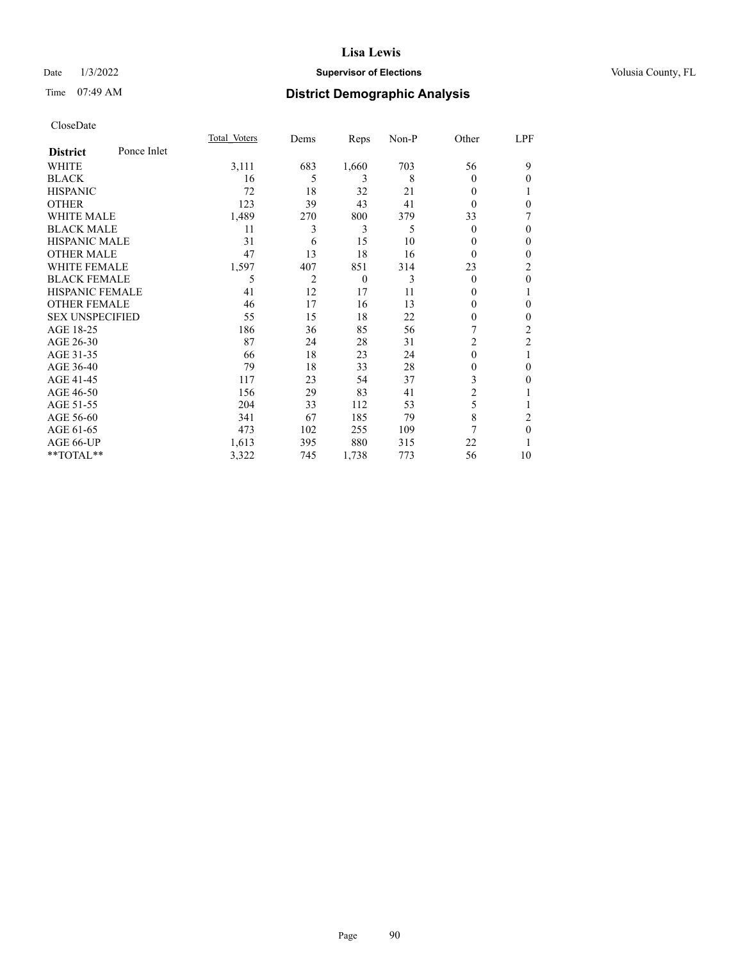# Date  $1/3/2022$  **Supervisor of Elections Supervisor of Elections** Volusia County, FL

# Time 07:49 AM **District Demographic Analysis**

|                        |             | Total Voters | Dems | Reps           | Non-P | Other          | LPF            |
|------------------------|-------------|--------------|------|----------------|-------|----------------|----------------|
| <b>District</b>        | Ponce Inlet |              |      |                |       |                |                |
| WHITE                  |             | 3,111        | 683  | 1,660          | 703   | 56             | 9              |
| <b>BLACK</b>           |             | 16           | 5    | 3              | 8     | 0              | 0              |
| <b>HISPANIC</b>        |             | 72           | 18   | 32             | 21    | 0              |                |
| <b>OTHER</b>           |             | 123          | 39   | 43             | 41    | 0              | $\theta$       |
| <b>WHITE MALE</b>      |             | 1,489        | 270  | 800            | 379   | 33             |                |
| <b>BLACK MALE</b>      |             | 11           | 3    | 3              | 5     | $\theta$       | $\mathbf{0}$   |
| <b>HISPANIC MALE</b>   |             | 31           | 6    | 15             | 10    | 0              | $\Omega$       |
| <b>OTHER MALE</b>      |             | 47           | 13   | 18             | 16    | $\theta$       | $\mathbf{0}$   |
| <b>WHITE FEMALE</b>    |             | 1,597        | 407  | 851            | 314   | 23             | 2              |
| <b>BLACK FEMALE</b>    |             | 5            | 2    | $\overline{0}$ | 3     | $\theta$       | $\mathbf{0}$   |
| <b>HISPANIC FEMALE</b> |             | 41           | 12   | 17             | 11    | 0              |                |
| <b>OTHER FEMALE</b>    |             | 46           | 17   | 16             | 13    | 0              | 0              |
| <b>SEX UNSPECIFIED</b> |             | 55           | 15   | 18             | 22    | 0              | 0              |
| AGE 18-25              |             | 186          | 36   | 85             | 56    |                | 2              |
| AGE 26-30              |             | 87           | 24   | 28             | 31    | $\overline{c}$ | $\overline{2}$ |
| AGE 31-35              |             | 66           | 18   | 23             | 24    | 0              | 1              |
| AGE 36-40              |             | 79           | 18   | 33             | 28    | 0              | 0              |
| AGE 41-45              |             | 117          | 23   | 54             | 37    | 3              | 0              |
| AGE 46-50              |             | 156          | 29   | 83             | 41    | 2              |                |
| AGE 51-55              |             | 204          | 33   | 112            | 53    | 5              |                |
| AGE 56-60              |             | 341          | 67   | 185            | 79    | 8              | 2              |
| AGE 61-65              |             | 473          | 102  | 255            | 109   | 7              | $\theta$       |
| <b>AGE 66-UP</b>       |             | 1,613        | 395  | 880            | 315   | 22             |                |
| **TOTAL**              |             | 3,322        | 745  | 1,738          | 773   | 56             | 10             |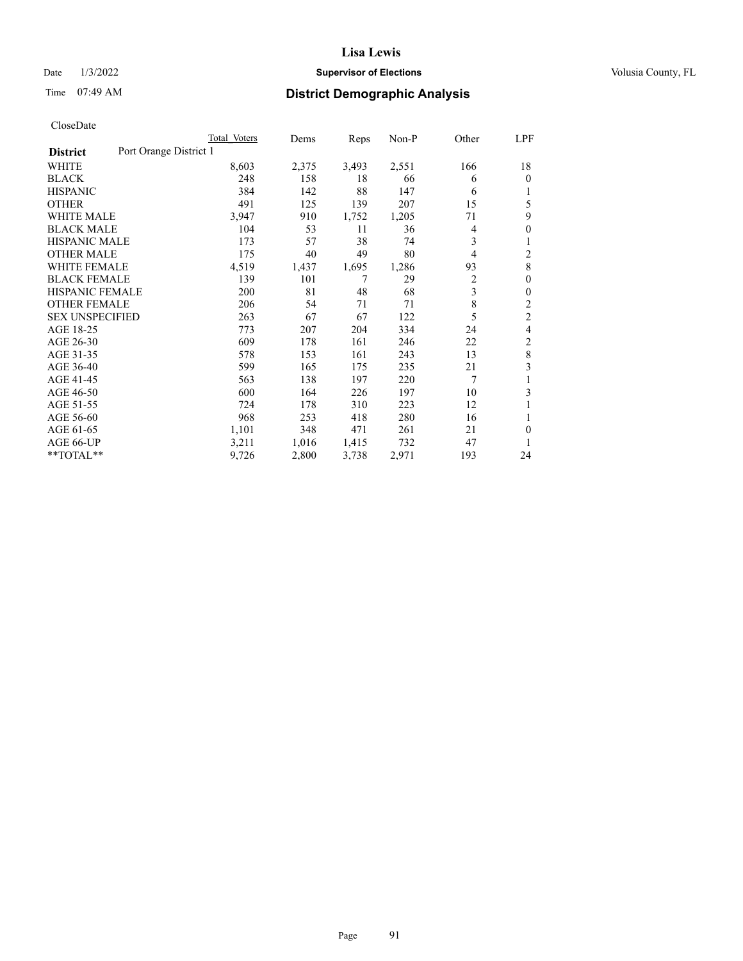# Date  $1/3/2022$  **Supervisor of Elections Supervisor of Elections** Volusia County, FL

# Time 07:49 AM **District Demographic Analysis**

|                        | Total Voters           | Dems  | Reps  | Non-P | Other          | LPF            |
|------------------------|------------------------|-------|-------|-------|----------------|----------------|
| <b>District</b>        | Port Orange District 1 |       |       |       |                |                |
| WHITE                  | 8,603                  | 2,375 | 3,493 | 2,551 | 166            | 18             |
| <b>BLACK</b>           | 248                    | 158   | 18    | 66    | 6              | 0              |
| <b>HISPANIC</b>        | 384                    | 142   | 88    | 147   | 6              |                |
| <b>OTHER</b>           | 491                    | 125   | 139   | 207   | 15             | 5              |
| WHITE MALE             | 3,947                  | 910   | 1,752 | 1,205 | 71             | 9              |
| <b>BLACK MALE</b>      | 104                    | 53    | 11    | 36    | 4              | 0              |
| <b>HISPANIC MALE</b>   | 173                    | 57    | 38    | 74    | 3              | 1              |
| <b>OTHER MALE</b>      | 175                    | 40    | 49    | 80    | 4              | 2              |
| <b>WHITE FEMALE</b>    | 4,519                  | 1,437 | 1,695 | 1,286 | 93             | 8              |
| <b>BLACK FEMALE</b>    | 139                    | 101   | 7     | 29    | $\overline{c}$ | 0              |
| <b>HISPANIC FEMALE</b> | 200                    | 81    | 48    | 68    | 3              | 0              |
| <b>OTHER FEMALE</b>    | 206                    | 54    | 71    | 71    | 8              | 2              |
| <b>SEX UNSPECIFIED</b> | 263                    | 67    | 67    | 122   | 5              | $\overline{c}$ |
| AGE 18-25              | 773                    | 207   | 204   | 334   | 24             | 4              |
| AGE 26-30              | 609                    | 178   | 161   | 246   | 22             | 2              |
| AGE 31-35              | 578                    | 153   | 161   | 243   | 13             | 8              |
| AGE 36-40              | 599                    | 165   | 175   | 235   | 21             | 3              |
| AGE 41-45              | 563                    | 138   | 197   | 220   | 7              |                |
| AGE 46-50              | 600                    | 164   | 226   | 197   | 10             | 3              |
| AGE 51-55              | 724                    | 178   | 310   | 223   | 12             | 1              |
| AGE 56-60              | 968                    | 253   | 418   | 280   | 16             |                |
| AGE 61-65              | 1,101                  | 348   | 471   | 261   | 21             | 0              |
| AGE 66-UP              | 3,211                  | 1,016 | 1,415 | 732   | 47             |                |
| $*$ $TOTAL**$          | 9,726                  | 2,800 | 3,738 | 2,971 | 193            | 24             |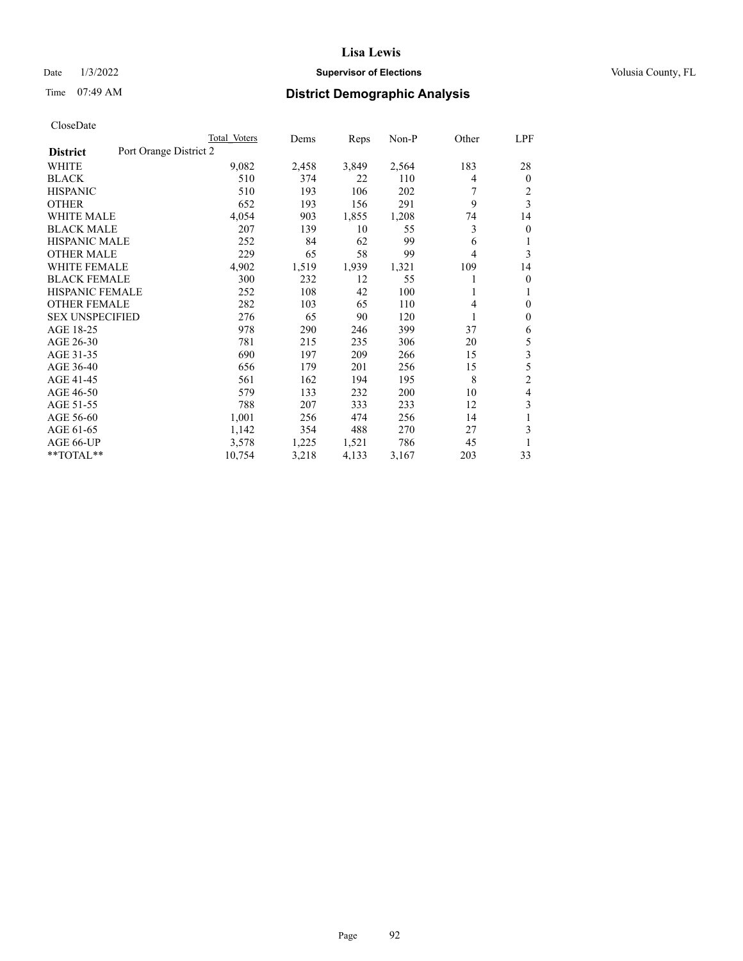# Date  $1/3/2022$  **Supervisor of Elections Supervisor of Elections** Volusia County, FL

# Time 07:49 AM **District Demographic Analysis**

|                                           | Total Voters | Dems  | Reps  | $Non-P$ | Other | LPF            |
|-------------------------------------------|--------------|-------|-------|---------|-------|----------------|
| Port Orange District 2<br><b>District</b> |              |       |       |         |       |                |
| WHITE                                     | 9,082        | 2,458 | 3,849 | 2,564   | 183   | 28             |
| <b>BLACK</b>                              | 510          | 374   | 22    | 110     | 4     | $\mathbf{0}$   |
| <b>HISPANIC</b>                           | 510          | 193   | 106   | 202     |       | 2              |
| <b>OTHER</b>                              | 652          | 193   | 156   | 291     | 9     | 3              |
| <b>WHITE MALE</b>                         | 4,054        | 903   | 1,855 | 1,208   | 74    | 14             |
| <b>BLACK MALE</b>                         | 207          | 139   | 10    | 55      | 3     | $\mathbf{0}$   |
| <b>HISPANIC MALE</b>                      | 252          | 84    | 62    | 99      | 6     | 1              |
| <b>OTHER MALE</b>                         | 229          | 65    | 58    | 99      | 4     | 3              |
| <b>WHITE FEMALE</b>                       | 4,902        | 1,519 | 1,939 | 1,321   | 109   | 14             |
| <b>BLACK FEMALE</b>                       | 300          | 232   | 12    | 55      |       | $\mathbf{0}$   |
| <b>HISPANIC FEMALE</b>                    | 252          | 108   | 42    | 100     |       | 1              |
| <b>OTHER FEMALE</b>                       | 282          | 103   | 65    | 110     | 4     | $\theta$       |
| <b>SEX UNSPECIFIED</b>                    | 276          | 65    | 90    | 120     | 1     | $\mathbf{0}$   |
| AGE 18-25                                 | 978          | 290   | 246   | 399     | 37    | 6              |
| AGE 26-30                                 | 781          | 215   | 235   | 306     | 20    | 5              |
| AGE 31-35                                 | 690          | 197   | 209   | 266     | 15    | 3              |
| AGE 36-40                                 | 656          | 179   | 201   | 256     | 15    | 5              |
| AGE 41-45                                 | 561          | 162   | 194   | 195     | 8     | $\overline{c}$ |
| AGE 46-50                                 | 579          | 133   | 232   | 200     | 10    | 4              |
| AGE 51-55                                 | 788          | 207   | 333   | 233     | 12    | 3              |
| AGE 56-60                                 | 1,001        | 256   | 474   | 256     | 14    | 1              |
| AGE 61-65                                 | 1,142        | 354   | 488   | 270     | 27    | 3              |
| AGE 66-UP                                 | 3,578        | 1,225 | 1,521 | 786     | 45    |                |
| **TOTAL**                                 | 10,754       | 3,218 | 4,133 | 3,167   | 203   | 33             |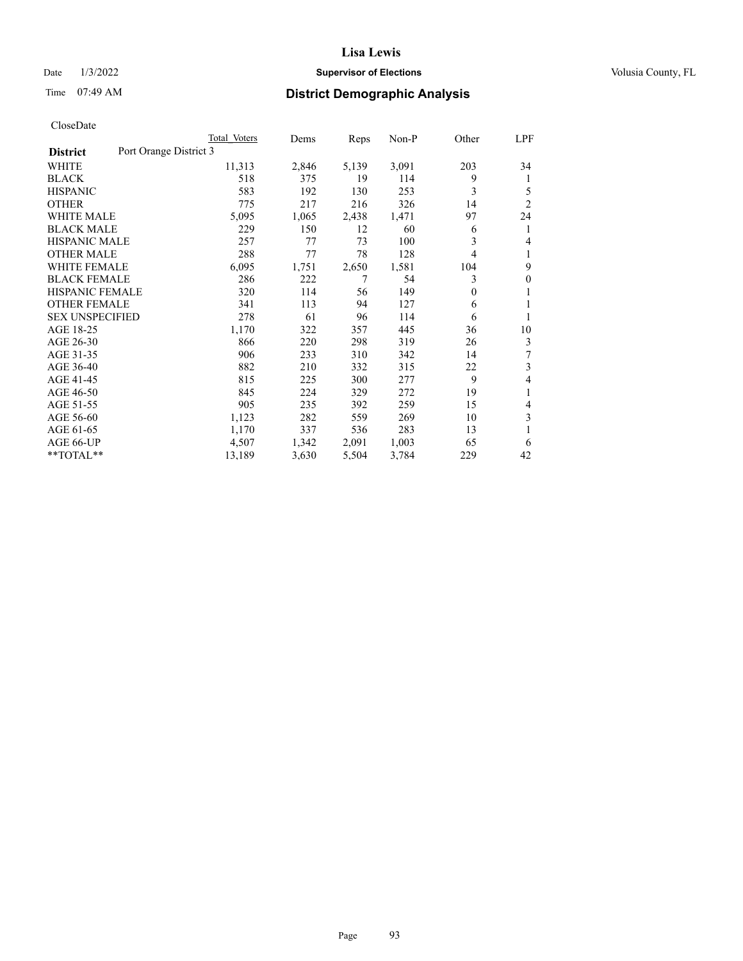# Date  $1/3/2022$  **Supervisor of Elections Supervisor of Elections** Volusia County, FL

# Time 07:49 AM **District Demographic Analysis**

|                                           | Total Voters | Dems  | Reps  | Non-P | Other | LPF            |
|-------------------------------------------|--------------|-------|-------|-------|-------|----------------|
| Port Orange District 3<br><b>District</b> |              |       |       |       |       |                |
| WHITE                                     | 11,313       | 2,846 | 5,139 | 3,091 | 203   | 34             |
| <b>BLACK</b>                              | 518          | 375   | 19    | 114   | 9     | 1              |
| <b>HISPANIC</b>                           | 583          | 192   | 130   | 253   | 3     | 5              |
| <b>OTHER</b>                              | 775          | 217   | 216   | 326   | 14    | $\overline{2}$ |
| <b>WHITE MALE</b>                         | 5,095        | 1,065 | 2,438 | 1,471 | 97    | 24             |
| <b>BLACK MALE</b>                         | 229          | 150   | 12    | 60    | 6     | 1              |
| HISPANIC MALE                             | 257          | 77    | 73    | 100   | 3     | 4              |
| <b>OTHER MALE</b>                         | 288          | 77    | 78    | 128   | 4     | 1              |
| <b>WHITE FEMALE</b>                       | 6,095        | 1,751 | 2,650 | 1,581 | 104   | 9              |
| <b>BLACK FEMALE</b>                       | 286          | 222   | 7     | 54    | 3     | $\mathbf{0}$   |
| <b>HISPANIC FEMALE</b>                    | 320          | 114   | 56    | 149   | 0     | 1              |
| <b>OTHER FEMALE</b>                       | 341          | 113   | 94    | 127   | 6     | 1              |
| <b>SEX UNSPECIFIED</b>                    | 278          | 61    | 96    | 114   | 6     | 1              |
| AGE 18-25                                 | 1,170        | 322   | 357   | 445   | 36    | 10             |
| AGE 26-30                                 | 866          | 220   | 298   | 319   | 26    | 3              |
| AGE 31-35                                 | 906          | 233   | 310   | 342   | 14    | 7              |
| AGE 36-40                                 | 882          | 210   | 332   | 315   | 22    | 3              |
| AGE 41-45                                 | 815          | 225   | 300   | 277   | 9     | 4              |
| AGE 46-50                                 | 845          | 224   | 329   | 272   | 19    | 1              |
| AGE 51-55                                 | 905          | 235   | 392   | 259   | 15    | 4              |
| AGE 56-60                                 | 1,123        | 282   | 559   | 269   | 10    | 3              |
| AGE 61-65                                 | 1,170        | 337   | 536   | 283   | 13    | 1              |
| AGE 66-UP                                 | 4,507        | 1,342 | 2,091 | 1,003 | 65    | 6              |
| **TOTAL**                                 | 13,189       | 3,630 | 5,504 | 3,784 | 229   | 42             |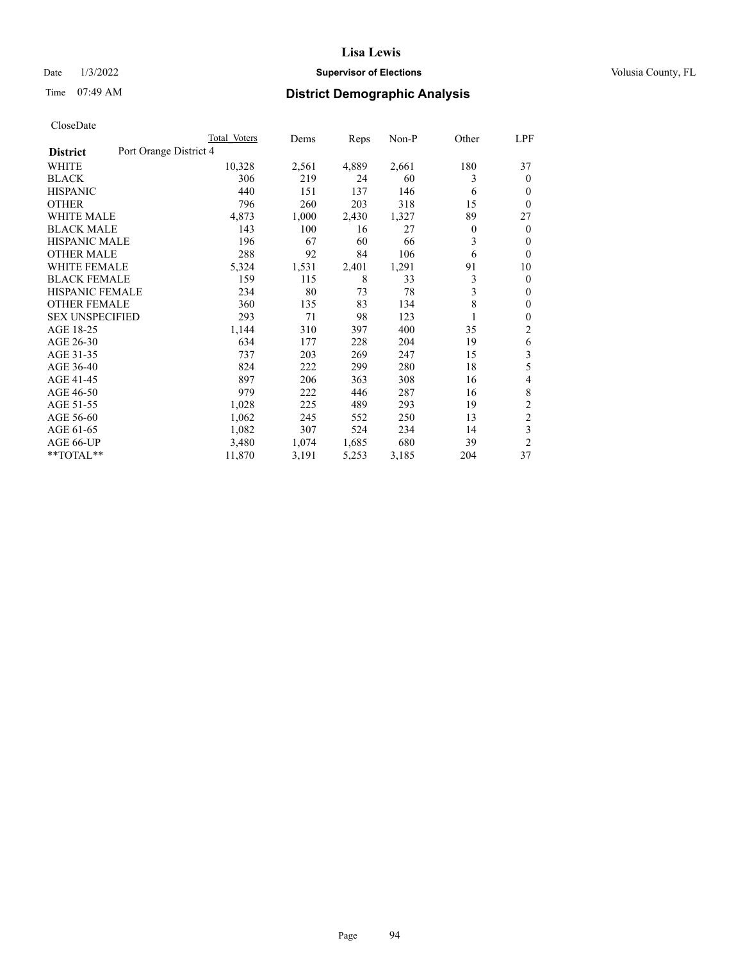# Date  $1/3/2022$  **Supervisor of Elections Supervisor of Elections** Volusia County, FL

# Time 07:49 AM **District Demographic Analysis**

|                                           | Total Voters | Dems  | Reps  | $Non-P$ | Other          | <u>LPF</u>     |
|-------------------------------------------|--------------|-------|-------|---------|----------------|----------------|
| Port Orange District 4<br><b>District</b> |              |       |       |         |                |                |
| WHITE                                     | 10,328       | 2,561 | 4,889 | 2,661   | 180            | 37             |
| <b>BLACK</b>                              | 306          | 219   | 24    | 60      | 3              | $\theta$       |
| <b>HISPANIC</b>                           | 440          | 151   | 137   | 146     | 6              | $\theta$       |
| <b>OTHER</b>                              | 796          | 260   | 203   | 318     | 15             | $\theta$       |
| <b>WHITE MALE</b>                         | 4,873        | 1,000 | 2,430 | 1,327   | 89             | 27             |
| <b>BLACK MALE</b>                         | 143          | 100   | 16    | 27      | $\overline{0}$ | $\mathbf{0}$   |
| <b>HISPANIC MALE</b>                      | 196          | 67    | 60    | 66      | 3              | $\theta$       |
| <b>OTHER MALE</b>                         | 288          | 92    | 84    | 106     | 6              | $\mathbf{0}$   |
| <b>WHITE FEMALE</b>                       | 5,324        | 1,531 | 2,401 | 1,291   | 91             | 10             |
| <b>BLACK FEMALE</b>                       | 159          | 115   | 8     | 33      | 3              | $\mathbf{0}$   |
| <b>HISPANIC FEMALE</b>                    | 234          | 80    | 73    | 78      | 3              | $\mathbf{0}$   |
| <b>OTHER FEMALE</b>                       | 360          | 135   | 83    | 134     | 8              | $\mathbf{0}$   |
| <b>SEX UNSPECIFIED</b>                    | 293          | 71    | 98    | 123     | 1              | $\mathbf{0}$   |
| AGE 18-25                                 | 1,144        | 310   | 397   | 400     | 35             | 2              |
| AGE 26-30                                 | 634          | 177   | 228   | 204     | 19             | 6              |
| AGE 31-35                                 | 737          | 203   | 269   | 247     | 15             | 3              |
| AGE 36-40                                 | 824          | 222   | 299   | 280     | 18             | 5              |
| AGE 41-45                                 | 897          | 206   | 363   | 308     | 16             | 4              |
| AGE 46-50                                 | 979          | 222   | 446   | 287     | 16             | 8              |
| AGE 51-55                                 | 1,028        | 225   | 489   | 293     | 19             | $\overline{2}$ |
| AGE 56-60                                 | 1,062        | 245   | 552   | 250     | 13             | $\overline{c}$ |
| AGE 61-65                                 | 1,082        | 307   | 524   | 234     | 14             | 3              |
| AGE 66-UP                                 | 3,480        | 1,074 | 1,685 | 680     | 39             | $\overline{2}$ |
| **TOTAL**                                 | 11,870       | 3,191 | 5,253 | 3,185   | 204            | 37             |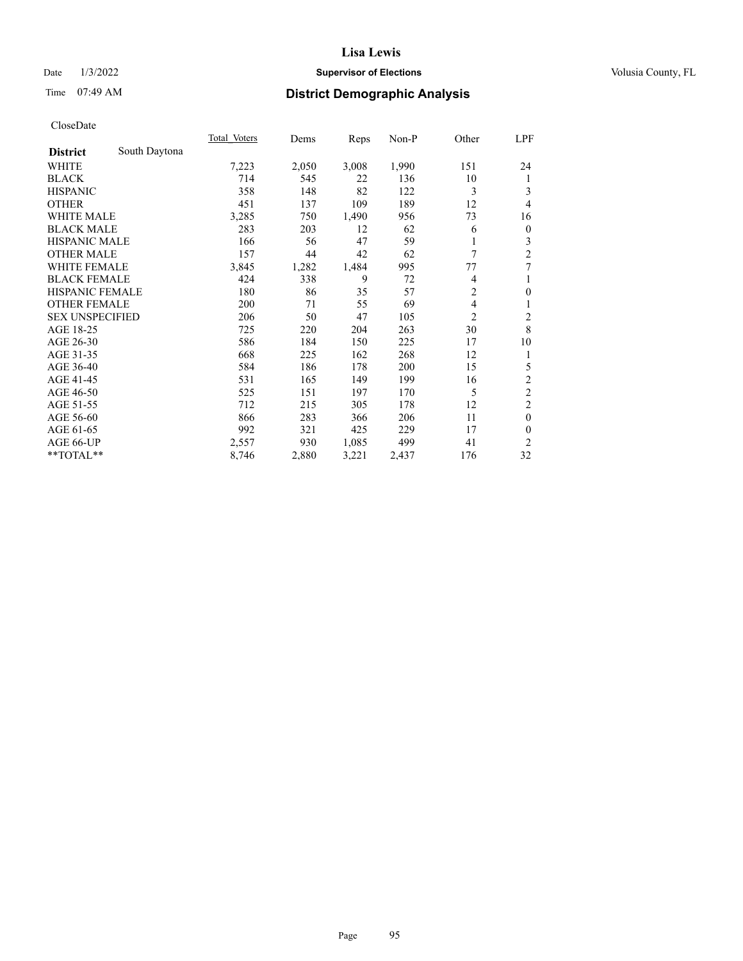# Date  $1/3/2022$  **Supervisor of Elections Supervisor of Elections** Volusia County, FL

# Time 07:49 AM **District Demographic Analysis**

|                        |               | Total Voters | Dems  | Reps  | $Non-P$ | Other          | <u>LPF</u>              |
|------------------------|---------------|--------------|-------|-------|---------|----------------|-------------------------|
| <b>District</b>        | South Daytona |              |       |       |         |                |                         |
| WHITE                  |               | 7,223        | 2,050 | 3,008 | 1,990   | 151            | 24                      |
| <b>BLACK</b>           |               | 714          | 545   | 22    | 136     | 10             | 1                       |
| <b>HISPANIC</b>        |               | 358          | 148   | 82    | 122     | 3              | 3                       |
| <b>OTHER</b>           |               | 451          | 137   | 109   | 189     | 12             | 4                       |
| <b>WHITE MALE</b>      |               | 3,285        | 750   | 1,490 | 956     | 73             | 16                      |
| <b>BLACK MALE</b>      |               | 283          | 203   | 12    | 62      | 6              | $\mathbf{0}$            |
| <b>HISPANIC MALE</b>   |               | 166          | 56    | 47    | 59      |                | 3                       |
| <b>OTHER MALE</b>      |               | 157          | 44    | 42    | 62      | 7              | $\overline{c}$          |
| WHITE FEMALE           |               | 3,845        | 1,282 | 1,484 | 995     | 77             | 7                       |
| <b>BLACK FEMALE</b>    |               | 424          | 338   | 9     | 72      | 4              | 1                       |
| <b>HISPANIC FEMALE</b> |               | 180          | 86    | 35    | 57      | $\overline{2}$ | $\mathbf{0}$            |
| <b>OTHER FEMALE</b>    |               | 200          | 71    | 55    | 69      | 4              | 1                       |
| <b>SEX UNSPECIFIED</b> |               | 206          | 50    | 47    | 105     | 2              | $\overline{\mathbf{c}}$ |
| AGE 18-25              |               | 725          | 220   | 204   | 263     | 30             | 8                       |
| AGE 26-30              |               | 586          | 184   | 150   | 225     | 17             | 10                      |
| AGE 31-35              |               | 668          | 225   | 162   | 268     | 12             | 1                       |
| AGE 36-40              |               | 584          | 186   | 178   | 200     | 15             | 5                       |
| AGE 41-45              |               | 531          | 165   | 149   | 199     | 16             | $\overline{c}$          |
| AGE 46-50              |               | 525          | 151   | 197   | 170     | 5              | $\overline{c}$          |
| AGE 51-55              |               | 712          | 215   | 305   | 178     | 12             | $\overline{2}$          |
| AGE 56-60              |               | 866          | 283   | 366   | 206     | 11             | $\theta$                |
| AGE 61-65              |               | 992          | 321   | 425   | 229     | 17             | $\theta$                |
| AGE 66-UP              |               | 2,557        | 930   | 1,085 | 499     | 41             | 2                       |
| **TOTAL**              |               | 8,746        | 2,880 | 3,221 | 2,437   | 176            | 32                      |